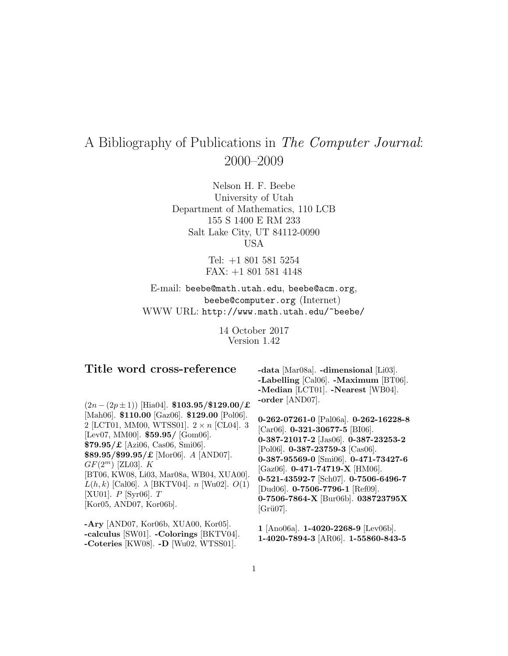# A Bibliography of Publications in The Computer Journal: 2000–2009

Nelson H. F. Beebe University of Utah Department of Mathematics, 110 LCB 155 S 1400 E RM 233 Salt Lake City, UT 84112-0090 USA

> Tel: +1 801 581 5254 FAX: +1 801 581 4148

E-mail: beebe@math.utah.edu, beebe@acm.org, beebe@computer.org (Internet) WWW URL: http://www.math.utah.edu/~beebe/

> 14 October 2017 Version 1.42

| Title word cross-reference<br>$(2n - (2p \pm 1))$ [Hia04]. \$103.95/\$129.00/£<br>[Mah06]. \$110.00 [Gaz06]. \$129.00 [Pol06].<br>2 [LCT01, MM00, WTSS01]. $2 \times n$ [CL04]. 3<br>[Lev07, MM00]. $$59.95/$ [Gom06].<br>$$79.95/E$ [Azi06, Cas06, Smi06].<br>$$89.95/\$99.95/\pounds$ [Mor06]. A [AND07].<br>$GF(2^m)$ [ZL03]. K<br>[BT06, KW08, Li03, Mar08a, WB04, XUA00].<br>$L(h, k)$ [Cal06]. $\lambda$ [BKTV04]. <i>n</i> [Wu02]. $O(1)$<br>[XU01]. $P$ [Syr06]. $T$<br>[Kor05, AND07, Kor06b]. | -data [Mar08a]. -dimensional [Li03].<br>-Labelling [Cal06]. -Maximum [BT06].<br>-Median [LCT01]. -Nearest [WB04].<br>-order [AND07].<br>0-262-07261-0 [Pal06a]. 0-262-16228-8<br>[Car06]. $0-321-30677-5$ [BI06].<br>0-387-21017-2 [Jas06]. 0-387-23253-2<br>[Pol06]. 0-387-23759-3 [Cas06].<br>0-387-95569-0 [Smi06]. 0-471-73427-6<br>[Gaz06]. $0-471-74719-X$ [HM06].<br>0-521-43592-7 [Sch07]. 0-7506-6496-7<br>[Dud06]. $0-7506-7796-1$ [Ref09].<br>0-7506-7864-X [Bur06b]. 038723795X<br>$[Gri07]$ . |
|---------------------------------------------------------------------------------------------------------------------------------------------------------------------------------------------------------------------------------------------------------------------------------------------------------------------------------------------------------------------------------------------------------------------------------------------------------------------------------------------------------|------------------------------------------------------------------------------------------------------------------------------------------------------------------------------------------------------------------------------------------------------------------------------------------------------------------------------------------------------------------------------------------------------------------------------------------------------------------------------------------------------------|
| $-Ary$ [AND07, Kor06b, XUA00, Kor05].<br>-calculus [SW01]. -Colorings [BKTV04].<br>$[TTTT00]$ <b>D</b> $[TTT000000]$                                                                                                                                                                                                                                                                                                                                                                                    | 1 [Ano06a]. 1-4020-2268-9 [Lev06b].<br>1-4020-7894-3 [AR06]. 1-55860-843-5                                                                                                                                                                                                                                                                                                                                                                                                                                 |

1

**-Coteries** [KW08]. **-D** [Wu02, WTSS01].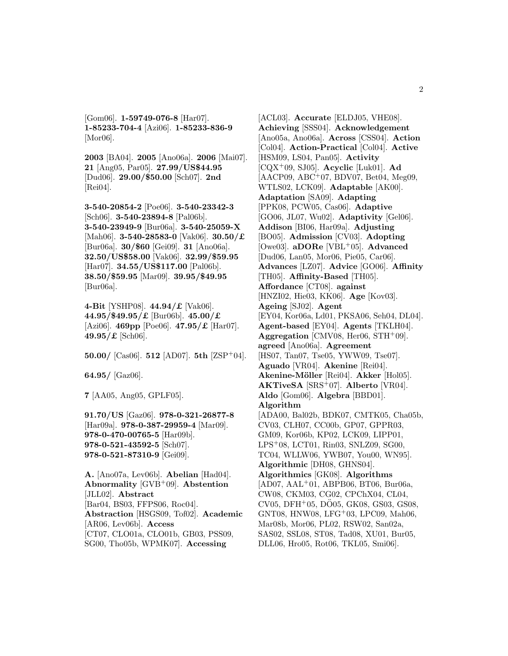[Gom06]. **1-59749-076-8** [Har07]. **1-85233-704-4** [Azi06]. **1-85233-836-9** [Mor06].

**2003** [BA04]. **2005** [Ano06a]. **2006** [Mai07]. **21** [Ang05, Par05]. **27.99/US**\$**44.95** [Dud06]. **29.00/**\$**50.00** [Sch07]. **2nd** [Rei04].

**3-540-20854-2** [Poe06]. **3-540-23342-3** [Sch06]. **3-540-23894-8** [Pal06b]. **3-540-23949-9** [Bur06a]. **3-540-25059-X** [Mah06]. **3-540-28583-0** [Vak06]. **30.50/**£ [Bur06a]. **30/**\$**60** [Gei09]. **31** [Ano06a]. **32.50/US**\$**58.00** [Vak06]. **32.99/**\$**59.95** [Har07]. **34.55/US**\$**117.00** [Pal06b]. **38.50/**\$**59.95** [Mar09]. **39.95/**\$**49.95** [Bur06a].

**4-Bit** [YSHP08]. **44.94/**£ [Vak06]. **44.95/**\$**49.95/**£ [Bur06b]. **45.00/**£ [Azi06]. **469pp** [Poe06]. **47.95/**£ [Har07]. **49.95/**£ [Sch06].

**50.00/** [Cas06]. **512** [AD07]. **5th** [ZSP<sup>+</sup>04].

**64.95/** [Gaz06].

**7** [AA05, Ang05, GPLF05].

**91.70/US** [Gaz06]. **978-0-321-26877-8** [Har09a]. **978-0-387-29959-4** [Mar09]. **978-0-470-00765-5** [Har09b]. **978-0-521-43592-5** [Sch07]. **978-0-521-87310-9** [Gei09].

**A.** [Ano07a, Lev06b]. **Abelian** [Had04]. **Abnormality** [GVB<sup>+</sup>09]. **Abstention** [JLL02]. **Abstract** [Bar04, BS03, FFPS06, Roc04]. **Abstraction** [HSGS09, Tof02]. **Academic** [AR06, Lev06b]. **Access** [CT07, CLO01a, CLO01b, GB03, PSS09, SG00, Tho05b, WPMK07]. **Accessing**

[ACL03]. **Accurate** [ELDJ05, VHE08]. **Achieving** [SSS04]. **Acknowledgement** [Ano05a, Ano06a]. **Across** [CSS04]. **Action** [Col04]. **Action-Practical** [Col04]. **Active** [HSM09, LS04, Pan05]. **Activity** [CQX<sup>+</sup>09, SJ05]. **Acyclic** [Luk01]. **Ad** [AACP09, ABC<sup>+</sup>07, BDV07, Bet04, Meg09, WTLS02, LCK09]. **Adaptable** [AK00]. **Adaptation** [SA09]. **Adapting** [PPK08, PCW05, Cas06]. **Adaptive** [GO06, JL07, Wu02]. **Adaptivity** [Gel06]. **Addison** [BI06, Har09a]. **Adjusting** [BO05]. **Admission** [CV03]. **Adopting** [Owe03]. **aDORe** [VBL<sup>+</sup>05]. **Advanced** [Dud06, Lan05, Mor06, Pie05, Car06]. **Advances** [LZ07]. **Advice** [GO06]. **Affinity** [TH05]. **Affinity-Based** [TH05]. **Affordance** [CT08]. **against** [HNZI02, Hie03, KK06]. **Age** [Kov03]. **Ageing** [SJ02]. **Agent** [EY04, Kor06a, Ld01, PKSA06, Seh04, DL04]. **Agent-based** [EY04]. **Agents** [TKLH04]. **Aggregation** [CMV08, Her06, STH<sup>+</sup>09]. **agreed** [Ano06a]. **Agreement** [HS07, Tan07, Tse05, YWW09, Tse07]. **Aguado** [VR04]. **Akenine** [Rei04]. **Akenine-M¨oller** [Rei04]. **Akker** [Hol05]. **AKTiveSA** [SRS<sup>+</sup>07]. **Alberto** [VR04]. **Aldo** [Gom06]. **Algebra** [BBD01]. **Algorithm** [ADA00, Bal02b, BDK07, CMTK05, Cha05b, CV03, CLH07, CC00b, GP07, GPPR03, GM09, Kor06b, KP02, LCK09, LIPP01, LPS<sup>+</sup>08, LCT01, Rin03, SNLZ09, SG00, TC04, WLLW06, YWB07, You00, WN95]. **Algorithmic** [DH08, GHNS04]. **Algorithmics** [GK08]. **Algorithms**  $[AD07, AAL+01, ABPBO6, BT06, Bur06a,$ CW08, CKM03, CG02, CPChX04, CL04, CV05, DFH+05, DO05, GK08, GS03, GS08, GNT08, HNW08, LFG<sup>+</sup>03, LPC09, Mah06, Mar08b, Mor06, PL02, RSW02, San02a, SAS02, SSL08, ST08, Tad08, XU01, Bur05, DLL06, Hro05, Rot06, TKL05, Smi06].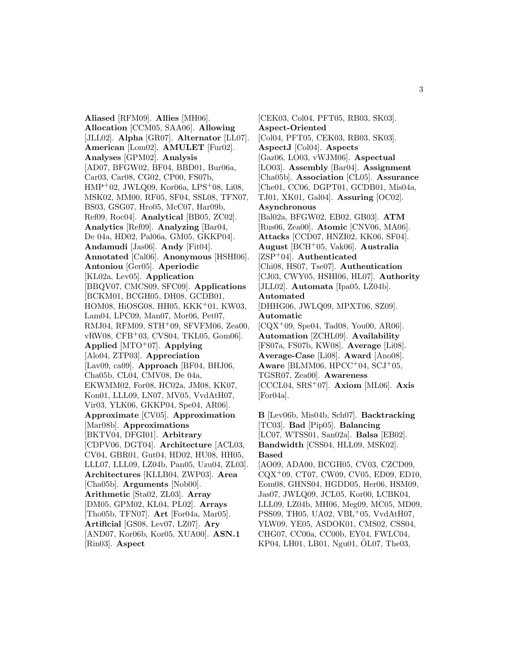**Aliased** [RFM09]. **Allies** [MH06]. **Allocation** [CCM05, SAA06]. **Allowing** [JLL02]. **Alpha** [GR07]. **Alternator** [LL07]. **American** [Lom02]. **AMULET** [Fur02]. **Analyses** [GPM02]. **Analysis** [AD07, BFGW02, BF04, BBD01, Bur06a, Car03, Car08, CG02, CP00, FS07b, HMP<sup>+</sup>02, JWLQ09, Kor06a, LPS<sup>+</sup>08, Li08, MSK02, MM00, RF05, SF04, SSL08, TFN07, BS03, GSG07, Hro05, McC07, Har09b, Ref09, Roc04]. **Analytical** [BB05, ZC02]. **Analytics** [Ref09]. **Analyzing** [Bar04, De 04a, HD02, Pal06a, GM05, GKKP04]. **Andamudi** [Jas06]. **Andy** [Fit04]. **Annotated** [Cal06]. **Anonymous** [HSHI06]. **Antoniou** [Ger05]. **Aperiodic** [KL02a, Lev05]. **Application** [BBQV07, CMCS09, SFC09]. **Applications** [BCKM01, BCGH05, DH08, GCDB01, HOM08, HiOSG08, HH05, KKK<sup>+</sup>01, KW03, Lam04, LPC09, Man07, Mor06, Pet07, RMJ04, RFM09, STH<sup>+</sup>09, SFVFM06, Zea00, vRW08, CFB<sup>+</sup>03, CVS04, TKL05, Gom06]. **Applied** [MTO<sup>+</sup>07]. **Applying** [Alo04, ZTP03]. **Appreciation** [Lav09, ca09]. **Approach** [BF04, BHJ06, Cha05b, CL04, CMV08, De 04a, EKWMM02, For08, HC02a, JM08, KK07, Kon01, LLL09, LN07, MV05, VvdAtH07, Vir03, YLK06, GKKP04, Spe04, AR06]. **Approximate** [CV05]. **Approximation** [Mar08b]. **Approximations** [BKTV04, DFGI01]. **Arbitrary** [CDPV06, DGT04]. **Architecture** [ACL03, CV04, GBR01, Gut04, HD02, HU08, HH05, LLL07, LLL09, LZ04b, Pan05, Uzu04, ZL03]. **Architectures** [KLLB04, ZWP03]. **Area** [Cha05b]. **Arguments** [Nob00]. **Arithmetic** [Sta02, ZL03]. **Array** [DM05, GPM02, KL04, PL02]. **Arrays** [Tho05b, TFN07]. **Art** [For04a, Mar05]. **Artificial** [GS08, Lev07, LZ07]. **Ary** [AND07, Kor06b, Kor05, XUA00]. **ASN.1** [Rin03]. **Aspect**

[CEK03, Col04, PFT05, RB03, SK03]. **Aspect-Oriented** [Col04, PFT05, CEK03, RB03, SK03]. **AspectJ** [Col04]. **Aspects** [Gaz06, LO03, vWJM06]. **Aspectual** [LO03]. **Assembly** [Bar04]. **Assignment** [Cha05b]. **Association** [CL05]. **Assurance** [Che01, CC06, DGPT01, GCDB01, Mis04a, TJ01, XK01, Gal04]. **Assuring** [OC02]. **Asynchronous** [Bal02a, BFGW02, EB02, GB03]. **ATM** [Rus06, Zea00]. **Atomic** [CNV06, MA06]. **Attacks** [CCD07, HNZI02, KK06, SF04]. **August** [BCH<sup>+</sup>05, Vak06]. **Australia** [ZSP<sup>+</sup>04]. **Authenticated** [Chi08, HS07, Tse07]. **Authentication** [CJ03, CWY05, HSHI06, HL07]. **Authority** [JLL02]. **Automata** [Ipa05, LZ04b]. **Automated** [DHHG06, JWLQ09, MPXT06, SZ09]. **Automatic**  $[CQX^{+}09, Spe04, Tad08, You00, AR06].$ **Automation** [ZCHL09]. **Availability** [FS07a, FS07b, KW08]. **Average** [Li08]. **Average-Case** [Li08]. **Award** [Ano08]. **Aware** [BLMM06, HPCC<sup>+</sup>04, SCJ<sup>+</sup>05, TGSR07, Zea00]. **Awareness** [CCCL04, SRS<sup>+</sup>07]. **Axiom** [ML06]. **Axis** [For04a]. **B** [Lev06b, Mis04b, Sch07]. **Backtracking** [TC03]. **Bad** [Pip05]. **Balancing** [LC07, WTSS01, San02a]. **Balsa** [EB02]. **Bandwidth** [CSS04, HLL09, MSK02].

#### **Based**

[AO09, ADA00, BCGH05, CV03, CZCD09, CQX<sup>+</sup>09, CT07, CW09, CV05, ED09, ED10, Eom08, GHNS04, HGDD05, Her06, HSM09, Jas07, JWLQ09, JCL05, Kor00, LCBK04, LLL09, LZ04b, MH06, Meg09, MC05, MD09, PSS09, TH05, UA02, VBL<sup>+</sup>05, VvdAtH07, YLW09, YE05, ASDOK01, CMS02, CSS04, CHG07, CC00a, CC00b, EY04, FWLC04, KP04, LH01, LB01, Ngu01, OL07, The03,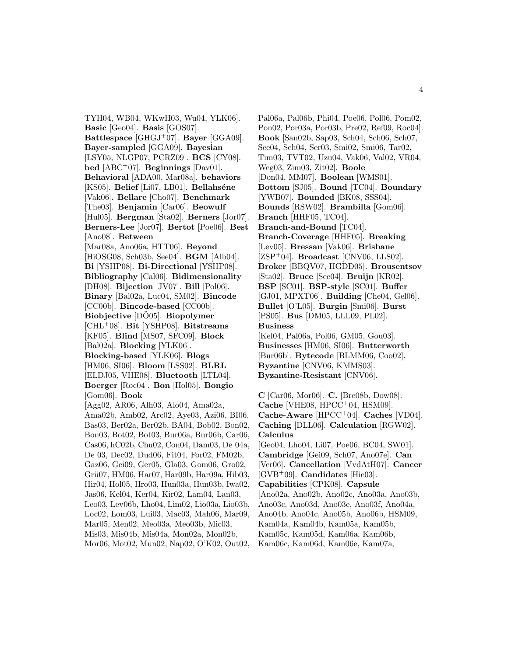TYH04, WB04, WKwH03, Wu04, YLK06]. **Basic** [Geo04]. **Basis** [GOS07]. **Battlespace** [GHGJ<sup>+</sup>07]. **Bayer** [GGA09]. **Bayer-sampled** [GGA09]. **Bayesian** [LSY05, NLGP07, PCRZ09]. **BCS** [CY08]. **bed** [ABC<sup>+</sup>07]. **Beginnings** [Dav01]. **Behavioral** [ADA00, Mar08a]. **behaviors** [KS05]. **Belief** [Li07, LB01]. **Bellahséne** [Vak06]. **Bellare** [Cho07]. **Benchmark** [The03]. **Benjamin** [Car06]. **Beowulf** [Hul05]. **Bergman** [Sta02]. **Berners** [Jor07]. **Berners-Lee** [Jor07]. **Bertot** [Poe06]. **Best** [Ano08]. **Between** [Mar08a, Ano06a, HTT06]. **Beyond** [HiOSG08, Sch03b, See04]. **BGM** [Alb04]. **Bi** [YSHP08]. **Bi-Directional** [YSHP08]. **Bibliography** [Cal06]. **Bidimensionality** [DH08]. **Bijection** [JV07]. **Bill** [Pol06]. **Binary** [Bal02a, Luc04, SM02]. **Bincode** [CC00b]. **Bincode-based** [CC00b]. **Biobjective** [DO05]. **Biopolymer** [CHL<sup>+</sup>08]. **Bit** [YSHP08]. **Bitstreams** [KF05]. **Blind** [MS07, SFC09]. **Block** [Bal02a]. **Blocking** [YLK06]. **Blocking-based** [YLK06]. **Blogs** [HM06, SI06]. **Bloom** [LSS02]. **BLRL** [ELDJ05, VHE08]. **Bluetooth** [LTL04]. **Boerger** [Roc04]. **Bon** [Hol05]. **Bongio** [Gom06]. **Book** [Agg02, AR06, Alh03, Alo04, Ama02a, Ama02b, Amb02, Arc02, Aye03, Azi06, BI06, Bas03, Ber02a, Ber02b, BA04, Bob02, Bon02, Bon03, Bot02, Bot03, Bur06a, Bur06b, Car06, Cas06, hC02b, Chu02, Con04, Dam03, De 04a, De 03, Dec02, Dud06, Fit04, For02, FM02b, Gaz06, Gei09, Ger05, Gla03, Gom06, Gro02, Grü07, HM06, Har07, Har09b, Har09a, Hib03, Hir04, Hol05, Hro03, Hun03a, Hun03b, Iwa02, Jas06, Kel04, Ker04, Kir02, Lam04, Lan03, Leo03, Lev06b, Lho04, Lim02, Lio03a, Lio03b, Loc02, Lom03, Lui03, Mac03, Mah06, Mar09, Mar05, Men02, Meo03a, Meo03b, Mic03, Mis03, Mis04b, Mis04a, Mon02a, Mon02b, Mor06, Mot02, Mun02, Nap02, O'K02, Out02,

Pal06a, Pal06b, Phi04, Poe06, Pol06, Pom02, Pon02, Por03a, Por03b, Pre02, Ref09, Roc04]. **Book** [San02b, Sap03, Sch04, Sch06, Sch07, See04, Seh04, Ser03, Smi02, Smi06, Tar02, Tim03, TVT02, Uzu04, Vak06, Val02, VR04, Weg03, Zim03, Zit02]. **Boole** [Don04, MM07]. **Boolean** [WMS01]. **Bottom** [SJ05]. **Bound** [TC04]. **Boundary** [YWB07]. **Bounded** [BK08, SSS04]. **Bounds** [RSW02]. **Brambilla** [Gom06]. **Branch** [HHF05, TC04]. **Branch-and-Bound** [TC04]. **Branch-Coverage** [HHF05]. **Breaking** [Lev05]. **Bressan** [Vak06]. **Brisbane** [ZSP<sup>+</sup>04]. **Broadcast** [CNV06, LLS02]. **Broker** [BBQV07, HGDD05]. **Brousentsov** [Sta02]. **Bruce** [See04]. **Bruijn** [KR02]. **BSP** [SC01]. **BSP-style** [SC01]. **Buffer** [GJ01, MPXT06]. **Building** [Che04, Gel06]. **Bullet** [O'L05]. **Burgin** [Smi06]. **Burst** [PS05]. **Bus** [DM05, LLL09, PL02]. **Business** [Kel04, Pal06a, Pol06, GM05, Gou03]. **Businesses** [HM06, SI06]. **Butterworth** [Bur06b]. **Bytecode** [BLMM06, Coo02]. **Byzantine** [CNV06, KMMS03]. **Byzantine-Resistant** [CNV06].

**C** [Car06, Mor06]. **C.** [Bre08b, Dow08]. **Cache** [VHE08, HPCC<sup>+</sup>04, HSM09]. **Cache-Aware** [HPCC<sup>+</sup>04]. **Caches** [VD04]. **Caching** [DLL06]. **Calculation** [RGW02]. **Calculus** [Geo04, Lho04, Li07, Poe06, BC04, SW01]. **Cambridge** [Gei09, Sch07, Ano07e]. **Can** [Ver06]. **Cancellation** [VvdAtH07]. **Cancer** [GVB<sup>+</sup>09]. **Candidates** [Hie03]. **Capabilities** [CPK08]. **Capsule** [Ano02a, Ano02b, Ano02c, Ano03a, Ano03b, Ano03c, Ano03d, Ano03e, Ano03f, Ano04a, Ano04b, Ano04c, Ano05b, Ano06b, HSM09, Kam04a, Kam04b, Kam05a, Kam05b, Kam05c, Kam05d, Kam06a, Kam06b, Kam06c, Kam06d, Kam06e, Kam07a,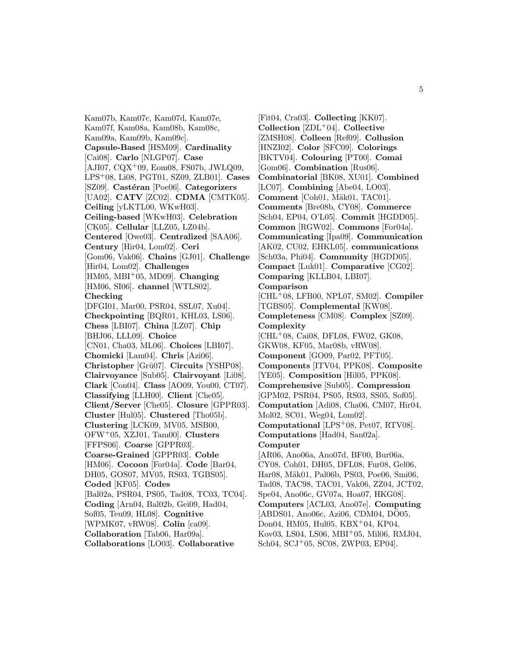Kam07b, Kam07c, Kam07d, Kam07e, Kam07f, Kam08a, Kam08b, Kam08c, Kam09a, Kam09b, Kam09c]. **Capsule-Based** [HSM09]. **Cardinality** [Cai08]. **Carlo** [NLGP07]. **Case**  $[AJI07, CQX^{+}09, Eom08, FS07b, JWLQ09,$ LPS<sup>+</sup>08, Li08, PGT01, SZ09, ZLB01]. **Cases** [SZ09]. **Castéran** [Poe06]. **Categorizers** [UA02]. **CATV** [ZC02]. **CDMA** [CMTK05]. **Ceiling** [yLKTL00, WKwH03]. **Ceiling-based** [WKwH03]. **Celebration** [CK05]. **Cellular** [LLZ05, LZ04b]. **Centered** [Owe03]. **Centralized** [SAA06]. **Century** [Hir04, Lom02]. **Ceri** [Gom06, Vak06]. **Chains** [GJ01]. **Challenge** [Hir04, Lom02]. **Challenges** [HM05, MBI<sup>+</sup>05, MD09]. **Changing** [HM06, SI06]. **channel** [WTLS02]. **Checking** [DFGI01, Mar00, PSR04, SSL07, Xu04]. **Checkpointing** [BQR01, KHL03, LS06]. **Chess** [LBI07]. **China** [LZ07]. **Chip** [BHJ06, LLL09]. **Choice** [CN01, Cha03, ML06]. **Choices** [LBI07]. **Chomicki** [Lam04]. **Chris** [Azi06]. **Christopher** [Grü07]. **Circuits** [YSHP08]. **Clairvoyance** [Sub05]. **Clairvoyant** [Li08]. **Clark** [Con04]. **Class** [AO09, You00, CT07]. **Classifying** [LLH00]. **Client** [Che05]. **Client/Server** [Che05]. **Closure** [GPPR03]. **Cluster** [Hul05]. **Clustered** [Tho05b]. **Clustering** [LCK09, MV05, MSB00, OFW<sup>+</sup>05, XZJ01, Tam00]. **Clusters** [FFPS06]. **Coarse** [GPPR03]. **Coarse-Grained** [GPPR03]. **Coble** [HM06]. **Cocoon** [For04a]. **Code** [Bar04, DH05, GOS07, MV05, RS03, TGBS05]. **Coded** [KF05]. **Codes** [Bal02a, PSR04, PS05, Tad08, TC03, TC04]. **Coding** [Arn04, Bal02b, Gei09, Had04, Sof05, Teu09, HL08]. **Cognitive** [WPMK07, vRW08]. **Colin** [ca09]. **Collaboration** [Tab06, Har09a]. **Collaborations** [LO03]. **Collaborative**

[Fit04, Cra03]. **Collecting** [KK07]. **Collection** [ZDL<sup>+</sup>04]. **Collective** [ZMSH08]. **Colleen** [Ref09]. **Collusion** [HNZI02]. **Color** [SFC09]. **Colorings** [BKTV04]. **Colouring** [PT00]. **Comai** [Gom06]. **Combination** [Rus06]. **Combinatorial** [BK08, XU01]. **Combined** [LC07]. **Combining** [Abe04, LO03]. **Comment** [Coh01, Mäk01, TAC01]. **Comments** [Bre08b, CY08]. **Commerce** [Sch04, EP04, O'L05]. **Commit** [HGDD05]. **Common** [RGW02]. **Commons** [For04a]. **Communicating** [Ipa09]. **Communication** [AK02, CU02, EHKL05]. **communications** [Sch03a, Phi04]. **Community** [HGDD05]. **Compact** [Luk01]. **Comparative** [CG02]. **Comparing** [KLLB04, LBI07]. **Comparison** [CHL<sup>+</sup>08, LFB00, NPL07, SM02]. **Compiler** [TGBS05]. **Complemental** [KW08]. **Completeness** [CM08]. **Complex** [SZ09]. **Complexity** [CHL<sup>+</sup>08, Cai08, DFL08, FW02, GK08, GKW08, KF05, Mar08b, vRW08]. **Component** [GO09, Par02, PFT05]. **Components** [ITV04, PPK08]. **Composite** [YE05]. **Composition** [Hil05, PPK08]. **Comprehensive** [Sub05]. **Compression** [GPM02, PSR04, PS05, RS03, SS05, Sof05]. **Computation** [Adi08, Cha06, CM07, Hir04, Mol02, SC01, Weg04, Lom02]. **Computational** [LPS<sup>+</sup>08, Pet07, RTV08]. **Computations** [Had04, San02a]. **Computer** [AR06, Ano06a, Ano07d, BF00, Bur06a, CY08, Coh01, DH05, DFL08, Fur08, Gel06, Har08, Mäk01, Pal06b, PS03, Poe06, Smi06, Tad08, TAC98, TAC01, Vak06, ZZ04, JCT02, Spe04, Ano06c, GV07a, Hoa07, HKG08]. **Computers** [ACL03, Ano07e]. **Computing** [ABDS01, Ano06c, Azi06, CDM04, DO05, Don04, HM05, Hul05, KBX<sup>+</sup>04, KP04, Kov03, LS04, LS06, MBI<sup>+</sup>05, Mil06, RMJ04, Sch04, SCJ<sup>+</sup>05, SC08, ZWP03, EP04].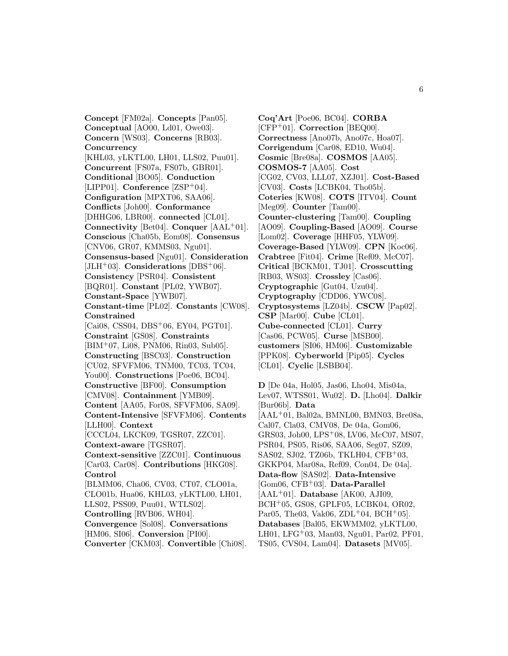**Concept** [FM02a]. **Concepts** [Pan05]. **Conceptual** [AO00, Ld01, Owe03]. **Concern** [WS03]. **Concerns** [RB03]. **Concurrency** [KHL03, yLKTL00, LH01, LLS02, Puu01]. **Concurrent** [FS07a, FS07b, GBR01]. **Conditional** [BO05]. **Conduction** [LIPP01]. **Conference** [ZSP<sup>+</sup>04]. **Configuration** [MPXT06, SAA06]. **Conflicts** [Joh00]. **Conformance** [DHHG06, LBR00]. **connected** [CL01]. **Connectivity** [Bet04]. **Conquer** [AAL<sup>+</sup>01]. **Conscious** [Cha05b, Eom08]. **Consensus** [CNV06, GR07, KMMS03, Ngu01]. **Consensus-based** [Ngu01]. **Consideration** [JLH<sup>+</sup>03]. **Considerations** [DBS<sup>+</sup>06]. **Consistency** [PSR04]. **Consistent** [BQR01]. **Constant** [PL02, YWB07]. **Constant-Space** [YWB07]. **Constant-time** [PL02]. **Constants** [CW08]. **Constrained** [Cai08, CSS04, DBS<sup>+</sup>06, EY04, PGT01]. **Constraint** [GS08]. **Constraints** [BIM<sup>+</sup>07, Li08, PNM06, Rin03, Sub05]. **Constructing** [BSC03]. **Construction** [CU02, SFVFM06, TNM00, TC03, TC04, You00]. **Constructions** [Poe06, BC04]. **Constructive** [BF00]. **Consumption** [CMV08]. **Containment** [YMB09]. **Content** [AA05, For08, SFVFM06, SA09]. **Content-Intensive** [SFVFM06]. **Contents** [LLH00]. **Context** [CCCL04, LKCK09, TGSR07, ZZC01]. **Context-aware** [TGSR07]. **Context-sensitive** [ZZC01]. **Continuous** [Car03, Car08]. **Contributions** [HKG08]. **Control** [BLMM06, Cha06, CV03, CT07, CLO01a, CLO01b, Hua06, KHL03, yLKTL00, LH01, LLS02, PSS09, Puu01, WTLS02]. **Controlling** [RVB06, WH04]. **Convergence** [Sol08]. **Conversations** [HM06, SI06]. **Conversion** [PI00]. **Converter** [CKM03]. **Convertible** [Chi08].

**Coq'Art** [Poe06, BC04]. **CORBA** [CFP<sup>+</sup>01]. **Correction** [BEQ00]. **Correctness** [Ano07b, Ano07c, Hoa07]. **Corrigendum** [Car08, ED10, Wu04]. **Cosmic** [Bre08a]. **COSMOS** [AA05]. **COSMOS-7** [AA05]. **Cost** [CG02, CV03, LLL07, XZJ01]. **Cost-Based** [CV03]. **Costs** [LCBK04, Tho05b]. **Coteries** [KW08]. **COTS** [ITV04]. **Count** [Meg09]. **Counter** [Tam00]. **Counter-clustering** [Tam00]. **Coupling** [AO09]. **Coupling-Based** [AO09]. **Course** [Lom02]. **Coverage** [HHF05, YLW09]. **Coverage-Based** [YLW09]. **CPN** [Koc06]. **Crabtree** [Fit04]. **Crime** [Ref09, McC07]. **Critical** [BCKM01, TJ01]. **Crosscutting** [RB03, WS03]. **Crossley** [Cas06]. **Cryptographic** [Gut04, Uzu04]. **Cryptography** [CDD06, YWC08]. **Cryptosystems** [LZ04b]. **CSCW** [Pap02]. **CSP** [Mar00]. **Cube** [CL01]. **Cube-connected** [CL01]. **Curry** [Cas06, PCW05]. **Curse** [MSB00]. **customers** [SI06, HM06]. **Customizable** [PPK08]. **Cyberworld** [Pip05]. **Cycles** [CL01]. **Cyclic** [LSBB04].

**D** [De 04a, Hol05, Jas06, Lho04, Mis04a, Lev07, WTSS01, Wu02]. **D.** [Lho04]. **Dalkir** [Bur06b]. **Data** [AAL<sup>+</sup>01, Bal02a, BMNL00, BMN03, Bre08a, Cal07, Cla03, CMV08, De 04a, Gom06, GRS03, Joh00, LPS<sup>+</sup>08, LV06, McC07, MS07, PSR04, PS05, Ris06, SAA06, Seg07, SZ09, SAS02, SJ02, TZ06b, TKLH04, CFB<sup>+</sup>03, GKKP04, Mar08a, Ref09, Con04, De 04a]. **Data-flow** [SAS02]. **Data-Intensive** [Gom06, CFB<sup>+</sup>03]. **Data-Parallel** [AAL<sup>+</sup>01]. **Database** [AK00, AJI09, BCH<sup>+</sup>05, GS08, GPLF05, LCBK04, OR02, Par05, The03, Vak06, ZDL+04, BCH+05]. **Databases** [Bal05, EKWMM02, yLKTL00, LH01, LFG<sup>+</sup>03, Man03, Ngu01, Par02, PF01, TS05, CVS04, Lam04]. **Datasets** [MV05].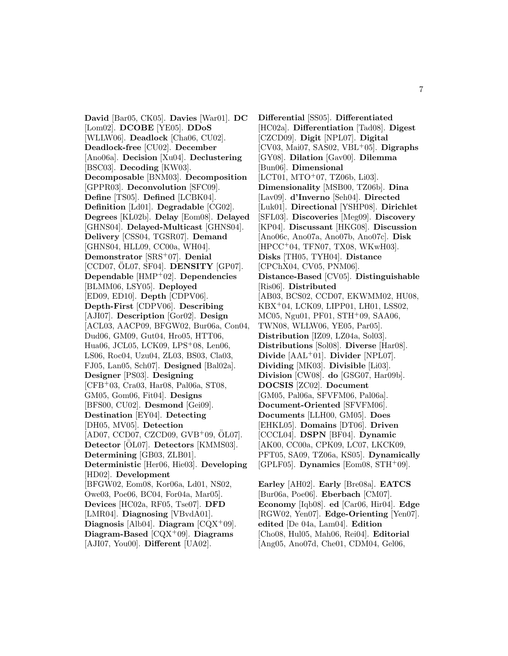**David** [Bar05, CK05]. **Davies** [War01]. **DC** [Lom02]. **DCOBE** [YE05]. **DDoS** [WLLW06]. **Deadlock** [Cha06, CU02]. **Deadlock-free** [CU02]. **December** [Ano06a]. **Decision** [Xu04]. **Declustering** [BSC03]. **Decoding** [KW03]. **Decomposable** [BNM03]. **Decomposition** [GPPR03]. **Deconvolution** [SFC09]. **Define** [TS05]. **Defined** [LCBK04]. **Definition** [Ld01]. **Degradable** [CG02]. **Degrees** [KL02b]. **Delay** [Eom08]. **Delayed** [GHNS04]. **Delayed-Multicast** [GHNS04]. **Delivery** [CSS04, TGSR07]. **Demand** [GHNS04, HLL09, CC00a, WH04]. **Demonstrator** [SRS<sup>+</sup>07]. **Denial** [CCD07, OL07, SF04]. **DENSITY** [GP07]. **Dependable** [HMP<sup>+</sup>02]. **Dependencies** [BLMM06, LSY05]. **Deployed** [ED09, ED10]. **Depth** [CDPV06]. **Depth-First** [CDPV06]. **Describing** [AJI07]. **Description** [Gor02]. **Design** [ACL03, AACP09, BFGW02, Bur06a, Con04, Dud06, GM09, Gut04, Hro05, HTT06, Hua06, JCL05, LCK09, LPS<sup>+</sup>08, Len06, LS06, Roc04, Uzu04, ZL03, BS03, Cla03, FJ05, Lan05, Sch07]. **Designed** [Bal02a]. **Designer** [PS03]. **Designing** [CFB<sup>+</sup>03, Cra03, Har08, Pal06a, ST08, GM05, Gom06, Fit04]. **Designs** [BFS00, CU02]. **Desmond** [Gei09]. **Destination** [EY04]. **Detecting** [DH05, MV05]. **Detection**  $[AD07, CCD07, CZCD09, GVB^{+}09, \ddot{O}L07]$ . **Detector** [OL07]. **Detectors** [KMMS03]. **Determining** [GB03, ZLB01]. **Deterministic** [Her06, Hie03]. **Developing** [HD02]. **Development** [BFGW02, Eom08, Kor06a, Ld01, NS02, Owe03, Poe06, BC04, For04a, Mar05]. **Devices** [HC02a, RF05, Tse07]. **DFD** [LMR04]. **Diagnosing** [VBvdA01]. **Diagnosis** [Alb04]. **Diagram** [CQX<sup>+</sup>09]. **Diagram-Based** [CQX<sup>+</sup>09]. **Diagrams** [AJI07, You00]. **Different** [UA02].

**Differential** [SS05]. **Differentiated** [HC02a]. **Differentiation** [Tad08]. **Digest** [CZCD09]. **Digit** [NPL07]. **Digital** [CV03, Mai07, SAS02, VBL<sup>+</sup>05]. **Digraphs** [GY08]. **Dilation** [Gav00]. **Dilemma** [Bun06]. **Dimensional** [LCT01, MTO+07, TZ06b, Li03]. **Dimensionality** [MSB00, TZ06b]. **Dina** [Lav09]. **d'Inverno** [Seh04]. **Directed** [Luk01]. **Directional** [YSHP08]. **Dirichlet** [SFL03]. **Discoveries** [Meg09]. **Discovery** [KP04]. **Discussant** [HKG08]. **Discussion** [Ano06c, Ano07a, Ano07b, Ano07c]. **Disk** [HPCC<sup>+</sup>04, TFN07, TX08, WKwH03]. **Disks** [TH05, TYH04]. **Distance** [CPChX04, CV05, PNM06]. **Distance-Based** [CV05]. **Distinguishable** [Ris06]. **Distributed** [AB03, BCS02, CCD07, EKWMM02, HU08, KBX<sup>+</sup>04, LCK09, LIPP01, LH01, LSS02, MC05, Ngu01, PF01, STH<sup>+</sup>09, SAA06, TWN08, WLLW06, YE05, Par05]. **Distribution** [IZ09, LZ04a, Sol03]. **Distributions** [Sol08]. **Diverse** [Har08]. **Divide** [AAL<sup>+</sup>01]. **Divider** [NPL07]. **Dividing** [MK03]. **Divisible** [Li03]. **Division** [CW08]. **do** [GSG07, Har09b]. **DOCSIS** [ZC02]. **Document** [GM05, Pal06a, SFVFM06, Pal06a]. **Document-Oriented** [SFVFM06]. **Documents** [LLH00, GM05]. **Does** [EHKL05]. **Domains** [DT06]. **Driven** [CCCL04]. **DSPN** [BF04]. **Dynamic** [AK00, CC00a, CPK09, LC07, LKCK09, PFT05, SA09, TZ06a, KS05]. **Dynamically** [GPLF05]. **Dynamics** [Eom08, STH<sup>+</sup>09]. **Earley** [AH02]. **Early** [Bre08a]. **EATCS**

[Bur06a, Poe06]. **Eberbach** [CM07]. **Economy** [Iqb08]. **ed** [Car06, Hir04]. **Edge** [RGW02, Yen07]. **Edge-Orienting** [Yen07]. **edited** [De 04a, Lam04]. **Edition** [Cho08, Hul05, Mah06, Rei04]. **Editorial** [Ang05, Ano07d, Che01, CDM04, Gel06,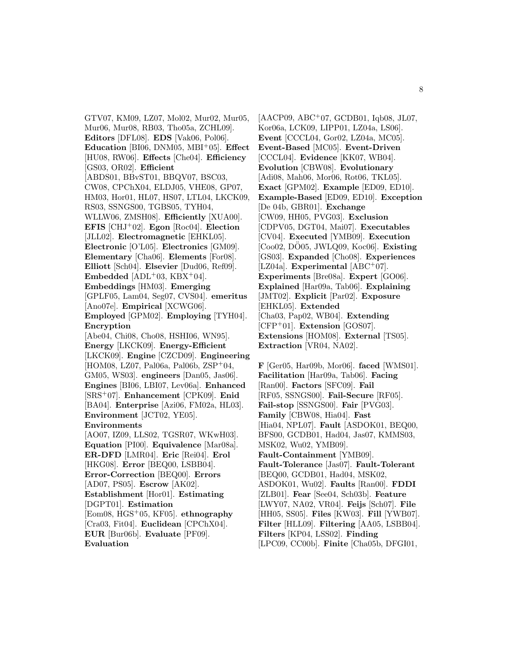GTV07, KM09, LZ07, Mol02, Mur02, Mur05, Mur06, Mur08, RB03, Tho05a, ZCHL09]. **Editors** [DFL08]. **EDS** [Vak06, Pol06]. **Education** [BI06, DNM05, MBI<sup>+</sup>05]. **Effect** [HU08, RW06]. **Effects** [Che04]. **Efficiency** [GS03, OR02]. **Efficient** [ABDS01, BBvST01, BBQV07, BSC03, CW08, CPChX04, ELDJ05, VHE08, GP07, HM03, Hor01, HL07, HS07, LTL04, LKCK09, RS03, SSNGS00, TGBS05, TYH04, WLLW06, ZMSH08]. **Efficiently** [XUA00]. **EFIS** [CHJ<sup>+</sup>02]. **Egon** [Roc04]. **Election** [JLL02]. **Electromagnetic** [EHKL05]. **Electronic** [O'L05]. **Electronics** [GM09]. **Elementary** [Cha06]. **Elements** [For08]. **Elliott** [Sch04]. **Elsevier** [Dud06, Ref09]. **Embedded** [ADL<sup>+</sup>03, KBX<sup>+</sup>04]. **Embeddings** [HM03]. **Emerging** [GPLF05, Lam04, Seg07, CVS04]. **emeritus** [Ano07e]. **Empirical** [XCWG06]. **Employed** [GPM02]. **Employing** [TYH04]. **Encryption** [Abe04, Chi08, Cho08, HSHI06, WN95]. **Energy** [LKCK09]. **Energy-Efficient** [LKCK09]. **Engine** [CZCD09]. **Engineering** [HOM08, LZ07, Pal06a, Pal06b, ZSP<sup>+</sup>04, GM05, WS03]. **engineers** [Dan05, Jas06]. **Engines** [BI06, LBI07, Lev06a]. **Enhanced** [SRS<sup>+</sup>07]. **Enhancement** [CPK09]. **Enid** [BA04]. **Enterprise** [Azi06, FM02a, HL03]. **Environment** [JCT02, YE05]. **Environments** [AO07, IZ09, LLS02, TGSR07, WKwH03]. **Equation** [PI00]. **Equivalence** [Mar08a]. **ER-DFD** [LMR04]. **Eric** [Rei04]. **Erol** [HKG08]. **Error** [BEQ00, LSBB04]. **Error-Correction** [BEQ00]. **Errors** [AD07, PS05]. **Escrow** [AK02]. **Establishment** [Hor01]. **Estimating** [DGPT01]. **Estimation** [Eom08, HGS<sup>+</sup>05, KF05]. **ethnography** [Cra03, Fit04]. **Euclidean** [CPChX04]. **EUR** [Bur06b]. **Evaluate** [PF09]. **Evaluation**

 $[AACP09, ABC<sup>+</sup>07, GCDB01, Iqb08, JL07,$ Kor06a, LCK09, LIPP01, LZ04a, LS06]. **Event** [CCCL04, Gor02, LZ04a, MC05]. **Event-Based** [MC05]. **Event-Driven** [CCCL04]. **Evidence** [KK07, WB04]. **Evolution** [CBW08]. **Evolutionary** [Adi08, Mah06, Mor06, Rot06, TKL05]. **Exact** [GPM02]. **Example** [ED09, ED10]. **Example-Based** [ED09, ED10]. **Exception** [De 04b, GBR01]. **Exchange** [CW09, HH05, PVG03]. **Exclusion** [CDPV05, DGT04, Mai07]. **Executables** [CV04]. **Executed** [YMB09]. **Execution** [Coo02, DO05, JWLQ09, Koc06]. **Existing** [GS03]. **Expanded** [Cho08]. **Experiences** [LZ04a]. **Experimental** [ABC<sup>+</sup>07]. **Experiments** [Bre08a]. **Expert** [GO06]. **Explained** [Har09a, Tab06]. **Explaining** [JMT02]. **Explicit** [Par02]. **Exposure** [EHKL05]. **Extended** [Cha03, Pap02, WB04]. **Extending** [CFP<sup>+</sup>01]. **Extension** [GOS07]. **Extensions** [HOM08]. **External** [TS05]. **Extraction** [VR04, NA02].

**F** [Ger05, Har09b, Mor06]. **faced** [WMS01]. **Facilitation** [Har09a, Tab06]. **Facing** [Ran00]. **Factors** [SFC09]. **Fail** [RF05, SSNGS00]. **Fail-Secure** [RF05]. **Fail-stop** [SSNGS00]. **Fair** [PVG03]. **Family** [CBW08, Hia04]. **Fast** [Hia04, NPL07]. **Fault** [ASDOK01, BEQ00, BFS00, GCDB01, Had04, Jas07, KMMS03, MSK02, Wu02, YMB09]. **Fault-Containment** [YMB09]. **Fault-Tolerance** [Jas07]. **Fault-Tolerant** [BEQ00, GCDB01, Had04, MSK02, ASDOK01, Wu02]. **Faults** [Ran00]. **FDDI** [ZLB01]. **Fear** [See04, Sch03b]. **Feature** [LWY07, NA02, VR04]. **Feijs** [Sch07]. **File** [HH05, SS05]. **Files** [KW03]. **Fill** [YWB07]. **Filter** [HLL09]. **Filtering** [AA05, LSBB04]. **Filters** [KP04, LSS02]. **Finding** [LPC09, CC00b]. **Finite** [Cha05b, DFGI01,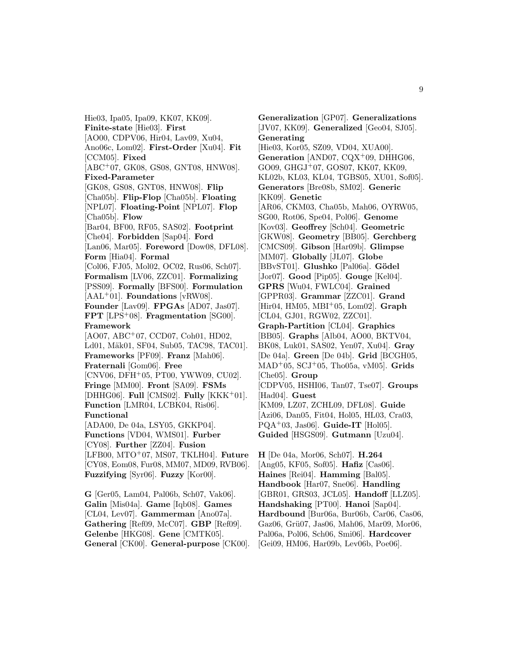Hie03, Ipa05, Ipa09, KK07, KK09]. **Finite-state** [Hie03]. **First** [AO00, CDPV06, Hir04, Lav09, Xu04, Ano06c, Lom02]. **First-Order** [Xu04]. **Fit** [CCM05]. **Fixed** [ABC<sup>+</sup>07, GK08, GS08, GNT08, HNW08]. **Fixed-Parameter** [GK08, GS08, GNT08, HNW08]. **Flip** [Cha05b]. **Flip-Flop** [Cha05b]. **Floating** [NPL07]. **Floating-Point** [NPL07]. **Flop** [Cha05b]. **Flow** [Bar04, BF00, RF05, SAS02]. **Footprint** [Che04]. **Forbidden** [Sap04]. **Ford** [Lan06, Mar05]. **Foreword** [Dow08, DFL08]. **Form** [Hia04]. **Formal** [Col06, FJ05, Mol02, OC02, Rus06, Sch07]. **Formalism** [LV06, ZZC01]. **Formalizing** [PSS09]. **Formally** [BFS00]. **Formulation** [AAL<sup>+</sup>01]. **Foundations** [vRW08]. **Founder** [Lav09]. **FPGAs** [AD07, Jas07]. **FPT** [LPS<sup>+</sup>08]. **Fragmentation** [SG00]. **Framework** [AO07, ABC<sup>+</sup>07, CCD07, Coh01, HD02, Ld01, Mäk01, SF04, Sub05, TAC98, TAC01]. **Frameworks** [PF09]. **Franz** [Mah06]. **Fraternali** [Gom06]. **Free**  $[CNV06, DFH<sup>+</sup>05, PT00, YWW09, CU02].$ **Fringe** [MM00]. **Front** [SA09]. **FSMs** [DHHG06]. **Full** [CMS02]. **Fully** [KKK<sup>+</sup>01]. **Function** [LMR04, LCBK04, Ris06]. **Functional** [ADA00, De 04a, LSY05, GKKP04]. **Functions** [VD04, WMS01]. **Furber** [CY08]. **Further** [ZZ04]. **Fusion** [LFB00, MTO<sup>+</sup>07, MS07, TKLH04]. **Future** [CY08, Eom08, Fur08, MM07, MD09, RVB06]. **Fuzzifying** [Syr06]. **Fuzzy** [Kor00]. **G** [Ger05, Lam04, Pal06b, Sch07, Vak06].

**Galin** [Mis04a]. **Game** [Iqb08]. **Games** [CL04, Lev07]. **Gammerman** [Ano07a]. **Gathering** [Ref09, McC07]. **GBP** [Ref09]. **Gelenbe** [HKG08]. **Gene** [CMTK05]. **General** [CK00]. **General-purpose** [CK00].

**Generalization** [GP07]. **Generalizations** [JV07, KK09]. **Generalized** [Geo04, SJ05]. **Generating** [Hie03, Kor05, SZ09, VD04, XUA00]. Generation<sup>[AND07, CQX<sup>+</sup>09, DHHG06,</sup> GO09, GHGJ<sup>+</sup>07, GOS07, KK07, KK09, KL02b, KL03, KL04, TGBS05, XU01, Sof05]. **Generators** [Bre08b, SM02]. **Generic** [KK09]. **Genetic** [AR06, CKM03, Cha05b, Mah06, OYRW05, SG00, Rot06, Spe04, Pol06]. **Genome** [Kov03]. **Geoffrey** [Sch04]. **Geometric** [GKW08]. **Geometry** [BB05]. **Gerchberg** [CMCS09]. **Gibson** [Har09b]. **Glimpse** [MM07]. **Globally** [JL07]. **Globe** [BBvST01]. **Glushko** [Pal06a]. **Gödel** [Jor07]. **Good** [Pip05]. **Gouge** [Kel04]. **GPRS** [Wu04, FWLC04]. **Grained** [GPPR03]. **Grammar** [ZZC01]. **Grand** [Hir04, HM05, MBI<sup>+</sup>05, Lom02]. **Graph** [CL04, GJ01, RGW02, ZZC01]. **Graph-Partition** [CL04]. **Graphics** [BB05]. **Graphs** [Alb04, AO00, BKTV04, BK08, Luk01, SAS02, Yen07, Xu04]. **Gray** [De 04a]. **Green** [De 04b]. **Grid** [BCGH05, MAD<sup>+</sup>05, SCJ<sup>+</sup>05, Tho05a, vM05]. **Grids** [Che05]. **Group** [CDPV05, HSHI06, Tan07, Tse07]. **Groups** [Had04]. **Guest** [KM09, LZ07, ZCHL09, DFL08]. **Guide** [Azi06, Dan05, Fit04, Hol05, HL03, Cra03, PQA<sup>+</sup>03, Jas06]. **Guide-IT** [Hol05]. **Guided** [HSGS09]. **Gutmann** [Uzu04].

**H** [De 04a, Mor06, Sch07]. **H.264** [Ang05, KF05, Sof05]. **Hafiz** [Cas06]. **Haines** [Rei04]. **Hamming** [Bal05]. **Handbook** [Har07, Sne06]. **Handling** [GBR01, GRS03, JCL05]. **Handoff** [LLZ05]. **Handshaking** [PT00]. **Hanoi** [Sap04]. **Hardbound** [Bur06a, Bur06b, Car06, Cas06, Gaz06, Grü07, Jas06, Mah06, Mar09, Mor06, Pal06a, Pol06, Sch06, Smi06]. **Hardcover** [Gei09, HM06, Har09b, Lev06b, Poe06].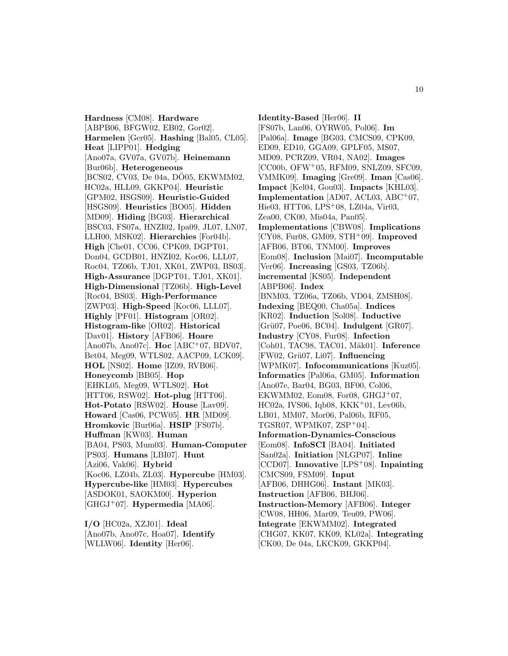**Hardness** [CM08]. **Hardware** [ABPB06, BFGW02, EB02, Gor02]. **Harmelen** [Ger05]. **Hashing** [Bal05, CL05]. **Heat** [LIPP01]. **Hedging** [Ano07a, GV07a, GV07b]. **Heinemann** [Bur06b]. **Heterogeneous** [BCS02, CV03, De 04a, DO05, EKWMM02, HC02a, HLL09, GKKP04]. **Heuristic** [GPM02, HSGS09]. **Heuristic-Guided** [HSGS09]. **Heuristics** [BO05]. **Hidden** [MD09]. **Hiding** [BG03]. **Hierarchical** [BSC03, FS07a, HNZI02, Ipa09, JL07, LN07, LLH00, MSK02]. **Hierarchies** [For04b]. **High** [Che01, CC06, CPK09, DGPT01, Don04, GCDB01, HNZI02, Koc06, LLL07, Roc04, TZ06b, TJ01, XK01, ZWP03, BS03]. **High-Assurance** [DGPT01, TJ01, XK01]. **High-Dimensional** [TZ06b]. **High-Level** [Roc04, BS03]. **High-Performance** [ZWP03]. **High-Speed** [Koc06, LLL07]. **Highly** [PF01]. **Histogram** [OR02]. **Histogram-like** [OR02]. **Historical** [Dav01]. **History** [AFB06]. **Hoare** [Ano07b, Ano07c]. **Hoc** [ABC<sup>+</sup>07, BDV07, Bet04, Meg09, WTLS02, AACP09, LCK09]. **HOL** [NS02]. **Home** [IZ09, RVB06]. **Honeycomb** [BB05]. **Hop** [EHKL05, Meg09, WTLS02]. **Hot** [HTT06, RSW02]. **Hot-plug** [HTT06]. **Hot-Potato** [RSW02]. **House** [Lav09]. **Howard** [Cas06, PCW05]. **HR** [MD09]. **Hromkovic** [Bur06a]. **HSIP** [FS07b]. **Huffman** [KW03]. **Human** [BA04, PS03, Mum03]. **Human-Computer** [PS03]. **Humans** [LBI07]. **Hunt** [Azi06, Vak06]. **Hybrid** [Koc06, LZ04b, ZL03]. **Hypercube** [HM03]. **Hypercube-like** [HM03]. **Hypercubes** [ASDOK01, SAOKM00]. **Hyperion** [GHGJ<sup>+</sup>07]. **Hypermedia** [MA06].

**I/O** [HC02a, XZJ01]. **Ideal** [Ano07b, Ano07c, Hoa07]. **Identify** [WLLW06]. **Identity** [Her06].

**Identity-Based** [Her06]. **II** [FS07b, Lan06, OYRW05, Pol06]. **Im** [Pal06a]. **Image** [BG03, CMCS09, CPK09, ED09, ED10, GGA09, GPLF05, MS07, MD09, PCRZ09, VR04, NA02]. **Images** [CC00b, OFW<sup>+</sup>05, RFM09, SNLZ09, SFC09, VMMK09]. **Imaging** [Gre09]. **Iman** [Cas06]. **Impact** [Kel04, Gou03]. **Impacts** [KHL03]. **Implementation** [AD07, ACL03, ABC<sup>+</sup>07, Hie03, HTT06, LPS<sup>+</sup>08, LZ04a, Vir03, Zea00, CK00, Mis04a, Pan05]. **Implementations** [CBW08]. **Implications** [CY08, Fur08, GM09, STH<sup>+</sup>09]. **Improved** [AFB06, BT06, TNM00]. **Improves** [Eom08]. **Inclusion** [Mai07]. **Incomputable** [Ver06]. **Increasing** [GS03, TZ06b]. **incremental** [KS05]. **Independent** [ABPB06]. **Index** [BNM03, TZ06a, TZ06b, VD04, ZMSH08]. **Indexing** [BEQ00, Cha05a]. **Indices** [KR02]. **Induction** [Sol08]. **Inductive** [Gr¨u07, Poe06, BC04]. **Indulgent** [GR07]. **Industry** [CY08, Fur08]. **Infection** [Coh01, TAC98, TAC01, Mäk01]. **Inference** [FW02, Gr¨u07, Li07]. **Influencing** [WPMK07]. **Infocommunications** [Kuz05]. **Informatics** [Pal06a, GM05]. **Information** [Ano07e, Bar04, BG03, BF00, Col06, EKWMM02, Eom08, For08, GHGJ+07, HC02a, IVS06, Iqb08, KKK<sup>+</sup>01, Lev06b, LB01, MM07, Mor06, Pal06b, RF05, TGSR07, WPMK07, ZSP<sup>+</sup>04]. **Information-Dynamics-Conscious** [Eom08]. **InfoSCI** [BA04]. **Initiated** [San02a]. **Initiation** [NLGP07]. **Inline** [CCD07]. **Innovative** [LPS<sup>+</sup>08]. **Inpainting** [CMCS09, FSM09]. **Input** [AFB06, DHHG06]. **Instant** [MK03]. **Instruction** [AFB06, BHJ06]. **Instruction-Memory** [AFB06]. **Integer** [CW08, HH06, Mar09, Teu09, PW06]. **Integrate** [EKWMM02]. **Integrated** [CHG07, KK07, KK09, KL02a]. **Integrating** [CK00, De 04a, LKCK09, GKKP04].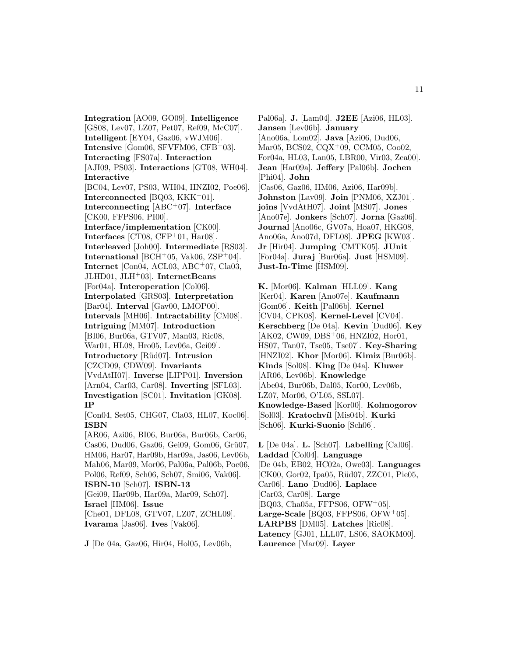**Integration** [AO09, GO09]. **Intelligence** [GS08, Lev07, LZ07, Pet07, Ref09, McC07]. **Intelligent** [EY04, Gaz06, vWJM06]. **Intensive** [Gom06, SFVFM06, CFB+03]. **Interacting** [FS07a]. **Interaction** [AJI09, PS03]. **Interactions** [GT08, WH04]. **Interactive** [BC04, Lev07, PS03, WH04, HNZI02, Poe06]. **Interconnected** [BQ03, KKK<sup>+</sup>01]. **Interconnecting** [ABC<sup>+</sup>07]. **Interface** [CK00, FFPS06, PI00]. **Interface/implementation** [CK00]. **Interfaces** [CT08, CFP<sup>+</sup>01, Har08]. **Interleaved** [Joh00]. **Intermediate** [RS03]. **International** [BCH<sup>+</sup>05, Vak06, ZSP<sup>+</sup>04]. **Internet** [Con04, ACL03, ABC<sup>+</sup>07, Cla03, JLHD01, JLH<sup>+</sup>03]. **InternetBeans** [For04a]. **Interoperation** [Col06]. **Interpolated** [GRS03]. **Interpretation** [Bar04]. **Interval** [Gav00, LMOP00]. **Intervals** [MH06]. **Intractability** [CM08]. **Intriguing** [MM07]. **Introduction** [BI06, Bur06a, GTV07, Man03, Ric08, War01, HL08, Hro05, Lev06a, Gei09]. **Introductory** [R¨ud07]. **Intrusion** [CZCD09, CDW09]. **Invariants** [VvdAtH07]. **Inverse** [LIPP01]. **Inversion** [Arn04, Car03, Car08]. **Inverting** [SFL03]. **Investigation** [SC01]. **Invitation** [GK08]. **IP** [Con04, Set05, CHG07, Cla03, HL07, Koc06]. **ISBN** [AR06, Azi06, BI06, Bur06a, Bur06b, Car06, Cas06, Dud06, Gaz06, Gei09, Gom06, Grü07, HM06, Har07, Har09b, Har09a, Jas06, Lev06b, Mah06, Mar09, Mor06, Pal06a, Pal06b, Poe06, Pol06, Ref09, Sch06, Sch07, Smi06, Vak06]. **ISBN-10** [Sch07]. **ISBN-13** [Gei09, Har09b, Har09a, Mar09, Sch07]. **Israel** [HM06]. **Issue** [Che01, DFL08, GTV07, LZ07, ZCHL09]. **Ivarama** [Jas06]. **Ives** [Vak06].

**J** [De 04a, Gaz06, Hir04, Hol05, Lev06b,

Pal06a]. **J.** [Lam04]. **J2EE** [Azi06, HL03]. **Jansen** [Lev06b]. **January** [Ano06a, Lom02]. **Java** [Azi06, Dud06, Mar05, BCS02, CQX<sup>+</sup>09, CCM05, Coo02, For04a, HL03, Lan05, LBR00, Vir03, Zea00]. **Jean** [Har09a]. **Jeffery** [Pal06b]. **Jochen** [Phi04]. **John** [Cas06, Gaz06, HM06, Azi06, Har09b]. **Johnston** [Lav09]. **Join** [PNM06, XZJ01]. **joins** [VvdAtH07]. **Joint** [MS07]. **Jones** [Ano07e]. **Jonkers** [Sch07]. **Jorna** [Gaz06]. **Journal** [Ano06c, GV07a, Hoa07, HKG08, Ano06a, Ano07d, DFL08]. **JPEG** [KW03]. **Jr** [Hir04]. **Jumping** [CMTK05]. **JUnit** [For04a]. **Juraj** [Bur06a]. **Just** [HSM09]. **Just-In-Time** [HSM09].

**K.** [Mor06]. **Kalman** [HLL09]. **Kang** [Ker04]. **Karen** [Ano07e]. **Kaufmann** [Gom06]. **Keith** [Pal06b]. **Kernel** [CV04, CPK08]. **Kernel-Level** [CV04]. **Kerschberg** [De 04a]. **Kevin** [Dud06]. **Key** [AK02, CW09, DBS<sup>+</sup>06, HNZI02, Hor01, HS07, Tan07, Tse05, Tse07]. **Key-Sharing** [HNZI02]. **Khor** [Mor06]. **Kimiz** [Bur06b]. **Kinds** [Sol08]. **King** [De 04a]. **Kluwer** [AR06, Lev06b]. **Knowledge** [Abe04, Bur06b, Dal05, Kor00, Lev06b, LZ07, Mor06, O'L05, SSL07]. **Knowledge-Based** [Kor00]. **Kolmogorov** [Sol03]. **Kratochv´ıl** [Mis04b]. **Kurki** [Sch06]. **Kurki-Suonio** [Sch06].

**L** [De 04a]. **L.** [Sch07]. **Labelling** [Cal06]. **Laddad** [Col04]. **Language** [De 04b, EB02, HC02a, Owe03]. **Languages** [CK00, Gor02, Ipa05, Rüd07, ZZC01, Pie05, Car06]. **Lano** [Dud06]. **Laplace** [Car03, Car08]. **Large** [BQ03, Cha05a, FFPS06, OFW<sup>+</sup>05]. Large-Scale<sup>[BQ03, FFPS06, OFW<sup>+</sup>05].</sup> **LARPBS** [DM05]. **Latches** [Ric08]. **Latency** [GJ01, LLL07, LS06, SAOKM00]. **Laurence** [Mar09]. **Layer**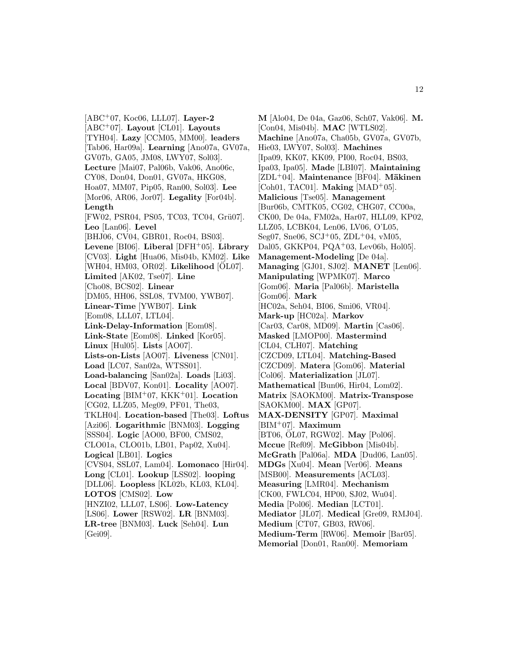[ABC<sup>+</sup>07, Koc06, LLL07]. **Layer-2** [ABC<sup>+</sup>07]. **Layout** [CL01]. **Layouts** [TYH04]. **Lazy** [CCM05, MM00]. **leaders** [Tab06, Har09a]. **Learning** [Ano07a, GV07a, GV07b, GA05, JM08, LWY07, Sol03]. **Lecture** [Mai07, Pal06b, Vak06, Ano06c, CY08, Don04, Don01, GV07a, HKG08, Hoa07, MM07, Pip05, Ran00, Sol03]. **Lee** [Mor06, AR06, Jor07]. **Legality** [For04b]. **Length** [FW02, PSR04, PS05, TC03, TC04, Grü07]. **Leo** [Lan06]. **Level** [BHJ06, CV04, GBR01, Roc04, BS03]. **Levene** [BI06]. **Liberal** [DFH<sup>+</sup>05]. **Library** [CV03]. **Light** [Hua06, Mis04b, KM02]. **Like** [WH04, HM03, OR02]. **Likelihood** [OL07]. **Limited** [AK02, Tse07]. **Line** [Cho08, BCS02]. **Linear** [DM05, HH06, SSL08, TVM00, YWB07]. **Linear-Time** [YWB07]. **Link** [Eom08, LLL07, LTL04]. **Link-Delay-Information** [Eom08]. **Link-State** [Eom08]. **Linked** [Kor05]. **Linux** [Hul05]. **Lists** [AO07]. **Lists-on-Lists** [AO07]. **Liveness** [CN01]. **Load** [LC07, San02a, WTSS01]. **Load-balancing** [San02a]. **Loads** [Li03]. **Local** [BDV07, Kon01]. **Locality** [AO07]. **Locating** [BIM<sup>+</sup>07, KKK<sup>+</sup>01]. **Location** [CG02, LLZ05, Meg09, PF01, The03, TKLH04]. **Location-based** [The03]. **Loftus** [Azi06]. **Logarithmic** [BNM03]. **Logging** [SSS04]. **Logic** [AO00, BF00, CMS02, CLO01a, CLO01b, LB01, Pap02, Xu04]. **Logical** [LB01]. **Logics** [CVS04, SSL07, Lam04]. **Lomonaco** [Hir04]. **Long** [CL01]. **Lookup** [LSS02]. **looping** [DLL06]. **Loopless** [KL02b, KL03, KL04]. **LOTOS** [CMS02]. **Low** [HNZI02, LLL07, LS06]. **Low-Latency** [LS06]. **Lower** [RSW02]. **LR** [BNM03]. **LR-tree** [BNM03]. **Luck** [Seh04]. **Lun** [Gei09].

**M** [Alo04, De 04a, Gaz06, Sch07, Vak06]. **M.** [Con04, Mis04b]. **MAC** [WTLS02]. **Machine** [Ano07a, Cha05b, GV07a, GV07b, Hie03, LWY07, Sol03]. **Machines** [Ipa09, KK07, KK09, PI00, Roc04, BS03, Ipa03, Ipa05]. **Made** [LBI07]. **Maintaining** [ZDL<sup>+</sup>04]. **Maintenance** [BF04]. **Mäkinen** [Coh01, TAC01]. **Making** [MAD<sup>+</sup>05]. **Malicious** [Tse05]. **Management** [Bur06b, CMTK05, CG02, CHG07, CC00a, CK00, De 04a, FM02a, Har07, HLL09, KP02, LLZ05, LCBK04, Len06, LV06, O'L05, Seg07, Sne06, SCJ+05, ZDL+04, vM05, Dal05, GKKP04, PQA<sup>+</sup>03, Lev06b, Hol05. **Management-Modeling** [De 04a]. **Managing** [GJ01, SJ02]. **MANET** [Len06]. **Manipulating** [WPMK07]. **Marco** [Gom06]. **Maria** [Pal06b]. **Maristella** [Gom06]. **Mark** [HC02a, Seh04, BI06, Smi06, VR04]. **Mark-up** [HC02a]. **Markov** [Car03, Car08, MD09]. **Martin** [Cas06]. **Masked** [LMOP00]. **Mastermind** [CL04, CLH07]. **Matching** [CZCD09, LTL04]. **Matching-Based** [CZCD09]. **Matera** [Gom06]. **Material** [Col06]. **Materialization** [JL07]. **Mathematical** [Bun06, Hir04, Lom02]. **Matrix** [SAOKM00]. **Matrix-Transpose** [SAOKM00]. **MAX** [GP07]. **MAX-DENSITY** [GP07]. **Maximal** [BIM<sup>+</sup>07]. **Maximum** [BT06, OL07, RGW02]. **May** [Pol06]. **Mccue** [Ref09]. **McGibbon** [Mis04b]. **McGrath** [Pal06a]. **MDA** [Dud06, Lan05]. **MDGs** [Xu04]. **Mean** [Ver06]. **Means** [MSB00]. **Measurements** [ACL03]. **Measuring** [LMR04]. **Mechanism** [CK00, FWLC04, HP00, SJ02, Wu04]. **Media** [Pol06]. **Median** [LCT01]. **Mediator** [JL07]. **Medical** [Gre09, RMJ04]. **Medium** [CT07, GB03, RW06]. **Medium-Term** [RW06]. **Memoir** [Bar05]. **Memorial** [Don01, Ran00]. **Memoriam**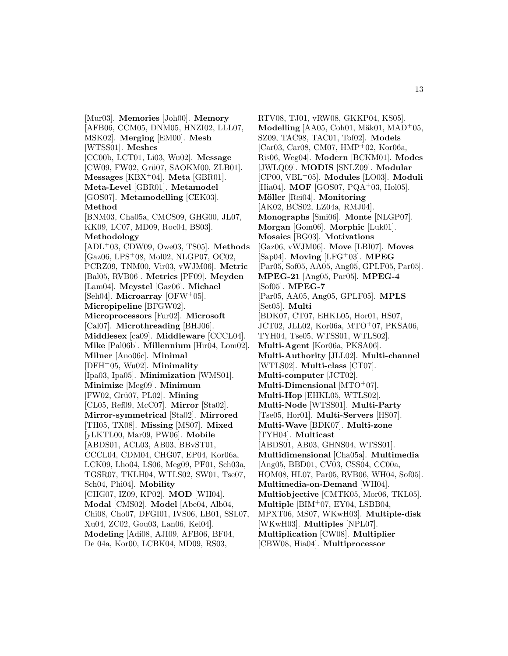[Mur03]. **Memories** [Joh00]. **Memory** [AFB06, CCM05, DNM05, HNZI02, LLL07, MSK02]. **Merging** [EM00]. **Mesh** [WTSS01]. **Meshes** [CC00b, LCT01, Li03, Wu02]. **Message** [CW09, FW02, Grü07, SAOKM00, ZLB01]. **Messages** [KBX<sup>+</sup>04]. **Meta** [GBR01]. **Meta-Level** [GBR01]. **Metamodel** [GOS07]. **Metamodelling** [CEK03]. **Method** [BNM03, Cha05a, CMCS09, GHG00, JL07, KK09, LC07, MD09, Roc04, BS03]. **Methodology** [ADL<sup>+</sup>03, CDW09, Owe03, TS05]. **Methods** [Gaz06, LPS<sup>+</sup>08, Mol02, NLGP07, OC02, PCRZ09, TNM00, Vir03, vWJM06]. **Metric** [Bal05, RVB06]. **Metrics** [PF09]. **Meyden** [Lam04]. **Meystel** [Gaz06]. **Michael** [Seh04]. **Microarray** [OFW<sup>+</sup>05]. **Micropipeline** [BFGW02]. **Microprocessors** [Fur02]. **Microsoft** [Cal07]. **Microthreading** [BHJ06]. **Middlesex** [ca09]. **Middleware** [CCCL04]. **Mike** [Pal06b]. **Millennium** [Hir04, Lom02]. **Milner** [Ano06c]. **Minimal** [DFH<sup>+</sup>05, Wu02]. **Minimality** [Ipa03, Ipa05]. **Minimization** [WMS01]. **Minimize** [Meg09]. **Minimum** [FW02, Gr¨u07, PL02]. **Mining** [CL05, Ref09, McC07]. **Mirror** [Sta02]. **Mirror-symmetrical** [Sta02]. **Mirrored** [TH05, TX08]. **Missing** [MS07]. **Mixed** [yLKTL00, Mar09, PW06]. **Mobile** [ABDS01, ACL03, AB03, BBvST01, CCCL04, CDM04, CHG07, EP04, Kor06a, LCK09, Lho04, LS06, Meg09, PF01, Sch03a, TGSR07, TKLH04, WTLS02, SW01, Tse07, Sch04, Phi04]. **Mobility** [CHG07, IZ09, KP02]. **MOD** [WH04]. **Modal** [CMS02]. **Model** [Abe04, Alb04, Chi08, Cho07, DFGI01, IVS06, LB01, SSL07, Xu04, ZC02, Gou03, Lan06, Kel04]. **Modeling** [Adi08, AJI09, AFB06, BF04, De 04a, Kor00, LCBK04, MD09, RS03,

RTV08, TJ01, vRW08, GKKP04, KS05]. **Modelling** [AA05, Coh01, Mäk01, MAD<sup>+</sup>05, SZ09, TAC98, TAC01, Tof02]. **Models** [Car03, Car08, CM07, HMP<sup>+</sup>02, Kor06a, Ris06, Weg04]. **Modern** [BCKM01]. **Modes** [JWLQ09]. **MODIS** [SNLZ09]. **Modular** [CP00, VBL<sup>+</sup>05]. **Modules** [LO03]. **Moduli** [Hia04]. **MOF** [GOS07, PQA<sup>+</sup>03, Hol05]. **M¨oller** [Rei04]. **Monitoring** [AK02, BCS02, LZ04a, RMJ04]. **Monographs** [Smi06]. **Monte** [NLGP07]. **Morgan** [Gom06]. **Morphic** [Luk01]. **Mosaics** [BG03]. **Motivations** [Gaz06, vWJM06]. **Move** [LBI07]. **Moves** [Sap04]. **Moving** [LFG<sup>+</sup>03]. **MPEG** [Par05, Sof05, AA05, Ang05, GPLF05, Par05]. **MPEG-21** [Ang05, Par05]. **MPEG-4** [Sof05]. **MPEG-7** [Par05, AA05, Ang05, GPLF05]. **MPLS** [Set05]. **Multi** [BDK07, CT07, EHKL05, Hor01, HS07, JCT02, JLL02, Kor06a, MTO<sup>+</sup>07, PKSA06, TYH04, Tse05, WTSS01, WTLS02]. **Multi-Agent** [Kor06a, PKSA06]. **Multi-Authority** [JLL02]. **Multi-channel** [WTLS02]. **Multi-class** [CT07]. **Multi-computer** [JCT02]. **Multi-Dimensional** [MTO<sup>+</sup>07]. **Multi-Hop** [EHKL05, WTLS02]. **Multi-Node** [WTSS01]. **Multi-Party** [Tse05, Hor01]. **Multi-Servers** [HS07]. **Multi-Wave** [BDK07]. **Multi-zone** [TYH04]. **Multicast** [ABDS01, AB03, GHNS04, WTSS01]. **Multidimensional** [Cha05a]. **Multimedia** [Ang05, BBD01, CV03, CSS04, CC00a, HOM08, HL07, Par05, RVB06, WH04, Sof05]. **Multimedia-on-Demand** [WH04]. **Multiobjective** [CMTK05, Mor06, TKL05]. **Multiple** [BIM<sup>+</sup>07, EY04, LSBB04, MPXT06, MS07, WKwH03]. **Multiple-disk** [WKwH03]. **Multiples** [NPL07]. **Multiplication** [CW08]. **Multiplier** [CBW08, Hia04]. **Multiprocessor**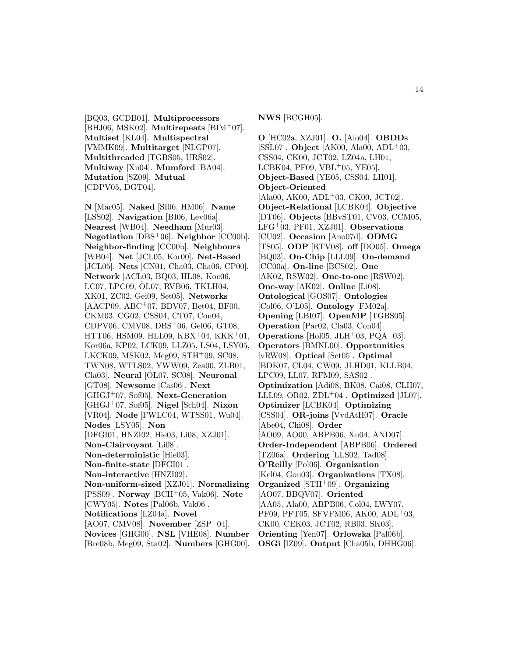[BQ03, GCDB01]. **Multiprocessors** [BHJ06, MSK02]. **Multirepeats** [BIM<sup>+</sup>07]. **Multiset** [KL04]. **Multispectral** [VMMK09]. **Multitarget** [NLGP07]. **Multithreaded** [TGBS05, URS02]. **Multiway** [Xu04]. **Mumford** [BA04]. **Mutation** [SZ09]. **Mutual** [CDPV05, DGT04].

**N** [Mar05]. **Naked** [SI06, HM06]. **Name** [LSS02]. **Navigation** [BI06, Lev06a]. **Nearest** [WB04]. **Needham** [Mur03]. **Negotiation** [DBS<sup>+</sup>06]. **Neighbor** [CC00b]. **Neighbor-finding** [CC00b]. **Neighbours** [WB04]. **Net** [JCL05, Kor00]. **Net-Based** [JCL05]. **Nets** [CN01, Cha03, Cha06, CP00]. **Network** [ACL03, BQ03, HL08, Koc06, LC07, LPC09, OL07, RVB06, TKLH04, XK01, ZC02, Gei09, Set05]. **Networks** [AACP09, ABC<sup>+</sup>07, BDV07, Bet04, BF00, CKM03, CG02, CSS04, CT07, Con04, CDPV06, CMV08, DBS<sup>+</sup>06, Gel06, GT08, HTT06, HSM09, HLL09, KBX<sup>+</sup>04, KKK<sup>+</sup>01, Kor06a, KP02, LCK09, LLZ05, LS04, LSY05, LKCK09, MSK02, Meg09, STH<sup>+</sup>09, SC08, TWN08, WTLS02, YWW09, Zea00, ZLB01, Cla03]. **Neural** [OL07, SC08]. **Neuronal** [GT08]. **Newsome** [Cas06]. **Next** [GHGJ<sup>+</sup>07, Sof05]. **Next-Generation** [GHGJ<sup>+</sup>07, Sof05]. **Nigel** [Sch04]. **Nixon** [VR04]. **Node** [FWLC04, WTSS01, Wu04]. **Nodes** [LSY05]. **Non** [DFGI01, HNZI02, Hie03, Li08, XZJ01]. **Non-Clairvoyant** [Li08]. **Non-deterministic** [Hie03]. **Non-finite-state** [DFGI01]. **Non-interactive** [HNZI02]. **Non-uniform-sized** [XZJ01]. **Normalizing** [PSS09]. **Norway** [BCH<sup>+</sup>05, Vak06]. **Note** [CWY05]. **Notes** [Pal06b, Vak06]. **Notifications** [LZ04a]. **Novel** [AO07, CMV08]. **November** [ZSP<sup>+</sup>04]. **Novices** [GHG00]. **NSL** [VHE08]. **Number**

[Bre08b, Meg09, Sta02]. **Numbers** [GHG00].

**NWS** [BCGH05].

**O** [HC02a, XZJ01]. **O.** [Alo04]. **OBDDs** [SSL07]. **Object** [AK00, Ala00, ADL<sup>+</sup>03, CSS04, CK00, JCT02, LZ04a, LH01, LCBK04, PF09, VBL $+05$ , YE05]. **Object-Based** [YE05, CSS04, LH01]. **Object-Oriented**  $[Ala00, AK00, ADL^{+}03, CK00, JCT02].$ **Object-Relational** [LCBK04]. **Objective** [DT06]. **Objects** [BBvST01, CV03, CCM05, LFG<sup>+</sup>03, PF01, XZJ01]. **Observations** [CU02]. **Occasion** [Ano07d]. **ODMG**  $[TS05]$ . **ODP**  $[RTV08]$ . **off**  $[DO05]$ . **Omega** [BQ03]. **On-Chip** [LLL09]. **On-demand** [CC00a]. **On-line** [BCS02]. **One** [AK02, RSW02]. **One-to-one** [RSW02]. **One-way** [AK02]. **Online** [Li08]. **Ontological** [GOS07]. **Ontologies** [Col06, O'L05]. **Ontology** [FM02a]. **Opening** [LBI07]. **OpenMP** [TGBS05]. **Operation** [Par02, Cla03, Con04]. **Operations** [Hol05, JLH<sup>+</sup>03, PQA<sup>+</sup>03]. **Operators** [BMNL00]. **Opportunities** [vRW08]. **Optical** [Set05]. **Optimal** [BDK07, CL04, CW09, JLHD01, KLLB04, LPC09, LL07, RFM09, SAS02]. **Optimization** [Adi08, BK08, Cai08, CLH07, LLL09, OR02, ZDL<sup>+</sup>04]. **Optimized** [JL07]. **Optimizer** [LCBK04]. **Optimizing** [CSS04]. **OR-joins** [VvdAtH07]. **Oracle** [Abe04, Chi08]. **Order** [AO09, AO00, ABPB06, Xu04, AND07]. **Order-Independent** [ABPB06]. **Ordered** [TZ06a]. **Ordering** [LLS02, Tad08]. **O'Reilly** [Pol06]. **Organization** [Kel04, Gou03]. **Organizations** [TX08]. **Organized** [STH<sup>+</sup>09]. **Organizing** [AO07, BBQV07]. **Oriented** [AA05, Ala00, ABPB06, Col04, LWY07, PF09, PFT05, SFVFM06, AK00, ADL<sup>+</sup>03, CK00, CEK03, JCT02, RB03, SK03]. **Orienting** [Yen07]. **Orlowska** [Pal06b]. **OSGi** [IZ09]. **Output** [Cha05b, DHHG06].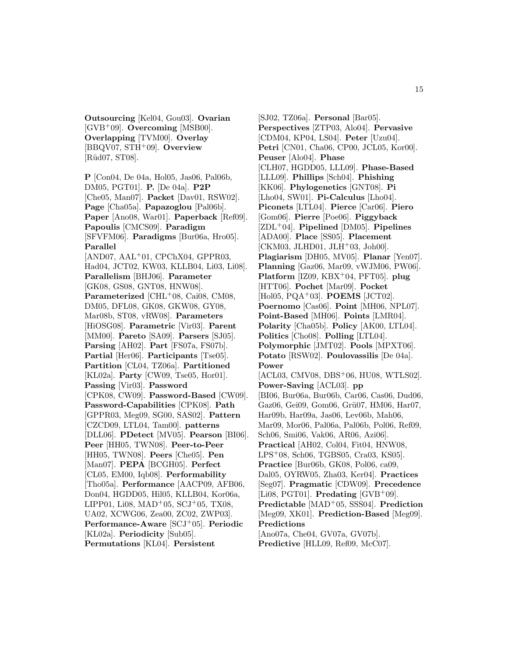**Outsourcing** [Kel04, Gou03]. **Ovarian** [GVB<sup>+</sup>09]. **Overcoming** [MSB00]. **Overlapping** [TVM00]. **Overlay** [BBQV07, STH<sup>+</sup>09]. **Overview** [Rüd07, ST08].

**P** [Con04, De 04a, Hol05, Jas06, Pal06b, DM05, PGT01]. **P.** [De 04a]. **P2P** [Che05, Man07]. **Packet** [Dav01, RSW02]. **Page** [Cha05a]. **Papazoglou** [Pal06b]. **Paper** [Ano08, War01]. **Paperback** [Ref09]. **Papoulis** [CMCS09]. **Paradigm** [SFVFM06]. **Paradigms** [Bur06a, Hro05]. **Parallel**  $[AND07, AAL<sup>+</sup>01, CPCRX04, GPPR03,$ Had04, JCT02, KW03, KLLB04, Li03, Li08]. **Parallelism** [BHJ06]. **Parameter** [GK08, GS08, GNT08, HNW08]. Parameterized<sup> [CHL+08, Cai08, CM08,</sup> DM05, DFL08, GK08, GKW08, GY08, Mar08b, ST08, vRW08]. **Parameters** [HiOSG08]. **Parametric** [Vir03]. **Parent** [MM00]. **Pareto** [SA09]. **Parsers** [SJ05]. **Parsing** [AH02]. **Part** [FS07a, FS07b]. **Partial** [Her06]. **Participants** [Tse05]. **Partition** [CL04, TZ06a]. **Partitioned** [KL02a]. **Party** [CW09, Tse05, Hor01]. **Passing** [Vir03]. **Password** [CPK08, CW09]. **Password-Based** [CW09]. **Password-Capabilities** [CPK08]. **Path** [GPPR03, Meg09, SG00, SAS02]. **Pattern** [CZCD09, LTL04, Tam00]. **patterns** [DLL06]. **PDetect** [MV05]. **Pearson** [BI06]. **Peer** [HH05, TWN08]. **Peer-to-Peer** [HH05, TWN08]. **Peers** [Che05]. **Pen** [Man07]. **PEPA** [BCGH05]. **Perfect** [CL05, EM00, Iqb08]. **Performability** [Tho05a]. **Performance** [AACP09, AFB06, Don04, HGDD05, Hil05, KLLB04, Kor06a, LIPP01, Li08, MAD<sup>+</sup>05, SCJ<sup>+</sup>05, TX08, UA02, XCWG06, Zea00, ZC02, ZWP03]. **Performance-Aware** [SCJ<sup>+</sup>05]. **Periodic** [KL02a]. **Periodicity** [Sub05]. **Permutations** [KL04]. **Persistent**

[SJ02, TZ06a]. **Personal** [Bar05]. **Perspectives** [ZTP03, Alo04]. **Pervasive** [CDM04, KP04, LS04]. **Peter** [Uzu04]. **Petri** [CN01, Cha06, CP00, JCL05, Kor00]. **Peuser** [Alo04]. **Phase** [CLH07, HGDD05, LLL09]. **Phase-Based** [LLL09]. **Phillips** [Sch04]. **Phishing** [KK06]. **Phylogenetics** [GNT08]. **Pi** [Lho04, SW01]. **Pi-Calculus** [Lho04]. **Piconets** [LTL04]. **Pierce** [Car06]. **Piero** [Gom06]. **Pierre** [Poe06]. **Piggyback** [ZDL<sup>+</sup>04]. **Pipelined** [DM05]. **Pipelines** [ADA00]. **Place** [SS05]. **Placement**  $[CKM03, JLHD01, JLH<sup>+</sup>03, Joh00].$ **Plagiarism** [DH05, MV05]. **Planar** [Yen07]. **Planning** [Gaz06, Mar09, vWJM06, PW06]. **Platform** [IZ09, KBX<sup>+</sup>04, PFT05]. **plug** [HTT06]. **Pochet** [Mar09]. **Pocket** [Hol05, PQA<sup>+</sup>03]. **POEMS** [JCT02]. **Poernomo** [Cas06]. **Point** [MH06, NPL07]. **Point-Based** [MH06]. **Points** [LMR04]. **Polarity** [Cha05b]. **Policy** [AK00, LTL04]. **Politics** [Cho08]. **Polling** [LTL04]. **Polymorphic** [JMT02]. **Pools** [MPXT06]. **Potato** [RSW02]. **Poulovassilis** [De 04a]. **Power** [ACL03, CMV08, DBS<sup>+</sup>06, HU08, WTLS02]. **Power-Saving** [ACL03]. **pp** [BI06, Bur06a, Bur06b, Car06, Cas06, Dud06, Gaz06, Gei09, Gom06, Grü07, HM06, Har07, Har09b, Har09a, Jas06, Lev06b, Mah06, Mar09, Mor06, Pal06a, Pal06b, Pol06, Ref09, Sch06, Smi06, Vak06, AR06, Azi06]. **Practical** [AH02, Col04, Fit04, HNW08, LPS<sup>+</sup>08, Sch06, TGBS05, Cra03, KS05]. **Practice** [Bur06b, GK08, Pol06, ca09, Dal05, OYRW05, Zha03, Ker04]. **Practices** [Seg07]. **Pragmatic** [CDW09]. **Precedence** [Li08, PGT01]. **Predating** [GVB<sup>+</sup>09]. **Predictable** [MAD<sup>+</sup>05, SSS04]. **Prediction** [Meg09, XK01]. **Prediction-Based** [Meg09]. **Predictions** [Ano07a, Che04, GV07a, GV07b]. **Predictive** [HLL09, Ref09, McC07].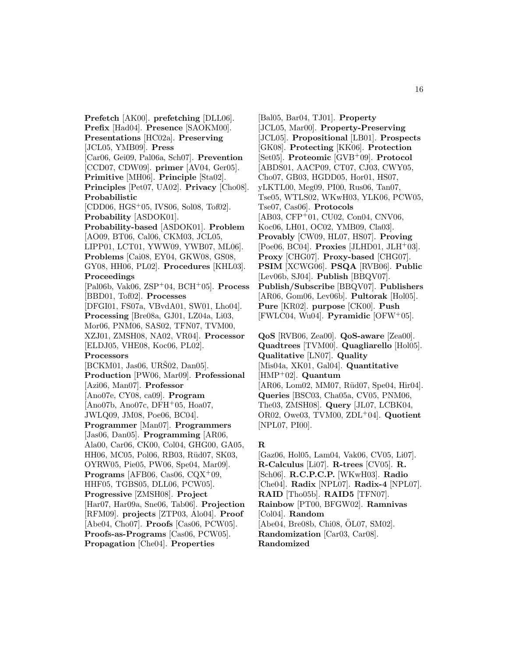**Prefetch** [AK00]. **prefetching** [DLL06]. **Prefix** [Had04]. **Presence** [SAOKM00]. **Presentations** [HC02a]. **Preserving** [JCL05, YMB09]. **Press** [Car06, Gei09, Pal06a, Sch07]. **Prevention** [CCD07, CDW09]. **primer** [AV04, Ger05]. **Primitive** [MH06]. **Principle** [Sta02]. **Principles** [Pet07, UA02]. **Privacy** [Cho08]. **Probabilistic** [CDD06, HGS<sup>+</sup>05, IVS06, Sol08, Tof02]. **Probability** [ASDOK01]. **Probability-based** [ASDOK01]. **Problem** [AO09, BT06, Cal06, CKM03, JCL05, LIPP01, LCT01, YWW09, YWB07, ML06]. **Problems** [Cai08, EY04, GKW08, GS08, GY08, HH06, PL02]. **Procedures** [KHL03]. **Proceedings** [Pal06b, Vak06, ZSP<sup>+</sup>04, BCH<sup>+</sup>05]. **Process** [BBD01, Tof02]. **Processes** [DFGI01, FS07a, VBvdA01, SW01, Lho04]. **Processing** [Bre08a, GJ01, LZ04a, Li03, Mor06, PNM06, SAS02, TFN07, TVM00, XZJ01, ZMSH08, NA02, VR04]. **Processor** [ELDJ05, VHE08, Koc06, PL02]. **Processors**  $[BCKM01, \text{jas}06, \text{UR}S02, \text{Dan}05].$ **Production** [PW06, Mar09]. **Professional** [Azi06, Man07]. **Professor** [Ano07e, CY08, ca09]. **Program** [Ano07b, Ano07c, DFH<sup>+</sup>05, Hoa07, JWLQ09, JM08, Poe06, BC04]. **Programmer** [Man07]. **Programmers** [Jas06, Dan05]. **Programming** [AR06, Ala00, Car06, CK00, Col04, GHG00, GA05, HH06, MC05, Pol06, RB03, Rüd07, SK03, OYRW05, Pie05, PW06, Spe04, Mar09]. **Programs** [AFB06, Cas06, CQX<sup>+</sup>09, HHF05, TGBS05, DLL06, PCW05]. **Progressive** [ZMSH08]. **Project** [Har07, Har09a, Sne06, Tab06]. **Projection** [RFM09]. **projects** [ZTP03, Alo04]. **Proof** [Abe04, Cho07]. **Proofs** [Cas06, PCW05]. **Proofs-as-Programs** [Cas06, PCW05]. **Propagation** [Che04]. **Properties**

[Bal05, Bar04, TJ01]. **Property** [JCL05, Mar00]. **Property-Preserving** [JCL05]. **Propositional** [LB01]. **Prospects** [GK08]. **Protecting** [KK06]. **Protection** [Set05]. **Proteomic** [GVB<sup>+</sup>09]. **Protocol** [ABDS01, AACP09, CT07, CJ03, CWY05, Cho07, GB03, HGDD05, Hor01, HS07, yLKTL00, Meg09, PI00, Rus06, Tan07, Tse05, WTLS02, WKwH03, YLK06, PCW05, Tse07, Cas06]. **Protocols** [AB03, CFP<sup>+</sup>01, CU02, Con04, CNV06, Koc06, LH01, OC02, YMB09, Cla03]. **Provably** [CW09, HL07, HS07]. **Proving**  $[Poe06, BC04]$ . **Proxies**  $[JLHD01, JLH<sup>+</sup>03]$ . **Proxy** [CHG07]. **Proxy-based** [CHG07]. **PSIM** [XCWG06]. **PSQA** [RVB06]. **Public** [Lev06b, SJ04]. **Publish** [BBQV07]. **Publish/Subscribe** [BBQV07]. **Publishers** [AR06, Gom06, Lev06b]. **Pultorak** [Hol05]. **Pure** [KR02]. **purpose** [CK00]. **Push** [FWLC04, Wu04]. **Pyramidic** [OFW<sup>+</sup>05].

**QoS** [RVB06, Zea00]. **QoS-aware** [Zea00]. **Quadtrees** [TVM00]. **Quagliarello** [Hol05]. **Qualitative** [LN07]. **Quality** [Mis04a, XK01, Gal04]. **Quantitative** [HMP<sup>+</sup>02]. **Quantum** [AR06, Lom02, MM07, Rüd07, Spe04, Hir04]. **Queries** [BSC03, Cha05a, CV05, PNM06, The03, ZMSH08]. **Query** [JL07, LCBK04, OR02, Owe03, TVM00, ZDL<sup>+</sup>04]. **Quotient** [NPL07, PI00].

#### **R**

[Gaz06, Hol05, Lam04, Vak06, CV05, Li07]. **R-Calculus** [Li07]. **R-trees** [CV05]. **R.** [Sch06]. **R.C.P.C.P.** [WKwH03]. **Radio** [Che04]. **Radix** [NPL07]. **Radix-4** [NPL07]. **RAID** [Tho05b]. **RAID5** [TFN07]. **Rainbow** [PT00, BFGW02]. **Ramnivas** [Col04]. **Random** [Abe04, Bre08b, Chi08, OL07, SM02]. **Randomization** [Car03, Car08]. **Randomized**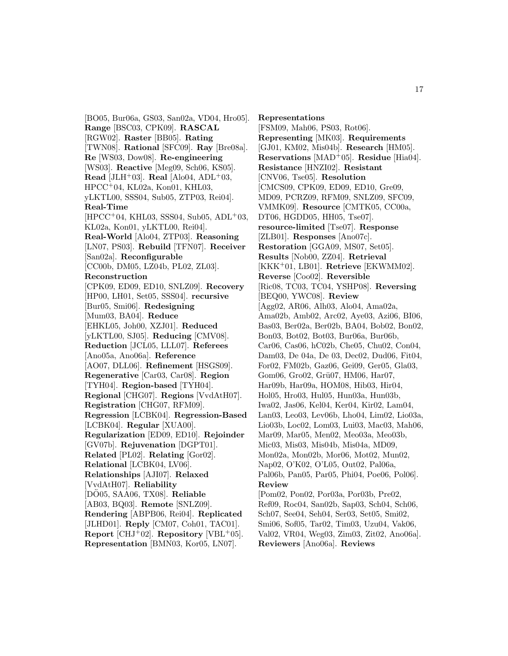[BO05, Bur06a, GS03, San02a, VD04, Hro05]. **Range** [BSC03, CPK09]. **RASCAL** [RGW02]. **Raster** [BB05]. **Rating** [TWN08]. **Rational** [SFC09]. **Ray** [Bre08a]. **Re** [WS03, Dow08]. **Re-engineering** [WS03]. **Reactive** [Meg09, Sch06, KS05]. **Read** [JLH<sup>+</sup>03]. **Real** [Alo04, ADL<sup>+</sup>03, HPCC<sup>+</sup>04, KL02a, Kon01, KHL03, yLKTL00, SSS04, Sub05, ZTP03, Rei04]. **Real-Time**  $[HPCC<sup>+</sup>04, KHL03, SSS04, Sub05, ADL<sup>+</sup>03,$ KL02a, Kon01, yLKTL00, Rei04]. **Real-World** [Alo04, ZTP03]. **Reasoning** [LN07, PS03]. **Rebuild** [TFN07]. **Receiver** [San02a]. **Reconfigurable** [CC00b, DM05, LZ04b, PL02, ZL03]. **Reconstruction** [CPK09, ED09, ED10, SNLZ09]. **Recovery** [HP00, LH01, Set05, SSS04]. **recursive** [Bur05, Smi06]. **Redesigning** [Mum03, BA04]. **Reduce** [EHKL05, Joh00, XZJ01]. **Reduced** [yLKTL00, SJ05]. **Reducing** [CMV08]. **Reduction** [JCL05, LLL07]. **Referees** [Ano05a, Ano06a]. **Reference** [AO07, DLL06]. **Refinement** [HSGS09]. **Regenerative** [Car03, Car08]. **Region** [TYH04]. **Region-based** [TYH04]. **Regional** [CHG07]. **Regions** [VvdAtH07]. **Registration** [CHG07, RFM09]. **Regression** [LCBK04]. **Regression-Based** [LCBK04]. **Regular** [XUA00]. **Regularization** [ED09, ED10]. **Rejoinder** [GV07b]. **Rejuvenation** [DGPT01]. **Related** [PL02]. **Relating** [Gor02]. **Relational** [LCBK04, LV06]. **Relationships** [AJI07]. **Relaxed** [VvdAtH07]. **Reliability** [DO05, SAA06, TX08]. **Reliable** [AB03, BQ03]. **Remote** [SNLZ09]. **Rendering** [ABPB06, Rei04]. **Replicated** [JLHD01]. **Reply** [CM07, Coh01, TAC01]. **Report** [CHJ<sup>+</sup>02]. **Repository** [VBL<sup>+</sup>05].

**Representation** [BMN03, Kor05, LN07].

**Representations** [FSM09, Mah06, PS03, Rot06]. **Representing** [MK03]. **Requirements** [GJ01, KM02, Mis04b]. **Research** [HM05]. **Reservations** [MAD<sup>+</sup>05]. **Residue** [Hia04]. **Resistance** [HNZI02]. **Resistant** [CNV06, Tse05]. **Resolution** [CMCS09, CPK09, ED09, ED10, Gre09, MD09, PCRZ09, RFM09, SNLZ09, SFC09, VMMK09]. **Resource** [CMTK05, CC00a, DT06, HGDD05, HH05, Tse07]. **resource-limited** [Tse07]. **Response** [ZLB01]. **Responses** [Ano07c]. **Restoration** [GGA09, MS07, Set05]. **Results** [Nob00, ZZ04]. **Retrieval** [KKK<sup>+</sup>01, LB01]. **Retrieve** [EKWMM02]. **Reverse** [Coo02]. **Reversible** [Ric08, TC03, TC04, YSHP08]. **Reversing** [BEQ00, YWC08]. **Review** [Agg02, AR06, Alh03, Alo04, Ama02a, Ama02b, Amb02, Arc02, Aye03, Azi06, BI06, Bas03, Ber02a, Ber02b, BA04, Bob02, Bon02, Bon03, Bot02, Bot03, Bur06a, Bur06b, Car06, Cas06, hC02b, Che05, Chu02, Con04, Dam03, De 04a, De 03, Dec02, Dud06, Fit04, For02, FM02b, Gaz06, Gei09, Ger05, Gla03, Gom06, Gro02, Grü07, HM06, Har07, Har09b, Har09a, HOM08, Hib03, Hir04, Hol05, Hro03, Hul05, Hun03a, Hun03b, Iwa02, Jas06, Kel04, Ker04, Kir02, Lam04, Lan03, Leo03, Lev06b, Lho04, Lim02, Lio03a, Lio03b, Loc02, Lom03, Lui03, Mac03, Mah06, Mar09, Mar05, Men02, Meo03a, Meo03b, Mic03, Mis03, Mis04b, Mis04a, MD09, Mon02a, Mon02b, Mor06, Mot02, Mun02, Nap02, O'K02, O'L05, Out02, Pal06a, Pal06b, Pan05, Par05, Phi04, Poe06, Pol06]. **Review** [Pom02, Pon02, Por03a, Por03b, Pre02, Ref09, Roc04, San02b, Sap03, Sch04, Sch06, Sch07, See04, Seh04, Ser03, Set05, Smi02, Smi06, Sof05, Tar02, Tim03, Uzu04, Vak06, Val02, VR04, Weg03, Zim03, Zit02, Ano06a]. **Reviewers** [Ano06a]. **Reviews**

17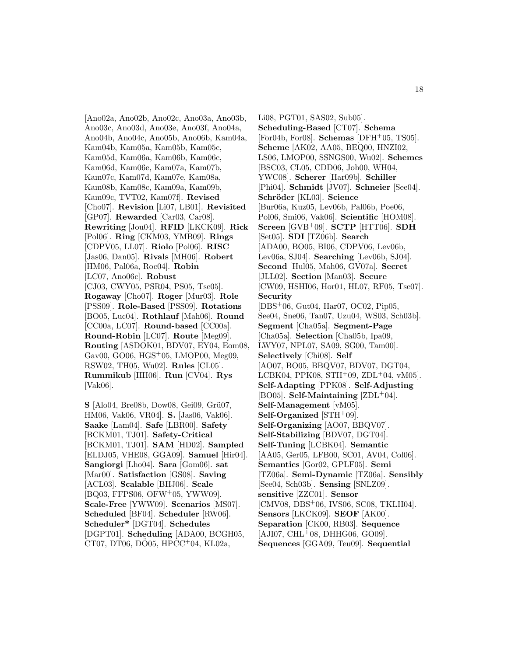[Ano02a, Ano02b, Ano02c, Ano03a, Ano03b, Ano03c, Ano03d, Ano03e, Ano03f, Ano04a, Ano04b, Ano04c, Ano05b, Ano06b, Kam04a, Kam04b, Kam05a, Kam05b, Kam05c, Kam05d, Kam06a, Kam06b, Kam06c, Kam06d, Kam06e, Kam07a, Kam07b, Kam07c, Kam07d, Kam07e, Kam08a, Kam08b, Kam08c, Kam09a, Kam09b, Kam09c, TVT02, Kam07f]. **Revised** [Cho07]. **Revision** [Li07, LB01]. **Revisited** [GP07]. **Rewarded** [Car03, Car08]. **Rewriting** [Jou04]. **RFID** [LKCK09]. **Rick** [Pol06]. **Ring** [CKM03, YMB09]. **Rings** [CDPV05, LL07]. **Riolo** [Pol06]. **RISC** [Jas06, Dan05]. **Rivals** [MH06]. **Robert** [HM06, Pal06a, Roc04]. **Robin** [LC07, Ano06c]. **Robust** [CJ03, CWY05, PSR04, PS05, Tse05]. **Rogaway** [Cho07]. **Roger** [Mur03]. **Role** [PSS09]. **Role-Based** [PSS09]. **Rotations** [BO05, Luc04]. **Rothlauf** [Mah06]. **Round** [CC00a, LC07]. **Round-based** [CC00a]. **Round-Robin** [LC07]. **Route** [Meg09]. **Routing** [ASDOK01, BDV07, EY04, Eom08, Gav00, GO06, HGS<sup>+</sup>05, LMOP00, Meg09, RSW02, TH05, Wu02]. **Rules** [CL05]. **Rummikub** [HH06]. **Run** [CV04]. **Rys** [Vak06].

**S** [Alo04, Bre08b, Dow08, Gei09, Grü07, HM06, Vak06, VR04]. **S.** [Jas06, Vak06]. **Saake** [Lam04]. **Safe** [LBR00]. **Safety** [BCKM01, TJ01]. **Safety-Critical** [BCKM01, TJ01]. **SAM** [HD02]. **Sampled** [ELDJ05, VHE08, GGA09]. **Samuel** [Hir04]. **Sangiorgi** [Lho04]. **Sara** [Gom06]. **sat** [Mar00]. **Satisfaction** [GS08]. **Saving** [ACL03]. **Scalable** [BHJ06]. **Scale** [BQ03, FFPS06, OFW<sup>+</sup>05, YWW09]. **Scale-Free** [YWW09]. **Scenarios** [MS07]. **Scheduled** [BF04]. **Scheduler** [RW06]. **Scheduler\*** [DGT04]. **Schedules** [DGPT01]. **Scheduling** [ADA00, BCGH05,  $CT07, DTO6, DO05, HPCC<sup>+</sup>04, KLO2a,$ 

Li08, PGT01, SAS02, Sub05]. **Scheduling-Based** [CT07]. **Schema** [For04b, For08]. **Schemas** [DFH<sup>+</sup>05, TS05]. **Scheme** [AK02, AA05, BEQ00, HNZI02, LS06, LMOP00, SSNGS00, Wu02]. **Schemes** [BSC03, CL05, CDD06, Joh00, WH04, YWC08]. **Scherer** [Har09b]. **Schiller** [Phi04]. **Schmidt** [JV07]. **Schneier** [See04]. **Schr¨oder** [KL03]. **Science** [Bur06a, Kuz05, Lev06b, Pal06b, Poe06, Pol06, Smi06, Vak06]. **Scientific** [HOM08]. **Screen** [GVB<sup>+</sup>09]. **SCTP** [HTT06]. **SDH** [Set05]. **SDI** [TZ06b]. **Search** [ADA00, BO05, BI06, CDPV06, Lev06b, Lev06a, SJ04]. **Searching** [Lev06b, SJ04]. **Second** [Hul05, Mah06, GV07a]. **Secret** [JLL02]. **Section** [Man03]. **Secure** [CW09, HSHI06, Hor01, HL07, RF05, Tse07]. **Security** [DBS<sup>+</sup>06, Gut04, Har07, OC02, Pip05, See04, Sne06, Tan07, Uzu04, WS03, Sch03b]. **Segment** [Cha05a]. **Segment-Page** [Cha05a]. **Selection** [Cha05b, Ipa09, LWY07, NPL07, SA09, SG00, Tam00]. **Selectively** [Chi08]. **Self** [AO07, BO05, BBQV07, BDV07, DGT04, LCBK04, PPK08,  $STH^+09$ ,  $ZDL^+04$ , vM05]. **Self-Adapting** [PPK08]. **Self-Adjusting** [BO05]. **Self-Maintaining** [ZDL<sup>+</sup>04]. **Self-Management** [vM05]. **Self-Organized** [STH<sup>+</sup>09]. **Self-Organizing** [AO07, BBQV07]. **Self-Stabilizing** [BDV07, DGT04]. **Self-Tuning** [LCBK04]. **Semantic** [AA05, Ger05, LFB00, SC01, AV04, Col06]. **Semantics** [Gor02, GPLF05]. **Semi** [TZ06a]. **Semi-Dynamic** [TZ06a]. **Sensibly** [See04, Sch03b]. **Sensing** [SNLZ09]. **sensitive** [ZZC01]. **Sensor** [CMV08, DBS<sup>+</sup>06, IVS06, SC08, TKLH04]. **Sensors** [LKCK09]. **SEOF** [AK00]. **Separation** [CK00, RB03]. **Sequence**  $[AJI07, CHL+08, DHHG06, GO09].$ **Sequences** [GGA09, Teu09]. **Sequential**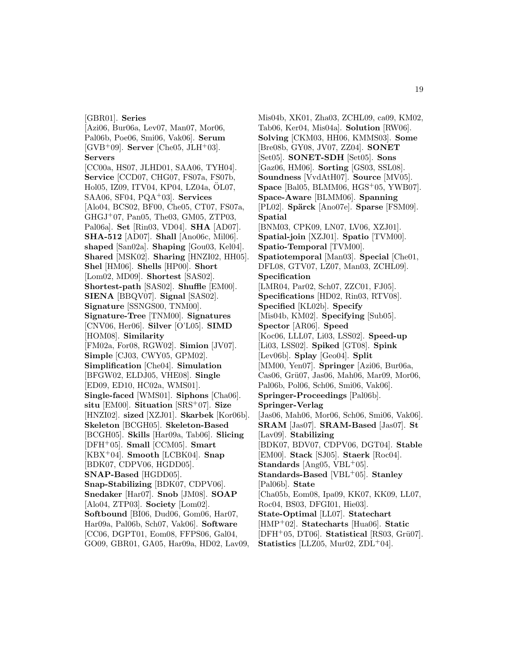[GBR01]. **Series**

[Azi06, Bur06a, Lev07, Man07, Mor06, Pal06b, Poe06, Smi06, Vak06]. **Serum** [GVB<sup>+</sup>09]. **Server** [Che05, JLH<sup>+</sup>03]. **Servers** [CC00a, HS07, JLHD01, SAA06, TYH04]. **Service** [CCD07, CHG07, FS07a, FS07b, Hol05, IZ09, ITV04, KP04, LZ04a, OL07, ¨ SAA06, SF04, PQA<sup>+</sup>03]. **Services** [Alo04, BCS02, BF00, Che05, CT07, FS07a, GHGJ<sup>+</sup>07, Pan05, The03, GM05, ZTP03, Pal06a]. **Set** [Rin03, VD04]. **SHA** [AD07]. **SHA-512** [AD07]. **Shall** [Ano06c, Mil06]. **shaped** [San02a]. **Shaping** [Gou03, Kel04]. **Shared** [MSK02]. **Sharing** [HNZI02, HH05]. **Shel** [HM06]. **Shells** [HP00]. **Short** [Lom02, MD09]. **Shortest** [SAS02]. **Shortest-path** [SAS02]. **Shuffle** [EM00]. **SIENA** [BBQV07]. **Signal** [SAS02]. **Signature** [SSNGS00, TNM00]. **Signature-Tree** [TNM00]. **Signatures** [CNV06, Her06]. **Silver** [O'L05]. **SIMD** [HOM08]. **Similarity** [FM02a, For08, RGW02]. **Simion** [JV07]. **Simple** [CJ03, CWY05, GPM02]. **Simplification** [Che04]. **Simulation** [BFGW02, ELDJ05, VHE08]. **Single** [ED09, ED10, HC02a, WMS01]. **Single-faced** [WMS01]. **Siphons** [Cha06]. **situ** [EM00]. **Situation** [SRS<sup>+</sup>07]. **Size** [HNZI02]. **sized** [XZJ01]. **Skarbek** [Kor06b]. **Skeleton** [BCGH05]. **Skeleton-Based** [BCGH05]. **Skills** [Har09a, Tab06]. **Slicing** [DFH<sup>+</sup>05]. **Small** [CCM05]. **Smart** [KBX<sup>+</sup>04]. **Smooth** [LCBK04]. **Snap** [BDK07, CDPV06, HGDD05]. **SNAP-Based** [HGDD05]. **Snap-Stabilizing** [BDK07, CDPV06]. **Snedaker** [Har07]. **Snob** [JM08]. **SOAP** [Alo04, ZTP03]. **Society** [Lom02]. **Softbound** [BI06, Dud06, Gom06, Har07, Har09a, Pal06b, Sch07, Vak06]. **Software** [CC06, DGPT01, Eom08, FFPS06, Gal04, GO09, GBR01, GA05, Har09a, HD02, Lav09,

Mis04b, XK01, Zha03, ZCHL09, ca09, KM02, Tab06, Ker04, Mis04a]. **Solution** [RW06]. **Solving** [CKM03, HH06, KMMS03]. **Some** [Bre08b, GY08, JV07, ZZ04]. **SONET** [Set05]. **SONET-SDH** [Set05]. **Sons** [Gaz06, HM06]. **Sorting** [GS03, SSL08]. **Soundness** [VvdAtH07]. **Source** [MV05]. **Space** [Bal05, BLMM06, HGS<sup>+</sup>05, YWB07]. **Space-Aware** [BLMM06]. **Spanning** [PL02]. **Spärck** [Ano07e]. **Sparse** [FSM09]. **Spatial** [BNM03, CPK09, LN07, LV06, XZJ01]. **Spatial-join** [XZJ01]. **Spatio** [TVM00]. **Spatio-Temporal** [TVM00]. **Spatiotemporal** [Man03]. **Special** [Che01, DFL08, GTV07, LZ07, Man03, ZCHL09]. **Specification** [LMR04, Par02, Sch07, ZZC01, FJ05]. **Specifications** [HD02, Rin03, RTV08]. **Specified** [KL02b]. **Specify** [Mis04b, KM02]. **Specifying** [Sub05]. **Spector** [AR06]. **Speed** [Koc06, LLL07, Li03, LSS02]. **Speed-up** [Li03, LSS02]. **Spiked** [GT08]. **Spink** [Lev06b]. **Splay** [Geo04]. **Split** [MM00, Yen07]. **Springer** [Azi06, Bur06a, Cas06, Grü07, Jas06, Mah06, Mar09, Mor06, Pal06b, Pol06, Sch06, Smi06, Vak06]. **Springer-Proceedings** [Pal06b]. **Springer-Verlag** [Jas06, Mah06, Mor06, Sch06, Smi06, Vak06]. **SRAM** [Jas07]. **SRAM-Based** [Jas07]. **St** [Lav09]. **Stabilizing** [BDK07, BDV07, CDPV06, DGT04]. **Stable** [EM00]. **Stack** [SJ05]. **Staerk** [Roc04]. **Standards** [Ang05, VBL<sup>+</sup>05]. **Standards-Based** [VBL<sup>+</sup>05]. **Stanley** [Pal06b]. **State** [Cha05b, Eom08, Ipa09, KK07, KK09, LL07, Roc04, BS03, DFGI01, Hie03]. **State-Optimal** [LL07]. **Statechart** [HMP<sup>+</sup>02]. **Statecharts** [Hua06]. **Static**  $[DFH<sup>+</sup>05, DT06]$ . **Statistical**  $[RS03, Gru07]$ .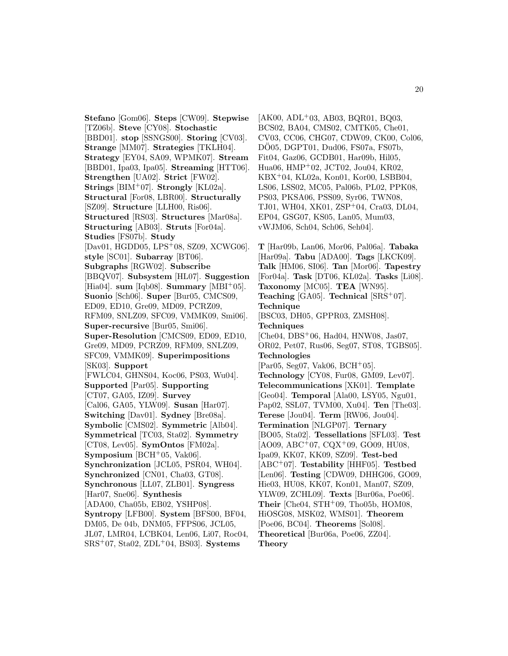**Stefano** [Gom06]. **Steps** [CW09]. **Stepwise** [TZ06b]. **Steve** [CY08]. **Stochastic** [BBD01]. **stop** [SSNGS00]. **Storing** [CV03]. **Strange** [MM07]. **Strategies** [TKLH04]. **Strategy** [EY04, SA09, WPMK07]. **Stream** [BBD01, Ipa03, Ipa05]. **Streaming** [HTT06]. **Strengthen** [UA02]. **Strict** [FW02]. **Strings** [BIM<sup>+</sup>07]. **Strongly** [KL02a]. **Structural** [For08, LBR00]. **Structurally** [SZ09]. **Structure** [LLH00, Ris06]. **Structured** [RS03]. **Structures** [Mar08a]. **Structuring** [AB03]. **Struts** [For04a]. **Studies** [FS07b]. **Study** [Dav01, HGDD05, LPS<sup>+</sup>08, SZ09, XCWG06]. **style** [SC01]. **Subarray** [BT06]. **Subgraphs** [RGW02]. **Subscribe** [BBQV07]. **Subsystem** [HL07]. **Suggestion** [Hia04]. **sum** [Iqb08]. **Summary** [MBI<sup>+</sup>05]. **Suonio** [Sch06]. **Super** [Bur05, CMCS09, ED09, ED10, Gre09, MD09, PCRZ09, RFM09, SNLZ09, SFC09, VMMK09, Smi06]. **Super-recursive** [Bur05, Smi06]. **Super-Resolution** [CMCS09, ED09, ED10, Gre09, MD09, PCRZ09, RFM09, SNLZ09, SFC09, VMMK09]. **Superimpositions** [SK03]. **Support** [FWLC04, GHNS04, Koc06, PS03, Wu04]. **Supported** [Par05]. **Supporting** [CT07, GA05, IZ09]. **Survey** [Cal06, GA05, YLW09]. **Susan** [Har07]. **Switching** [Dav01]. **Sydney** [Bre08a]. **Symbolic** [CMS02]. **Symmetric** [Alb04]. **Symmetrical** [TC03, Sta02]. **Symmetry** [CT08, Lev05]. **SymOntos** [FM02a]. **Symposium** [BCH<sup>+</sup>05, Vak06]. **Synchronization** [JCL05, PSR04, WH04]. **Synchronized** [CN01, Cha03, GT08]. **Synchronous** [LL07, ZLB01]. **Syngress** [Har07, Sne06]. **Synthesis** [ADA00, Cha05b, EB02, YSHP08]. **Syntropy** [LFB00]. **System** [BFS00, BF04, DM05, De 04b, DNM05, FFPS06, JCL05, JL07, LMR04, LCBK04, Len06, Li07, Roc04, SRS<sup>+</sup>07, Sta02, ZDL<sup>+</sup>04, BS03]. **Systems**

[AK00, ADL<sup>+</sup>03, AB03, BQR01, BQ03, BCS02, BA04, CMS02, CMTK05, Che01, CV03, CC06, CHG07, CDW09, CK00, Col06, DO05, DGPT01, Dud06, FS07a, FS07b, Fit04, Gaz06, GCDB01, Har09b, Hil05, Hua06, HMP<sup>+</sup>02, JCT02, Jou04, KR02, KBX<sup>+</sup>04, KL02a, Kon01, Kor00, LSBB04, LS06, LSS02, MC05, Pal06b, PL02, PPK08, PS03, PKSA06, PSS09, Syr06, TWN08, TJ01, WH04, XK01, ZSP<sup>+</sup>04, Cra03, DL04, EP04, GSG07, KS05, Lan05, Mum03, vWJM06, Sch04, Sch06, Seh04].

**T** [Har09b, Lan06, Mor06, Pal06a]. **Tabaka** [Har09a]. **Tabu** [ADA00]. **Tags** [LKCK09]. **Talk** [HM06, SI06]. **Tan** [Mor06]. **Tapestry** [For04a]. **Task** [DT06, KL02a]. **Tasks** [Li08]. **Taxonomy** [MC05]. **TEA** [WN95]. **Teaching** [GA05]. **Technical** [SRS<sup>+</sup>07]. **Technique** [BSC03, DH05, GPPR03, ZMSH08]. **Techniques**  $[Che04, DBS<sup>+</sup>06, Had04, HNW08, Jas07,$ OR02, Pet07, Rus06, Seg07, ST08, TGBS05]. **Technologies**  $[Par05, Seg07, Vak06, BCH<sup>+</sup>05].$ **Technology** [CY08, Fur08, GM09, Lev07]. **Telecommunications** [XK01]. **Template** [Geo04]. **Temporal** [Ala00, LSY05, Ngu01, Pap02, SSL07, TVM00, Xu04]. **Ten** [The03]. **Terese** [Jou04]. **Term** [RW06, Jou04]. **Termination** [NLGP07]. **Ternary** [BO05, Sta02]. **Tessellations** [SFL03]. **Test**  $[AO09, ABC<sup>+</sup>07, CQX<sup>+</sup>09, GO09, HU08,$ Ipa09, KK07, KK09, SZ09]. **Test-bed** [ABC<sup>+</sup>07]. **Testability** [HHF05]. **Testbed** [Len06]. **Testing** [CDW09, DHHG06, GO09, Hie03, HU08, KK07, Kon01, Man07, SZ09, YLW09, ZCHL09]. **Texts** [Bur06a, Poe06]. **Their** [Che04, STH+09, Tho05b, HOM08, HiOSG08, MSK02, WMS01]. **Theorem** [Poe06, BC04]. **Theorems** [Sol08]. **Theoretical** [Bur06a, Poe06, ZZ04]. **Theory**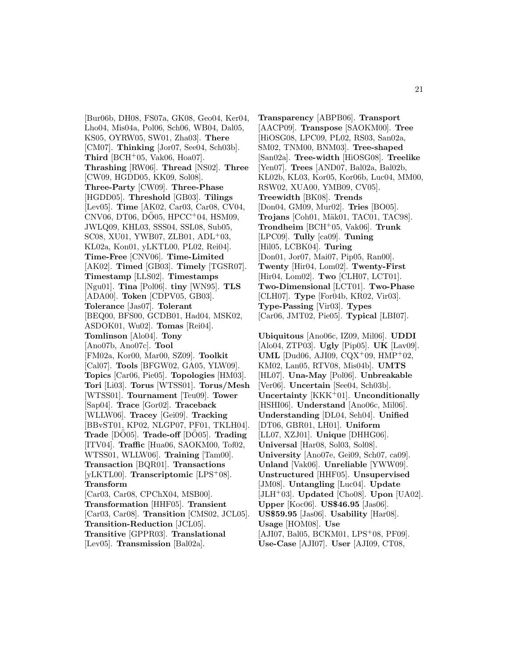[Bur06b, DH08, FS07a, GK08, Geo04, Ker04, Lho04, Mis04a, Pol06, Sch06, WB04, Dal05, KS05, OYRW05, SW01, Zha03]. **There** [CM07]. **Thinking** [Jor07, See04, Sch03b]. **Third** [BCH<sup>+</sup>05, Vak06, Hoa07]. **Thrashing** [RW06]. **Thread** [NS02]. **Three** [CW09, HGDD05, KK09, Sol08]. **Three-Party** [CW09]. **Three-Phase** [HGDD05]. **Threshold** [GB03]. **Tilings** [Lev05]. **Time** [AK02, Car03, Car08, CV04,  $CNV06$ , DT06, DO05, HPCC<sup>+</sup>04, HSM09, JWLQ09, KHL03, SSS04, SSL08, Sub05, SC08, XU01, YWB07, ZLB01, ADL<sup>+</sup>03, KL02a, Kon01, yLKTL00, PL02, Rei04]. **Time-Free** [CNV06]. **Time-Limited** [AK02]. **Timed** [GB03]. **Timely** [TGSR07]. **Timestamp** [LLS02]. **Timestamps** [Ngu01]. **Tina** [Pol06]. **tiny** [WN95]. **TLS** [ADA00]. **Token** [CDPV05, GB03]. **Tolerance** [Jas07]. **Tolerant** [BEQ00, BFS00, GCDB01, Had04, MSK02, ASDOK01, Wu02]. **Tomas** [Rei04]. **Tomlinson** [Alo04]. **Tony** [Ano07b, Ano07c]. **Tool** [FM02a, Kor00, Mar00, SZ09]. **Toolkit** [Cal07]. **Tools** [BFGW02, GA05, YLW09]. **Topics** [Car06, Pie05]. **Topologies** [HM03]. **Tori** [Li03]. **Torus** [WTSS01]. **Torus/Mesh** [WTSS01]. **Tournament** [Teu09]. **Tower** [Sap04]. **Trace** [Gor02]. **Traceback** [WLLW06]. **Tracey** [Gei09]. **Tracking** [BBvST01, KP02, NLGP07, PF01, TKLH04]. **Trade** [DO05]. **Trade-off** [DO05]. **Trading** [ITV04]. **Traffic** [Hua06, SAOKM00, Tof02, WTSS01, WLLW06]. **Training** [Tam00]. **Transaction** [BQR01]. **Transactions** [yLKTL00]. **Transcriptomic** [LPS<sup>+</sup>08]. **Transform** [Car03, Car08, CPChX04, MSB00]. **Transformation** [HHF05]. **Transient** [Car03, Car08]. **Transition** [CMS02, JCL05]. **Transition-Reduction** [JCL05]. **Transitive** [GPPR03]. **Translational** [Lev05]. **Transmission** [Bal02a].

**Transparency** [ABPB06]. **Transport** [AACP09]. **Transpose** [SAOKM00]. **Tree** [HiOSG08, LPC09, PL02, RS03, San02a, SM02, TNM00, BNM03]. **Tree-shaped** [San02a]. **Tree-width** [HiOSG08]. **Treelike** [Yen07]. **Trees** [AND07, Bal02a, Bal02b, KL02b, KL03, Kor05, Kor06b, Luc04, MM00, RSW02, XUA00, YMB09, CV05]. **Treewidth** [BK08]. **Trends** [Don04, GM09, Mur02]. **Tries** [BO05]. **Trojans** [Coh01, Mäk01, TAC01, TAC98]. **Trondheim** [BCH<sup>+</sup>05, Vak06]. **Trunk** [LPC09]. **Tully** [ca09]. **Tuning** [Hil05, LCBK04]. **Turing** [Don01, Jor07, Mai07, Pip05, Ran00]. **Twenty** [Hir04, Lom02]. **Twenty-First** [Hir04, Lom02]. **Two** [CLH07, LCT01]. **Two-Dimensional** [LCT01]. **Two-Phase** [CLH07]. **Type** [For04b, KR02, Vir03]. **Type-Passing** [Vir03]. **Types** [Car06, JMT02, Pie05]. **Typical** [LBI07].

**Ubiquitous** [Ano06c, IZ09, Mil06]. **UDDI** [Alo04, ZTP03]. **Ugly** [Pip05]. **UK** [Lav09]. **UML** [Dud06, AJI09, CQX<sup>+</sup>09, HMP<sup>+</sup>02, KM02, Lan05, RTV08, Mis04b]. **UMTS** [HL07]. **Una-May** [Pol06]. **Unbreakable** [Ver06]. **Uncertain** [See04, Sch03b]. **Uncertainty** [KKK<sup>+</sup>01]. **Unconditionally** [HSHI06]. **Understand** [Ano06c, Mil06]. **Understanding** [DL04, Seh04]. **Unified** [DT06, GBR01, LH01]. **Uniform** [LL07, XZJ01]. **Unique** [DHHG06]. **Universal** [Har08, Sol03, Sol08]. **University** [Ano07e, Gei09, Sch07, ca09]. **Unland** [Vak06]. **Unreliable** [YWW09]. **Unstructured** [HHF05]. **Unsupervised** [JM08]. **Untangling** [Luc04]. **Update** [JLH<sup>+</sup>03]. **Updated** [Cho08]. **Upon** [UA02]. **Upper** [Koc06]. **US**\$**46.95** [Jas06]. **US**\$**59.95** [Jas06]. **Usability** [Har08]. **Usage** [HOM08]. **Use** [AJI07, Bal05, BCKM01, LPS<sup>+</sup>08, PF09]. **Use-Case** [AJI07]. **User** [AJI09, CT08,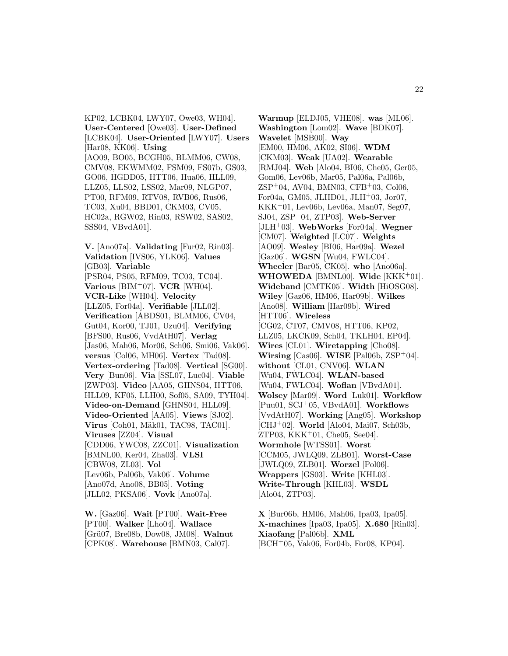KP02, LCBK04, LWY07, Owe03, WH04]. **User-Centered** [Owe03]. **User-Defined** [LCBK04]. **User-Oriented** [LWY07]. **Users** [Har08, KK06]. **Using** [AO09, BO05, BCGH05, BLMM06, CW08, CMV08, EKWMM02, FSM09, FS07b, GS03, GO06, HGDD05, HTT06, Hua06, HLL09, LLZ05, LLS02, LSS02, Mar09, NLGP07, PT00, RFM09, RTV08, RVB06, Rus06, TC03, Xu04, BBD01, CKM03, CV05, HC02a, RGW02, Rin03, RSW02, SAS02, SSS04, VBvdA01].

**V.** [Ano07a]. **Validating** [Fur02, Rin03]. **Validation** [IVS06, YLK06]. **Values** [GB03]. **Variable** [PSR04, PS05, RFM09, TC03, TC04]. **Various** [BIM<sup>+</sup>07]. **VCR** [WH04]. **VCR-Like** [WH04]. **Velocity** [LLZ05, For04a]. **Verifiable** [JLL02]. **Verification** [ABDS01, BLMM06, CV04, Gut04, Kor00, TJ01, Uzu04]. **Verifying** [BFS00, Rus06, VvdAtH07]. **Verlag** [Jas06, Mah06, Mor06, Sch06, Smi06, Vak06]. **versus** [Col06, MH06]. **Vertex** [Tad08]. **Vertex-ordering** [Tad08]. **Vertical** [SG00]. **Very** [Bun06]. **Via** [SSL07, Luc04]. **Viable** [ZWP03]. **Video** [AA05, GHNS04, HTT06, HLL09, KF05, LLH00, Sof05, SA09, TYH04]. **Video-on-Demand** [GHNS04, HLL09]. **Video-Oriented** [AA05]. **Views** [SJ02]. **Virus** [Coh01, Mäk01, TAC98, TAC01]. **Viruses** [ZZ04]. **Visual** [CDD06, YWC08, ZZC01]. **Visualization** [BMNL00, Ker04, Zha03]. **VLSI** [CBW08, ZL03]. **Vol** [Lev06b, Pal06b, Vak06]. **Volume** [Ano07d, Ano08, BB05]. **Voting** [JLL02, PKSA06]. **Vovk** [Ano07a].

**W.** [Gaz06]. **Wait** [PT00]. **Wait-Free** [PT00]. **Walker** [Lho04]. **Wallace** [Gr¨u07, Bre08b, Dow08, JM08]. **Walnut** [CPK08]. **Warehouse** [BMN03, Cal07].

**Warmup** [ELDJ05, VHE08]. **was** [ML06]. **Washington** [Lom02]. **Wave** [BDK07]. **Wavelet** [MSB00]. **Way** [EM00, HM06, AK02, SI06]. **WDM** [CKM03]. **Weak** [UA02]. **Wearable** [RMJ04]. **Web** [Alo04, BI06, Che05, Ger05, Gom06, Lev06b, Mar05, Pal06a, Pal06b, ZSP<sup>+</sup>04, AV04, BMN03, CFB<sup>+</sup>03, Col06, For04a, GM05, JLHD01, JLH+03, Jor07, KKK<sup>+</sup>01, Lev06b, Lev06a, Man07, Seg07, SJ04, ZSP<sup>+</sup>04, ZTP03]. **Web-Server** [JLH<sup>+</sup>03]. **WebWorks** [For04a]. **Wegner** [CM07]. **Weighted** [LC07]. **Weights** [AO09]. **Wesley** [BI06, Har09a]. **Wezel** [Gaz06]. **WGSN** [Wu04, FWLC04]. **Wheeler** [Bar05, CK05]. **who** [Ano06a]. **WHOWEDA** [BMNL00]. **Wide** [KKK<sup>+</sup>01]. **Wideband** [CMTK05]. **Width** [HiOSG08]. **Wiley** [Gaz06, HM06, Har09b]. **Wilkes** [Ano08]. **William** [Har09b]. **Wired** [HTT06]. **Wireless** [CG02, CT07, CMV08, HTT06, KP02, LLZ05, LKCK09, Sch04, TKLH04, EP04]. **Wires** [CL01]. **Wiretapping** [Cho08]. **Wirsing** [Cas06]. **WISE** [Pal06b,  $\text{ZSP}^+04$ ]. **without** [CL01, CNV06]. **WLAN** [Wu04, FWLC04]. **WLAN-based** [Wu04, FWLC04]. **Woflan** [VBvdA01]. **Wolsey** [Mar09]. **Word** [Luk01]. **Workflow** [Puu01, SCJ<sup>+</sup>05, VBvdA01]. **Workflows** [VvdAtH07]. **Working** [Ang05]. **Workshop** [CHJ<sup>+</sup>02]. **World** [Alo04, Mai07, Sch03b, ZTP03,  $KKK^+01$ , Che05, See04. **Wormhole** [WTSS01]. **Worst** [CCM05, JWLQ09, ZLB01]. **Worst-Case** [JWLQ09, ZLB01]. **Worzel** [Pol06]. **Wrappers** [GS03]. **Write** [KHL03]. **Write-Through** [KHL03]. **WSDL** [Alo04, ZTP03].

**X** [Bur06b, HM06, Mah06, Ipa03, Ipa05]. **X-machines** [Ipa03, Ipa05]. **X.680** [Rin03]. **Xiaofang** [Pal06b]. **XML** [BCH<sup>+</sup>05, Vak06, For04b, For08, KP04].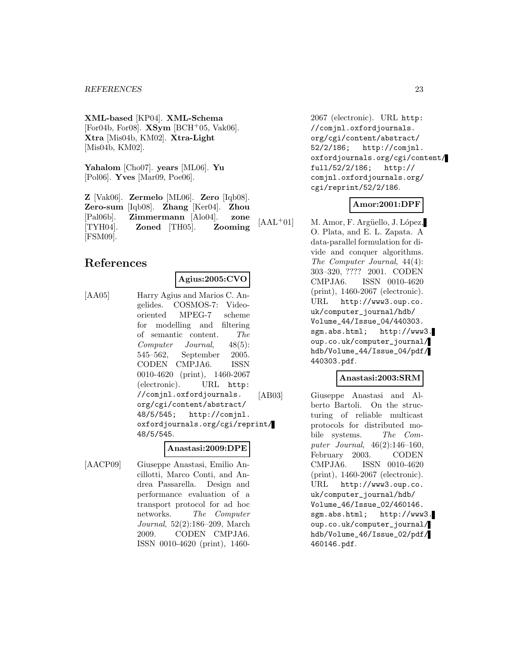**XML-based** [KP04]. **XML-Schema** [For04b, For08]. **XSym** [BCH<sup>+</sup>05, Vak06]. **Xtra** [Mis04b, KM02]. **Xtra-Light** [Mis04b, KM02].

**Yahalom** [Cho07]. **years** [ML06]. **Yu** [Pol06]. **Yves** [Mar09, Poe06].

**Z** [Vak06]. **Zermelo** [ML06]. **Zero** [Iqb08]. **Zero-sum** [Iqb08]. **Zhang** [Ker04]. **Zhou** [Pal06b]. **Zimmermann** [Alo04]. **zone** [TYH04]. **Zoned** [TH05]. **Zooming** [FSM09].

# **References**

**Agius:2005:CVO**

[AA05] Harry Agius and Marios C. Angelides. COSMOS-7: Videooriented MPEG-7 scheme for modelling and filtering of semantic content. The Computer Journal, 48(5): 545–562, September 2005. CODEN CMPJA6. ISSN 0010-4620 (print), 1460-2067 (electronic). URL http: //comjnl.oxfordjournals. org/cgi/content/abstract/ 48/5/545; http://comjnl. oxfordjournals.org/cgi/reprint/ 48/5/545.

#### **Anastasi:2009:DPE**

[AACP09] Giuseppe Anastasi, Emilio Ancillotti, Marco Conti, and Andrea Passarella. Design and performance evaluation of a transport protocol for ad hoc networks. The Computer Journal, 52(2):186–209, March 2009. CODEN CMPJA6. ISSN 0010-4620 (print), 1460-

2067 (electronic). URL http: //comjnl.oxfordjournals. org/cgi/content/abstract/ 52/2/186; http://comjnl. oxfordjournals.org/cgi/content/ full/52/2/186; http:// comjnl.oxfordjournals.org/ cgi/reprint/52/2/186.

# **Amor:2001:DPF**

 $[AAL<sup>+</sup>01]$  M. Amor, F. Argüello, J. López, O. Plata, and E. L. Zapata. A data-parallel formulation for divide and conquer algorithms. The Computer Journal, 44(4): 303–320, ???? 2001. CODEN CMPJA6. ISSN 0010-4620 (print), 1460-2067 (electronic). URL http://www3.oup.co. uk/computer\_journal/hdb/ Volume\_44/Issue\_04/440303. sgm.abs.html; http://www3. oup.co.uk/computer\_journal/ hdb/Volume\_44/Issue\_04/pdf/ 440303.pdf.

# **Anastasi:2003:SRM**

[AB03] Giuseppe Anastasi and Alberto Bartoli. On the structuring of reliable multicast protocols for distributed mobile systems. The Computer Journal, 46(2):146–160, February 2003. CODEN CMPJA6. ISSN 0010-4620 (print), 1460-2067 (electronic). URL http://www3.oup.co. uk/computer\_journal/hdb/ Volume\_46/Issue\_02/460146. sgm.abs.html; http://www3. oup.co.uk/computer\_journal/ hdb/Volume\_46/Issue\_02/pdf/ 460146.pdf.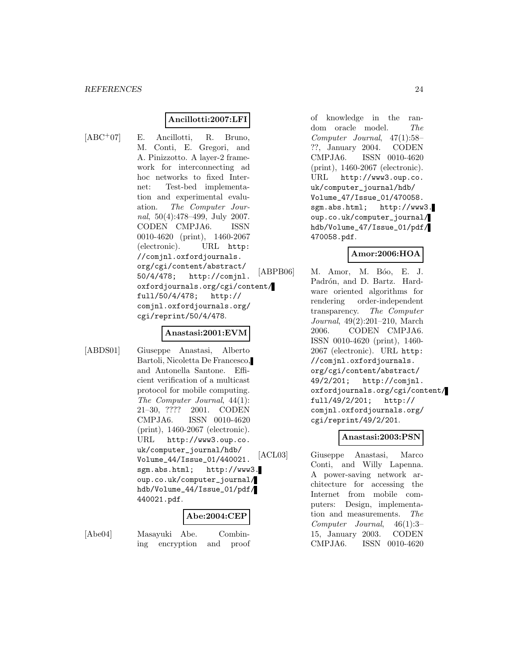# **Ancillotti:2007:LFI**

- 
- [ABC<sup>+</sup>07] E. Ancillotti, R. Bruno, M. Conti, E. Gregori, and A. Pinizzotto. A layer-2 framework for interconnecting ad hoc networks to fixed Internet: Test-bed implementation and experimental evaluation. The Computer Journal, 50(4):478–499, July 2007. CODEN CMPJA6. ISSN 0010-4620 (print), 1460-2067 (electronic). URL http: //comjnl.oxfordjournals. org/cgi/content/abstract/ 50/4/478; http://comjnl. oxfordjournals.org/cgi/content/ full/50/4/478; http:// comjnl.oxfordjournals.org/ cgi/reprint/50/4/478.

#### **Anastasi:2001:EVM**

[ABDS01] Giuseppe Anastasi, Alberto Bartoli, Nicoletta De Francesco, and Antonella Santone. Efficient verification of a multicast protocol for mobile computing. The Computer Journal, 44(1): 21–30, ???? 2001. CODEN CMPJA6. ISSN 0010-4620 (print), 1460-2067 (electronic). URL http://www3.oup.co. uk/computer\_journal/hdb/ Volume\_44/Issue\_01/440021. sgm.abs.html; http://www3. oup.co.uk/computer\_journal/ hdb/Volume\_44/Issue\_01/pdf/ 440021.pdf.

# **Abe:2004:CEP**

[Abe04] Masayuki Abe. Combining encryption and proof of knowledge in the random oracle model. The Computer Journal, 47(1):58– ??, January 2004. CODEN CMPJA6. ISSN 0010-4620 (print), 1460-2067 (electronic). URL http://www3.oup.co. uk/computer\_journal/hdb/ Volume\_47/Issue\_01/470058. sgm.abs.html; http://www3. oup.co.uk/computer\_journal/ hdb/Volume\_47/Issue\_01/pdf/ 470058.pdf.

#### **Amor:2006:HOA**

[ABPB06] M. Amor, M. Bóo, E. J. Padrón, and D. Bartz. Hardware oriented algorithms for rendering order-independent transparency. The Computer Journal, 49(2):201–210, March 2006. CODEN CMPJA6. ISSN 0010-4620 (print), 1460- 2067 (electronic). URL http: //comjnl.oxfordjournals. org/cgi/content/abstract/ 49/2/201; http://comjnl. oxfordjournals.org/cgi/content/ full/49/2/201; http:// comjnl.oxfordjournals.org/ cgi/reprint/49/2/201.

# **Anastasi:2003:PSN**

[ACL03] Giuseppe Anastasi, Marco Conti, and Willy Lapenna. A power-saving network architecture for accessing the Internet from mobile computers: Design, implementation and measurements. The Computer Journal, 46(1):3– 15, January 2003. CODEN CMPJA6. ISSN 0010-4620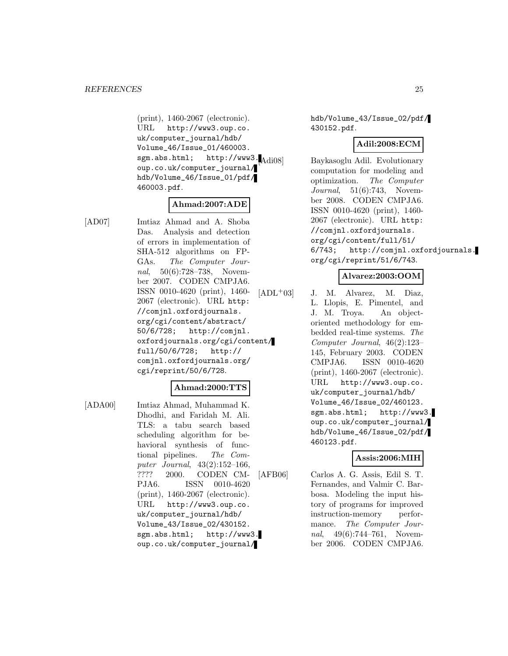(print), 1460-2067 (electronic). URL http://www3.oup.co. uk/computer\_journal/hdb/ Volume\_46/Issue\_01/460003. sgm.abs.html; http://www3.Adi08 oup.co.uk/computer\_journal/ hdb/Volume\_46/Issue\_01/pdf/ 460003.pdf.

# **Ahmad:2007:ADE**

[AD07] Imtiaz Ahmad and A. Shoba Das. Analysis and detection of errors in implementation of SHA-512 algorithms on FP-GAs. The Computer Journal, 50(6):728–738, November 2007. CODEN CMPJA6. ISSN 0010-4620 (print), 1460- 2067 (electronic). URL http: //comjnl.oxfordjournals. org/cgi/content/abstract/ 50/6/728; http://comjnl. oxfordjournals.org/cgi/content/ full/50/6/728; http:// comjnl.oxfordjournals.org/ cgi/reprint/50/6/728.

#### **Ahmad:2000:TTS**

[ADA00] Imtiaz Ahmad, Muhammad K. Dhodhi, and Faridah M. Ali. TLS: a tabu search based scheduling algorithm for behavioral synthesis of functional pipelines. The Computer Journal, 43(2):152–166, ???? 2000. CODEN CM-PJA6. ISSN 0010-4620 (print), 1460-2067 (electronic). URL http://www3.oup.co. uk/computer\_journal/hdb/ Volume\_43/Issue\_02/430152. sgm.abs.html; http://www3. oup.co.uk/computer\_journal/

hdb/Volume\_43/Issue\_02/pdf/ 430152.pdf.

## **Adil:2008:ECM**

Baykasoglu Adil. Evolutionary computation for modeling and optimization. The Computer Journal, 51(6):743, November 2008. CODEN CMPJA6. ISSN 0010-4620 (print), 1460- 2067 (electronic). URL http: //comjnl.oxfordjournals. org/cgi/content/full/51/ 6/743; http://comjnl.oxfordjournals. org/cgi/reprint/51/6/743.

# **Alvarez:2003:OOM**

 $[ADL+03]$  J. M. Alvarez, M. Diaz, L. Llopis, E. Pimentel, and J. M. Troya. An objectoriented methodology for embedded real-time systems. The Computer Journal, 46(2):123– 145, February 2003. CODEN CMPJA6. ISSN 0010-4620 (print), 1460-2067 (electronic). URL http://www3.oup.co. uk/computer\_journal/hdb/ Volume\_46/Issue\_02/460123. sgm.abs.html; http://www3. oup.co.uk/computer\_journal/ hdb/Volume\_46/Issue\_02/pdf/ 460123.pdf.

# **Assis:2006:MIH**

[AFB06] Carlos A. G. Assis, Edil S. T. Fernandes, and Valmir C. Barbosa. Modeling the input history of programs for improved instruction-memory performance. The Computer Journal, 49(6):744–761, November 2006. CODEN CMPJA6.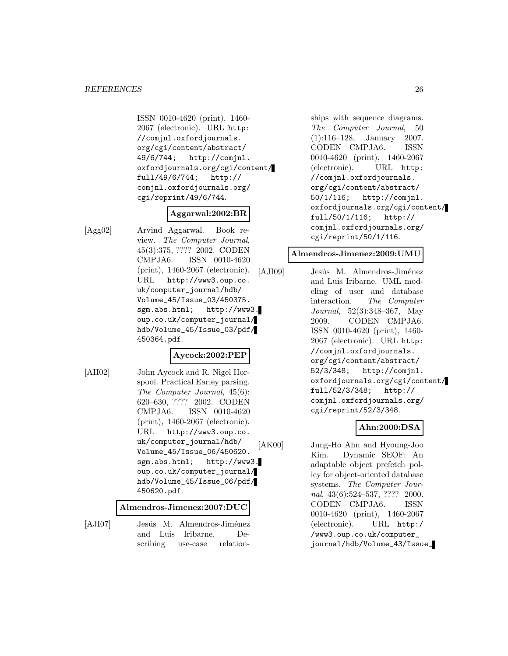ISSN 0010-4620 (print), 1460- 2067 (electronic). URL http: //comjnl.oxfordjournals. org/cgi/content/abstract/ 49/6/744; http://comjnl. oxfordjournals.org/cgi/content/ full/49/6/744; http:// comjnl.oxfordjournals.org/ cgi/reprint/49/6/744.

#### **Aggarwal:2002:BR**

[Agg02] Arvind Aggarwal. Book review. The Computer Journal, 45(3):375, ???? 2002. CODEN CMPJA6. ISSN 0010-4620 (print), 1460-2067 (electronic). URL http://www3.oup.co. uk/computer\_journal/hdb/ Volume\_45/Issue\_03/450375. sgm.abs.html; http://www3. oup.co.uk/computer\_journal/ hdb/Volume\_45/Issue\_03/pdf/ 450364.pdf.

#### **Aycock:2002:PEP**

[AH02] John Aycock and R. Nigel Horspool. Practical Earley parsing. The Computer Journal, 45(6): 620–630, ???? 2002. CODEN CMPJA6. ISSN 0010-4620 (print), 1460-2067 (electronic). URL http://www3.oup.co. uk/computer\_journal/hdb/ Volume\_45/Issue\_06/450620. sgm.abs.html; http://www3. oup.co.uk/computer\_journal/ hdb/Volume\_45/Issue\_06/pdf/ 450620.pdf.

#### **Almendros-Jimenez:2007:DUC**

[AJI07] Jesús M. Almendros-Jiménez and Luis Iribarne. Describing use-case relationships with sequence diagrams. The Computer Journal, 50 (1):116–128, January 2007. CODEN CMPJA6. ISSN 0010-4620 (print), 1460-2067 (electronic). URL http: //comjnl.oxfordjournals. org/cgi/content/abstract/ 50/1/116; http://comjnl. oxfordjournals.org/cgi/content/ full/50/1/116; http:// comjnl.oxfordjournals.org/ cgi/reprint/50/1/116.

#### **Almendros-Jimenez:2009:UMU**

[AJI09] Jesús M. Almendros-Jiménez and Luis Iribarne. UML modeling of user and database interaction. The Computer Journal, 52(3):348–367, May 2009. CODEN CMPJA6. ISSN 0010-4620 (print), 1460- 2067 (electronic). URL http: //comjnl.oxfordjournals. org/cgi/content/abstract/ 52/3/348; http://comjnl. oxfordjournals.org/cgi/content/ full/52/3/348; http:// comjnl.oxfordjournals.org/ cgi/reprint/52/3/348.

# **Ahn:2000:DSA**

[AK00] Jung-Ho Ahn and Hyoung-Joo Kim. Dynamic SEOF: An adaptable object prefetch policy for object-oriented database systems. The Computer Journal, 43(6):524–537, ???? 2000. CODEN CMPJA6. ISSN 0010-4620 (print), 1460-2067 (electronic). URL http:/ /www3.oup.co.uk/computer\_ journal/hdb/Volume\_43/Issue\_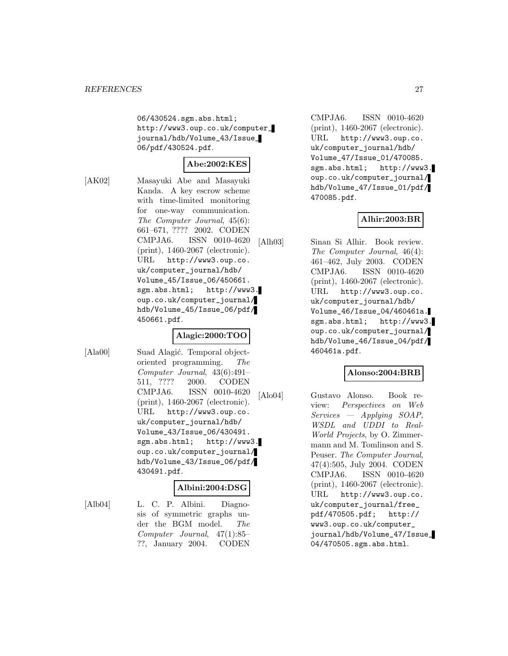06/430524.sgm.abs.html; http://www3.oup.co.uk/computer\_ journal/hdb/Volume\_43/Issue\_ 06/pdf/430524.pdf.

# **Abe:2002:KES**

[AK02] Masayuki Abe and Masayuki Kanda. A key escrow scheme with time-limited monitoring for one-way communication. The Computer Journal, 45(6): 661–671, ???? 2002. CODEN CMPJA6. ISSN 0010-4620 (print), 1460-2067 (electronic). URL http://www3.oup.co. uk/computer\_journal/hdb/ Volume\_45/Issue\_06/450661. sgm.abs.html; http://www3. oup.co.uk/computer\_journal/ hdb/Volume\_45/Issue\_06/pdf/ 450661.pdf.

# **Alagic:2000:TOO**

[Ala00] Suad Alagić. Temporal objectoriented programming. The Computer Journal, 43(6):491– 511, ???? 2000. CODEN CMPJA6. ISSN 0010-4620 (print), 1460-2067 (electronic). URL http://www3.oup.co. uk/computer\_journal/hdb/ Volume\_43/Issue\_06/430491. sgm.abs.html; http://www3. oup.co.uk/computer\_journal/ hdb/Volume\_43/Issue\_06/pdf/ 430491.pdf.

# **Albini:2004:DSG**

[Alb04] L. C. P. Albini. Diagnosis of symmetric graphs under the BGM model. The Computer Journal, 47(1):85– ??, January 2004. CODEN

CMPJA6. ISSN 0010-4620 (print), 1460-2067 (electronic). URL http://www3.oup.co. uk/computer\_journal/hdb/ Volume\_47/Issue\_01/470085. sgm.abs.html; http://www3. oup.co.uk/computer\_journal/ hdb/Volume\_47/Issue\_01/pdf/ 470085.pdf.

# **Alhir:2003:BR**

[Alh03] Sinan Si Alhir. Book review. The Computer Journal, 46(4): 461–462, July 2003. CODEN CMPJA6. ISSN 0010-4620 (print), 1460-2067 (electronic). URL http://www3.oup.co. uk/computer\_journal/hdb/ Volume\_46/Issue\_04/460461a. sgm.abs.html; http://www3. oup.co.uk/computer\_journal/ hdb/Volume\_46/Issue\_04/pdf/ 460461a.pdf.

# **Alonso:2004:BRB**

[Alo04] Gustavo Alonso. Book review: Perspectives on Web Services — Applying SOAP, WSDL and UDDI to Real-World Projects, by O. Zimmermann and M. Tomlinson and S. Peuser. The Computer Journal, 47(4):505, July 2004. CODEN CMPJA6. ISSN 0010-4620 (print), 1460-2067 (electronic). URL http://www3.oup.co. uk/computer\_journal/free\_ pdf/470505.pdf; http:// www3.oup.co.uk/computer\_ journal/hdb/Volume\_47/Issue\_ 04/470505.sgm.abs.html.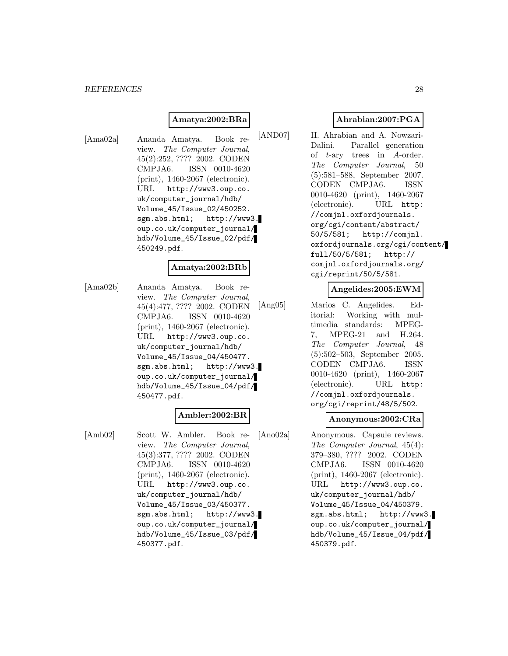#### *REFERENCES* 28

#### **Amatya:2002:BRa**

[Ama02a] Ananda Amatya. Book review. The Computer Journal, 45(2):252, ???? 2002. CODEN CMPJA6. ISSN 0010-4620 (print), 1460-2067 (electronic). URL http://www3.oup.co. uk/computer\_journal/hdb/ Volume\_45/Issue\_02/450252. sgm.abs.html; http://www3. oup.co.uk/computer\_journal/ hdb/Volume\_45/Issue\_02/pdf/ 450249.pdf.

#### **Amatya:2002:BRb**

[Ama02b] Ananda Amatya. Book review. The Computer Journal, 45(4):477, ???? 2002. CODEN CMPJA6. ISSN 0010-4620 (print), 1460-2067 (electronic). URL http://www3.oup.co. uk/computer\_journal/hdb/ Volume\_45/Issue\_04/450477. sgm.abs.html; http://www3. oup.co.uk/computer\_journal/ hdb/Volume\_45/Issue\_04/pdf/ 450477.pdf.

#### **Ambler:2002:BR**

[Amb02] Scott W. Ambler. Book review. The Computer Journal, 45(3):377, ???? 2002. CODEN CMPJA6. ISSN 0010-4620 (print), 1460-2067 (electronic). URL http://www3.oup.co. uk/computer\_journal/hdb/ Volume\_45/Issue\_03/450377. sgm.abs.html; http://www3. oup.co.uk/computer\_journal/ hdb/Volume\_45/Issue\_03/pdf/ 450377.pdf.

# **Ahrabian:2007:PGA**

[AND07] H. Ahrabian and A. Nowzari-Dalini. Parallel generation of t-ary trees in A-order. The Computer Journal, 50 (5):581–588, September 2007. CODEN CMPJA6. ISSN 0010-4620 (print), 1460-2067 (electronic). URL http: //comjnl.oxfordjournals. org/cgi/content/abstract/ 50/5/581; http://comjnl. oxfordjournals.org/cgi/content/ full/50/5/581; http:// comjnl.oxfordjournals.org/ cgi/reprint/50/5/581.

#### **Angelides:2005:EWM**

[Ang05] Marios C. Angelides. Editorial: Working with multimedia standards: MPEG-7, MPEG-21 and H.264. The Computer Journal, 48 (5):502–503, September 2005. CODEN CMPJA6. ISSN 0010-4620 (print), 1460-2067 (electronic). URL http: //comjnl.oxfordjournals. org/cgi/reprint/48/5/502.

#### **Anonymous:2002:CRa**

[Ano02a] Anonymous. Capsule reviews. The Computer Journal, 45(4): 379–380, ???? 2002. CODEN CMPJA6. ISSN 0010-4620 (print), 1460-2067 (electronic). URL http://www3.oup.co. uk/computer\_journal/hdb/ Volume\_45/Issue\_04/450379. sgm.abs.html; http://www3. oup.co.uk/computer\_journal/ hdb/Volume\_45/Issue\_04/pdf/ 450379.pdf.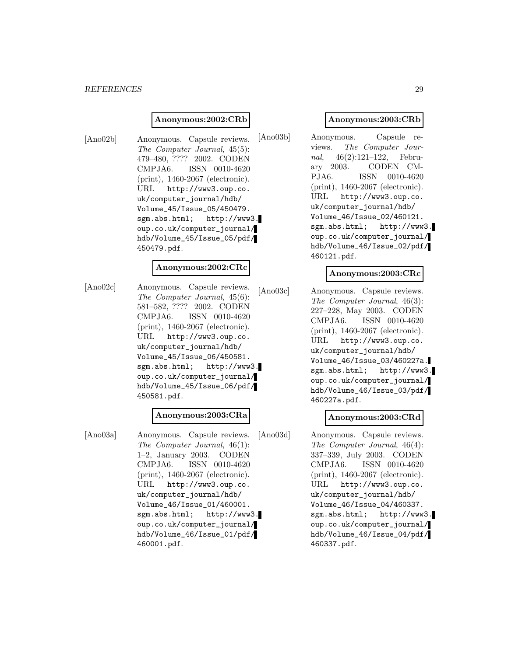#### **Anonymous:2002:CRb**

[Ano02b] Anonymous. Capsule reviews. The Computer Journal, 45(5): 479–480, ???? 2002. CODEN CMPJA6. ISSN 0010-4620 (print), 1460-2067 (electronic). URL http://www3.oup.co. uk/computer\_journal/hdb/ Volume\_45/Issue\_05/450479. sgm.abs.html; http://www3. oup.co.uk/computer\_journal/ hdb/Volume\_45/Issue\_05/pdf/ 450479.pdf.

#### **Anonymous:2002:CRc**

[Ano02c] Anonymous. Capsule reviews. The Computer Journal, 45(6): 581–582, ???? 2002. CODEN CMPJA6. ISSN 0010-4620 (print), 1460-2067 (electronic). URL http://www3.oup.co. uk/computer\_journal/hdb/ Volume\_45/Issue\_06/450581. sgm.abs.html; http://www3. oup.co.uk/computer\_journal/ hdb/Volume\_45/Issue\_06/pdf/ 450581.pdf.

#### **Anonymous:2003:CRa**

[Ano03a] Anonymous. Capsule reviews. The Computer Journal, 46(1): 1–2, January 2003. CODEN CMPJA6. ISSN 0010-4620 (print), 1460-2067 (electronic). URL http://www3.oup.co. uk/computer\_journal/hdb/ Volume\_46/Issue\_01/460001. sgm.abs.html; http://www3. oup.co.uk/computer\_journal/ hdb/Volume\_46/Issue\_01/pdf/ 460001.pdf.

# **Anonymous:2003:CRb**

[Ano03b] Anonymous. Capsule reviews. The Computer Journal, 46(2):121–122, February 2003. CODEN CM-PJA6. ISSN 0010-4620 (print), 1460-2067 (electronic). URL http://www3.oup.co. uk/computer\_journal/hdb/ Volume\_46/Issue\_02/460121. sgm.abs.html; http://www3. oup.co.uk/computer\_journal/ hdb/Volume\_46/Issue\_02/pdf/ 460121.pdf.

# **Anonymous:2003:CRc**

[Ano03c] Anonymous. Capsule reviews. The Computer Journal, 46(3): 227–228, May 2003. CODEN CMPJA6. ISSN 0010-4620 (print), 1460-2067 (electronic). URL http://www3.oup.co. uk/computer\_journal/hdb/ Volume\_46/Issue\_03/460227a. sgm.abs.html; http://www3. oup.co.uk/computer\_journal/ hdb/Volume\_46/Issue\_03/pdf/ 460227a.pdf.

# **Anonymous:2003:CRd**

[Ano03d] Anonymous. Capsule reviews. The Computer Journal, 46(4): 337–339, July 2003. CODEN CMPJA6. ISSN 0010-4620 (print), 1460-2067 (electronic). URL http://www3.oup.co. uk/computer\_journal/hdb/ Volume\_46/Issue\_04/460337. sgm.abs.html; http://www3. oup.co.uk/computer\_journal/ hdb/Volume\_46/Issue\_04/pdf/ 460337.pdf.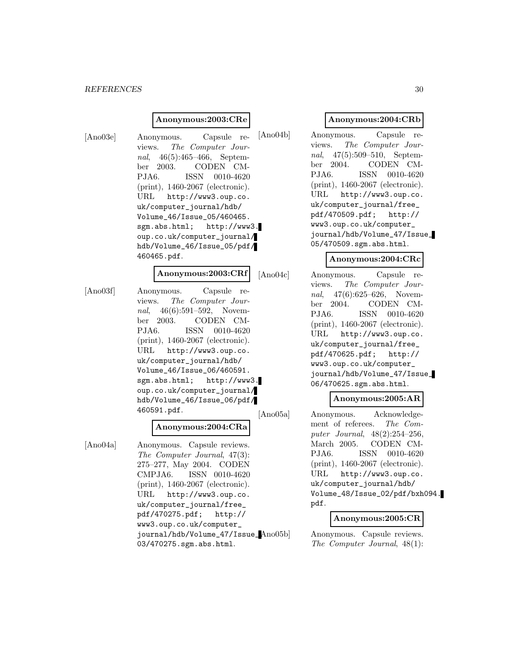#### **Anonymous:2003:CRe**

[Ano03e] Anonymous. Capsule reviews. The Computer Journal, 46(5):465–466, September 2003. CODEN CM-PJA6. ISSN 0010-4620 (print), 1460-2067 (electronic). URL http://www3.oup.co. uk/computer\_journal/hdb/ Volume\_46/Issue\_05/460465. sgm.abs.html; http://www3. oup.co.uk/computer\_journal/ hdb/Volume\_46/Issue\_05/pdf/ 460465.pdf.

# **Anonymous:2003:CRf**

[Ano03f] Anonymous. Capsule reviews. The Computer Journal, 46(6):591-592, November 2003. CODEN CM-PJA6. ISSN 0010-4620 (print), 1460-2067 (electronic). URL http://www3.oup.co. uk/computer\_journal/hdb/ Volume\_46/Issue\_06/460591. sgm.abs.html; http://www3. oup.co.uk/computer\_journal/ hdb/Volume\_46/Issue\_06/pdf/ 460591.pdf.

#### **Anonymous:2004:CRa**

[Ano04a] Anonymous. Capsule reviews. The Computer Journal, 47(3): 275–277, May 2004. CODEN CMPJA6. ISSN 0010-4620 (print), 1460-2067 (electronic). URL http://www3.oup.co. uk/computer\_journal/free\_ pdf/470275.pdf; http:// www3.oup.co.uk/computer\_ journal/hdb/Volume\_47/Issue\_ 03/470275.sgm.abs.html.

#### **Anonymous:2004:CRb**

[Ano04b] Anonymous. Capsule reviews. The Computer Journal, 47(5):509–510, September 2004. CODEN CM-PJA6. ISSN 0010-4620 (print), 1460-2067 (electronic). URL http://www3.oup.co. uk/computer\_journal/free\_ pdf/470509.pdf; http:// www3.oup.co.uk/computer\_ journal/hdb/Volume\_47/Issue\_ 05/470509.sgm.abs.html.

## **Anonymous:2004:CRc**

[Ano04c] Anonymous. Capsule reviews. The Computer Journal, 47(6):625–626, November 2004. CODEN CM-PJA6. ISSN 0010-4620 (print), 1460-2067 (electronic). URL http://www3.oup.co. uk/computer\_journal/free\_ pdf/470625.pdf; http:// www3.oup.co.uk/computer\_ journal/hdb/Volume\_47/Issue\_ 06/470625.sgm.abs.html.

#### **Anonymous:2005:AR**

[Ano05a] Anonymous. Acknowledgement of referees. The Computer Journal, 48(2):254–256, March 2005. CODEN CM-PJA6. ISSN 0010-4620 (print), 1460-2067 (electronic). URL http://www3.oup.co. uk/computer\_journal/hdb/ Volume\_48/Issue\_02/pdf/bxh094. pdf.

# **Anonymous:2005:CR**

Anonymous. Capsule reviews. The Computer Journal, 48(1):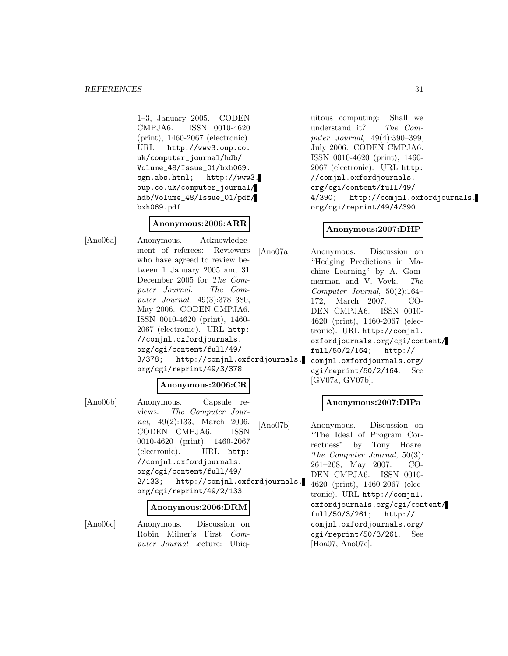1–3, January 2005. CODEN CMPJA6. ISSN 0010-4620 (print), 1460-2067 (electronic). URL http://www3.oup.co. uk/computer\_journal/hdb/ Volume\_48/Issue\_01/bxh069. sgm.abs.html; http://www3. oup.co.uk/computer\_journal/ hdb/Volume\_48/Issue\_01/pdf/ bxh069.pdf.

# **Anonymous:2006:ARR**

[Ano06a] Anonymous. Acknowledgement of referees: Reviewers who have agreed to review between 1 January 2005 and 31 December 2005 for The Computer Journal. The Computer Journal, 49(3):378–380, May 2006. CODEN CMPJA6. ISSN 0010-4620 (print), 1460- 2067 (electronic). URL http: //comjnl.oxfordjournals. org/cgi/content/full/49/ 3/378; http://comjnl.oxfordjournals. org/cgi/reprint/49/3/378.

# **Anonymous:2006:CR**

[Ano06b] Anonymous. Capsule reviews. The Computer Journal, 49(2):133, March 2006. CODEN CMPJA6. ISSN 0010-4620 (print), 1460-2067 (electronic). URL http: //comjnl.oxfordjournals. org/cgi/content/full/49/ 2/133; http://comjnl.oxfordjournals. org/cgi/reprint/49/2/133.

#### **Anonymous:2006:DRM**

[Ano06c] Anonymous. Discussion on Robin Milner's First Computer Journal Lecture: Ubiq-

uitous computing: Shall we understand it? The Computer Journal, 49(4):390–399, July 2006. CODEN CMPJA6. ISSN 0010-4620 (print), 1460- 2067 (electronic). URL http: //comjnl.oxfordjournals. org/cgi/content/full/49/ 4/390; http://comjnl.oxfordjournals. org/cgi/reprint/49/4/390.

# **Anonymous:2007:DHP**

[Ano07a] Anonymous. Discussion on "Hedging Predictions in Machine Learning" by A. Gammerman and V. Vovk. The Computer Journal, 50(2):164– 172, March 2007. CO-DEN CMPJA6. ISSN 0010- 4620 (print), 1460-2067 (electronic). URL http://comjnl. oxfordjournals.org/cgi/content/ full/50/2/164; http:// comjnl.oxfordjournals.org/ cgi/reprint/50/2/164. See [GV07a, GV07b].

#### **Anonymous:2007:DIPa**

[Ano07b] Anonymous. Discussion on "The Ideal of Program Correctness" by Tony Hoare. The Computer Journal, 50(3): 261–268, May 2007. CO-DEN CMPJA6. ISSN 0010- 4620 (print), 1460-2067 (electronic). URL http://comjnl. oxfordjournals.org/cgi/content/ full/50/3/261; http:// comjnl.oxfordjournals.org/ cgi/reprint/50/3/261. See [Hoa07, Ano07c].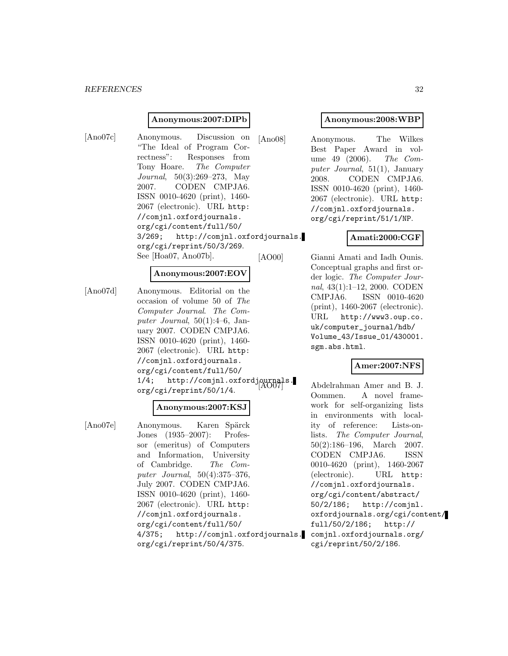#### **Anonymous:2007:DIPb**

[Ano07c] Anonymous. Discussion on "The Ideal of Program Correctness": Responses from Tony Hoare. The Computer Journal, 50(3):269–273, May 2007. CODEN CMPJA6. ISSN 0010-4620 (print), 1460- 2067 (electronic). URL http: //comjnl.oxfordjournals. org/cgi/content/full/50/ 3/269; http://comjnl.oxfordjournals. org/cgi/reprint/50/3/269. See [Hoa07, Ano07b].

## **Anonymous:2007:EOV**

[Ano07d] Anonymous. Editorial on the occasion of volume 50 of The Computer Journal. The Computer Journal,  $50(1):4-6$ , January 2007. CODEN CMPJA6. ISSN 0010-4620 (print), 1460- 2067 (electronic). URL http: //comjnl.oxfordjournals. org/cgi/content/full/50/ 1/4; http://comjnl.oxfordjournals. org/cgi/reprint/50/1/4.

#### **Anonymous:2007:KSJ**

[Ano07e] Anonymous. Karen Spärck Jones (1935–2007): Professor (emeritus) of Computers and Information, University of Cambridge. The Computer Journal, 50(4):375–376, July 2007. CODEN CMPJA6. ISSN 0010-4620 (print), 1460- 2067 (electronic). URL http: //comjnl.oxfordjournals. org/cgi/content/full/50/ 4/375; http://comjnl.oxfordjournals. org/cgi/reprint/50/4/375.

#### **Anonymous:2008:WBP**

[Ano08] Anonymous. The Wilkes Best Paper Award in volume 49 (2006). The Computer Journal, 51(1), January 2008. CODEN CMPJA6. ISSN 0010-4620 (print), 1460- 2067 (electronic). URL http: //comjnl.oxfordjournals. org/cgi/reprint/51/1/NP.

#### **Amati:2000:CGF**

[AO00] Gianni Amati and Iadh Ounis. Conceptual graphs and first order logic. The Computer Journal, 43(1):1–12, 2000. CODEN CMPJA6. ISSN 0010-4620 (print), 1460-2067 (electronic). URL http://www3.oup.co. uk/computer\_journal/hdb/ Volume\_43/Issue\_01/430001. sgm.abs.html.

# **Amer:2007:NFS**

Abdelrahman Amer and B. J. Oommen. A novel framework for self-organizing lists in environments with locality of reference: Lists-onlists. The Computer Journal, 50(2):186–196, March 2007. CODEN CMPJA6. ISSN 0010-4620 (print), 1460-2067 (electronic). URL http: //comjnl.oxfordjournals. org/cgi/content/abstract/ 50/2/186; http://comjnl. oxfordjournals.org/cgi/content/ full/50/2/186; http:// comjnl.oxfordjournals.org/ cgi/reprint/50/2/186.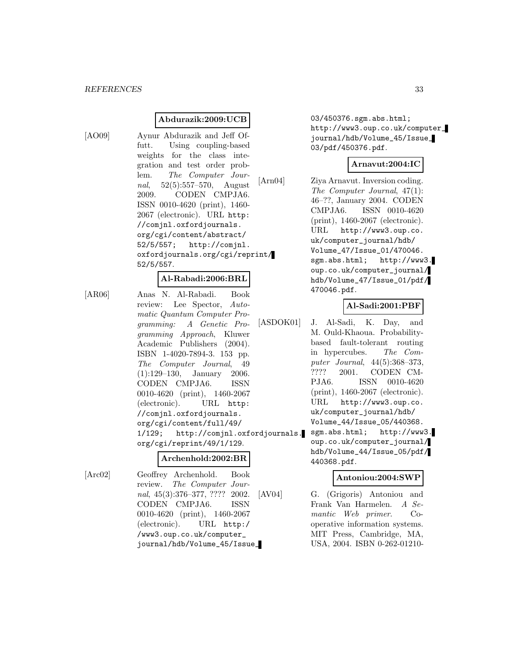# **Abdurazik:2009:UCB**

[AO09] Aynur Abdurazik and Jeff Offutt. Using coupling-based weights for the class integration and test order problem. The Computer Journal, 52(5):557–570, August 2009. CODEN CMPJA6. ISSN 0010-4620 (print), 1460- 2067 (electronic). URL http: //comjnl.oxfordjournals. org/cgi/content/abstract/ 52/5/557; http://comjnl. oxfordjournals.org/cgi/reprint/ 52/5/557.

#### **Al-Rabadi:2006:BRL**

[AR06] Anas N. Al-Rabadi. Book review: Lee Spector, Automatic Quantum Computer Programming: A Genetic Programming Approach, Kluwer Academic Publishers (2004). ISBN 1-4020-7894-3. 153 pp. The Computer Journal, 49 (1):129–130, January 2006. CODEN CMPJA6. ISSN 0010-4620 (print), 1460-2067 (electronic). URL http: //comjnl.oxfordjournals. org/cgi/content/full/49/ 1/129; http://comjnl.oxfordjournals. org/cgi/reprint/49/1/129.

# **Archenhold:2002:BR**

[Arc02] Geoffrey Archenhold. Book review. The Computer Journal, 45(3):376–377, ???? 2002. CODEN CMPJA6. ISSN 0010-4620 (print), 1460-2067 (electronic). URL http:/ /www3.oup.co.uk/computer\_ journal/hdb/Volume\_45/Issue\_

03/450376.sgm.abs.html; http://www3.oup.co.uk/computer\_ journal/hdb/Volume\_45/Issue\_ 03/pdf/450376.pdf.

# **Arnavut:2004:IC**

[Arn04] Ziya Arnavut. Inversion coding. The Computer Journal, 47(1): 46–??, January 2004. CODEN CMPJA6. ISSN 0010-4620 (print), 1460-2067 (electronic). URL http://www3.oup.co. uk/computer\_journal/hdb/ Volume\_47/Issue\_01/470046. sgm.abs.html; http://www3. oup.co.uk/computer\_journal/ hdb/Volume\_47/Issue\_01/pdf/ 470046.pdf.

#### **Al-Sadi:2001:PBF**

- [ASDOK01] J. Al-Sadi, K. Day, and M. Ould-Khaoua. Probabilitybased fault-tolerant routing in hypercubes. The Computer Journal, 44(5):368–373, ???? 2001. CODEN CM-PJA6. ISSN 0010-4620 (print), 1460-2067 (electronic). URL http://www3.oup.co. uk/computer\_journal/hdb/ Volume\_44/Issue\_05/440368. sgm.abs.html; http://www3.
	- oup.co.uk/computer\_journal/ hdb/Volume\_44/Issue\_05/pdf/ 440368.pdf.

# **Antoniou:2004:SWP**

[AV04] G. (Grigoris) Antoniou and Frank Van Harmelen. A Semantic Web primer. Cooperative information systems. MIT Press, Cambridge, MA, USA, 2004. ISBN 0-262-01210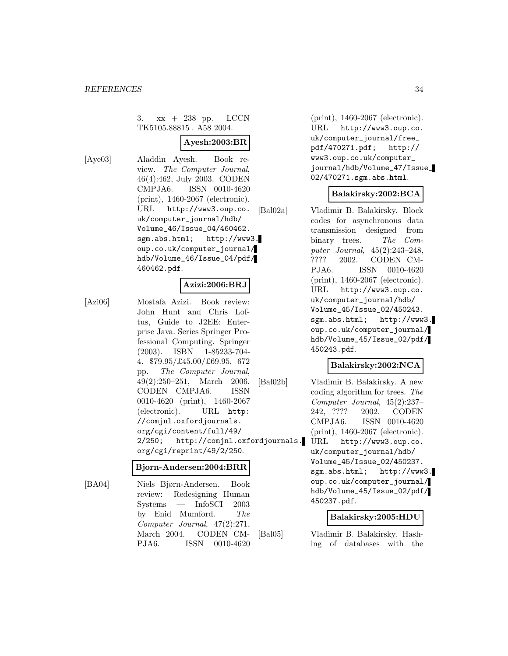3. xx + 238 pp. LCCN TK5105.88815 . A58 2004.

# **Ayesh:2003:BR**

[Aye03] Aladdin Ayesh. Book review. The Computer Journal, 46(4):462, July 2003. CODEN CMPJA6. ISSN 0010-4620 (print), 1460-2067 (electronic). URL http://www3.oup.co. uk/computer\_journal/hdb/ Volume\_46/Issue\_04/460462. sgm.abs.html; http://www3. oup.co.uk/computer\_journal/ hdb/Volume\_46/Issue\_04/pdf/ 460462.pdf.

# **Azizi:2006:BRJ**

[Azi06] Mostafa Azizi. Book review: John Hunt and Chris Loftus, Guide to J2EE: Enterprise Java. Series Springer Professional Computing. Springer (2003). ISBN 1-85233-704- 4. \$79.95/£45.00/£69.95. 672 pp. The Computer Journal, 49(2):250–251, March 2006. CODEN CMPJA6. ISSN 0010-4620 (print), 1460-2067 (electronic). URL http: //comjnl.oxfordjournals. org/cgi/content/full/49/ 2/250; http://comjnl.oxfordjournals. org/cgi/reprint/49/2/250.

# **Bjorn-Andersen:2004:BRR**

[BA04] Niels Bjørn-Andersen. Book review: Redesigning Human Systems — InfoSCI 2003 by Enid Mumford. The Computer Journal, 47(2):271, March 2004. CODEN CM-PJA6. ISSN 0010-4620

(print), 1460-2067 (electronic). URL http://www3.oup.co. uk/computer\_journal/free\_ pdf/470271.pdf; http:// www3.oup.co.uk/computer\_ journal/hdb/Volume\_47/Issue\_ 02/470271.sgm.abs.html.

# **Balakirsky:2002:BCA**

[Bal02a] Vladimir B. Balakirsky. Block codes for asynchronous data transmission designed from binary trees. The Computer Journal, 45(2):243–248, ???? 2002. CODEN CM-PJA6. ISSN 0010-4620 (print), 1460-2067 (electronic). URL http://www3.oup.co. uk/computer\_journal/hdb/ Volume\_45/Issue\_02/450243. sgm.abs.html; http://www3. oup.co.uk/computer\_journal/ hdb/Volume\_45/Issue\_02/pdf/ 450243.pdf.

# **Balakirsky:2002:NCA**

[Bal02b] Vladimir B. Balakirsky. A new coding algorithm for trees. The Computer Journal, 45(2):237– 242, ???? 2002. CODEN CMPJA6. ISSN 0010-4620 (print), 1460-2067 (electronic). URL http://www3.oup.co. uk/computer\_journal/hdb/ Volume\_45/Issue\_02/450237. sgm.abs.html; http://www3. oup.co.uk/computer\_journal/ hdb/Volume\_45/Issue\_02/pdf/ 450237.pdf.

#### **Balakirsky:2005:HDU**

[Bal05] Vladimir B. Balakirsky. Hashing of databases with the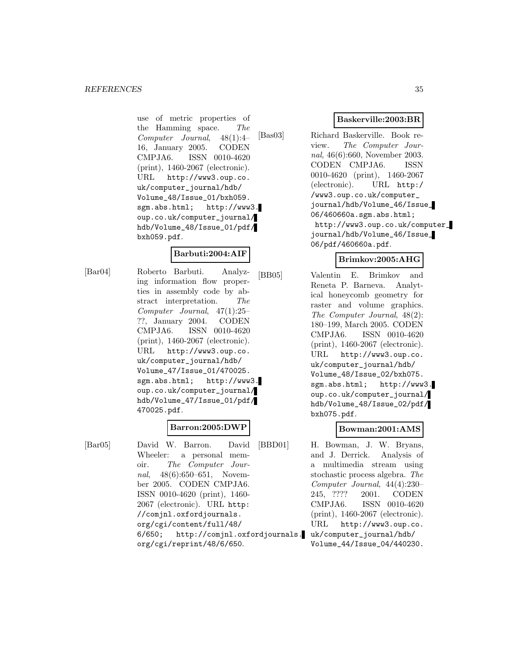use of metric properties of the Hamming space. The Computer Journal, 48(1):4– 16, January 2005. CODEN CMPJA6. ISSN 0010-4620 (print), 1460-2067 (electronic). URL http://www3.oup.co. uk/computer\_journal/hdb/ Volume\_48/Issue\_01/bxh059. sgm.abs.html; http://www3. oup.co.uk/computer\_journal/ hdb/Volume\_48/Issue\_01/pdf/ bxh059.pdf.

# **Barbuti:2004:AIF**

[Bar04] Roberto Barbuti. Analyzing information flow properties in assembly code by abstract interpretation. The Computer Journal, 47(1):25– ??, January 2004. CODEN CMPJA6. ISSN 0010-4620 (print), 1460-2067 (electronic). URL http://www3.oup.co. uk/computer\_journal/hdb/ Volume\_47/Issue\_01/470025. sgm.abs.html; http://www3. oup.co.uk/computer\_journal/ hdb/Volume\_47/Issue\_01/pdf/ 470025.pdf.

# **Barron:2005:DWP**

[Bar05] David W. Barron. David Wheeler: a personal memoir. The Computer Journal, 48(6):650–651, November 2005. CODEN CMPJA6. ISSN 0010-4620 (print), 1460- 2067 (electronic). URL http: //comjnl.oxfordjournals. org/cgi/content/full/48/ 6/650; http://comjnl.oxfordjournals. uk/computer\_journal/hdb/ org/cgi/reprint/48/6/650.

# **Baskerville:2003:BR**

[Bas03] Richard Baskerville. Book review. The Computer Journal, 46(6):660, November 2003. CODEN CMPJA6. ISSN 0010-4620 (print), 1460-2067 (electronic). URL http:/ /www3.oup.co.uk/computer\_ journal/hdb/Volume\_46/Issue\_ 06/460660a.sgm.abs.html; http://www3.oup.co.uk/computer\_ journal/hdb/Volume\_46/Issue\_ 06/pdf/460660a.pdf.

# **Brimkov:2005:AHG**

[BB05] Valentin E. Brimkov and Reneta P. Barneva. Analytical honeycomb geometry for raster and volume graphics. The Computer Journal, 48(2): 180–199, March 2005. CODEN CMPJA6. ISSN 0010-4620 (print), 1460-2067 (electronic). URL http://www3.oup.co. uk/computer\_journal/hdb/ Volume\_48/Issue\_02/bxh075. sgm.abs.html; http://www3. oup.co.uk/computer\_journal/ hdb/Volume\_48/Issue\_02/pdf/ bxh075.pdf.

# **Bowman:2001:AMS**

[BBD01] H. Bowman, J. W. Bryans, and J. Derrick. Analysis of a multimedia stream using stochastic process algebra. The Computer Journal, 44(4):230– 245, ???? 2001. CODEN CMPJA6. ISSN 0010-4620 (print), 1460-2067 (electronic). URL http://www3.oup.co. Volume\_44/Issue\_04/440230.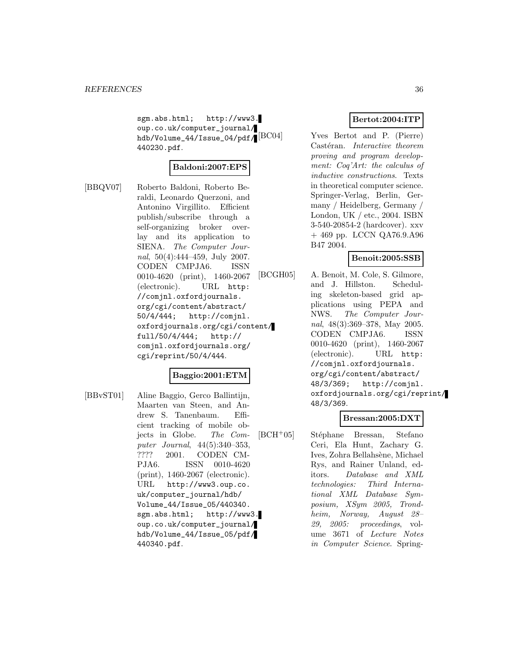sgm.abs.html; http://www3. oup.co.uk/computer\_journal/ hdb/Volume\_44/Issue\_04/pdf/ 440230.pdf.

# **Baldoni:2007:EPS**

[BBQV07] Roberto Baldoni, Roberto Beraldi, Leonardo Querzoni, and Antonino Virgillito. Efficient publish/subscribe through a self-organizing broker overlay and its application to SIENA. The Computer Journal, 50(4):444–459, July 2007. CODEN CMPJA6. ISSN 0010-4620 (print), 1460-2067 (electronic). URL http: //comjnl.oxfordjournals. org/cgi/content/abstract/ 50/4/444; http://comjnl. oxfordjournals.org/cgi/content/ full/50/4/444; http:// comjnl.oxfordjournals.org/ cgi/reprint/50/4/444.

# **Baggio:2001:ETM**

[BBvST01] Aline Baggio, Gerco Ballintijn, Maarten van Steen, and Andrew S. Tanenbaum. Efficient tracking of mobile objects in Globe. The Computer Journal, 44(5):340–353, ???? 2001. CODEN CM-PJA6. ISSN 0010-4620 (print), 1460-2067 (electronic). URL http://www3.oup.co. uk/computer\_journal/hdb/ Volume\_44/Issue\_05/440340. sgm.abs.html; http://www3. oup.co.uk/computer\_journal/ hdb/Volume\_44/Issue\_05/pdf/ 440340.pdf.

# **Bertot:2004:ITP**

Yves Bertot and P. (Pierre) Castéran. Interactive theorem proving and program development: Coq'Art: the calculus of inductive constructions. Texts in theoretical computer science. Springer-Verlag, Berlin, Germany / Heidelberg, Germany / London, UK / etc., 2004. ISBN 3-540-20854-2 (hardcover). xxv + 469 pp. LCCN QA76.9.A96 B47 2004.

# **Benoit:2005:SSB**

[BCGH05] A. Benoit, M. Cole, S. Gilmore, and J. Hillston. Scheduling skeleton-based grid applications using PEPA and NWS. The Computer Journal, 48(3):369–378, May 2005. CODEN CMPJA6. ISSN 0010-4620 (print), 1460-2067 (electronic). URL http: //comjnl.oxfordjournals. org/cgi/content/abstract/ 48/3/369; http://comjnl. oxfordjournals.org/cgi/reprint/ 48/3/369.

# **Bressan:2005:DXT**

 $[BCH<sup>+</sup>05]$  Stéphane Bressan, Stefano Ceri, Ela Hunt, Zachary G. Ives, Zohra Bellahsène, Michael Rys, and Rainer Unland, editors. Database and XML technologies: Third International XML Database Symposium, XSym 2005, Trondheim, Norway, August 28– 29, 2005: proceedings, volume 3671 of Lecture Notes in Computer Science. Spring-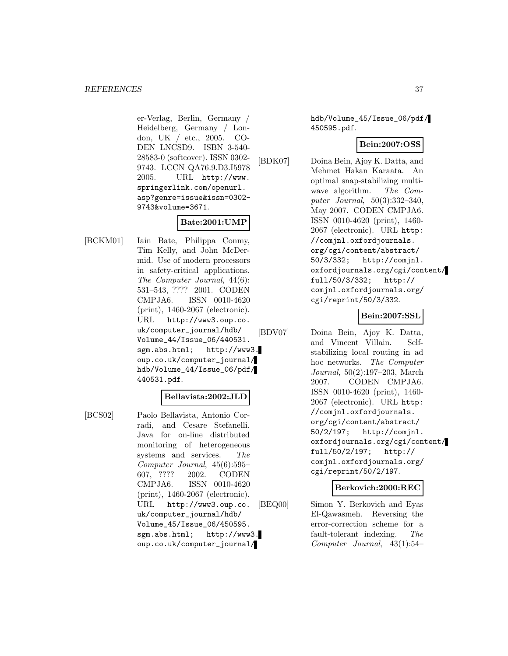er-Verlag, Berlin, Germany / Heidelberg, Germany / London, UK / etc., 2005. CO-DEN LNCSD9. ISBN 3-540- 28583-0 (softcover). ISSN 0302- 9743. LCCN QA76.9.D3.I5978 2005. URL http://www. springerlink.com/openurl. asp?genre=issue&issn=0302- 9743&volume=3671.

# **Bate:2001:UMP**

[BCKM01] Iain Bate, Philippa Conmy, Tim Kelly, and John McDermid. Use of modern processors in safety-critical applications. The Computer Journal, 44(6): 531–543, ???? 2001. CODEN CMPJA6. ISSN 0010-4620 (print), 1460-2067 (electronic). URL http://www3.oup.co. uk/computer\_journal/hdb/ Volume\_44/Issue\_06/440531. sgm.abs.html; http://www3. oup.co.uk/computer\_journal/ hdb/Volume\_44/Issue\_06/pdf/ 440531.pdf.

### **Bellavista:2002:JLD**

oup.co.uk/computer\_journal/

[BCS02] Paolo Bellavista, Antonio Corradi, and Cesare Stefanelli. Java for on-line distributed monitoring of heterogeneous systems and services. The Computer Journal, 45(6):595– 607, ???? 2002. CODEN CMPJA6. ISSN 0010-4620 (print), 1460-2067 (electronic). URL http://www3.oup.co. uk/computer\_journal/hdb/ Volume\_45/Issue\_06/450595. sgm.abs.html; http://www3. hdb/Volume\_45/Issue\_06/pdf/ 450595.pdf.

# **Bein:2007:OSS**

[BDK07] Doina Bein, Ajoy K. Datta, and Mehmet Hakan Karaata. An optimal snap-stabilizing multiwave algorithm. The Computer Journal, 50(3):332–340, May 2007. CODEN CMPJA6. ISSN 0010-4620 (print), 1460- 2067 (electronic). URL http: //comjnl.oxfordjournals. org/cgi/content/abstract/ 50/3/332; http://comjnl. oxfordjournals.org/cgi/content/ full/50/3/332; http:// comjnl.oxfordjournals.org/ cgi/reprint/50/3/332.

### **Bein:2007:SSL**

[BDV07] Doina Bein, Ajoy K. Datta, and Vincent Villain. Selfstabilizing local routing in ad hoc networks. The Computer Journal, 50(2):197–203, March 2007. CODEN CMPJA6. ISSN 0010-4620 (print), 1460- 2067 (electronic). URL http: //comjnl.oxfordjournals. org/cgi/content/abstract/ 50/2/197; http://comjnl. oxfordjournals.org/cgi/content/ full/50/2/197; http:// comjnl.oxfordjournals.org/ cgi/reprint/50/2/197.

### **Berkovich:2000:REC**

[BEQ00] Simon Y. Berkovich and Eyas El-Qawasmeh. Reversing the error-correction scheme for a fault-tolerant indexing. The Computer Journal, 43(1):54–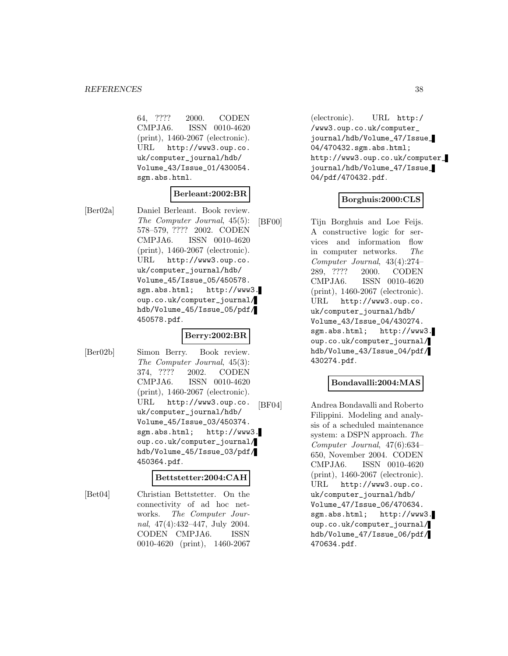64, ???? 2000. CODEN CMPJA6. ISSN 0010-4620 (print), 1460-2067 (electronic). URL http://www3.oup.co. uk/computer\_journal/hdb/ Volume\_43/Issue\_01/430054. sgm.abs.html.

### **Berleant:2002:BR**

[Ber02a] Daniel Berleant. Book review. The Computer Journal, 45(5): 578–579, ???? 2002. CODEN CMPJA6. ISSN 0010-4620 (print), 1460-2067 (electronic). URL http://www3.oup.co. uk/computer\_journal/hdb/ Volume\_45/Issue\_05/450578. sgm.abs.html; http://www3. oup.co.uk/computer\_journal/ hdb/Volume\_45/Issue\_05/pdf/ 450578.pdf.

### **Berry:2002:BR**

[Ber02b] Simon Berry. Book review. The Computer Journal, 45(3): 374, ???? 2002. CODEN CMPJA6. ISSN 0010-4620 (print), 1460-2067 (electronic). URL http://www3.oup.co. uk/computer\_journal/hdb/ Volume\_45/Issue\_03/450374. sgm.abs.html; http://www3. oup.co.uk/computer\_journal/ hdb/Volume\_45/Issue\_03/pdf/ 450364.pdf.

#### **Bettstetter:2004:CAH**

[Bet04] Christian Bettstetter. On the connectivity of ad hoc networks. The Computer Journal, 47(4):432–447, July 2004. CODEN CMPJA6. ISSN 0010-4620 (print), 1460-2067

(electronic). URL http:/ /www3.oup.co.uk/computer\_ journal/hdb/Volume\_47/Issue\_ 04/470432.sgm.abs.html; http://www3.oup.co.uk/computer\_ journal/hdb/Volume\_47/Issue\_ 04/pdf/470432.pdf.

# **Borghuis:2000:CLS**

[BF00] Tijn Borghuis and Loe Feijs. A constructive logic for services and information flow in computer networks. The Computer Journal, 43(4):274– 289, ???? 2000. CODEN CMPJA6. ISSN 0010-4620 (print), 1460-2067 (electronic). URL http://www3.oup.co. uk/computer\_journal/hdb/ Volume\_43/Issue\_04/430274. sgm.abs.html; http://www3. oup.co.uk/computer\_journal/ hdb/Volume\_43/Issue\_04/pdf/ 430274.pdf.

### **Bondavalli:2004:MAS**

[BF04] Andrea Bondavalli and Roberto Filippini. Modeling and analysis of a scheduled maintenance system: a DSPN approach. The Computer Journal, 47(6):634– 650, November 2004. CODEN CMPJA6. ISSN 0010-4620 (print), 1460-2067 (electronic). URL http://www3.oup.co. uk/computer\_journal/hdb/ Volume\_47/Issue\_06/470634. sgm.abs.html; http://www3. oup.co.uk/computer\_journal/ hdb/Volume\_47/Issue\_06/pdf/ 470634.pdf.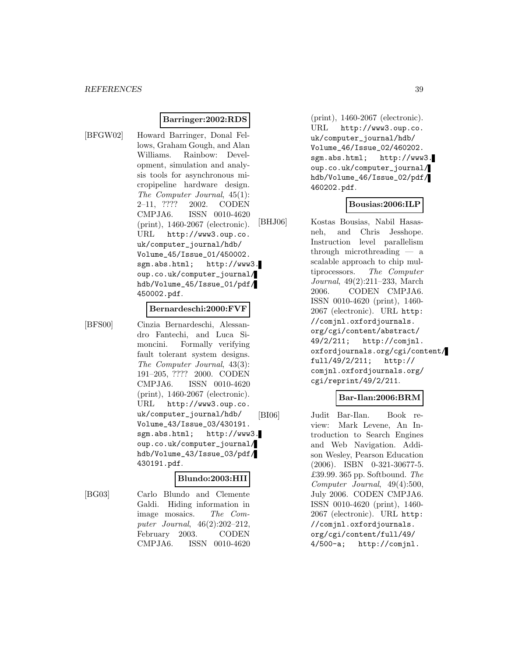### **Barringer:2002:RDS**

[BFGW02] Howard Barringer, Donal Fellows, Graham Gough, and Alan Williams. Rainbow: Development, simulation and analysis tools for asynchronous micropipeline hardware design. The Computer Journal, 45(1): 2–11, ???? 2002. CODEN CMPJA6. ISSN 0010-4620 (print), 1460-2067 (electronic). URL http://www3.oup.co. uk/computer\_journal/hdb/ Volume\_45/Issue\_01/450002. sgm.abs.html; http://www3. oup.co.uk/computer\_journal/ hdb/Volume\_45/Issue\_01/pdf/ 450002.pdf.

#### **Bernardeschi:2000:FVF**

[BFS00] Cinzia Bernardeschi, Alessandro Fantechi, and Luca Simoncini. Formally verifying fault tolerant system designs. The Computer Journal, 43(3): 191–205, ???? 2000. CODEN CMPJA6. ISSN 0010-4620 (print), 1460-2067 (electronic). URL http://www3.oup.co. uk/computer\_journal/hdb/ Volume\_43/Issue\_03/430191. sgm.abs.html; http://www3. oup.co.uk/computer\_journal/ hdb/Volume\_43/Issue\_03/pdf/ 430191.pdf.

#### **Blundo:2003:HII**

[BG03] Carlo Blundo and Clemente Galdi. Hiding information in image mosaics. The Computer Journal, 46(2):202–212, February 2003. CODEN CMPJA6. ISSN 0010-4620

(print), 1460-2067 (electronic). URL http://www3.oup.co. uk/computer\_journal/hdb/ Volume\_46/Issue\_02/460202. sgm.abs.html; http://www3. oup.co.uk/computer\_journal/ hdb/Volume\_46/Issue\_02/pdf/ 460202.pdf.

### **Bousias:2006:ILP**

[BHJ06] Kostas Bousias, Nabil Hasasneh, and Chris Jesshope. Instruction level parallelism through microthreading — a scalable approach to chip multiprocessors. The Computer Journal, 49(2):211–233, March 2006. CODEN CMPJA6. ISSN 0010-4620 (print), 1460- 2067 (electronic). URL http: //comjnl.oxfordjournals. org/cgi/content/abstract/ 49/2/211; http://comjnl. oxfordjournals.org/cgi/content/ full/49/2/211; http:// comjnl.oxfordjournals.org/ cgi/reprint/49/2/211.

### **Bar-Ilan:2006:BRM**

[BI06] Judit Bar-Ilan. Book review: Mark Levene, An Introduction to Search Engines and Web Navigation. Addison Wesley, Pearson Education (2006). ISBN 0-321-30677-5. £39.99. 365 pp. Softbound. The Computer Journal, 49(4):500, July 2006. CODEN CMPJA6. ISSN 0010-4620 (print), 1460- 2067 (electronic). URL http: //comjnl.oxfordjournals. org/cgi/content/full/49/ 4/500-a; http://comjnl.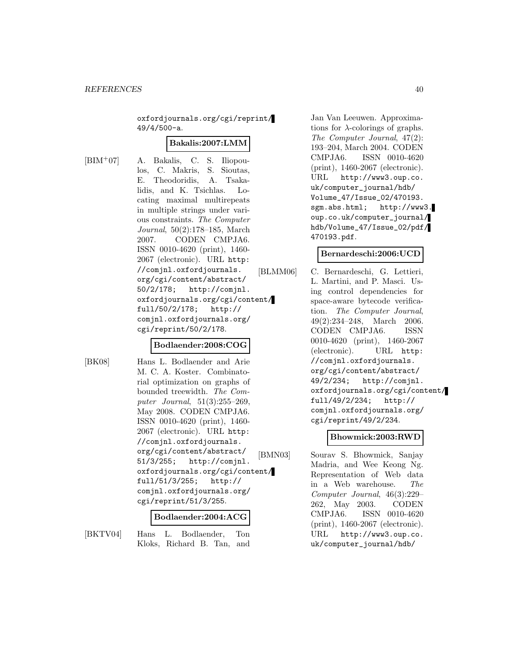oxfordjournals.org/cgi/reprint/ 49/4/500-a.

#### **Bakalis:2007:LMM**

[BIM<sup>+</sup>07] A. Bakalis, C. S. Iliopoulos, C. Makris, S. Sioutas, E. Theodoridis, A. Tsakalidis, and K. Tsichlas. Locating maximal multirepeats in multiple strings under various constraints. The Computer Journal, 50(2):178–185, March 2007. CODEN CMPJA6. ISSN 0010-4620 (print), 1460- 2067 (electronic). URL http: //comjnl.oxfordjournals. org/cgi/content/abstract/ 50/2/178; http://comjnl. oxfordjournals.org/cgi/content/ full/50/2/178; http:// comjnl.oxfordjournals.org/ cgi/reprint/50/2/178.

### **Bodlaender:2008:COG**

[BK08] Hans L. Bodlaender and Arie M. C. A. Koster. Combinatorial optimization on graphs of bounded treewidth. The Computer Journal, 51(3):255–269, May 2008. CODEN CMPJA6. ISSN 0010-4620 (print), 1460- 2067 (electronic). URL http: //comjnl.oxfordjournals. org/cgi/content/abstract/ 51/3/255; http://comjnl. oxfordjournals.org/cgi/content/ full/51/3/255; http:// comjnl.oxfordjournals.org/ cgi/reprint/51/3/255.

#### **Bodlaender:2004:ACG**

[BKTV04] Hans L. Bodlaender, Ton Kloks, Richard B. Tan, and

Jan Van Leeuwen. Approximations for  $\lambda$ -colorings of graphs. The Computer Journal, 47(2): 193–204, March 2004. CODEN CMPJA6. ISSN 0010-4620 (print), 1460-2067 (electronic). URL http://www3.oup.co. uk/computer\_journal/hdb/ Volume\_47/Issue\_02/470193. sgm.abs.html; http://www3. oup.co.uk/computer\_journal/ hdb/Volume\_47/Issue\_02/pdf/ 470193.pdf.

### **Bernardeschi:2006:UCD**

[BLMM06] C. Bernardeschi, G. Lettieri, L. Martini, and P. Masci. Using control dependencies for space-aware bytecode verification. The Computer Journal, 49(2):234–248, March 2006. CODEN CMPJA6. ISSN 0010-4620 (print), 1460-2067 (electronic). URL http: //comjnl.oxfordjournals. org/cgi/content/abstract/ 49/2/234; http://comjnl. oxfordjournals.org/cgi/content/ full/49/2/234; http:// comjnl.oxfordjournals.org/ cgi/reprint/49/2/234.

# **Bhowmick:2003:RWD**

[BMN03] Sourav S. Bhowmick, Sanjay Madria, and Wee Keong Ng. Representation of Web data in a Web warehouse. The Computer Journal, 46(3):229– 262, May 2003. CODEN CMPJA6. ISSN 0010-4620 (print), 1460-2067 (electronic). URL http://www3.oup.co. uk/computer\_journal/hdb/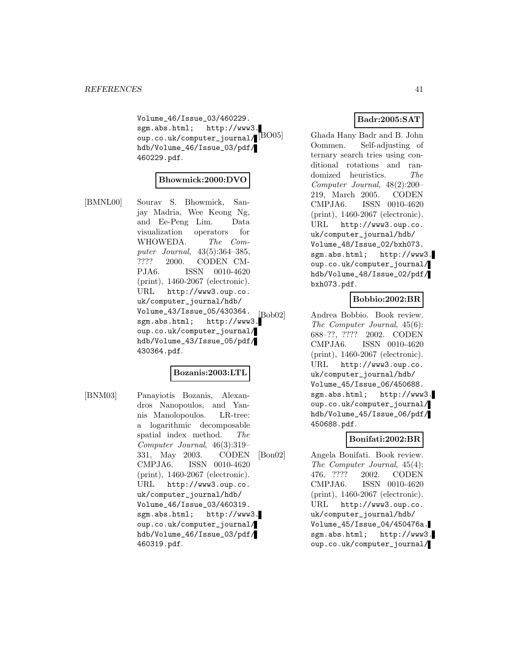Volume\_46/Issue\_03/460229. sgm.abs.html; http://www3. oup.co.uk/computer\_journal/ $[{\rm BO05}]$ hdb/Volume\_46/Issue\_03/pdf/ 460229.pdf.

### **Bhowmick:2000:DVO**

[BMNL00] Sourav S. Bhowmick, Sanjay Madria, Wee Keong Ng, and Ee-Peng Lim. Data visualization operators for WHOWEDA. The Computer Journal, 43(5):364–385, ???? 2000. CODEN CM-PJA6. ISSN 0010-4620 (print), 1460-2067 (electronic). URL http://www3.oup.co. uk/computer\_journal/hdb/ Volume\_43/Issue\_05/430364.  $\frac{1}{\text{Sob02}}$ <br>sgm.abs.html; http://www3. oup.co.uk/computer\_journal/ hdb/Volume\_43/Issue\_05/pdf/ 430364.pdf.

### **Bozanis:2003:LTL**

[BNM03] Panayiotis Bozanis, Alexandros Nanopoulos, and Yannis Manolopoulos. LR-tree: a logarithmic decomposable spatial index method. The Computer Journal, 46(3):319– 331, May 2003. CODEN CMPJA6. ISSN 0010-4620 (print), 1460-2067 (electronic). URL http://www3.oup.co. uk/computer\_journal/hdb/ Volume\_46/Issue\_03/460319. sgm.abs.html; http://www3. oup.co.uk/computer\_journal/ hdb/Volume\_46/Issue\_03/pdf/ 460319.pdf.

# **Badr:2005:SAT**

Ghada Hany Badr and B. John Oommen. Self-adjusting of ternary search tries using conditional rotations and randomized heuristics. The Computer Journal, 48(2):200– 219, March 2005. CODEN CMPJA6. ISSN 0010-4620 (print), 1460-2067 (electronic). URL http://www3.oup.co. uk/computer\_journal/hdb/ Volume\_48/Issue\_02/bxh073. sgm.abs.html; http://www3. oup.co.uk/computer\_journal/ hdb/Volume\_48/Issue\_02/pdf/ bxh073.pdf.

# **Bobbio:2002:BR**

Andrea Bobbio. Book review. The Computer Journal, 45(6): 688–??, ???? 2002. CODEN CMPJA6. ISSN 0010-4620 (print), 1460-2067 (electronic). URL http://www3.oup.co. uk/computer\_journal/hdb/ Volume\_45/Issue\_06/450688. sgm.abs.html; http://www3. oup.co.uk/computer\_journal/ hdb/Volume\_45/Issue\_06/pdf/ 450688.pdf.

### **Bonifati:2002:BR**

[Bon02] Angela Bonifati. Book review. The Computer Journal, 45(4): 476, ???? 2002. CODEN CMPJA6. ISSN 0010-4620 (print), 1460-2067 (electronic). URL http://www3.oup.co. uk/computer\_journal/hdb/ Volume\_45/Issue\_04/450476a. sgm.abs.html; http://www3. oup.co.uk/computer\_journal/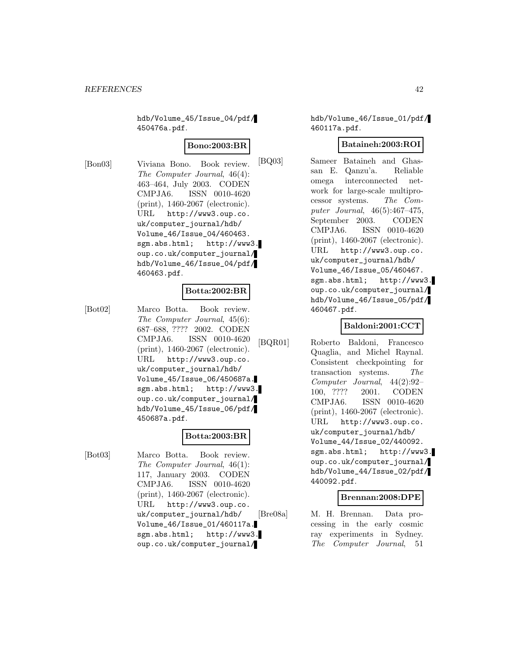hdb/Volume\_45/Issue\_04/pdf/ 450476a.pdf.

### **Bono:2003:BR**

[Bon03] Viviana Bono. Book review. The Computer Journal, 46(4): 463–464, July 2003. CODEN CMPJA6. ISSN 0010-4620 (print), 1460-2067 (electronic). URL http://www3.oup.co. uk/computer\_journal/hdb/ Volume\_46/Issue\_04/460463. sgm.abs.html; http://www3. oup.co.uk/computer\_journal/ hdb/Volume\_46/Issue\_04/pdf/ 460463.pdf.

### **Botta:2002:BR**

[Bot02] Marco Botta. Book review. The Computer Journal, 45(6): 687–688, ???? 2002. CODEN CMPJA6. ISSN 0010-4620 (print), 1460-2067 (electronic). URL http://www3.oup.co. uk/computer\_journal/hdb/ Volume\_45/Issue\_06/450687a. sgm.abs.html; http://www3. oup.co.uk/computer\_journal/ hdb/Volume\_45/Issue\_06/pdf/ 450687a.pdf.

### **Botta:2003:BR**

[Bot03] Marco Botta. Book review. The Computer Journal, 46(1): 117, January 2003. CODEN CMPJA6. ISSN 0010-4620 (print), 1460-2067 (electronic). URL http://www3.oup.co. uk/computer\_journal/hdb/ Volume\_46/Issue\_01/460117a. sgm.abs.html; http://www3. oup.co.uk/computer\_journal/

hdb/Volume\_46/Issue\_01/pdf/ 460117a.pdf.

### **Bataineh:2003:ROI**

[BQ03] Sameer Bataineh and Ghassan E. Qanzu'a. Reliable omega interconnected network for large-scale multiprocessor systems. The Computer Journal, 46(5):467–475, September 2003. CODEN CMPJA6. ISSN 0010-4620 (print), 1460-2067 (electronic). URL http://www3.oup.co. uk/computer\_journal/hdb/ Volume\_46/Issue\_05/460467. sgm.abs.html; http://www3. oup.co.uk/computer\_journal/ hdb/Volume\_46/Issue\_05/pdf/ 460467.pdf.

# **Baldoni:2001:CCT**

[BQR01] Roberto Baldoni, Francesco Quaglia, and Michel Raynal. Consistent checkpointing for transaction systems. The Computer Journal, 44(2):92– 100, ???? 2001. CODEN CMPJA6. ISSN 0010-4620 (print), 1460-2067 (electronic). URL http://www3.oup.co. uk/computer\_journal/hdb/ Volume\_44/Issue\_02/440092. sgm.abs.html; http://www3. oup.co.uk/computer\_journal/ hdb/Volume\_44/Issue\_02/pdf/ 440092.pdf.

### **Brennan:2008:DPE**

[Bre08a] M. H. Brennan. Data processing in the early cosmic ray experiments in Sydney. The Computer Journal, 51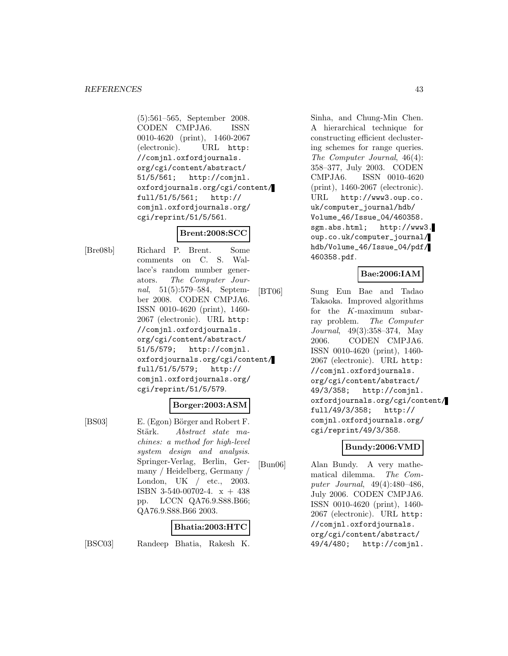(5):561–565, September 2008. CODEN CMPJA6. ISSN 0010-4620 (print), 1460-2067 (electronic). URL http: //comjnl.oxfordjournals. org/cgi/content/abstract/ 51/5/561; http://comjnl. oxfordjournals.org/cgi/content/ full/51/5/561; http:// comjnl.oxfordjournals.org/ cgi/reprint/51/5/561.

### **Brent:2008:SCC**

[Bre08b] Richard P. Brent. Some comments on C. S. Wallace's random number generators. The Computer Journal, 51(5):579–584, September 2008. CODEN CMPJA6. ISSN 0010-4620 (print), 1460- 2067 (electronic). URL http: //comjnl.oxfordjournals. org/cgi/content/abstract/ 51/5/579; http://comjnl. oxfordjournals.org/cgi/content/ full/51/5/579; http:// comjnl.oxfordjournals.org/ cgi/reprint/51/5/579.

#### **Borger:2003:ASM**

[BS03] E. (Egon) Börger and Robert F. Stärk. Abstract state machines: a method for high-level system design and analysis. Springer-Verlag, Berlin, Germany / Heidelberg, Germany / London, UK / etc., 2003. ISBN 3-540-00702-4. x + 438 pp. LCCN QA76.9.S88.B66; QA76.9.S88.B66 2003.

#### **Bhatia:2003:HTC**

[BSC03] Randeep Bhatia, Rakesh K.

Sinha, and Chung-Min Chen. A hierarchical technique for constructing efficient declustering schemes for range queries. The Computer Journal, 46(4): 358–377, July 2003. CODEN CMPJA6. ISSN 0010-4620 (print), 1460-2067 (electronic). URL http://www3.oup.co. uk/computer\_journal/hdb/ Volume\_46/Issue\_04/460358. sgm.abs.html; http://www3. oup.co.uk/computer\_journal/ hdb/Volume\_46/Issue\_04/pdf/ 460358.pdf.

### **Bae:2006:IAM**

[BT06] Sung Eun Bae and Tadao Takaoka. Improved algorithms for the K-maximum subarray problem. The Computer Journal, 49(3):358–374, May 2006. CODEN CMPJA6. ISSN 0010-4620 (print), 1460- 2067 (electronic). URL http: //comjnl.oxfordjournals. org/cgi/content/abstract/ 49/3/358; http://comjnl. oxfordjournals.org/cgi/content/ full/49/3/358; http:// comjnl.oxfordjournals.org/ cgi/reprint/49/3/358.

### **Bundy:2006:VMD**

[Bun06] Alan Bundy. A very mathematical dilemma. The Computer Journal, 49(4):480–486, July 2006. CODEN CMPJA6. ISSN 0010-4620 (print), 1460- 2067 (electronic). URL http: //comjnl.oxfordjournals. org/cgi/content/abstract/ 49/4/480; http://comjnl.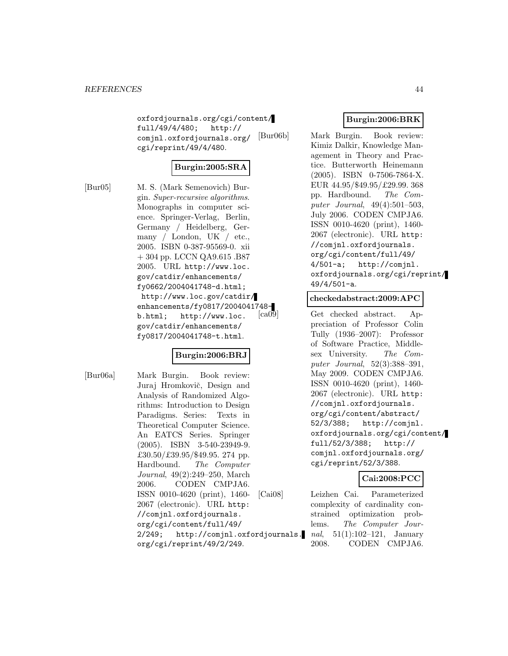oxfordjournals.org/cgi/content/ full/49/4/480; http:// comjnl.oxfordjournals.org/ cgi/reprint/49/4/480.

# **Burgin:2005:SRA**

[Bur05] M. S. (Mark Semenovich) Burgin. Super-recursive algorithms. Monographs in computer science. Springer-Verlag, Berlin, Germany / Heidelberg, Germany / London, UK / etc., 2005. ISBN 0-387-95569-0. xii + 304 pp. LCCN QA9.615 .B87 2005. URL http://www.loc. gov/catdir/enhancements/ fy0662/2004041748-d.html; http://www.loc.gov/catdir/ enhancements/fy0817/2004041748 b.html; http://www.loc. gov/catdir/enhancements/ fy0817/2004041748-t.html.

# **Burgin:2006:BRJ**

[Bur06a] Mark Burgin. Book review: Juraj Hromkovič, Design and Analysis of Randomized Algorithms: Introduction to Design Paradigms. Series: Texts in Theoretical Computer Science. An EATCS Series. Springer (2005). ISBN 3-540-23949-9. £30.50/£39.95/\$49.95. 274 pp. Hardbound. The Computer Journal, 49(2):249–250, March 2006. CODEN CMPJA6. ISSN 0010-4620 (print), 1460- 2067 (electronic). URL http: //comjnl.oxfordjournals. org/cgi/content/full/49/ 2/249; http://comjnl.oxfordjournals. org/cgi/reprint/49/2/249.

# **Burgin:2006:BRK**

[Bur06b] Mark Burgin. Book review: Kimiz Dalkir, Knowledge Management in Theory and Practice. Butterworth Heinemann (2005). ISBN 0-7506-7864-X. EUR 44.95/\$49.95/£29.99. 368 pp. Hardbound. The Computer Journal, 49(4):501–503, July 2006. CODEN CMPJA6. ISSN 0010-4620 (print), 1460- 2067 (electronic). URL http: //comjnl.oxfordjournals. org/cgi/content/full/49/ 4/501-a; http://comjnl. oxfordjournals.org/cgi/reprint/ 49/4/501-a.

#### **checkedabstract:2009:APC**

[ca09] Get checked abstract. Appreciation of Professor Colin Tully (1936–2007): Professor of Software Practice, Middlesex University. The Computer Journal, 52(3):388–391, May 2009. CODEN CMPJA6. ISSN 0010-4620 (print), 1460- 2067 (electronic). URL http: //comjnl.oxfordjournals. org/cgi/content/abstract/ 52/3/388; http://comjnl. oxfordjournals.org/cgi/content/ full/52/3/388; http:// comjnl.oxfordjournals.org/ cgi/reprint/52/3/388.

### **Cai:2008:PCC**

[Cai08] Leizhen Cai. Parameterized complexity of cardinality constrained optimization problems. The Computer Journal,  $51(1):102-121$ , January 2008. CODEN CMPJA6.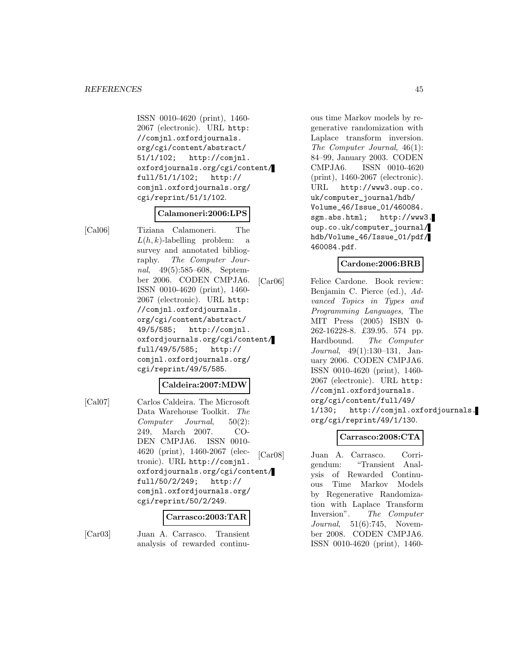ISSN 0010-4620 (print), 1460- 2067 (electronic). URL http: //comjnl.oxfordjournals. org/cgi/content/abstract/ 51/1/102; http://comjnl. oxfordjournals.org/cgi/content/ full/51/1/102; http:// comjnl.oxfordjournals.org/ cgi/reprint/51/1/102.

### **Calamoneri:2006:LPS**

[Cal06] Tiziana Calamoneri. The  $L(h, k)$ -labelling problem: a survey and annotated bibliography. The Computer Journal, 49(5):585–608, September 2006. CODEN CMPJA6. ISSN 0010-4620 (print), 1460- 2067 (electronic). URL http: //comjnl.oxfordjournals. org/cgi/content/abstract/ 49/5/585; http://comjnl. oxfordjournals.org/cgi/content/ full/49/5/585; http:// comjnl.oxfordjournals.org/ cgi/reprint/49/5/585.

### **Caldeira:2007:MDW**

[Cal07] Carlos Caldeira. The Microsoft Data Warehouse Toolkit. The Computer Journal, 50(2): 249, March 2007. CO-DEN CMPJA6. ISSN 0010- 4620 (print), 1460-2067 (electronic). URL http://comjnl. oxfordjournals.org/cgi/content/ full/50/2/249; http:// comjnl.oxfordjournals.org/ cgi/reprint/50/2/249.

#### **Carrasco:2003:TAR**

[Car03] Juan A. Carrasco. Transient analysis of rewarded continuous time Markov models by regenerative randomization with Laplace transform inversion. The Computer Journal, 46(1): 84–99, January 2003. CODEN CMPJA6. ISSN 0010-4620 (print), 1460-2067 (electronic). URL http://www3.oup.co. uk/computer\_journal/hdb/ Volume\_46/Issue\_01/460084. sgm.abs.html; http://www3. oup.co.uk/computer\_journal/ hdb/Volume\_46/Issue\_01/pdf/ 460084.pdf.

### **Cardone:2006:BRB**

[Car06] Felice Cardone. Book review: Benjamin C. Pierce (ed.), Advanced Topics in Types and Programming Languages, The MIT Press (2005) ISBN 0- 262-16228-8. £39.95. 574 pp. Hardbound. The Computer Journal, 49(1):130–131, January 2006. CODEN CMPJA6. ISSN 0010-4620 (print), 1460- 2067 (electronic). URL http: //comjnl.oxfordjournals. org/cgi/content/full/49/ 1/130; http://comjnl.oxfordjournals. org/cgi/reprint/49/1/130.

# **Carrasco:2008:CTA**

[Car08] Juan A. Carrasco. Corrigendum: "Transient Analysis of Rewarded Continuous Time Markov Models by Regenerative Randomization with Laplace Transform Inversion". The Computer Journal, 51(6):745, November 2008. CODEN CMPJA6. ISSN 0010-4620 (print), 1460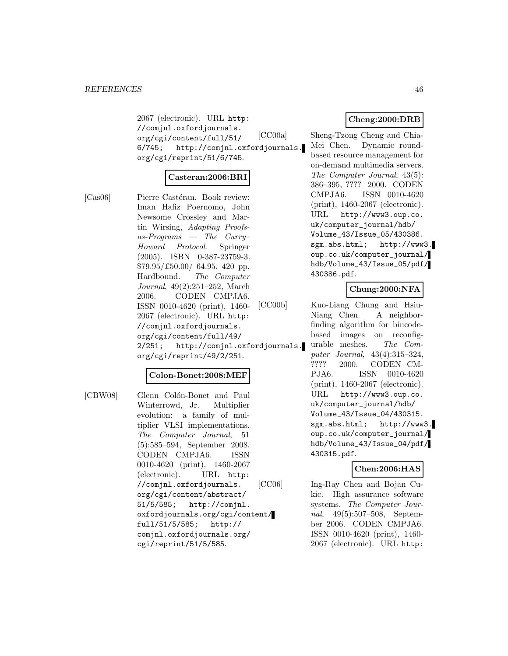2067 (electronic). URL http: //comjnl.oxfordjournals. org/cgi/content/full/51/ 6/745; http://comjnl.oxfordjournals. org/cgi/reprint/51/6/745.

# **Casteran:2006:BRI**

[Cas06] Pierre Castéran. Book review: Iman Hafiz Poernomo, John Newsome Crossley and Martin Wirsing, Adapting Proofsas-Programs — The Curry– Howard Protocol. Springer (2005). ISBN 0-387-23759-3. \$79.95/£50.00/ 64.95. 420 pp. Hardbound. The Computer Journal, 49(2):251–252, March 2006. CODEN CMPJA6. ISSN 0010-4620 (print), 1460- 2067 (electronic). URL http: //comjnl.oxfordjournals. org/cgi/content/full/49/ 2/251; http://comjnl.oxfordjournals. org/cgi/reprint/49/2/251.

#### **Colon-Bonet:2008:MEF**

[CBW08] Glenn Colón-Bonet and Paul Winterrowd, Jr. Multiplier evolution: a family of multiplier VLSI implementations. The Computer Journal, 51 (5):585–594, September 2008. CODEN CMPJA6. ISSN 0010-4620 (print), 1460-2067 (electronic). URL http: //comjnl.oxfordjournals. org/cgi/content/abstract/ 51/5/585; http://comjnl. oxfordjournals.org/cgi/content/ full/51/5/585; http:// comjnl.oxfordjournals.org/ cgi/reprint/51/5/585.

# **Cheng:2000:DRB**

[CC00a] Sheng-Tzong Cheng and Chia-Mei Chen. Dynamic roundbased resource management for on-demand multimedia servers. The Computer Journal, 43(5): 386–395, ???? 2000. CODEN CMPJA6. ISSN 0010-4620 (print), 1460-2067 (electronic). URL http://www3.oup.co. uk/computer\_journal/hdb/ Volume\_43/Issue\_05/430386. sgm.abs.html; http://www3. oup.co.uk/computer\_journal/ hdb/Volume\_43/Issue\_05/pdf/ 430386.pdf.

### **Chung:2000:NFA**

[CC00b] Kuo-Liang Chung and Hsiu-Niang Chen. A neighborfinding algorithm for bincodebased images on reconfigurable meshes. The Computer Journal, 43(4):315–324, ???? 2000. CODEN CM-PJA6. ISSN 0010-4620 (print), 1460-2067 (electronic). URL http://www3.oup.co. uk/computer\_journal/hdb/ Volume\_43/Issue\_04/430315. sgm.abs.html; http://www3. oup.co.uk/computer\_journal/ hdb/Volume\_43/Issue\_04/pdf/ 430315.pdf.

### **Chen:2006:HAS**

[CC06] Ing-Ray Chen and Bojan Cukic. High assurance software systems. The Computer Journal, 49(5):507–508, September 2006. CODEN CMPJA6. ISSN 0010-4620 (print), 1460- 2067 (electronic). URL http: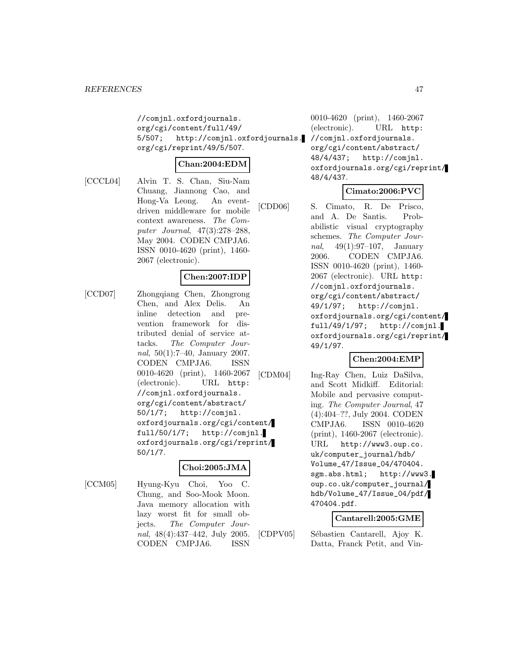//comjnl.oxfordjournals. org/cgi/content/full/49/ 5/507; http://comjnl.oxfordjournals. org/cgi/reprint/49/5/507.

$$
{\bf Chan:} 2004{:} {\bf EDM}
$$

[CCCL04] Alvin T. S. Chan, Siu-Nam Chuang, Jiannong Cao, and Hong-Va Leong. An eventdriven middleware for mobile context awareness. The Computer Journal, 47(3):278–288, May 2004. CODEN CMPJA6. ISSN 0010-4620 (print), 1460- 2067 (electronic).

### **Chen:2007:IDP**

[CCD07] Zhongqiang Chen, Zhongrong Chen, and Alex Delis. An inline detection and prevention framework for distributed denial of service attacks. The Computer Journal, 50(1):7–40, January 2007. CODEN CMPJA6. ISSN 0010-4620 (print), 1460-2067 (electronic). URL http: //comjnl.oxfordjournals. org/cgi/content/abstract/ 50/1/7; http://comjnl. oxfordjournals.org/cgi/content/ full/50/1/7; http://comjnl. oxfordjournals.org/cgi/reprint/ 50/1/7.

### **Choi:2005:JMA**

[CCM05] Hyung-Kyu Choi, Yoo C. Chung, and Soo-Mook Moon. Java memory allocation with lazy worst fit for small objects. The Computer Journal, 48(4):437–442, July 2005. CODEN CMPJA6. ISSN

0010-4620 (print), 1460-2067 (electronic). URL http: //comjnl.oxfordjournals. org/cgi/content/abstract/ 48/4/437; http://comjnl. oxfordjournals.org/cgi/reprint/ 48/4/437.

# **Cimato:2006:PVC**

[CDD06] S. Cimato, R. De Prisco, and A. De Santis. Probabilistic visual cryptography schemes. The Computer Journal, 49(1):97–107, January 2006. CODEN CMPJA6. ISSN 0010-4620 (print), 1460- 2067 (electronic). URL http: //comjnl.oxfordjournals. org/cgi/content/abstract/ 49/1/97; http://comjnl. oxfordjournals.org/cgi/content/ full/49/1/97; http://comjnl. oxfordjournals.org/cgi/reprint/ 49/1/97.

# **Chen:2004:EMP**

[CDM04] Ing-Ray Chen, Luiz DaSilva, and Scott Midkiff. Editorial: Mobile and pervasive computing. The Computer Journal, 47 (4):404–??, July 2004. CODEN CMPJA6. ISSN 0010-4620 (print), 1460-2067 (electronic). URL http://www3.oup.co. uk/computer\_journal/hdb/ Volume\_47/Issue\_04/470404. sgm.abs.html; http://www3. oup.co.uk/computer\_journal/ hdb/Volume\_47/Issue\_04/pdf/ 470404.pdf.

# **Cantarell:2005:GME**

[CDPV05] Sébastien Cantarell, Ajoy K. Datta, Franck Petit, and Vin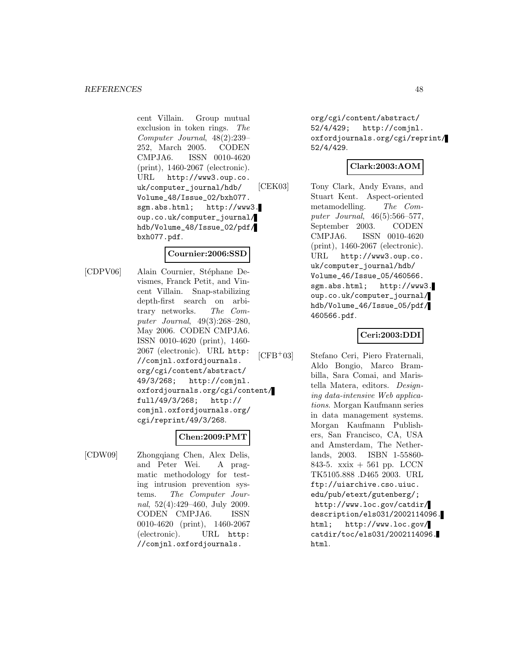cent Villain. Group mutual exclusion in token rings. The Computer Journal, 48(2):239– 252, March 2005. CODEN CMPJA6. ISSN 0010-4620 (print), 1460-2067 (electronic). URL http://www3.oup.co. uk/computer\_journal/hdb/ Volume\_48/Issue\_02/bxh077. sgm.abs.html; http://www3. oup.co.uk/computer\_journal/ hdb/Volume\_48/Issue\_02/pdf/ bxh077.pdf.

### **Cournier:2006:SSD**

[CDPV06] Alain Cournier, Stéphane Devismes, Franck Petit, and Vincent Villain. Snap-stabilizing depth-first search on arbitrary networks. The Computer Journal, 49(3):268–280, May 2006. CODEN CMPJA6. ISSN 0010-4620 (print), 1460- 2067 (electronic). URL http: //comjnl.oxfordjournals. org/cgi/content/abstract/ 49/3/268; http://comjnl. oxfordjournals.org/cgi/content/ full/49/3/268; http:// comjnl.oxfordjournals.org/ cgi/reprint/49/3/268.

# **Chen:2009:PMT**

[CDW09] Zhongqiang Chen, Alex Delis, and Peter Wei. A pragmatic methodology for testing intrusion prevention systems. The Computer Journal, 52(4):429–460, July 2009. CODEN CMPJA6. ISSN 0010-4620 (print), 1460-2067 (electronic). URL http: //comjnl.oxfordjournals.

org/cgi/content/abstract/ 52/4/429; http://comjnl. oxfordjournals.org/cgi/reprint/ 52/4/429.

# **Clark:2003:AOM**

[CEK03] Tony Clark, Andy Evans, and Stuart Kent. Aspect-oriented metamodelling. The Computer Journal, 46(5):566–577, September 2003. CODEN CMPJA6. ISSN 0010-4620 (print), 1460-2067 (electronic). URL http://www3.oup.co. uk/computer\_journal/hdb/ Volume\_46/Issue\_05/460566. sgm.abs.html; http://www3. oup.co.uk/computer\_journal/ hdb/Volume\_46/Issue\_05/pdf/ 460566.pdf.

# **Ceri:2003:DDI**

[CFB<sup>+</sup>03] Stefano Ceri, Piero Fraternali, Aldo Bongio, Marco Brambilla, Sara Comai, and Maristella Matera, editors. Designing data-intensive Web applications. Morgan Kaufmann series in data management systems. Morgan Kaufmann Publishers, San Francisco, CA, USA and Amsterdam, The Netherlands, 2003. ISBN 1-55860- 843-5. xxix + 561 pp. LCCN TK5105.888 .D465 2003. URL ftp://uiarchive.cso.uiuc. edu/pub/etext/gutenberg/; http://www.loc.gov/catdir/ description/els031/2002114096. html; http://www.loc.gov/ catdir/toc/els031/2002114096. html.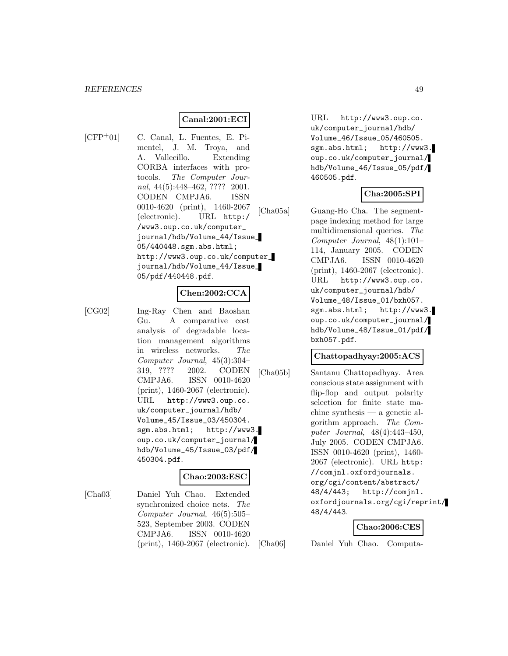### **Canal:2001:ECI**

[CFP<sup>+</sup>01] C. Canal, L. Fuentes, E. Pimentel, J. M. Troya, and A. Vallecillo. Extending CORBA interfaces with protocols. The Computer Journal, 44(5):448-462, ???? 2001. CODEN CMPJA6. ISSN 0010-4620 (print), 1460-2067 (electronic). URL http:/ /www3.oup.co.uk/computer\_ journal/hdb/Volume\_44/Issue\_ 05/440448.sgm.abs.html; http://www3.oup.co.uk/computer\_ journal/hdb/Volume\_44/Issue\_ 05/pdf/440448.pdf.

### **Chen:2002:CCA**

[CG02] Ing-Ray Chen and Baoshan Gu. A comparative cost analysis of degradable location management algorithms in wireless networks. The Computer Journal, 45(3):304– 319, ???? 2002. CODEN CMPJA6. ISSN 0010-4620 (print), 1460-2067 (electronic). URL http://www3.oup.co. uk/computer\_journal/hdb/ Volume\_45/Issue\_03/450304. sgm.abs.html; http://www3. oup.co.uk/computer\_journal/ hdb/Volume\_45/Issue\_03/pdf/ 450304.pdf.

### **Chao:2003:ESC**

[Cha03] Daniel Yuh Chao. Extended synchronized choice nets. The Computer Journal, 46(5):505– 523, September 2003. CODEN CMPJA6. ISSN 0010-4620 (print), 1460-2067 (electronic).

URL http://www3.oup.co. uk/computer\_journal/hdb/ Volume\_46/Issue\_05/460505. sgm.abs.html; http://www3. oup.co.uk/computer\_journal/ hdb/Volume\_46/Issue\_05/pdf/ 460505.pdf.

### **Cha:2005:SPI**

[Cha05a] Guang-Ho Cha. The segmentpage indexing method for large multidimensional queries. The Computer Journal, 48(1):101– 114, January 2005. CODEN CMPJA6. ISSN 0010-4620 (print), 1460-2067 (electronic). URL http://www3.oup.co. uk/computer\_journal/hdb/ Volume\_48/Issue\_01/bxh057. sgm.abs.html; http://www3. oup.co.uk/computer\_journal/ hdb/Volume\_48/Issue\_01/pdf/ bxh057.pdf.

### **Chattopadhyay:2005:ACS**

[Cha05b] Santanu Chattopadhyay. Area conscious state assignment with flip-flop and output polarity selection for finite state machine synthesis — a genetic algorithm approach. The Computer Journal, 48(4):443–450, July 2005. CODEN CMPJA6. ISSN 0010-4620 (print), 1460- 2067 (electronic). URL http: //comjnl.oxfordjournals. org/cgi/content/abstract/ 48/4/443; http://comjnl. oxfordjournals.org/cgi/reprint/ 48/4/443.

#### **Chao:2006:CES**

[Cha06] Daniel Yuh Chao. Computa-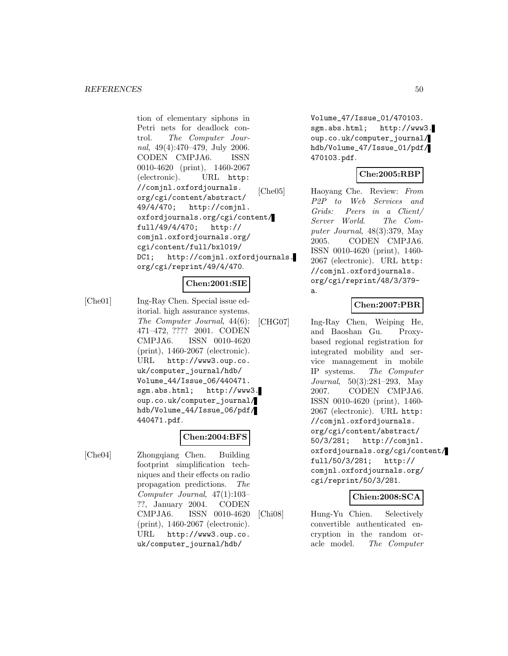tion of elementary siphons in Petri nets for deadlock control. The Computer Journal, 49(4):470–479, July 2006. CODEN CMPJA6. ISSN 0010-4620 (print), 1460-2067 (electronic). URL http: //comjnl.oxfordjournals. org/cgi/content/abstract/ 49/4/470; http://comjnl. oxfordjournals.org/cgi/content/ full/49/4/470; http:// comjnl.oxfordjournals.org/ cgi/content/full/bxl019/ DC1; http://comjnl.oxfordjournals. org/cgi/reprint/49/4/470.

# **Chen:2001:SIE**

[Che01] Ing-Ray Chen. Special issue editorial. high assurance systems. The Computer Journal, 44(6): 471–472, ???? 2001. CODEN CMPJA6. ISSN 0010-4620 (print), 1460-2067 (electronic). URL http://www3.oup.co. uk/computer\_journal/hdb/ Volume\_44/Issue\_06/440471. sgm.abs.html; http://www3. oup.co.uk/computer\_journal/ hdb/Volume\_44/Issue\_06/pdf/ 440471.pdf.

# **Chen:2004:BFS**

[Che04] Zhongqiang Chen. Building footprint simplification techniques and their effects on radio propagation predictions. The Computer Journal, 47(1):103– ??, January 2004. CODEN CMPJA6. ISSN 0010-4620 (print), 1460-2067 (electronic). URL http://www3.oup.co. uk/computer\_journal/hdb/

Volume\_47/Issue\_01/470103. sgm.abs.html; http://www3. oup.co.uk/computer\_journal/ hdb/Volume\_47/Issue\_01/pdf/ 470103.pdf.

### **Che:2005:RBP**

[Che05] Haoyang Che. Review: From P2P to Web Services and Grids: Peers in a Client/ Server World. The Computer Journal, 48(3):379, May 2005. CODEN CMPJA6. ISSN 0010-4620 (print), 1460- 2067 (electronic). URL http: //comjnl.oxfordjournals. org/cgi/reprint/48/3/379 a.

# **Chen:2007:PBR**

[CHG07] Ing-Ray Chen, Weiping He, and Baoshan Gu. Proxybased regional registration for integrated mobility and service management in mobile IP systems. The Computer Journal, 50(3):281–293, May 2007. CODEN CMPJA6. ISSN 0010-4620 (print), 1460- 2067 (electronic). URL http: //comjnl.oxfordjournals. org/cgi/content/abstract/ 50/3/281; http://comjnl. oxfordjournals.org/cgi/content/ full/50/3/281; http:// comjnl.oxfordjournals.org/ cgi/reprint/50/3/281.

### **Chien:2008:SCA**

[Chi08] Hung-Yu Chien. Selectively convertible authenticated encryption in the random oracle model. The Computer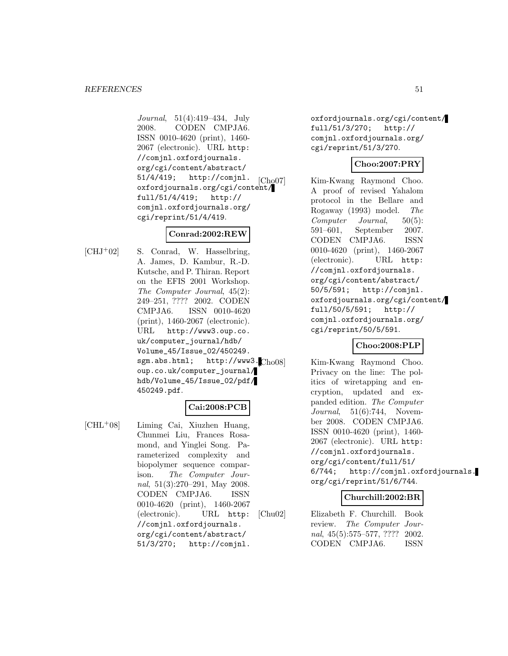Journal, 51(4):419–434, July 2008. CODEN CMPJA6. ISSN 0010-4620 (print), 1460- 2067 (electronic). URL http: //comjnl.oxfordjournals. org/cgi/content/abstract/ 51/4/419; http://comjnl. oxfordjournals.org/cgi/content/ full/51/4/419; http:// comjnl.oxfordjournals.org/ cgi/reprint/51/4/419.

### **Conrad:2002:REW**

 $[CHJ^+02]$  S. Conrad, W. Hasselbring, A. James, D. Kambur, R.-D. Kutsche, and P. Thiran. Report on the EFIS 2001 Workshop. The Computer Journal, 45(2): 249–251, ???? 2002. CODEN CMPJA6. ISSN 0010-4620 (print), 1460-2067 (electronic). URL http://www3.oup.co. uk/computer\_journal/hdb/ Volume\_45/Issue\_02/450249. sgm.abs.html; http://www3.Cho08 oup.co.uk/computer\_journal/ hdb/Volume\_45/Issue\_02/pdf/ 450249.pdf.

# **Cai:2008:PCB**

[CHL<sup>+</sup>08] Liming Cai, Xiuzhen Huang, Chunmei Liu, Frances Rosamond, and Yinglei Song. Parameterized complexity and biopolymer sequence comparison. The Computer Journal, 51(3):270–291, May 2008. CODEN CMPJA6. ISSN 0010-4620 (print), 1460-2067 (electronic). URL http: //comjnl.oxfordjournals. org/cgi/content/abstract/ 51/3/270; http://comjnl.

oxfordjournals.org/cgi/content/ full/51/3/270; http:// comjnl.oxfordjournals.org/ cgi/reprint/51/3/270.

# **Choo:2007:PRY**

[Cho07] Kim-Kwang Raymond Choo. A proof of revised Yahalom protocol in the Bellare and Rogaway (1993) model. The Computer Journal, 50(5): 591–601, September 2007. CODEN CMPJA6. ISSN 0010-4620 (print), 1460-2067 (electronic). URL http: //comjnl.oxfordjournals. org/cgi/content/abstract/ 50/5/591; http://comjnl. oxfordjournals.org/cgi/content/ full/50/5/591; http:// comjnl.oxfordjournals.org/ cgi/reprint/50/5/591.

### **Choo:2008:PLP**

Kim-Kwang Raymond Choo. Privacy on the line: The politics of wiretapping and encryption, updated and expanded edition. The Computer Journal, 51(6):744, November 2008. CODEN CMPJA6. ISSN 0010-4620 (print), 1460- 2067 (electronic). URL http: //comjnl.oxfordjournals. org/cgi/content/full/51/ 6/744; http://comjnl.oxfordjournals. org/cgi/reprint/51/6/744.

# **Churchill:2002:BR**

[Chu02] Elizabeth F. Churchill. Book review. The Computer Journal, 45(5):575–577, ???? 2002. CODEN CMPJA6. ISSN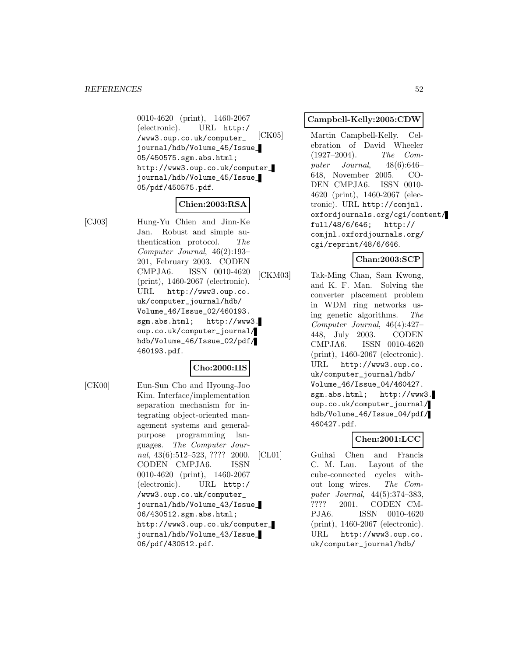0010-4620 (print), 1460-2067 (electronic). URL http:/ /www3.oup.co.uk/computer\_ journal/hdb/Volume\_45/Issue\_ 05/450575.sgm.abs.html; http://www3.oup.co.uk/computer\_ journal/hdb/Volume\_45/Issue\_ 05/pdf/450575.pdf.

# **Chien:2003:RSA**

[CJ03] Hung-Yu Chien and Jinn-Ke Jan. Robust and simple authentication protocol. The Computer Journal, 46(2):193– 201, February 2003. CODEN CMPJA6. ISSN 0010-4620 (print), 1460-2067 (electronic). URL http://www3.oup.co. uk/computer\_journal/hdb/ Volume\_46/Issue\_02/460193. sgm.abs.html; http://www3. oup.co.uk/computer\_journal/ hdb/Volume\_46/Issue\_02/pdf/ 460193.pdf.

# **Cho:2000:IIS**

[CK00] Eun-Sun Cho and Hyoung-Joo Kim. Interface/implementation separation mechanism for integrating object-oriented management systems and generalpurpose programming languages. The Computer Journal, 43(6):512–523, ???? 2000. CODEN CMPJA6. ISSN 0010-4620 (print), 1460-2067 (electronic). URL http:/ /www3.oup.co.uk/computer\_ journal/hdb/Volume\_43/Issue\_ 06/430512.sgm.abs.html; http://www3.oup.co.uk/computer\_ journal/hdb/Volume\_43/Issue\_ 06/pdf/430512.pdf.

#### **Campbell-Kelly:2005:CDW**

[CK05] Martin Campbell-Kelly. Celebration of David Wheeler (1927–2004). The Computer Journal, 48(6):646– 648, November 2005. CO-DEN CMPJA6. ISSN 0010- 4620 (print), 1460-2067 (electronic). URL http://comjnl. oxfordjournals.org/cgi/content/ full/48/6/646; http:// comjnl.oxfordjournals.org/ cgi/reprint/48/6/646.

# **Chan:2003:SCP**

[CKM03] Tak-Ming Chan, Sam Kwong, and K. F. Man. Solving the converter placement problem in WDM ring networks using genetic algorithms. The Computer Journal, 46(4):427– 448, July 2003. CODEN CMPJA6. ISSN 0010-4620 (print), 1460-2067 (electronic). URL http://www3.oup.co. uk/computer\_journal/hdb/ Volume\_46/Issue\_04/460427. sgm.abs.html; http://www3. oup.co.uk/computer\_journal/ hdb/Volume\_46/Issue\_04/pdf/ 460427.pdf.

# **Chen:2001:LCC**

[CL01] Guihai Chen and Francis C. M. Lau. Layout of the cube-connected cycles without long wires. The Computer Journal, 44(5):374–383, ???? 2001. CODEN CM-PJA6. ISSN 0010-4620 (print), 1460-2067 (electronic). URL http://www3.oup.co. uk/computer\_journal/hdb/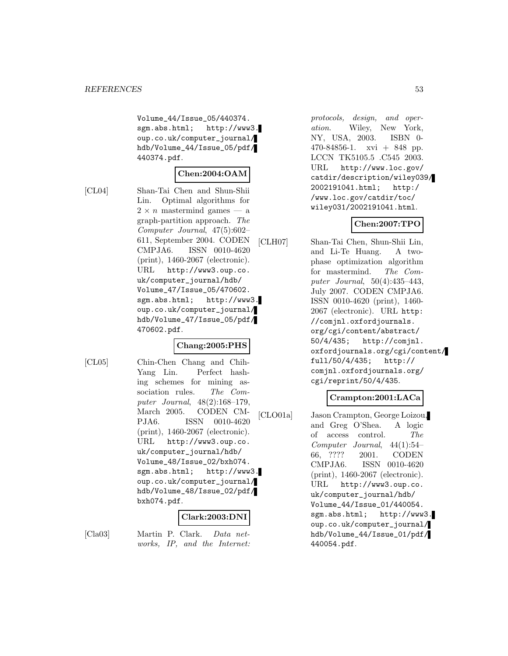Volume\_44/Issue\_05/440374. sgm.abs.html; http://www3. oup.co.uk/computer\_journal/ hdb/Volume\_44/Issue\_05/pdf/ 440374.pdf.

# **Chen:2004:OAM**

[CL04] Shan-Tai Chen and Shun-Shii Lin. Optimal algorithms for  $2 \times n$  mastermind games — a graph-partition approach. The Computer Journal, 47(5):602– 611, September 2004. CODEN CMPJA6. ISSN 0010-4620 (print), 1460-2067 (electronic). URL http://www3.oup.co. uk/computer\_journal/hdb/ Volume\_47/Issue\_05/470602. sgm.abs.html; http://www3. oup.co.uk/computer\_journal/ hdb/Volume\_47/Issue\_05/pdf/ 470602.pdf.

### **Chang:2005:PHS**

[CL05] Chin-Chen Chang and Chih-Yang Lin. Perfect hashing schemes for mining association rules. The Computer Journal, 48(2):168–179, March 2005. CODEN CM-PJA6. ISSN 0010-4620 (print), 1460-2067 (electronic). URL http://www3.oup.co. uk/computer\_journal/hdb/ Volume\_48/Issue\_02/bxh074. sgm.abs.html; http://www3. oup.co.uk/computer\_journal/ hdb/Volume\_48/Issue\_02/pdf/ bxh074.pdf.

### **Clark:2003:DNI**

[Cla03] Martin P. Clark. Data networks, IP, and the Internet:

protocols, design, and operation. Wiley, New York, NY, USA, 2003. ISBN 0-  $470-84856-1$ . xvi  $+848$  pp. LCCN TK5105.5 .C545 2003. URL http://www.loc.gov/ catdir/description/wiley039/ 2002191041.html; http:/ /www.loc.gov/catdir/toc/ wiley031/2002191041.html.

# **Chen:2007:TPO**

[CLH07] Shan-Tai Chen, Shun-Shii Lin, and Li-Te Huang. A twophase optimization algorithm for mastermind. The Computer Journal, 50(4):435–443, July 2007. CODEN CMPJA6. ISSN 0010-4620 (print), 1460- 2067 (electronic). URL http: //comjnl.oxfordjournals. org/cgi/content/abstract/ 50/4/435; http://comjnl. oxfordjournals.org/cgi/content/ full/50/4/435; http:// comjnl.oxfordjournals.org/ cgi/reprint/50/4/435.

### **Crampton:2001:LACa**

[CLO01a] Jason Crampton, George Loizou, and Greg O'Shea. A logic of access control. The Computer Journal, 44(1):54– 66, ???? 2001. CODEN CMPJA6. ISSN 0010-4620 (print), 1460-2067 (electronic). URL http://www3.oup.co. uk/computer\_journal/hdb/ Volume\_44/Issue\_01/440054. sgm.abs.html; http://www3. oup.co.uk/computer\_journal/ hdb/Volume\_44/Issue\_01/pdf/ 440054.pdf.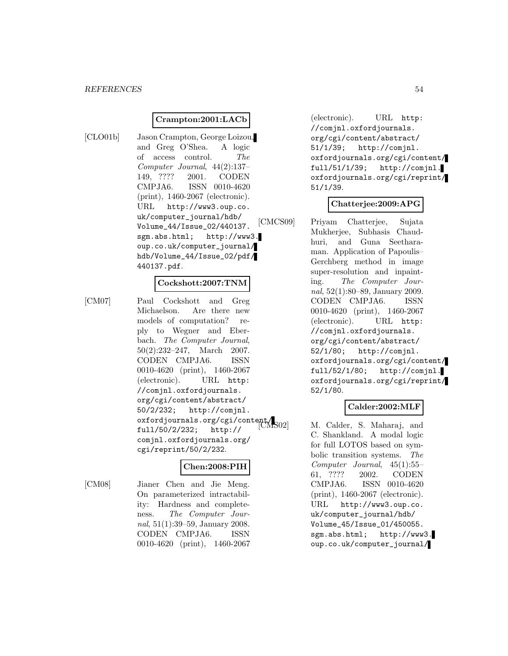### **Crampton:2001:LACb**

[CLO01b] Jason Crampton, George Loizou, and Greg O'Shea. A logic of access control. The Computer Journal, 44(2):137– 149, ???? 2001. CODEN CMPJA6. ISSN 0010-4620 (print), 1460-2067 (electronic). URL http://www3.oup.co. uk/computer\_journal/hdb/ Volume\_44/Issue\_02/440137. sgm.abs.html; http://www3. oup.co.uk/computer\_journal/ hdb/Volume\_44/Issue\_02/pdf/ 440137.pdf.

#### **Cockshott:2007:TNM**

[CM07] Paul Cockshott and Greg Michaelson. Are there new models of computation? reply to Wegner and Eberbach. The Computer Journal, 50(2):232–247, March 2007. CODEN CMPJA6. ISSN 0010-4620 (print), 1460-2067 (electronic). URL http: //comjnl.oxfordjournals. org/cgi/content/abstract/ 50/2/232; http://comjnl. oxfordjournals.org/cgi/content/ full/50/2/232; http:// comjnl.oxfordjournals.org/ cgi/reprint/50/2/232.

### **Chen:2008:PIH**

[CM08] Jianer Chen and Jie Meng. On parameterized intractability: Hardness and completeness. The Computer Journal, 51(1):39–59, January 2008. CODEN CMPJA6. ISSN 0010-4620 (print), 1460-2067

(electronic). URL http: //comjnl.oxfordjournals. org/cgi/content/abstract/ 51/1/39; http://comjnl. oxfordjournals.org/cgi/content/ full/51/1/39; http://comjnl. oxfordjournals.org/cgi/reprint/ 51/1/39.

### **Chatterjee:2009:APG**

[CMCS09] Priyam Chatterjee, Sujata Mukherjee, Subhasis Chaudhuri, and Guna Seetharaman. Application of Papoulis– Gerchberg method in image super-resolution and inpainting. The Computer Journal, 52(1):80–89, January 2009. CODEN CMPJA6. ISSN 0010-4620 (print), 1460-2067 (electronic). URL http: //comjnl.oxfordjournals. org/cgi/content/abstract/ 52/1/80; http://comjnl. oxfordjournals.org/cgi/content/ full/52/1/80; http://comjnl. oxfordjournals.org/cgi/reprint/ 52/1/80.

### **Calder:2002:MLF**

M. Calder, S. Maharaj, and C. Shankland. A modal logic for full LOTOS based on symbolic transition systems. The Computer Journal, 45(1):55– 61, ???? 2002. CODEN CMPJA6. ISSN 0010-4620 (print), 1460-2067 (electronic). URL http://www3.oup.co. uk/computer\_journal/hdb/ Volume\_45/Issue\_01/450055. sgm.abs.html; http://www3. oup.co.uk/computer\_journal/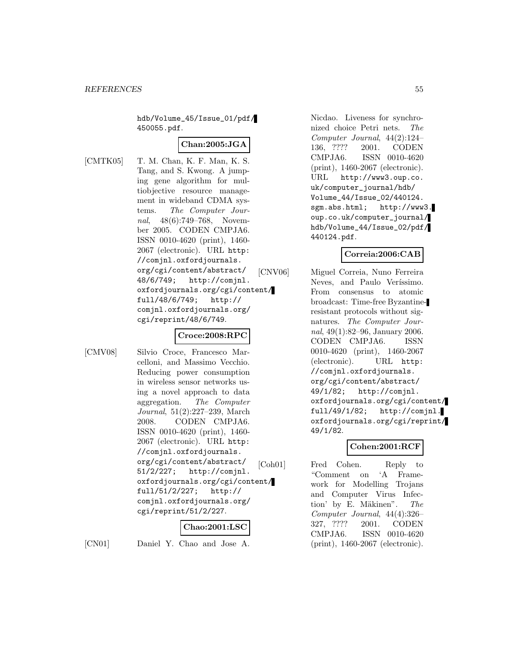hdb/Volume\_45/Issue\_01/pdf/ 450055.pdf.

### **Chan:2005:JGA**

[CMTK05] T. M. Chan, K. F. Man, K. S. Tang, and S. Kwong. A jumping gene algorithm for multiobjective resource management in wideband CDMA systems. The Computer Journal, 48(6):749–768, November 2005. CODEN CMPJA6. ISSN 0010-4620 (print), 1460- 2067 (electronic). URL http: //comjnl.oxfordjournals. org/cgi/content/abstract/ 48/6/749; http://comjnl. oxfordjournals.org/cgi/content/ full/48/6/749; http:// comjnl.oxfordjournals.org/ cgi/reprint/48/6/749.

### **Croce:2008:RPC**

[CMV08] Silvio Croce, Francesco Marcelloni, and Massimo Vecchio. Reducing power consumption in wireless sensor networks using a novel approach to data aggregation. The Computer Journal, 51(2):227–239, March 2008. CODEN CMPJA6. ISSN 0010-4620 (print), 1460- 2067 (electronic). URL http: //comjnl.oxfordjournals. org/cgi/content/abstract/ 51/2/227; http://comjnl. oxfordjournals.org/cgi/content/ full/51/2/227; http:// comjnl.oxfordjournals.org/ cgi/reprint/51/2/227.

### **Chao:2001:LSC**

[CN01] Daniel Y. Chao and Jose A.

Nicdao. Liveness for synchronized choice Petri nets. The Computer Journal, 44(2):124– 136, ???? 2001. CODEN CMPJA6. ISSN 0010-4620 (print), 1460-2067 (electronic). URL http://www3.oup.co. uk/computer\_journal/hdb/ Volume\_44/Issue\_02/440124. sgm.abs.html; http://www3. oup.co.uk/computer\_journal/ hdb/Volume\_44/Issue\_02/pdf/ 440124.pdf.

### **Correia:2006:CAB**

[CNV06] Miguel Correia, Nuno Ferreira Neves, and Paulo Veríssimo. From consensus to atomic broadcast: Time-free Byzantineresistant protocols without signatures. The Computer Journal, 49(1):82–96, January 2006. CODEN CMPJA6. ISSN 0010-4620 (print), 1460-2067 (electronic). URL http: //comjnl.oxfordjournals. org/cgi/content/abstract/ 49/1/82; http://comjnl. oxfordjournals.org/cgi/content/ full/49/1/82; http://comjnl. oxfordjournals.org/cgi/reprint/ 49/1/82.

### **Cohen:2001:RCF**

[Coh01] Fred Cohen. Reply to "Comment on 'A Framework for Modelling Trojans and Computer Virus Infection' by E. Mäkinen".  $The$ Computer Journal, 44(4):326– 327, ???? 2001. CODEN CMPJA6. ISSN 0010-4620 (print), 1460-2067 (electronic).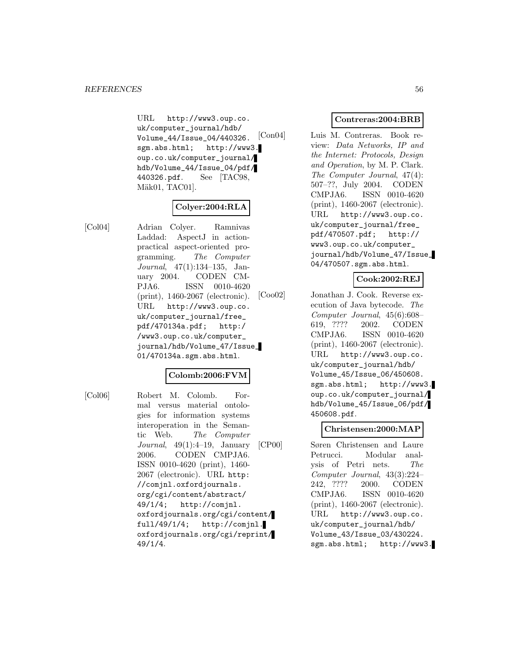URL http://www3.oup.co. uk/computer\_journal/hdb/ Volume\_44/Issue\_04/440326. sgm.abs.html; http://www3. oup.co.uk/computer\_journal/ hdb/Volume\_44/Issue\_04/pdf/ 440326.pdf. See [TAC98, Mäk01, TAC01].

# **Colyer:2004:RLA**

[Col04] Adrian Colyer. Ramnivas Laddad: AspectJ in actionpractical aspect-oriented programming. The Computer Journal, 47(1):134–135, January 2004. CODEN CM-PJA6. ISSN 0010-4620 (print), 1460-2067 (electronic). URL http://www3.oup.co. uk/computer\_journal/free\_ pdf/470134a.pdf; http:/ /www3.oup.co.uk/computer\_ journal/hdb/Volume\_47/Issue\_ 01/470134a.sgm.abs.html.

### **Colomb:2006:FVM**

[Col06] Robert M. Colomb. Formal versus material ontologies for information systems interoperation in the Semantic Web. The Computer Journal, 49(1):4–19, January 2006. CODEN CMPJA6. ISSN 0010-4620 (print), 1460- 2067 (electronic). URL http: //comjnl.oxfordjournals. org/cgi/content/abstract/ 49/1/4; http://comjnl. oxfordjournals.org/cgi/content/ full/49/1/4; http://comjnl. oxfordjournals.org/cgi/reprint/ 49/1/4.

### **Contreras:2004:BRB**

[Con04] Luis M. Contreras. Book review: Data Networks, IP and the Internet: Protocols, Design and Operation, by M. P. Clark. The Computer Journal, 47(4): 507–??, July 2004. CODEN CMPJA6. ISSN 0010-4620 (print), 1460-2067 (electronic). URL http://www3.oup.co. uk/computer\_journal/free\_ pdf/470507.pdf; http:// www3.oup.co.uk/computer\_ journal/hdb/Volume\_47/Issue\_ 04/470507.sgm.abs.html.

### **Cook:2002:REJ**

[Coo02] Jonathan J. Cook. Reverse execution of Java bytecode. The Computer Journal, 45(6):608– 619, ???? 2002. CODEN CMPJA6. ISSN 0010-4620 (print), 1460-2067 (electronic). URL http://www3.oup.co. uk/computer\_journal/hdb/ Volume\_45/Issue\_06/450608. sgm.abs.html; http://www3. oup.co.uk/computer\_journal/ hdb/Volume\_45/Issue\_06/pdf/ 450608.pdf.

#### **Christensen:2000:MAP**

[CP00] Søren Christensen and Laure Petrucci. Modular analysis of Petri nets. The Computer Journal, 43(3):224– 242, ???? 2000. CODEN CMPJA6. ISSN 0010-4620 (print), 1460-2067 (electronic). URL http://www3.oup.co. uk/computer\_journal/hdb/ Volume\_43/Issue\_03/430224. sgm.abs.html; http://www3.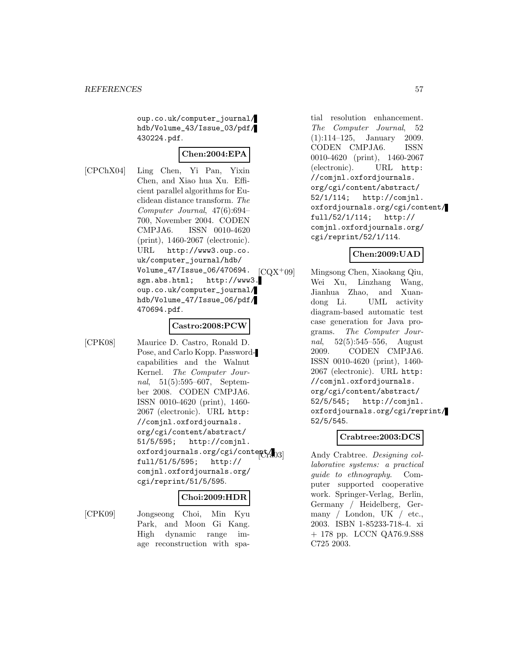oup.co.uk/computer\_journal/ hdb/Volume\_43/Issue\_03/pdf/ 430224.pdf.

### **Chen:2004:EPA**

[CPChX04] Ling Chen, Yi Pan, Yixin Chen, and Xiao hua Xu. Efficient parallel algorithms for Euclidean distance transform. The Computer Journal, 47(6):694– 700, November 2004. CODEN CMPJA6. ISSN 0010-4620 (print), 1460-2067 (electronic). URL http://www3.oup.co. uk/computer\_journal/hdb/ Volume\_47/Issue\_06/470694. sgm.abs.html; http://www3. oup.co.uk/computer\_journal/ hdb/Volume\_47/Issue\_06/pdf/ 470694.pdf.

### **Castro:2008:PCW**

[CPK08] Maurice D. Castro, Ronald D. Pose, and Carlo Kopp. Passwordcapabilities and the Walnut Kernel. The Computer Journal, 51(5):595–607, September 2008. CODEN CMPJA6. ISSN 0010-4620 (print), 1460- 2067 (electronic). URL http: //comjnl.oxfordjournals. org/cgi/content/abstract/ 51/5/595; http://comjnl. oxfordjournals.org/cgi/content/ full/51/5/595; http:// comjnl.oxfordjournals.org/ cgi/reprint/51/5/595.

### **Choi:2009:HDR**

[CPK09] Jongseong Choi, Min Kyu Park, and Moon Gi Kang. High dynamic range image reconstruction with spa-

tial resolution enhancement. The Computer Journal, 52 (1):114–125, January 2009. CODEN CMPJA6. ISSN 0010-4620 (print), 1460-2067 (electronic). URL http: //comjnl.oxfordjournals. org/cgi/content/abstract/ 52/1/114; http://comjnl. oxfordjournals.org/cgi/content/ full/52/1/114; http:// comjnl.oxfordjournals.org/ cgi/reprint/52/1/114.

### **Chen:2009:UAD**

[CQX<sup>+</sup>09] Mingsong Chen, Xiaokang Qiu, Wei Xu, Linzhang Wang, Jianhua Zhao, and Xuandong Li. UML activity diagram-based automatic test case generation for Java programs. The Computer Journal, 52(5):545–556, August 2009. CODEN CMPJA6. ISSN 0010-4620 (print), 1460- 2067 (electronic). URL http: //comjnl.oxfordjournals. org/cgi/content/abstract/ 52/5/545; http://comjnl. oxfordjournals.org/cgi/reprint/ 52/5/545.

# **Crabtree:2003:DCS**

Andy Crabtree. Designing collaborative systems: a practical guide to ethnography. Computer supported cooperative work. Springer-Verlag, Berlin, Germany / Heidelberg, Germany / London, UK / etc., 2003. ISBN 1-85233-718-4. xi + 178 pp. LCCN QA76.9.S88 C725 2003.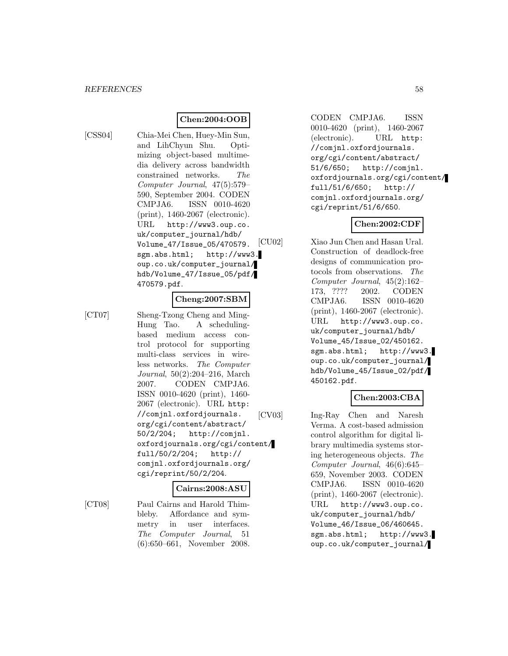# **Chen:2004:OOB**

[CSS04] Chia-Mei Chen, Huey-Min Sun, and LihChyun Shu. Optimizing object-based multimedia delivery across bandwidth constrained networks. The Computer Journal, 47(5):579– 590, September 2004. CODEN CMPJA6. ISSN 0010-4620 (print), 1460-2067 (electronic). URL http://www3.oup.co. uk/computer\_journal/hdb/ Volume\_47/Issue\_05/470579. sgm.abs.html; http://www3. oup.co.uk/computer\_journal/ hdb/Volume\_47/Issue\_05/pdf/ 470579.pdf.

# **Cheng:2007:SBM**

[CT07] Sheng-Tzong Cheng and Ming-Hung Tao. A schedulingbased medium access control protocol for supporting multi-class services in wireless networks. The Computer Journal, 50(2):204–216, March 2007. CODEN CMPJA6. ISSN 0010-4620 (print), 1460- 2067 (electronic). URL http: //comjnl.oxfordjournals. org/cgi/content/abstract/ 50/2/204; http://comjnl. oxfordjournals.org/cgi/content/ full/50/2/204; http:// comjnl.oxfordjournals.org/ cgi/reprint/50/2/204.

### **Cairns:2008:ASU**

[CT08] Paul Cairns and Harold Thimbleby. Affordance and symmetry in user interfaces. The Computer Journal, 51 (6):650–661, November 2008.

CODEN CMPJA6. ISSN 0010-4620 (print), 1460-2067 (electronic). URL http: //comjnl.oxfordjournals. org/cgi/content/abstract/ 51/6/650; http://comjnl. oxfordjournals.org/cgi/content/ full/51/6/650; http:// comjnl.oxfordjournals.org/ cgi/reprint/51/6/650.

### **Chen:2002:CDF**

[CU02] Xiao Jun Chen and Hasan Ural. Construction of deadlock-free designs of communication protocols from observations. The Computer Journal, 45(2):162– 173, ???? 2002. CODEN CMPJA6. ISSN 0010-4620 (print), 1460-2067 (electronic). URL http://www3.oup.co. uk/computer\_journal/hdb/ Volume\_45/Issue\_02/450162. sgm.abs.html; http://www3. oup.co.uk/computer\_journal/ hdb/Volume\_45/Issue\_02/pdf/ 450162.pdf.

### **Chen:2003:CBA**

[CV03] Ing-Ray Chen and Naresh Verma. A cost-based admission control algorithm for digital library multimedia systems storing heterogeneous objects. The Computer Journal, 46(6):645– 659, November 2003. CODEN CMPJA6. ISSN 0010-4620 (print), 1460-2067 (electronic). URL http://www3.oup.co. uk/computer\_journal/hdb/ Volume\_46/Issue\_06/460645. sgm.abs.html; http://www3. oup.co.uk/computer\_journal/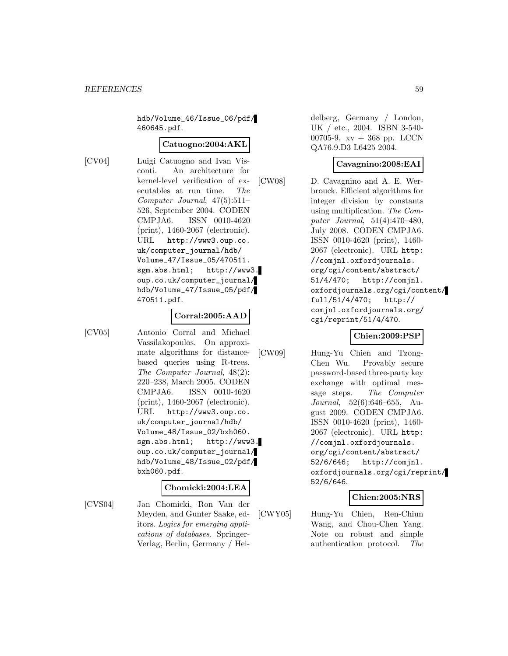hdb/Volume\_46/Issue\_06/pdf/ 460645.pdf.

### **Catuogno:2004:AKL**

[CV04] Luigi Catuogno and Ivan Visconti. An architecture for kernel-level verification of executables at run time. The Computer Journal, 47(5):511– 526, September 2004. CODEN CMPJA6. ISSN 0010-4620 (print), 1460-2067 (electronic). URL http://www3.oup.co. uk/computer\_journal/hdb/ Volume\_47/Issue\_05/470511. sgm.abs.html; http://www3. oup.co.uk/computer\_journal/ hdb/Volume\_47/Issue\_05/pdf/ 470511.pdf.

#### **Corral:2005:AAD**

[CV05] Antonio Corral and Michael Vassilakopoulos. On approximate algorithms for distancebased queries using R-trees. The Computer Journal, 48(2): 220–238, March 2005. CODEN CMPJA6. ISSN 0010-4620 (print), 1460-2067 (electronic). URL http://www3.oup.co. uk/computer\_journal/hdb/ Volume\_48/Issue\_02/bxh060. sgm.abs.html; http://www3. oup.co.uk/computer\_journal/ hdb/Volume\_48/Issue\_02/pdf/ bxh060.pdf.

#### **Chomicki:2004:LEA**

[CVS04] Jan Chomicki, Ron Van der Meyden, and Gunter Saake, editors. Logics for emerging applications of databases. Springer-Verlag, Berlin, Germany / Hei-

delberg, Germany / London, UK / etc., 2004. ISBN 3-540- 00705-9.  $xy + 368$  pp. LCCN QA76.9.D3 L6425 2004.

# **Cavagnino:2008:EAI**

[CW08] D. Cavagnino and A. E. Werbrouck. Efficient algorithms for integer division by constants using multiplication. The Computer Journal, 51(4):470–480, July 2008. CODEN CMPJA6. ISSN 0010-4620 (print), 1460- 2067 (electronic). URL http: //comjnl.oxfordjournals. org/cgi/content/abstract/ 51/4/470; http://comjnl. oxfordjournals.org/cgi/content/ full/51/4/470; http:// comjnl.oxfordjournals.org/ cgi/reprint/51/4/470.

### **Chien:2009:PSP**

[CW09] Hung-Yu Chien and Tzong-Chen Wu. Provably secure password-based three-party key exchange with optimal message steps. The Computer Journal, 52(6):646–655, August 2009. CODEN CMPJA6. ISSN 0010-4620 (print), 1460- 2067 (electronic). URL http: //comjnl.oxfordjournals. org/cgi/content/abstract/ 52/6/646; http://comjnl. oxfordjournals.org/cgi/reprint/ 52/6/646.

# **Chien:2005:NRS**

[CWY05] Hung-Yu Chien, Ren-Chiun Wang, and Chou-Chen Yang. Note on robust and simple authentication protocol. The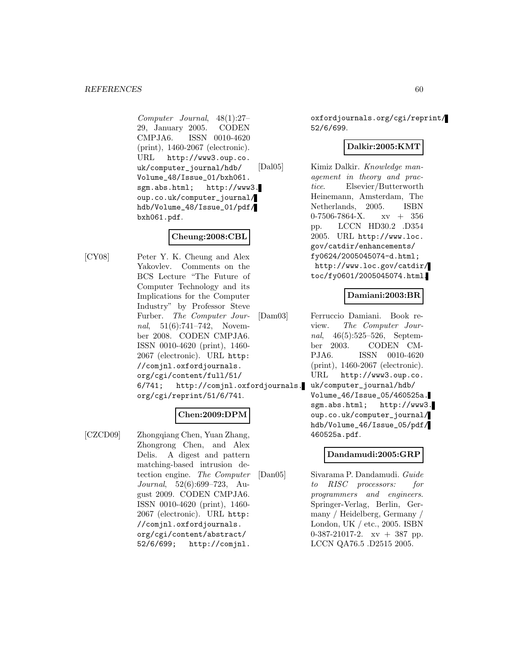Computer Journal, 48(1):27– 29, January 2005. CODEN CMPJA6. ISSN 0010-4620 (print), 1460-2067 (electronic). URL http://www3.oup.co. uk/computer\_journal/hdb/ Volume\_48/Issue\_01/bxh061. sgm.abs.html; http://www3. oup.co.uk/computer\_journal/ hdb/Volume\_48/Issue\_01/pdf/ bxh061.pdf.

## **Cheung:2008:CBL**

[CY08] Peter Y. K. Cheung and Alex Yakovlev. Comments on the BCS Lecture "The Future of Computer Technology and its Implications for the Computer Industry" by Professor Steve Furber. The Computer Journal, 51(6):741-742, November 2008. CODEN CMPJA6. ISSN 0010-4620 (print), 1460- 2067 (electronic). URL http: //comjnl.oxfordjournals. org/cgi/content/full/51/ 6/741; http://comjnl.oxfordjournals. org/cgi/reprint/51/6/741.

# **Chen:2009:DPM**

[CZCD09] Zhongqiang Chen, Yuan Zhang, Zhongrong Chen, and Alex Delis. A digest and pattern matching-based intrusion detection engine. The Computer Journal, 52(6):699–723, August 2009. CODEN CMPJA6. ISSN 0010-4620 (print), 1460- 2067 (electronic). URL http: //comjnl.oxfordjournals. org/cgi/content/abstract/ 52/6/699; http://comjnl.

oxfordjournals.org/cgi/reprint/ 52/6/699.

# **Dalkir:2005:KMT**

[Dal05] Kimiz Dalkir. Knowledge management in theory and practice. Elsevier/Butterworth Heinemann, Amsterdam, The Netherlands, 2005. ISBN  $0-7506-7864-X$ .  $xy + 356$ pp. LCCN HD30.2 .D354 2005. URL http://www.loc. gov/catdir/enhancements/ fy0624/2005045074-d.html; http://www.loc.gov/catdir/ toc/fy0601/2005045074.html.

# **Damiani:2003:BR**

[Dam03] Ferruccio Damiani. Book review. The Computer Journal, 46(5):525–526, September 2003. CODEN CM-PJA6. ISSN 0010-4620 (print), 1460-2067 (electronic). URL http://www3.oup.co. uk/computer\_journal/hdb/ Volume\_46/Issue\_05/460525a. sgm.abs.html; http://www3. oup.co.uk/computer\_journal/ hdb/Volume\_46/Issue\_05/pdf/ 460525a.pdf.

# **Dandamudi:2005:GRP**

[Dan05] Sivarama P. Dandamudi. Guide to RISC processors: for programmers and engineers. Springer-Verlag, Berlin, Germany / Heidelberg, Germany / London, UK / etc., 2005. ISBN 0-387-21017-2. xv + 387 pp. LCCN QA76.5 .D2515 2005.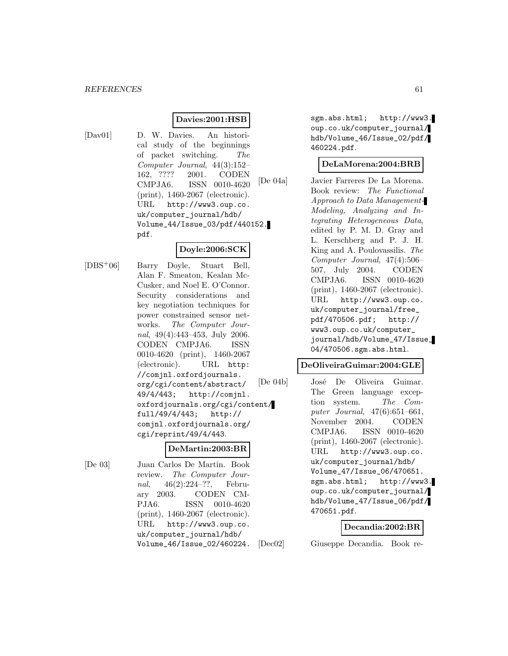### **Davies:2001:HSB**

[Dav01] D. W. Davies. An historical study of the beginnings of packet switching. The Computer Journal, 44(3):152– 162, ???? 2001. CODEN CMPJA6. ISSN 0010-4620 (print), 1460-2067 (electronic). URL http://www3.oup.co. uk/computer\_journal/hdb/ Volume\_44/Issue\_03/pdf/440152. pdf.

### **Doyle:2006:SCK**

[DBS<sup>+</sup>06] Barry Doyle, Stuart Bell, Alan F. Smeaton, Kealan Mc-Cusker, and Noel E. O'Connor. Security considerations and key negotiation techniques for power constrained sensor networks. The Computer Journal, 49(4):443–453, July 2006. CODEN CMPJA6. ISSN 0010-4620 (print), 1460-2067 (electronic). URL http: //comjnl.oxfordjournals. org/cgi/content/abstract/ 49/4/443; http://comjnl. oxfordjournals.org/cgi/content/ full/49/4/443; http:// comjnl.oxfordjournals.org/ cgi/reprint/49/4/443.

#### **DeMartin:2003:BR**

[De 03] Juan Carlos De Martin. Book review. The Computer Journal, 46(2):224–??, February 2003. CODEN CM-PJA6. ISSN 0010-4620 (print), 1460-2067 (electronic). URL http://www3.oup.co. uk/computer\_journal/hdb/ Volume\_46/Issue\_02/460224.

sgm.abs.html; http://www3. oup.co.uk/computer\_journal/ hdb/Volume\_46/Issue\_02/pdf/ 460224.pdf.

#### **DeLaMorena:2004:BRB**

[De 04a] Javier Farreres De La Morena. Book review: The Functional Approach to Data Management-Modeling, Analyzing and Integrating Heterogeneous Data, edited by P. M. D. Gray and L. Kerschberg and P. J. H. King and A. Poulovassilis. The Computer Journal, 47(4):506– 507, July 2004. CODEN CMPJA6. ISSN 0010-4620 (print), 1460-2067 (electronic). URL http://www3.oup.co. uk/computer\_journal/free\_ pdf/470506.pdf; http:// www3.oup.co.uk/computer\_ journal/hdb/Volume\_47/Issue\_ 04/470506.sgm.abs.html.

#### **DeOliveiraGuimar:2004:GLE**

[De 04b] José De Oliveira Guimar. The Green language exception system. The Computer Journal, 47(6):651–661, November 2004. CODEN CMPJA6. ISSN 0010-4620 (print), 1460-2067 (electronic). URL http://www3.oup.co. uk/computer\_journal/hdb/ Volume\_47/Issue\_06/470651. sgm.abs.html; http://www3. oup.co.uk/computer\_journal/ hdb/Volume\_47/Issue\_06/pdf/ 470651.pdf.

#### **Decandia:2002:BR**

[Dec02] Giuseppe Decandia. Book re-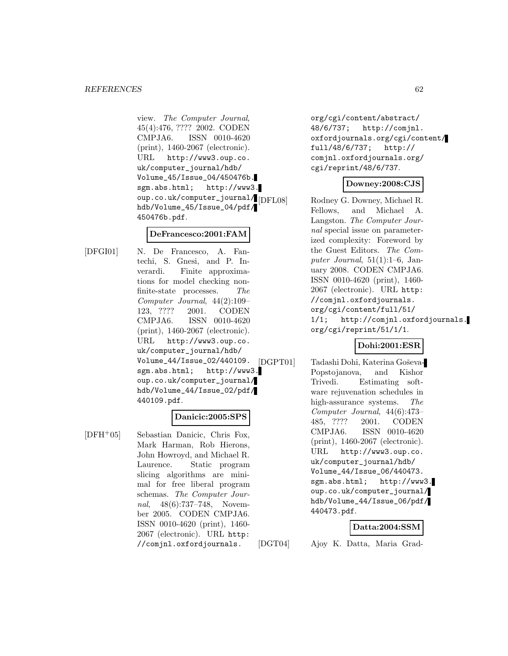view. The Computer Journal, 45(4):476, ???? 2002. CODEN CMPJA6. ISSN 0010-4620 (print), 1460-2067 (electronic). URL http://www3.oup.co. uk/computer\_journal/hdb/ Volume\_45/Issue\_04/450476b. sgm.abs.html; http://www3. oup.co.uk/computer\_journal/[DFL08] hdb/Volume\_45/Issue\_04/pdf/ 450476b.pdf.

### **DeFrancesco:2001:FAM**

[DFGI01] N. De Francesco, A. Fantechi, S. Gnesi, and P. Inverardi. Finite approximations for model checking nonfinite-state processes. The Computer Journal, 44(2):109– 123, ???? 2001. CODEN CMPJA6. ISSN 0010-4620 (print), 1460-2067 (electronic). URL http://www3.oup.co. uk/computer\_journal/hdb/ Volume\_44/Issue\_02/440109. sgm.abs.html; http://www3. oup.co.uk/computer\_journal/ hdb/Volume\_44/Issue\_02/pdf/ 440109.pdf.

### **Danicic:2005:SPS**

[DFH<sup>+</sup>05] Sebastian Danicic, Chris Fox, Mark Harman, Rob Hierons, John Howroyd, and Michael R. Laurence. Static program slicing algorithms are minimal for free liberal program schemas. The Computer Journal, 48(6):737–748, November 2005. CODEN CMPJA6. ISSN 0010-4620 (print), 1460- 2067 (electronic). URL http: //comjnl.oxfordjournals.

org/cgi/content/abstract/ 48/6/737; http://comjnl. oxfordjournals.org/cgi/content/ full/48/6/737; http:// comjnl.oxfordjournals.org/ cgi/reprint/48/6/737.

### **Downey:2008:CJS**

Rodney G. Downey, Michael R. Fellows, and Michael A. Langston. The Computer Journal special issue on parameterized complexity: Foreword by the Guest Editors. The Computer Journal,  $51(1):1-6$ , January 2008. CODEN CMPJA6. ISSN 0010-4620 (print), 1460- 2067 (electronic). URL http: //comjnl.oxfordjournals. org/cgi/content/full/51/ 1/1; http://comjnl.oxfordjournals. org/cgi/reprint/51/1/1.

### **Dohi:2001:ESR**

[DGPT01] Tadashi Dohi, Katerina Goševa-Popstojanova, and Kishor Trivedi. Estimating software rejuvenation schedules in high-assurance systems. The Computer Journal, 44(6):473– 485, ???? 2001. CODEN CMPJA6. ISSN 0010-4620 (print), 1460-2067 (electronic). URL http://www3.oup.co. uk/computer\_journal/hdb/ Volume\_44/Issue\_06/440473. sgm.abs.html; http://www3. oup.co.uk/computer\_journal/ hdb/Volume\_44/Issue\_06/pdf/ 440473.pdf.

### **Datta:2004:SSM**

[DGT04] Ajoy K. Datta, Maria Grad-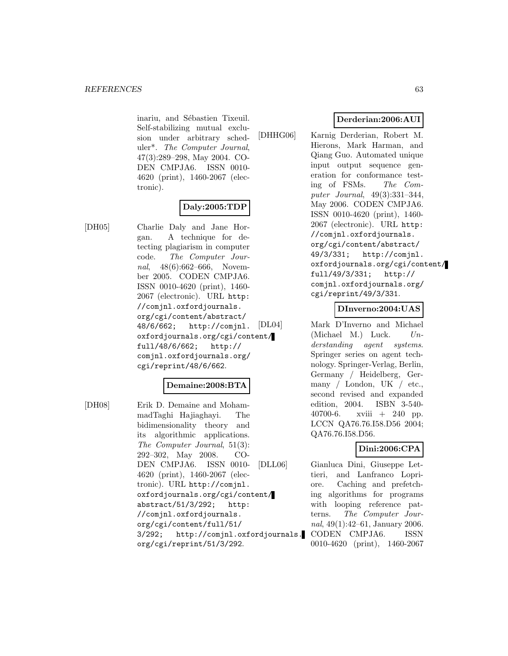inariu, and Sébastien Tixeuil. Self-stabilizing mutual exclusion under arbitrary scheduler\*. The Computer Journal, 47(3):289–298, May 2004. CO-DEN CMPJA6. ISSN 0010- 4620 (print), 1460-2067 (electronic).

# **Daly:2005:TDP**

[DH05] Charlie Daly and Jane Horgan. A technique for detecting plagiarism in computer code. The Computer Journal, 48(6):662–666, November 2005. CODEN CMPJA6. ISSN 0010-4620 (print), 1460- 2067 (electronic). URL http: //comjnl.oxfordjournals. org/cgi/content/abstract/ 48/6/662; http://comjnl. oxfordjournals.org/cgi/content/ full/48/6/662; http:// comjnl.oxfordjournals.org/ cgi/reprint/48/6/662.

### **Demaine:2008:BTA**

[DH08] Erik D. Demaine and MohammadTaghi Hajiaghayi. The bidimensionality theory and its algorithmic applications. The Computer Journal, 51(3): 292–302, May 2008. CO-DEN CMPJA6. ISSN 0010- 4620 (print), 1460-2067 (electronic). URL http://comjnl. oxfordjournals.org/cgi/content/ abstract/51/3/292; http: //comjnl.oxfordjournals. org/cgi/content/full/51/ 3/292; http://comjnl.oxfordjournals. org/cgi/reprint/51/3/292.

# **Derderian:2006:AUI**

[DHHG06] Karnig Derderian, Robert M. Hierons, Mark Harman, and Qiang Guo. Automated unique input output sequence generation for conformance testing of FSMs. The Computer Journal, 49(3):331–344, May 2006. CODEN CMPJA6. ISSN 0010-4620 (print), 1460- 2067 (electronic). URL http: //comjnl.oxfordjournals. org/cgi/content/abstract/ 49/3/331; http://comjnl. oxfordjournals.org/cgi/content/ full/49/3/331; http:// comjnl.oxfordjournals.org/ cgi/reprint/49/3/331.

### **DInverno:2004:UAS**

Mark D'Inverno and Michael (Michael M.) Luck.  $Un$ derstanding agent systems. Springer series on agent technology. Springer-Verlag, Berlin, Germany / Heidelberg, Germany / London, UK / etc., second revised and expanded edition, 2004. ISBN 3-540- 40700-6. xviii + 240 pp. LCCN QA76.76.I58.D56 2004; QA76.76.I58.D56.

# **Dini:2006:CPA**

[DLL06] Gianluca Dini, Giuseppe Lettieri, and Lanfranco Lopriore. Caching and prefetching algorithms for programs with looping reference patterns. The Computer Journal, 49(1):42–61, January 2006. CODEN CMPJA6. ISSN 0010-4620 (print), 1460-2067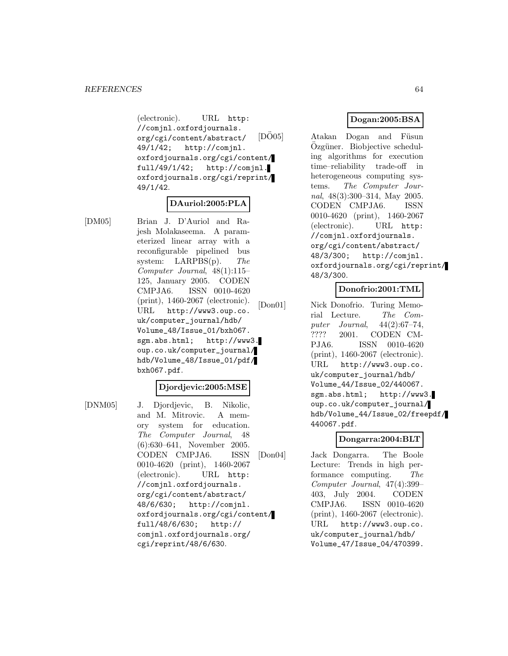(electronic). URL http: //comjnl.oxfordjournals. org/cgi/content/abstract/ 49/1/42; http://comjnl. oxfordjournals.org/cgi/content/ full/49/1/42; http://comjnl. oxfordjournals.org/cgi/reprint/ 49/1/42.

### **DAuriol:2005:PLA**

[DM05] Brian J. D'Auriol and Rajesh Molakaseema. A parameterized linear array with a reconfigurable pipelined bus system: LARPBS(p). The Computer Journal, 48(1):115– 125, January 2005. CODEN CMPJA6. ISSN 0010-4620 (print), 1460-2067 (electronic). URL http://www3.oup.co. uk/computer\_journal/hdb/ Volume\_48/Issue\_01/bxh067. sgm.abs.html; http://www3. oup.co.uk/computer\_journal/ hdb/Volume\_48/Issue\_01/pdf/ bxh067.pdf.

#### **Djordjevic:2005:MSE**

[DNM05] J. Djordjevic, B. Nikolic, and M. Mitrovic. A memory system for education. The Computer Journal, 48 (6):630–641, November 2005. CODEN CMPJA6. ISSN 0010-4620 (print), 1460-2067 (electronic). URL http: //comjnl.oxfordjournals. org/cgi/content/abstract/ 48/6/630; http://comjnl. oxfordjournals.org/cgi/content/ full/48/6/630; http:// comjnl.oxfordjournals.org/ cgi/reprint/48/6/630.

# **Dogan:2005:BSA**

 $[D\ddot{O}05]$  Atakan Dogan and Füsun Özgüner. Biobjective scheduling algorithms for execution time–reliability trade-off in heterogeneous computing systems. The Computer Journal, 48(3):300–314, May 2005. CODEN CMPJA6. ISSN 0010-4620 (print), 1460-2067 (electronic). URL http: //comjnl.oxfordjournals. org/cgi/content/abstract/ 48/3/300; http://comjnl. oxfordjournals.org/cgi/reprint/ 48/3/300.

### **Donofrio:2001:TML**

[Don01] Nick Donofrio. Turing Memorial Lecture. The Com-<br>puter Journal,  $44(2):67-74$ , puter Journal, ???? 2001. CODEN CM-PJA6. ISSN 0010-4620 (print), 1460-2067 (electronic). URL http://www3.oup.co. uk/computer\_journal/hdb/ Volume\_44/Issue\_02/440067. sgm.abs.html; http://www3. oup.co.uk/computer\_journal/ hdb/Volume\_44/Issue\_02/freepdf/ 440067.pdf.

#### **Dongarra:2004:BLT**

[Don04] Jack Dongarra. The Boole Lecture: Trends in high performance computing. The Computer Journal, 47(4):399– 403, July 2004. CODEN CMPJA6. ISSN 0010-4620 (print), 1460-2067 (electronic). URL http://www3.oup.co. uk/computer\_journal/hdb/ Volume\_47/Issue\_04/470399.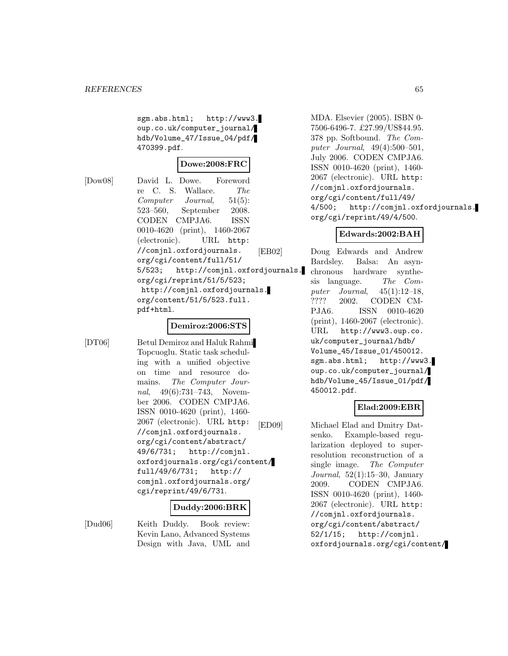sgm.abs.html; http://www3. oup.co.uk/computer\_journal/ hdb/Volume\_47/Issue\_04/pdf/ 470399.pdf.

[Dow08] David L. Dowe. Foreword re C. S. Wallace. The Computer Journal, 51(5): 523–560, September 2008. CODEN CMPJA6. ISSN 0010-4620 (print), 1460-2067 (electronic). URL http: //comjnl.oxfordjournals. org/cgi/content/full/51/ 5/523; http://comjnl.oxfordjournals. org/cgi/reprint/51/5/523; http://comjnl.oxfordjournals. org/content/51/5/523.full. pdf+html.

### **Demiroz:2006:STS**

[DT06] Betul Demiroz and Haluk Rahmi Topcuoglu. Static task scheduling with a unified objective on time and resource domains. The Computer Journal, 49(6):731–743, November 2006. CODEN CMPJA6. ISSN 0010-4620 (print), 1460- 2067 (electronic). URL http: //comjnl.oxfordjournals. org/cgi/content/abstract/ 49/6/731; http://comjnl. oxfordjournals.org/cgi/content/ full/49/6/731; http:// comjnl.oxfordjournals.org/ cgi/reprint/49/6/731.

### **Duddy:2006:BRK**

[Dud06] Keith Duddy. Book review: Kevin Lano, Advanced Systems Design with Java, UML and

MDA. Elsevier (2005). ISBN 0- 7506-6496-7. £27.99/US\$44.95. 378 pp. Softbound. The Computer Journal, 49(4):500–501, July 2006. CODEN CMPJA6. ISSN 0010-4620 (print), 1460- 2067 (electronic). URL http: //comjnl.oxfordjournals. org/cgi/content/full/49/ 4/500; http://comjnl.oxfordjournals. org/cgi/reprint/49/4/500.

### **Edwards:2002:BAH**

[EB02] Doug Edwards and Andrew Bardsley. Balsa: An asynchronous hardware synthesis language. The Computer Journal, 45(1):12–18, ???? 2002. CODEN CM-PJA6. ISSN 0010-4620 (print), 1460-2067 (electronic). URL http://www3.oup.co. uk/computer\_journal/hdb/ Volume\_45/Issue\_01/450012. sgm.abs.html; http://www3. oup.co.uk/computer\_journal/ hdb/Volume\_45/Issue\_01/pdf/ 450012.pdf.

### **Elad:2009:EBR**

[ED09] Michael Elad and Dmitry Datsenko. Example-based regularization deployed to superresolution reconstruction of a single image. The Computer Journal,  $52(1):15-30$ , January 2009. CODEN CMPJA6. ISSN 0010-4620 (print), 1460- 2067 (electronic). URL http: //comjnl.oxfordjournals. org/cgi/content/abstract/ 52/1/15; http://comjnl. oxfordjournals.org/cgi/content/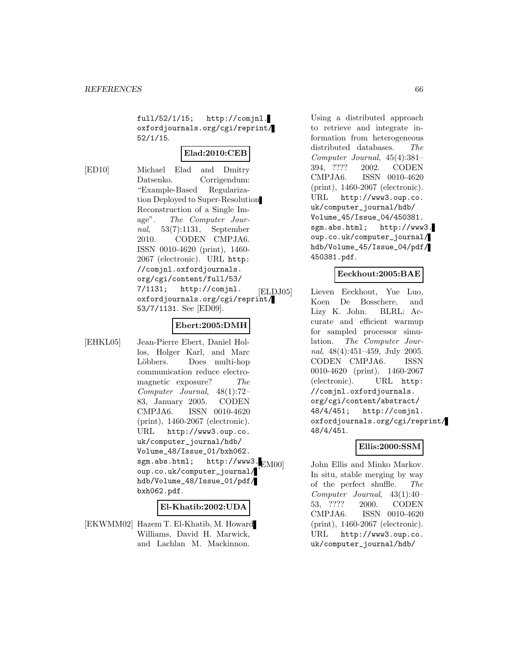full/52/1/15; http://comjnl. oxfordjournals.org/cgi/reprint/ 52/1/15.

# **Elad:2010:CEB**

[ED10] Michael Elad and Dmitry Datsenko. Corrigendum: "Example-Based Regularization Deployed to Super-Resolution Reconstruction of a Single Image". The Computer Journal, 53(7):1131, September 2010. CODEN CMPJA6. ISSN 0010-4620 (print), 1460- 2067 (electronic). URL http: //comjnl.oxfordjournals. org/cgi/content/full/53/ 7/1131; http://comjnl. oxfordjournals.org/cgi/reprint/ 53/7/1131. See [ED09].

### **Ebert:2005:DMH**

[EHKL05] Jean-Pierre Ebert, Daniel Hollos, Holger Karl, and Marc Löbbers. Does multi-hop communication reduce electromagnetic exposure? The Computer Journal, 48(1):72– 83, January 2005. CODEN CMPJA6. ISSN 0010-4620 (print), 1460-2067 (electronic). URL http://www3.oup.co. uk/computer\_journal/hdb/ Volume\_48/Issue\_01/bxh062. sgm.abs.html; http://www3. $\blacksquare$ oup.co.uk/computer\_journal/ hdb/Volume\_48/Issue\_01/pdf/ bxh062.pdf.

#### **El-Khatib:2002:UDA**

[EKWMM02] Hazem T. El-Khatib, M. Howard Williams, David H. Marwick, and Lachlan M. Mackinnon.

Using a distributed approach to retrieve and integrate information from heterogeneous distributed databases. The Computer Journal, 45(4):381– 394, ???? 2002. CODEN CMPJA6. ISSN 0010-4620 (print), 1460-2067 (electronic). URL http://www3.oup.co. uk/computer\_journal/hdb/ Volume\_45/Issue\_04/450381. sgm.abs.html; http://www3. oup.co.uk/computer\_journal/ hdb/Volume\_45/Issue\_04/pdf/ 450381.pdf.

### **Eeckhout:2005:BAE**

[ELDJ05] Lieven Eeckhout, Yue Luo, Koen De Bosschere, and Lizy K. John. BLRL: Accurate and efficient warmup for sampled processor simulation. The Computer Journal, 48(4):451–459, July 2005. CODEN CMPJA6. ISSN 0010-4620 (print), 1460-2067 (electronic). URL http: //comjnl.oxfordjournals. org/cgi/content/abstract/ 48/4/451; http://comjnl. oxfordjournals.org/cgi/reprint/ 48/4/451.

#### **Ellis:2000:SSM**

John Ellis and Minko Markov. In situ, stable merging by way of the perfect shuffle. The Computer Journal, 43(1):40– 53, ???? 2000. CODEN CMPJA6. ISSN 0010-4620 (print), 1460-2067 (electronic). URL http://www3.oup.co. uk/computer\_journal/hdb/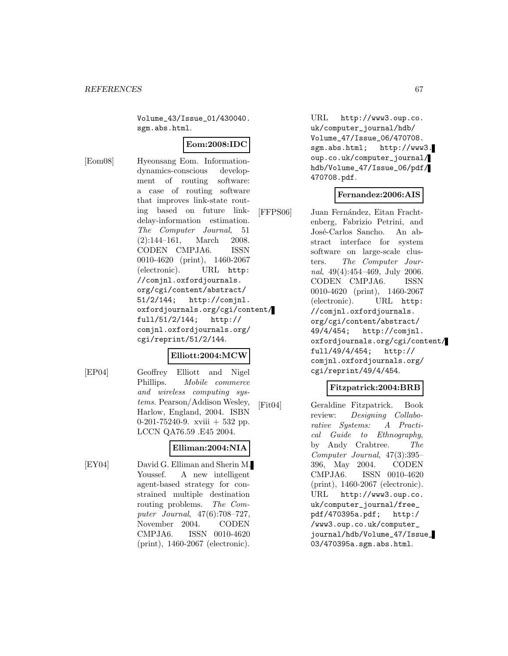Volume\_43/Issue\_01/430040. sgm.abs.html.

# **Eom:2008:IDC**

[Eom08] Hyeonsang Eom. Informationdynamics-conscious development of routing software: a case of routing software that improves link-state routing based on future linkdelay-information estimation. The Computer Journal, 51 (2):144–161, March 2008. CODEN CMPJA6. ISSN 0010-4620 (print), 1460-2067 (electronic). URL http: //comjnl.oxfordjournals. org/cgi/content/abstract/ 51/2/144; http://comjnl. oxfordjournals.org/cgi/content/ full/51/2/144; http:// comjnl.oxfordjournals.org/ cgi/reprint/51/2/144.

### **Elliott:2004:MCW**

[EP04] Geoffrey Elliott and Nigel Phillips. Mobile commerce and wireless computing systems. Pearson/Addison Wesley, Harlow, England, 2004. ISBN 0-201-75240-9. xviii  $+$  532 pp. LCCN QA76.59 .E45 2004.

# **Elliman:2004:NIA**

[EY04] David G. Elliman and Sherin M. Youssef. A new intelligent agent-based strategy for constrained multiple destination routing problems. The Computer Journal, 47(6):708–727, November 2004. CODEN CMPJA6. ISSN 0010-4620 (print), 1460-2067 (electronic).

URL http://www3.oup.co. uk/computer\_journal/hdb/ Volume\_47/Issue\_06/470708. sgm.abs.html; http://www3. oup.co.uk/computer\_journal/ hdb/Volume\_47/Issue\_06/pdf/ 470708.pdf.

### **Fernandez:2006:AIS**

[FFPS06] Juan Fernández, Eitan Frachtenberg, Fabrizio Petrini, and José-Carlos Sancho. An abstract interface for system software on large-scale clusters. The Computer Journal, 49(4):454–469, July 2006. CODEN CMPJA6. ISSN 0010-4620 (print), 1460-2067 (electronic). URL http: //comjnl.oxfordjournals. org/cgi/content/abstract/ 49/4/454; http://comjnl. oxfordjournals.org/cgi/content/ full/49/4/454; http:// comjnl.oxfordjournals.org/ cgi/reprint/49/4/454.

### **Fitzpatrick:2004:BRB**

[Fit04] Geraldine Fitzpatrick. Book review: Designing Collaborative Systems: A Practical Guide to Ethnography, by Andy Crabtree. The Computer Journal, 47(3):395– 396, May 2004. CODEN CMPJA6. ISSN 0010-4620 (print), 1460-2067 (electronic). URL http://www3.oup.co. uk/computer\_journal/free\_ pdf/470395a.pdf; http:/ /www3.oup.co.uk/computer\_ journal/hdb/Volume\_47/Issue\_ 03/470395a.sgm.abs.html.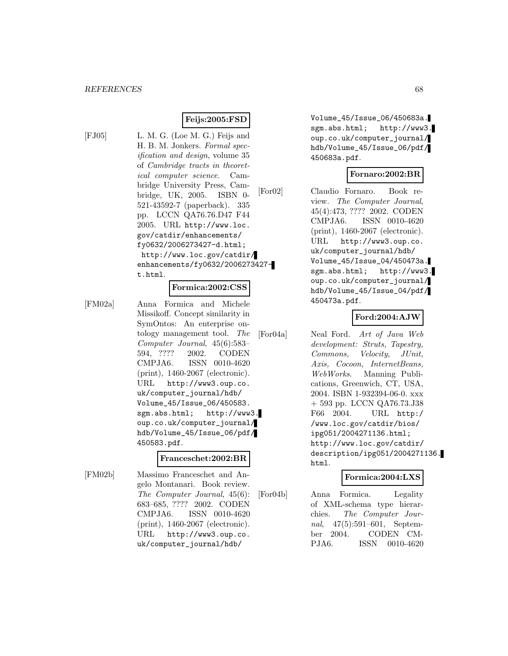# **Feijs:2005:FSD**

[FJ05] L. M. G. (Loe M. G.) Feijs and H. B. M. Jonkers. Formal specification and design, volume 35 of Cambridge tracts in theoretical computer science. Cambridge University Press, Cambridge, UK, 2005. ISBN 0- 521-43592-7 (paperback). 335 pp. LCCN QA76.76.D47 F44 2005. URL http://www.loc. gov/catdir/enhancements/ fy0632/2006273427-d.html; http://www.loc.gov/catdir/ enhancements/fy0632/2006273427 t.html.

#### **Formica:2002:CSS**

[FM02a] Anna Formica and Michele Missikoff. Concept similarity in SymOntos: An enterprise ontology management tool. The Computer Journal, 45(6):583– 594, ???? 2002. CODEN CMPJA6. ISSN 0010-4620 (print), 1460-2067 (electronic). URL http://www3.oup.co. uk/computer\_journal/hdb/ Volume\_45/Issue\_06/450583. sgm.abs.html; http://www3. oup.co.uk/computer\_journal/ hdb/Volume\_45/Issue\_06/pdf/ 450583.pdf.

#### **Franceschet:2002:BR**

[FM02b] Massimo Franceschet and Angelo Montanari. Book review. The Computer Journal, 45(6): 683–685, ???? 2002. CODEN CMPJA6. ISSN 0010-4620 (print), 1460-2067 (electronic). URL http://www3.oup.co. uk/computer\_journal/hdb/

Volume\_45/Issue\_06/450683a. sgm.abs.html; http://www3. oup.co.uk/computer\_journal/ hdb/Volume\_45/Issue\_06/pdf/ 450683a.pdf.

### **Fornaro:2002:BR**

[For02] Claudio Fornaro. Book review. The Computer Journal, 45(4):473, ???? 2002. CODEN CMPJA6. ISSN 0010-4620 (print), 1460-2067 (electronic). URL http://www3.oup.co. uk/computer\_journal/hdb/ Volume\_45/Issue\_04/450473a. sgm.abs.html; http://www3. oup.co.uk/computer\_journal/ hdb/Volume\_45/Issue\_04/pdf/ 450473a.pdf.

### **Ford:2004:AJW**

[For04a] Neal Ford. Art of Java Web development: Struts, Tapestry, Commons, Velocity, JUnit, Axis, Cocoon, InternetBeans, WebWorks. Manning Publications, Greenwich, CT, USA, 2004. ISBN 1-932394-06-0. xxx + 593 pp. LCCN QA76.73.J38 F66 2004. URL http:/ /www.loc.gov/catdir/bios/ ipg051/2004271136.html; http://www.loc.gov/catdir/ description/ipg051/2004271136. html.

# **Formica:2004:LXS**

[For04b] Anna Formica. Legality of XML-schema type hierarchies. The Computer Journal, 47(5):591–601, September 2004. CODEN CM-PJA6. ISSN 0010-4620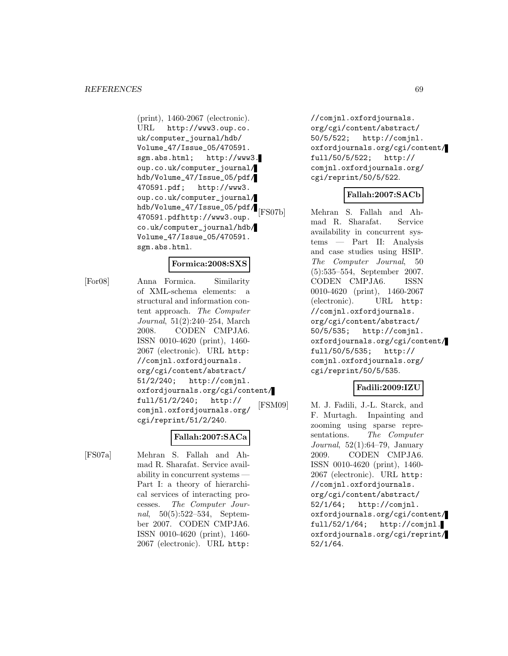(print), 1460-2067 (electronic). URL http://www3.oup.co. uk/computer\_journal/hdb/ Volume\_47/Issue\_05/470591. sgm.abs.html; http://www3. oup.co.uk/computer\_journal/ hdb/Volume\_47/Issue\_05/pdf/ 470591.pdf; http://www3. oup.co.uk/computer\_journal/ hdb/Volume\_47/Issue\_05/pdf/ 470591.pdfhttp://www3.oup. co.uk/computer\_journal/hdb/ Volume\_47/Issue\_05/470591. sgm.abs.html.

### **Formica:2008:SXS**

[For08] Anna Formica. Similarity of XML-schema elements: a structural and information content approach. The Computer Journal, 51(2):240–254, March 2008. CODEN CMPJA6. ISSN 0010-4620 (print), 1460- 2067 (electronic). URL http: //comjnl.oxfordjournals. org/cgi/content/abstract/ 51/2/240; http://comjnl. oxfordjournals.org/cgi/content/ full/51/2/240; http:// comjnl.oxfordjournals.org/ cgi/reprint/51/2/240.

# **Fallah:2007:SACa**

[FS07a] Mehran S. Fallah and Ahmad R. Sharafat. Service availability in concurrent systems — Part I: a theory of hierarchical services of interacting processes. The Computer Journal, 50(5):522–534, September 2007. CODEN CMPJA6. ISSN 0010-4620 (print), 1460- 2067 (electronic). URL http:

//comjnl.oxfordjournals. org/cgi/content/abstract/ 50/5/522; http://comjnl. oxfordjournals.org/cgi/content/ full/50/5/522; http:// comjnl.oxfordjournals.org/ cgi/reprint/50/5/522.

### **Fallah:2007:SACb**

[FS07b] Mehran S. Fallah and Ahmad R. Sharafat. Service availability in concurrent systems — Part II: Analysis and case studies using HSIP. The Computer Journal, 50 (5):535–554, September 2007. CODEN CMPJA6. ISSN 0010-4620 (print), 1460-2067 (electronic). URL http: //comjnl.oxfordjournals. org/cgi/content/abstract/ 50/5/535; http://comjnl. oxfordjournals.org/cgi/content/ full/50/5/535; http:// comjnl.oxfordjournals.org/ cgi/reprint/50/5/535.

# **Fadili:2009:IZU**

[FSM09] M. J. Fadili, J.-L. Starck, and F. Murtagh. Inpainting and zooming using sparse representations. The Computer Journal, 52(1):64–79, January 2009. CODEN CMPJA6. ISSN 0010-4620 (print), 1460- 2067 (electronic). URL http: //comjnl.oxfordjournals. org/cgi/content/abstract/ 52/1/64; http://comjnl. oxfordjournals.org/cgi/content/ full/52/1/64; http://comjnl. oxfordjournals.org/cgi/reprint/ 52/1/64.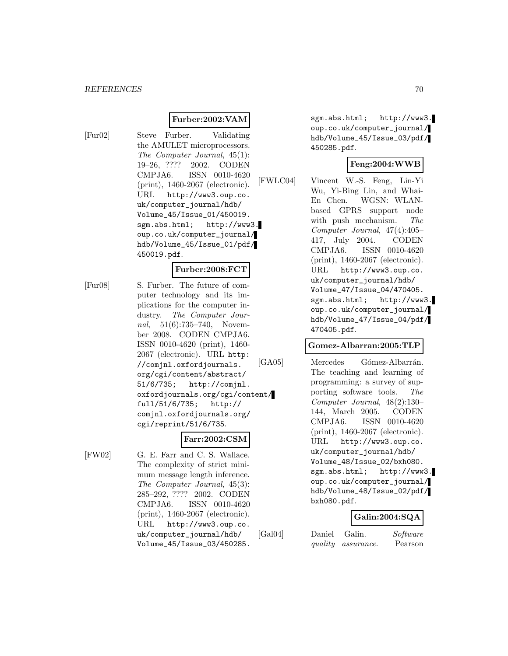### **Furber:2002:VAM**

- 
- [Fur02] Steve Furber. Validating the AMULET microprocessors. The Computer Journal, 45(1): 19–26, ???? 2002. CODEN CMPJA6. ISSN 0010-4620 (print), 1460-2067 (electronic). URL http://www3.oup.co. uk/computer\_journal/hdb/ Volume\_45/Issue\_01/450019. sgm.abs.html; http://www3. oup.co.uk/computer\_journal/ hdb/Volume\_45/Issue\_01/pdf/ 450019.pdf.

#### **Furber:2008:FCT**

[Fur08] S. Furber. The future of computer technology and its implications for the computer industry. The Computer Journal, 51(6):735–740, November 2008. CODEN CMPJA6. ISSN 0010-4620 (print), 1460- 2067 (electronic). URL http: //comjnl.oxfordjournals. org/cgi/content/abstract/ 51/6/735; http://comjnl. oxfordjournals.org/cgi/content/ full/51/6/735; http:// comjnl.oxfordjournals.org/ cgi/reprint/51/6/735.

#### **Farr:2002:CSM**

[FW02] G. E. Farr and C. S. Wallace. The complexity of strict minimum message length inference. The Computer Journal, 45(3): 285–292, ???? 2002. CODEN CMPJA6. ISSN 0010-4620 (print), 1460-2067 (electronic). URL http://www3.oup.co. uk/computer\_journal/hdb/ Volume\_45/Issue\_03/450285.

sgm.abs.html; http://www3. oup.co.uk/computer\_journal/ hdb/Volume\_45/Issue\_03/pdf/ 450285.pdf.

# **Feng:2004:WWB**

[FWLC04] Vincent W.-S. Feng, Lin-Yi Wu, Yi-Bing Lin, and Whai-En Chen. WGSN: WLANbased GPRS support node with push mechanism. The Computer Journal, 47(4):405– 417, July 2004. CODEN CMPJA6. ISSN 0010-4620 (print), 1460-2067 (electronic). URL http://www3.oup.co. uk/computer\_journal/hdb/ Volume\_47/Issue\_04/470405. sgm.abs.html; http://www3. oup.co.uk/computer\_journal/ hdb/Volume\_47/Issue\_04/pdf/ 470405.pdf.

### **Gomez-Albarran:2005:TLP**

[GA05] Mercedes Gómez-Albarrán. The teaching and learning of programming: a survey of supporting software tools. The Computer Journal, 48(2):130– 144, March 2005. CODEN CMPJA6. ISSN 0010-4620 (print), 1460-2067 (electronic). URL http://www3.oup.co. uk/computer\_journal/hdb/ Volume\_48/Issue\_02/bxh080. sgm.abs.html; http://www3. oup.co.uk/computer\_journal/ hdb/Volume\_48/Issue\_02/pdf/ bxh080.pdf.

### **Galin:2004:SQA**

[Gal04] Daniel Galin. Software

quality assurance. Pearson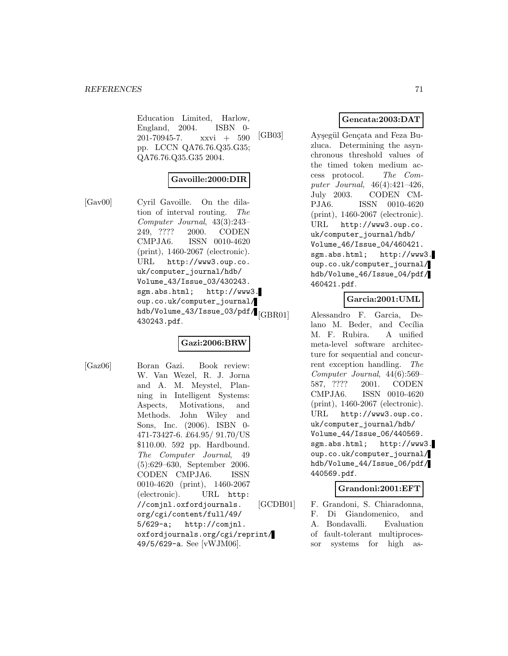Education Limited, Harlow,<br>England, 2004. ISBN 0-England,  $2004$ . 201-70945-7. xxvi + 590 pp. LCCN QA76.76.Q35.G35; QA76.76.Q35.G35 2004.

### **Gavoille:2000:DIR**

[Gav00] Cyril Gavoille. On the dilation of interval routing. The Computer Journal, 43(3):243– 249, ???? 2000. CODEN CMPJA6. ISSN 0010-4620 (print), 1460-2067 (electronic). URL http://www3.oup.co. uk/computer\_journal/hdb/ Volume\_43/Issue\_03/430243. sgm.abs.html; http://www3. oup.co.uk/computer\_journal/ hdb/Volume\_43/Issue\_03/pdf/ 430243.pdf.

### **Gazi:2006:BRW**

[Gaz06] Boran Gazi. Book review: W. Van Wezel, R. J. Jorna and A. M. Meystel, Planning in Intelligent Systems: Aspects, Motivations, and Methods. John Wiley and Sons, Inc. (2006). ISBN 0- 471-73427-6. £64.95/ 91.70/US \$110.00. 592 pp. Hardbound. The Computer Journal, 49 (5):629–630, September 2006. CODEN CMPJA6. ISSN 0010-4620 (print), 1460-2067 (electronic). URL http: //comjnl.oxfordjournals. org/cgi/content/full/49/ 5/629-a; http://comjnl. oxfordjournals.org/cgi/reprint/ 49/5/629-a. See [vWJM06].

# **Gencata:2003:DAT**

[GB03] Aysegül Gençata and Feza Buzluca. Determining the asynchronous threshold values of the timed token medium access protocol. The Computer Journal, 46(4):421–426, July 2003. CODEN CM-PJA6. ISSN 0010-4620 (print), 1460-2067 (electronic). URL http://www3.oup.co. uk/computer\_journal/hdb/ Volume\_46/Issue\_04/460421. sgm.abs.html; http://www3. oup.co.uk/computer\_journal/ hdb/Volume\_46/Issue\_04/pdf/ 460421.pdf.

# **Garcia:2001:UML**

Alessandro F. Garcia, Delano M. Beder, and Cecília M. F. Rubira. A unified meta-level software architecture for sequential and concurrent exception handling. The Computer Journal, 44(6):569– 587, ???? 2001. CODEN CMPJA6. ISSN 0010-4620 (print), 1460-2067 (electronic). URL http://www3.oup.co. uk/computer\_journal/hdb/ Volume\_44/Issue\_06/440569. sgm.abs.html; http://www3. oup.co.uk/computer\_journal/ hdb/Volume\_44/Issue\_06/pdf/ 440569.pdf.

### **Grandoni:2001:EFT**

[GCDB01] F. Grandoni, S. Chiaradonna, F. Di Giandomenico, and A. Bondavalli. Evaluation of fault-tolerant multiprocessor systems for high as-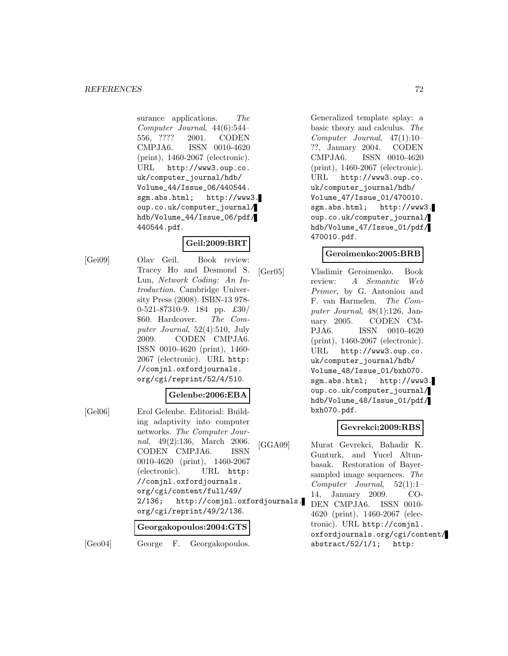#### *REFERENCES* 72

surance applications. The Computer Journal, 44(6):544– 556, ???? 2001. CODEN CMPJA6. ISSN 0010-4620 (print), 1460-2067 (electronic). URL http://www3.oup.co. uk/computer\_journal/hdb/ Volume\_44/Issue\_06/440544. sgm.abs.html; http://www3. oup.co.uk/computer\_journal/ hdb/Volume\_44/Issue\_06/pdf/ 440544.pdf.

### **Geil:2009:BRT**

[Gei09] Olav Geil. Book review: Tracey Ho and Desmond S. Lun, Network Coding: An Introduction. Cambridge University Press (2008). ISBN-13 978- 0-521-87310-9. 184 pp. £30/ \$60. Hardcover. The Computer Journal, 52(4):510, July 2009. CODEN CMPJA6. ISSN 0010-4620 (print), 1460- 2067 (electronic). URL http: //comjnl.oxfordjournals. org/cgi/reprint/52/4/510.

#### **Gelenbe:2006:EBA**

[Gel06] Erol Gelenbe. Editorial: Building adaptivity into computer networks. The Computer Journal, 49(2):136, March 2006.<br>CODEN CMPJA6. ISSN CODEN CMPJA6. 0010-4620 (print), 1460-2067 (electronic). URL http: //comjnl.oxfordjournals. org/cgi/content/full/49/ 2/136; http://comjnl.oxfordjournals. org/cgi/reprint/49/2/136.

#### **Georgakopoulos:2004:GTS**

[Geo04] George F. Georgakopoulos.

Generalized template splay: a basic theory and calculus. The Computer Journal, 47(1):10– ??, January 2004. CODEN CMPJA6. ISSN 0010-4620 (print), 1460-2067 (electronic). URL http://www3.oup.co. uk/computer\_journal/hdb/ Volume\_47/Issue\_01/470010. sgm.abs.html; http://www3. oup.co.uk/computer\_journal/ hdb/Volume\_47/Issue\_01/pdf/ 470010.pdf.

# **Geroimenko:2005:BRB**

[Ger05] Vladimir Geroimenko. Book review: A Semantic Web Primer, by G. Antoniou and F. van Harmelen. The Computer Journal, 48(1):126, January 2005. CODEN CM-PJA6. ISSN 0010-4620 (print), 1460-2067 (electronic). URL http://www3.oup.co. uk/computer\_journal/hdb/ Volume\_48/Issue\_01/bxh070. sgm.abs.html; http://www3. oup.co.uk/computer\_journal/ hdb/Volume\_48/Issue\_01/pdf/ bxh070.pdf.

### **Gevrekci:2009:RBS**

[GGA09] Murat Gevrekci, Bahadir K. Gunturk, and Yucel Altunbasak. Restoration of Bayersampled image sequences. The Computer Journal, 52(1):1– 14, January 2009. CO-DEN CMPJA6. ISSN 0010- 4620 (print), 1460-2067 (electronic). URL http://comjnl. oxfordjournals.org/cgi/content/ abstract/52/1/1; http: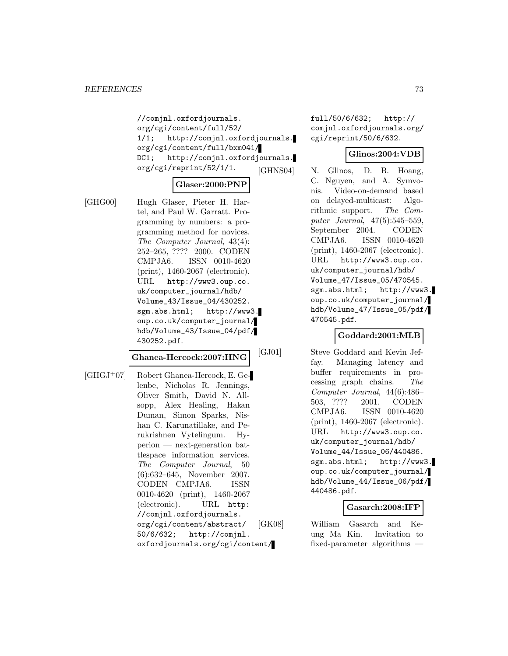//comjnl.oxfordjournals. org/cgi/content/full/52/ 1/1; http://comjnl.oxfordjournals. org/cgi/content/full/bxm041/ DC1; http://comjnl.oxfordjournals. org/cgi/reprint/52/1/1.

#### **Glaser:2000:PNP**

[GHG00] Hugh Glaser, Pieter H. Hartel, and Paul W. Garratt. Programming by numbers: a programming method for novices. The Computer Journal, 43(4): 252–265, ???? 2000. CODEN CMPJA6. ISSN 0010-4620 (print), 1460-2067 (electronic). URL http://www3.oup.co. uk/computer\_journal/hdb/ Volume\_43/Issue\_04/430252. sgm.abs.html; http://www3. oup.co.uk/computer\_journal/ hdb/Volume\_43/Issue\_04/pdf/ 430252.pdf.

#### **Ghanea-Hercock:2007:HNG**

[GHGJ<sup>+</sup>07] Robert Ghanea-Hercock, E. Gelenbe, Nicholas R. Jennings, Oliver Smith, David N. Allsopp, Alex Healing, Hakan Duman, Simon Sparks, Nishan C. Karunatillake, and Perukrishnen Vytelingum. Hyperion — next-generation battlespace information services. The Computer Journal, 50 (6):632–645, November 2007. CODEN CMPJA6. ISSN 0010-4620 (print), 1460-2067 (electronic). URL http: //comjnl.oxfordjournals. org/cgi/content/abstract/ 50/6/632; http://comjnl. oxfordjournals.org/cgi/content/ full/50/6/632; http:// comjnl.oxfordjournals.org/ cgi/reprint/50/6/632.

#### **Glinos:2004:VDB**

[GHNS04] N. Glinos, D. B. Hoang, C. Nguyen, and A. Symvonis. Video-on-demand based on delayed-multicast: Algorithmic support. The Computer Journal, 47(5):545–559, September 2004. CODEN CMPJA6. ISSN 0010-4620 (print), 1460-2067 (electronic). URL http://www3.oup.co. uk/computer\_journal/hdb/ Volume\_47/Issue\_05/470545. sgm.abs.html; http://www3. oup.co.uk/computer\_journal/ hdb/Volume\_47/Issue\_05/pdf/ 470545.pdf.

### **Goddard:2001:MLB**

[GJ01] Steve Goddard and Kevin Jeffay. Managing latency and buffer requirements in processing graph chains. The Computer Journal, 44(6):486– 503, ???? 2001. CODEN CMPJA6. ISSN 0010-4620 (print), 1460-2067 (electronic). URL http://www3.oup.co. uk/computer\_journal/hdb/ Volume\_44/Issue\_06/440486. sgm.abs.html; http://www3. oup.co.uk/computer\_journal/ hdb/Volume\_44/Issue\_06/pdf/ 440486.pdf.

#### **Gasarch:2008:IFP**

[GK08] William Gasarch and Keung Ma Kin. Invitation to fixed-parameter algorithms —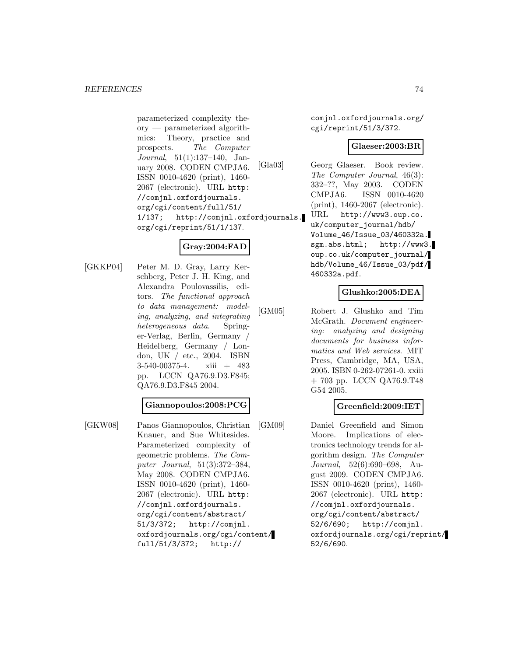parameterized complexity theory — parameterized algorithmics: Theory, practice and prospects. The Computer Journal, 51(1):137–140, January 2008. CODEN CMPJA6. ISSN 0010-4620 (print), 1460- 2067 (electronic). URL http: //comjnl.oxfordjournals. org/cgi/content/full/51/ 1/137; http://comjnl.oxfordjournals. org/cgi/reprint/51/1/137.

## **Gray:2004:FAD**

[GKKP04] Peter M. D. Gray, Larry Kerschberg, Peter J. H. King, and Alexandra Poulovassilis, editors. The functional approach to data management: modeling, analyzing, and integrating heterogeneous data. Springer-Verlag, Berlin, Germany / Heidelberg, Germany / London, UK / etc., 2004. ISBN 3-540-00375-4. xiii + 483 pp. LCCN QA76.9.D3.F845; QA76.9.D3.F845 2004.

#### **Giannopoulos:2008:PCG**

[GKW08] Panos Giannopoulos, Christian Knauer, and Sue Whitesides. Parameterized complexity of geometric problems. The Computer Journal, 51(3):372–384, May 2008. CODEN CMPJA6. ISSN 0010-4620 (print), 1460- 2067 (electronic). URL http: //comjnl.oxfordjournals. org/cgi/content/abstract/ 51/3/372; http://comjnl. oxfordjournals.org/cgi/content/ full/51/3/372; http://

comjnl.oxfordjournals.org/ cgi/reprint/51/3/372.

#### **Glaeser:2003:BR**

[Gla03] Georg Glaeser. Book review. The Computer Journal, 46(3): 332–??, May 2003. CODEN CMPJA6. ISSN 0010-4620 (print), 1460-2067 (electronic). URL http://www3.oup.co.

uk/computer\_journal/hdb/ Volume\_46/Issue\_03/460332a. sgm.abs.html; http://www3. oup.co.uk/computer\_journal/ hdb/Volume\_46/Issue\_03/pdf/ 460332a.pdf.

### **Glushko:2005:DEA**

[GM05] Robert J. Glushko and Tim McGrath. Document engineering: analyzing and designing documents for business informatics and Web services. MIT Press, Cambridge, MA, USA, 2005. ISBN 0-262-07261-0. xxiii + 703 pp. LCCN QA76.9.T48 G54 2005.

### **Greenfield:2009:IET**

[GM09] Daniel Greenfield and Simon Moore. Implications of electronics technology trends for algorithm design. The Computer Journal, 52(6):690–698, August 2009. CODEN CMPJA6. ISSN 0010-4620 (print), 1460- 2067 (electronic). URL http: //comjnl.oxfordjournals. org/cgi/content/abstract/ 52/6/690; http://comjnl. oxfordjournals.org/cgi/reprint/ 52/6/690.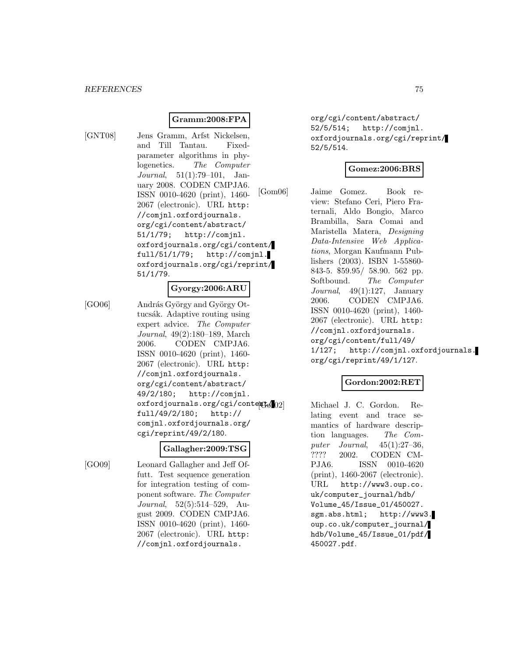## **Gramm:2008:FPA**

[GNT08] Jens Gramm, Arfst Nickelsen, and Till Tantau. Fixedparameter algorithms in phylogenetics. The Computer Journal, 51(1):79–101, January 2008. CODEN CMPJA6. ISSN 0010-4620 (print), 1460- 2067 (electronic). URL http: //comjnl.oxfordjournals. org/cgi/content/abstract/ 51/1/79; http://comjnl. oxfordjournals.org/cgi/content/ full/51/1/79; http://comjnl. oxfordjournals.org/cgi/reprint/ 51/1/79.

#### **Gyorgy:2006:ARU**

[GO06] András György and György Ottucsák. Adaptive routing using expert advice. The Computer Journal, 49(2):180–189, March 2006. CODEN CMPJA6. ISSN 0010-4620 (print), 1460- 2067 (electronic). URL http: //comjnl.oxfordjournals. org/cgi/content/abstract/ 49/2/180; http://comjnl. oxfordjournals.org/cgi/content/02 full/49/2/180; http:// comjnl.oxfordjournals.org/ cgi/reprint/49/2/180.

### **Gallagher:2009:TSG**

[GO09] Leonard Gallagher and Jeff Offutt. Test sequence generation for integration testing of component software. The Computer Journal, 52(5):514–529, August 2009. CODEN CMPJA6. ISSN 0010-4620 (print), 1460- 2067 (electronic). URL http: //comjnl.oxfordjournals.

org/cgi/content/abstract/ 52/5/514; http://comjnl. oxfordjournals.org/cgi/reprint/ 52/5/514.

## **Gomez:2006:BRS**

[Gom06] Jaime Gomez. Book review: Stefano Ceri, Piero Fraternali, Aldo Bongio, Marco Brambilla, Sara Comai and Maristella Matera, Designing Data-Intensive Web Applications, Morgan Kaufmann Publishers (2003). ISBN 1-55860- 843-5. \$59.95/ 58.90. 562 pp. Softbound. The Computer Journal,  $49(1):127$ , January 2006. CODEN CMPJA6. ISSN 0010-4620 (print), 1460- 2067 (electronic). URL http: //comjnl.oxfordjournals. org/cgi/content/full/49/ 1/127; http://comjnl.oxfordjournals. org/cgi/reprint/49/1/127.

### **Gordon:2002:RET**

Michael J. C. Gordon. Relating event and trace semantics of hardware description languages. The Computer Journal, 45(1):27–36, ???? 2002. CODEN CM-PJA6. ISSN 0010-4620 (print), 1460-2067 (electronic). URL http://www3.oup.co. uk/computer\_journal/hdb/ Volume\_45/Issue\_01/450027. sgm.abs.html; http://www3. oup.co.uk/computer\_journal/ hdb/Volume\_45/Issue\_01/pdf/ 450027.pdf.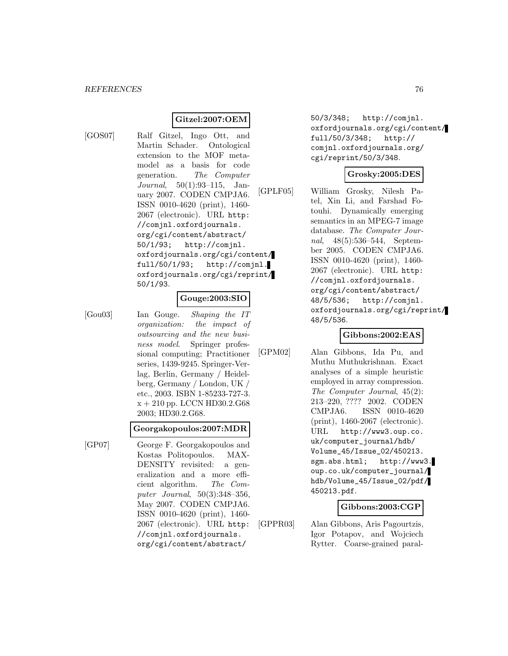## **Gitzel:2007:OEM**

[GOS07] Ralf Gitzel, Ingo Ott, and Martin Schader. Ontological extension to the MOF metamodel as a basis for code generation. The Computer Journal, 50(1):93–115, January 2007. CODEN CMPJA6. ISSN 0010-4620 (print), 1460- 2067 (electronic). URL http: //comjnl.oxfordjournals. org/cgi/content/abstract/ 50/1/93; http://comjnl. oxfordjournals.org/cgi/content/ full/50/1/93; http://comjnl. oxfordjournals.org/cgi/reprint/ 50/1/93.

### **Gouge:2003:SIO**

[Gou03] Ian Gouge. Shaping the IT organization: the impact of outsourcing and the new business model. Springer professional computing; Practitioner series, 1439-9245. Springer-Verlag, Berlin, Germany / Heidelberg, Germany / London, UK / etc., 2003. ISBN 1-85233-727-3.  $x + 210$  pp. LCCN HD30.2.G68 2003; HD30.2.G68.

#### **Georgakopoulos:2007:MDR**

[GP07] George F. Georgakopoulos and Kostas Politopoulos. MAX-DENSITY revisited: a generalization and a more efficient algorithm. The Computer Journal, 50(3):348–356, May 2007. CODEN CMPJA6. ISSN 0010-4620 (print), 1460- 2067 (electronic). URL http: //comjnl.oxfordjournals. org/cgi/content/abstract/

50/3/348; http://comjnl. oxfordjournals.org/cgi/content/ full/50/3/348; http:// comjnl.oxfordjournals.org/ cgi/reprint/50/3/348.

### **Grosky:2005:DES**

[GPLF05] William Grosky, Nilesh Patel, Xin Li, and Farshad Fotouhi. Dynamically emerging semantics in an MPEG-7 image database. The Computer Journal, 48(5):536–544, September 2005. CODEN CMPJA6. ISSN 0010-4620 (print), 1460- 2067 (electronic). URL http: //comjnl.oxfordjournals. org/cgi/content/abstract/ 48/5/536; http://comjnl. oxfordjournals.org/cgi/reprint/ 48/5/536.

### **Gibbons:2002:EAS**

[GPM02] Alan Gibbons, Ida Pu, and Muthu Muthukrishnan. Exact analyses of a simple heuristic employed in array compression. The Computer Journal, 45(2): 213–220, ???? 2002. CODEN CMPJA6. ISSN 0010-4620 (print), 1460-2067 (electronic). URL http://www3.oup.co. uk/computer\_journal/hdb/ Volume\_45/Issue\_02/450213. sgm.abs.html; http://www3. oup.co.uk/computer\_journal/ hdb/Volume\_45/Issue\_02/pdf/ 450213.pdf.

### **Gibbons:2003:CGP**

[GPPR03] Alan Gibbons, Aris Pagourtzis, Igor Potapov, and Wojciech Rytter. Coarse-grained paral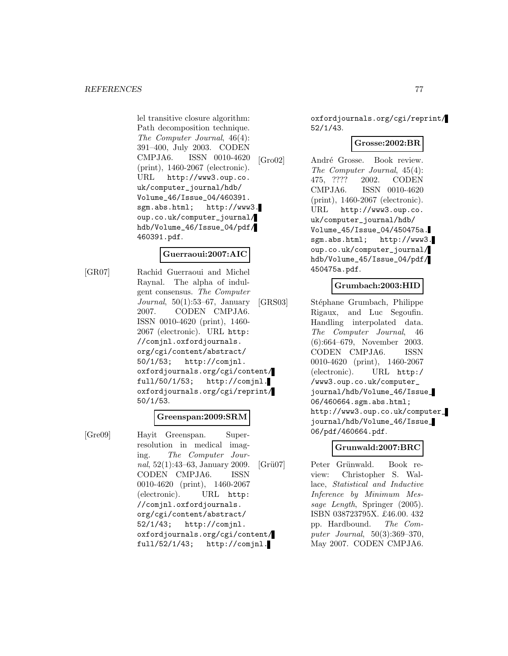lel transitive closure algorithm: Path decomposition technique. The Computer Journal, 46(4): 391–400, July 2003. CODEN CMPJA6. ISSN 0010-4620 (print), 1460-2067 (electronic). URL http://www3.oup.co. uk/computer\_journal/hdb/ Volume\_46/Issue\_04/460391. sgm.abs.html; http://www3. oup.co.uk/computer\_journal/ hdb/Volume\_46/Issue\_04/pdf/ 460391.pdf.

#### **Guerraoui:2007:AIC**

[GR07] Rachid Guerraoui and Michel Raynal. The alpha of indulgent consensus. The Computer Journal, 50(1):53–67, January 2007. CODEN CMPJA6. ISSN 0010-4620 (print), 1460- 2067 (electronic). URL http: //comjnl.oxfordjournals. org/cgi/content/abstract/ 50/1/53; http://comjnl. oxfordjournals.org/cgi/content/ full/50/1/53; http://comjnl. oxfordjournals.org/cgi/reprint/ 50/1/53.

### **Greenspan:2009:SRM**

[Gre09] Hayit Greenspan. Superresolution in medical imaging. The Computer Journal, 52(1):43–63, January 2009. CODEN CMPJA6. ISSN 0010-4620 (print), 1460-2067 (electronic). URL http: //comjnl.oxfordjournals. org/cgi/content/abstract/ 52/1/43; http://comjnl. oxfordjournals.org/cgi/content/ full/52/1/43; http://comjnl.

oxfordjournals.org/cgi/reprint/ 52/1/43.

#### **Grosse:2002:BR**

[Gro02] André Grosse. Book review. The Computer Journal, 45(4): 475, ???? 2002. CODEN CMPJA6. ISSN 0010-4620 (print), 1460-2067 (electronic). URL http://www3.oup.co. uk/computer\_journal/hdb/ Volume\_45/Issue\_04/450475a. sgm.abs.html; http://www3. oup.co.uk/computer\_journal/ hdb/Volume\_45/Issue\_04/pdf/ 450475a.pdf.

### **Grumbach:2003:HID**

[GRS03] Stéphane Grumbach, Philippe Rigaux, and Luc Segoufin. Handling interpolated data. The Computer Journal, 46 (6):664–679, November 2003. CODEN CMPJA6. ISSN 0010-4620 (print), 1460-2067 (electronic). URL http:/ /www3.oup.co.uk/computer\_ journal/hdb/Volume\_46/Issue\_ 06/460664.sgm.abs.html; http://www3.oup.co.uk/computer\_ journal/hdb/Volume\_46/Issue\_ 06/pdf/460664.pdf.

### **Grunwald:2007:BRC**

[Grü07] Peter Grünwald. Book review: Christopher S. Wallace, Statistical and Inductive Inference by Minimum Message Length, Springer (2005). ISBN 038723795X. £46.00. 432 pp. Hardbound. The Computer Journal, 50(3):369–370, May 2007. CODEN CMPJA6.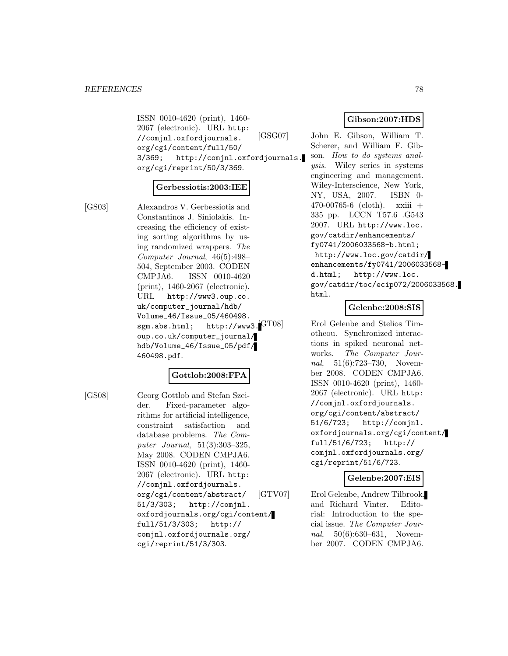ISSN 0010-4620 (print), 1460- 2067 (electronic). URL http: //comjnl.oxfordjournals. org/cgi/content/full/50/ 3/369; http://comjnl.oxfordjournals. org/cgi/reprint/50/3/369.

#### **Gerbessiotis:2003:IEE**

[GS03] Alexandros V. Gerbessiotis and Constantinos J. Siniolakis. Increasing the efficiency of existing sorting algorithms by using randomized wrappers. The Computer Journal, 46(5):498– 504, September 2003. CODEN CMPJA6. ISSN 0010-4620 (print), 1460-2067 (electronic). URL http://www3.oup.co. uk/computer\_journal/hdb/ Volume\_46/Issue\_05/460498. sgm.abs.html; http://www3.<sup>[GT08]</sup> oup.co.uk/computer\_journal/ hdb/Volume\_46/Issue\_05/pdf/ 460498.pdf.

#### **Gottlob:2008:FPA**

[GS08] Georg Gottlob and Stefan Szeider. Fixed-parameter algorithms for artificial intelligence, constraint satisfaction and database problems. The Computer Journal, 51(3):303–325, May 2008. CODEN CMPJA6. ISSN 0010-4620 (print), 1460- 2067 (electronic). URL http: //comjnl.oxfordjournals. org/cgi/content/abstract/ 51/3/303; http://comjnl. oxfordjournals.org/cgi/content/ full/51/3/303; http:// comjnl.oxfordjournals.org/ cgi/reprint/51/3/303.

## **Gibson:2007:HDS**

[GSG07] John E. Gibson, William T. Scherer, and William F. Gibson. How to do systems analysis. Wiley series in systems engineering and management. Wiley-Interscience, New York, NY, USA, 2007. ISBN 0- 470-00765-6 (cloth). xxiii + 335 pp. LCCN T57.6 .G543 2007. URL http://www.loc. gov/catdir/enhancements/ fy0741/2006033568-b.html; http://www.loc.gov/catdir/ enhancements/fy0741/2006033568 d.html; http://www.loc. gov/catdir/toc/ecip072/2006033568. html.

## **Gelenbe:2008:SIS**

Erol Gelenbe and Stelios Timotheou. Synchronized interactions in spiked neuronal networks. The Computer Journal, 51(6):723–730, November 2008. CODEN CMPJA6. ISSN 0010-4620 (print), 1460- 2067 (electronic). URL http: //comjnl.oxfordjournals. org/cgi/content/abstract/ 51/6/723; http://comjnl. oxfordjournals.org/cgi/content/ full/51/6/723; http:// comjnl.oxfordjournals.org/ cgi/reprint/51/6/723.

## **Gelenbe:2007:EIS**

[GTV07] Erol Gelenbe, Andrew Tilbrook, and Richard Vinter. Editorial: Introduction to the special issue. The Computer Journal, 50(6):630–631, November 2007. CODEN CMPJA6.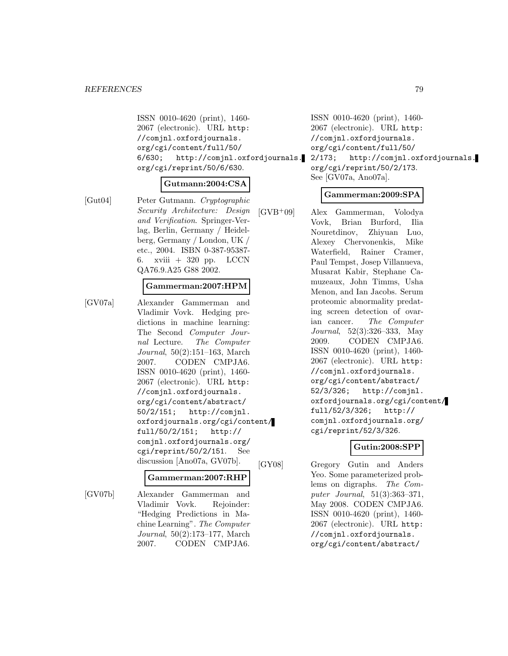ISSN 0010-4620 (print), 1460- 2067 (electronic). URL http: //comjnl.oxfordjournals. org/cgi/content/full/50/ 6/630; http://comjnl.oxfordjournals. org/cgi/reprint/50/6/630.

#### **Gutmann:2004:CSA**

[Gut04] Peter Gutmann. Cryptographic Security Architecture: Design and Verification. Springer-Verlag, Berlin, Germany / Heidelberg, Germany / London, UK / etc., 2004. ISBN 0-387-95387- 6. xviii + 320 pp. LCCN QA76.9.A25 G88 2002.

#### **Gammerman:2007:HPM**

[GV07a] Alexander Gammerman and Vladimir Vovk. Hedging predictions in machine learning: The Second Computer Journal Lecture. The Computer Journal, 50(2):151–163, March 2007. CODEN CMPJA6. ISSN 0010-4620 (print), 1460- 2067 (electronic). URL http: //comjnl.oxfordjournals. org/cgi/content/abstract/ 50/2/151; http://comjnl. oxfordjournals.org/cgi/content/ full/50/2/151; http:// comjnl.oxfordjournals.org/ cgi/reprint/50/2/151. See discussion [Ano07a, GV07b].

#### **Gammerman:2007:RHP**

[GV07b] Alexander Gammerman and Vladimir Vovk. Rejoinder: "Hedging Predictions in Machine Learning". The Computer Journal, 50(2):173–177, March 2007. CODEN CMPJA6.

ISSN 0010-4620 (print), 1460- 2067 (electronic). URL http: //comjnl.oxfordjournals. org/cgi/content/full/50/ 2/173; http://comjnl.oxfordjournals.

org/cgi/reprint/50/2/173. See [GV07a, Ano07a].

#### **Gammerman:2009:SPA**

[GVB<sup>+</sup>09] Alex Gammerman, Volodya Vovk, Brian Burford, Ilia Nouretdinov, Zhiyuan Luo, Alexey Chervonenkis, Mike Waterfield, Rainer Cramer, Paul Tempst, Josep Villanueva, Musarat Kabir, Stephane Camuzeaux, John Timms, Usha Menon, and Ian Jacobs. Serum proteomic abnormality predating screen detection of ovarian cancer. The Computer Journal, 52(3):326–333, May 2009. CODEN CMPJA6. ISSN 0010-4620 (print), 1460- 2067 (electronic). URL http: //comjnl.oxfordjournals. org/cgi/content/abstract/ 52/3/326; http://comjnl. oxfordjournals.org/cgi/content/ full/52/3/326; http:// comjnl.oxfordjournals.org/ cgi/reprint/52/3/326.

#### **Gutin:2008:SPP**

[GY08] Gregory Gutin and Anders Yeo. Some parameterized problems on digraphs. The Computer Journal, 51(3):363–371, May 2008. CODEN CMPJA6. ISSN 0010-4620 (print), 1460- 2067 (electronic). URL http: //comjnl.oxfordjournals. org/cgi/content/abstract/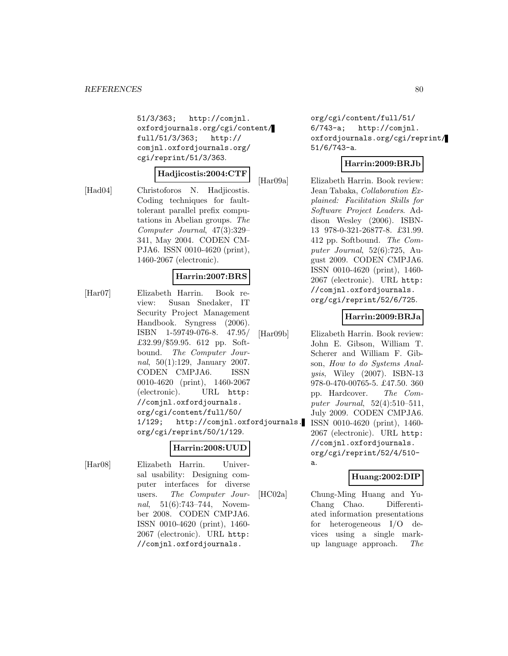51/3/363; http://comjnl. oxfordjournals.org/cgi/content/ full/51/3/363; http:// comjnl.oxfordjournals.org/ cgi/reprint/51/3/363.

#### **Hadjicostis:2004:CTF**

[Had04] Christoforos N. Hadjicostis. Coding techniques for faulttolerant parallel prefix computations in Abelian groups. The Computer Journal, 47(3):329– 341, May 2004. CODEN CM-PJA6. ISSN 0010-4620 (print), 1460-2067 (electronic).

#### **Harrin:2007:BRS**

[Har07] Elizabeth Harrin. Book review: Susan Snedaker, IT Security Project Management Handbook. Syngress (2006). ISBN 1-59749-076-8. 47.95/ £32.99/\$59.95. 612 pp. Softbound. The Computer Journal, 50(1):129, January 2007. CODEN CMPJA6. ISSN 0010-4620 (print), 1460-2067 (electronic). URL http: //comjnl.oxfordjournals. org/cgi/content/full/50/ 1/129; http://comjnl.oxfordjournals. org/cgi/reprint/50/1/129.

# **Harrin:2008:UUD**

[Har08] Elizabeth Harrin. Universal usability: Designing computer interfaces for diverse users. The Computer Journal, 51(6):743-744, November 2008. CODEN CMPJA6. ISSN 0010-4620 (print), 1460- 2067 (electronic). URL http: //comjnl.oxfordjournals.

org/cgi/content/full/51/ 6/743-a; http://comjnl. oxfordjournals.org/cgi/reprint/ 51/6/743-a.

## **Harrin:2009:BRJb**

[Har09a] Elizabeth Harrin. Book review: Jean Tabaka, Collaboration Explained: Facilitation Skills for Software Project Leaders. Addison Wesley (2006). ISBN-13 978-0-321-26877-8. £31.99. 412 pp. Softbound. The Computer Journal, 52(6):725, August 2009. CODEN CMPJA6. ISSN 0010-4620 (print), 1460- 2067 (electronic). URL http: //comjnl.oxfordjournals. org/cgi/reprint/52/6/725.

### **Harrin:2009:BRJa**

[Har09b] Elizabeth Harrin. Book review: John E. Gibson, William T. Scherer and William F. Gibson, How to do Systems Analysis, Wiley (2007). ISBN-13 978-0-470-00765-5. £47.50. 360 pp. Hardcover. The Computer Journal, 52(4):510–511, July 2009. CODEN CMPJA6. ISSN 0010-4620 (print), 1460- 2067 (electronic). URL http: //comjnl.oxfordjournals. org/cgi/reprint/52/4/510 a.

### **Huang:2002:DIP**

[HC02a] Chung-Ming Huang and Yu-Chang Chao. Differentiated information presentations for heterogeneous I/O devices using a single markup language approach. The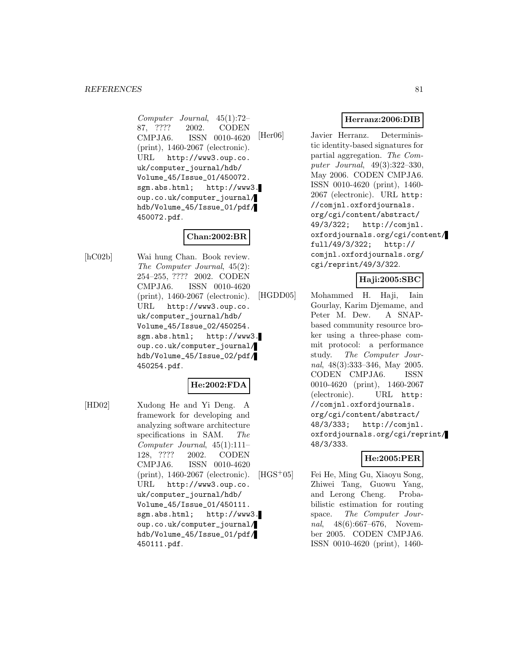Computer Journal, 45(1):72– 87, ???? 2002. CODEN CMPJA6. ISSN 0010-4620 (print), 1460-2067 (electronic). URL http://www3.oup.co. uk/computer\_journal/hdb/ Volume\_45/Issue\_01/450072. sgm.abs.html; http://www3. oup.co.uk/computer\_journal/ hdb/Volume\_45/Issue\_01/pdf/ 450072.pdf.

## **Chan:2002:BR**

[hC02b] Wai hung Chan. Book review. The Computer Journal, 45(2): 254–255, ???? 2002. CODEN CMPJA6. ISSN 0010-4620 (print), 1460-2067 (electronic). URL http://www3.oup.co. uk/computer\_journal/hdb/ Volume\_45/Issue\_02/450254. sgm.abs.html; http://www3. oup.co.uk/computer\_journal/ hdb/Volume\_45/Issue\_02/pdf/ 450254.pdf.

### **He:2002:FDA**

[HD02] Xudong He and Yi Deng. A framework for developing and analyzing software architecture specifications in SAM. The Computer Journal, 45(1):111– 128, ???? 2002. CODEN CMPJA6. ISSN 0010-4620 (print), 1460-2067 (electronic). URL http://www3.oup.co. uk/computer\_journal/hdb/ Volume\_45/Issue\_01/450111. sgm.abs.html; http://www3. oup.co.uk/computer\_journal/ hdb/Volume\_45/Issue\_01/pdf/ 450111.pdf.

## **Herranz:2006:DIB**

[Her06] Javier Herranz. Deterministic identity-based signatures for partial aggregation. The Computer Journal, 49(3):322–330, May 2006. CODEN CMPJA6. ISSN 0010-4620 (print), 1460- 2067 (electronic). URL http: //comjnl.oxfordjournals. org/cgi/content/abstract/ 49/3/322; http://comjnl. oxfordjournals.org/cgi/content/ full/49/3/322; http:// comjnl.oxfordjournals.org/ cgi/reprint/49/3/322.

## **Haji:2005:SBC**

[HGDD05] Mohammed H. Haji, Iain Gourlay, Karim Djemame, and Peter M. Dew. A SNAPbased community resource broker using a three-phase commit protocol: a performance study. The Computer Journal, 48(3):333–346, May 2005. CODEN CMPJA6. ISSN 0010-4620 (print), 1460-2067 (electronic). URL http: //comjnl.oxfordjournals. org/cgi/content/abstract/ 48/3/333; http://comjnl. oxfordjournals.org/cgi/reprint/ 48/3/333.

## **He:2005:PER**

[HGS<sup>+</sup>05] Fei He, Ming Gu, Xiaoyu Song, Zhiwei Tang, Guowu Yang, and Lerong Cheng. Probabilistic estimation for routing space. The Computer Journal, 48(6):667–676, November 2005. CODEN CMPJA6. ISSN 0010-4620 (print), 1460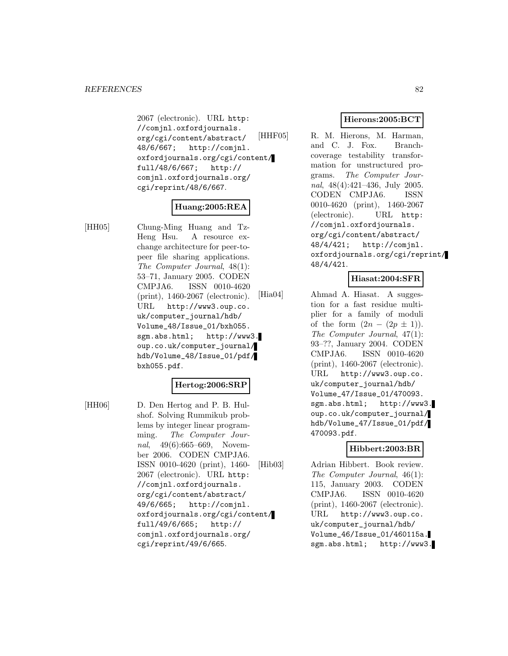2067 (electronic). URL http: //comjnl.oxfordjournals. org/cgi/content/abstract/ 48/6/667; http://comjnl. oxfordjournals.org/cgi/content/ full/48/6/667; http:// comjnl.oxfordjournals.org/ cgi/reprint/48/6/667.

## **Huang:2005:REA**

[HH05] Chung-Ming Huang and Tz-Heng Hsu. A resource exchange architecture for peer-topeer file sharing applications. The Computer Journal, 48(1): 53–71, January 2005. CODEN CMPJA6. ISSN 0010-4620 (print), 1460-2067 (electronic). URL http://www3.oup.co. uk/computer\_journal/hdb/ Volume\_48/Issue\_01/bxh055. sgm.abs.html; http://www3. oup.co.uk/computer\_journal/ hdb/Volume\_48/Issue\_01/pdf/ bxh055.pdf.

### **Hertog:2006:SRP**

[HH06] D. Den Hertog and P. B. Hulshof. Solving Rummikub problems by integer linear programming. The Computer Journal, 49(6):665–669, November 2006. CODEN CMPJA6. ISSN 0010-4620 (print), 1460- 2067 (electronic). URL http: //comjnl.oxfordjournals. org/cgi/content/abstract/ 49/6/665; http://comjnl. oxfordjournals.org/cgi/content/ full/49/6/665; http:// comjnl.oxfordjournals.org/ cgi/reprint/49/6/665.

## **Hierons:2005:BCT**

[HHF05] R. M. Hierons, M. Harman, and C. J. Fox. Branchcoverage testability transformation for unstructured programs. The Computer Journal, 48(4):421–436, July 2005. CODEN CMPJA6. ISSN 0010-4620 (print), 1460-2067 (electronic). URL http: //comjnl.oxfordjournals. org/cgi/content/abstract/ 48/4/421; http://comjnl. oxfordjournals.org/cgi/reprint/ 48/4/421.

## **Hiasat:2004:SFR**

[Hia04] Ahmad A. Hiasat. A suggestion for a fast residue multiplier for a family of moduli of the form  $(2n - (2p \pm 1)).$ The Computer Journal, 47(1): 93–??, January 2004. CODEN CMPJA6. ISSN 0010-4620 (print), 1460-2067 (electronic). URL http://www3.oup.co. uk/computer\_journal/hdb/ Volume\_47/Issue\_01/470093. sgm.abs.html; http://www3. oup.co.uk/computer\_journal/ hdb/Volume\_47/Issue\_01/pdf/ 470093.pdf.

### **Hibbert:2003:BR**

[Hib03] Adrian Hibbert. Book review. The Computer Journal, 46(1): 115, January 2003. CODEN CMPJA6. ISSN 0010-4620 (print), 1460-2067 (electronic). URL http://www3.oup.co. uk/computer\_journal/hdb/ Volume\_46/Issue\_01/460115a. sgm.abs.html; http://www3.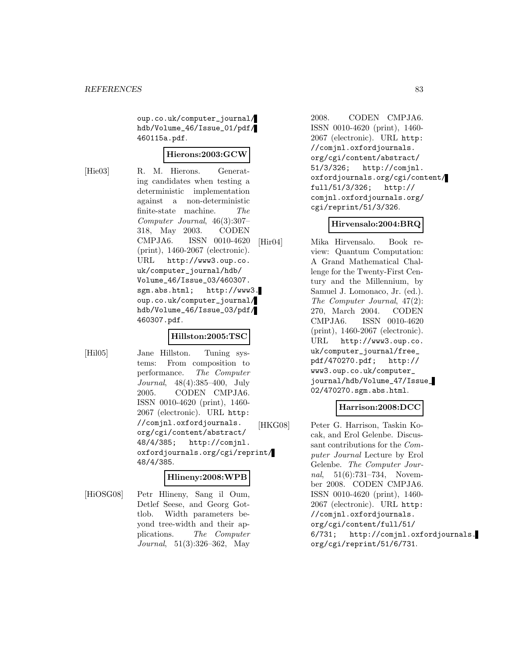oup.co.uk/computer\_journal/ hdb/Volume\_46/Issue\_01/pdf/ 460115a.pdf.

#### **Hierons:2003:GCW**

[Hie03] R. M. Hierons. Generating candidates when testing a deterministic implementation against a non-deterministic finite-state machine. The Computer Journal, 46(3):307– 318, May 2003. CODEN CMPJA6. ISSN 0010-4620 (print), 1460-2067 (electronic). URL http://www3.oup.co. uk/computer\_journal/hdb/ Volume\_46/Issue\_03/460307. sgm.abs.html; http://www3. oup.co.uk/computer\_journal/ hdb/Volume\_46/Issue\_03/pdf/ 460307.pdf.

#### **Hillston:2005:TSC**

[Hil05] Jane Hillston. Tuning systems: From composition to performance. The Computer Journal, 48(4):385–400, July 2005. CODEN CMPJA6. ISSN 0010-4620 (print), 1460- 2067 (electronic). URL http: //comjnl.oxfordjournals. org/cgi/content/abstract/ 48/4/385; http://comjnl. oxfordjournals.org/cgi/reprint/ 48/4/385.

### **Hlineny:2008:WPB**

[HiOSG08] Petr Hlineny, Sang il Oum, Detlef Seese, and Georg Gottlob. Width parameters beyond tree-width and their applications. The Computer Journal, 51(3):326–362, May

2008. CODEN CMPJA6. ISSN 0010-4620 (print), 1460- 2067 (electronic). URL http: //comjnl.oxfordjournals. org/cgi/content/abstract/ 51/3/326; http://comjnl. oxfordjournals.org/cgi/content/ full/51/3/326; http:// comjnl.oxfordjournals.org/ cgi/reprint/51/3/326.

#### **Hirvensalo:2004:BRQ**

[Hir04] Mika Hirvensalo. Book review: Quantum Computation: A Grand Mathematical Challenge for the Twenty-First Century and the Millennium, by Samuel J. Lomonaco, Jr. (ed.). The Computer Journal, 47(2): 270, March 2004. CODEN CMPJA6. ISSN 0010-4620 (print), 1460-2067 (electronic). URL http://www3.oup.co. uk/computer\_journal/free\_ pdf/470270.pdf; http:// www3.oup.co.uk/computer\_ journal/hdb/Volume\_47/Issue\_ 02/470270.sgm.abs.html.

### **Harrison:2008:DCC**

[HKG08] Peter G. Harrison, Taskin Kocak, and Erol Gelenbe. Discussant contributions for the Computer Journal Lecture by Erol Gelenbe. The Computer Journal, 51(6):731–734, November 2008. CODEN CMPJA6. ISSN 0010-4620 (print), 1460- 2067 (electronic). URL http: //comjnl.oxfordjournals. org/cgi/content/full/51/ 6/731; http://comjnl.oxfordjournals. org/cgi/reprint/51/6/731.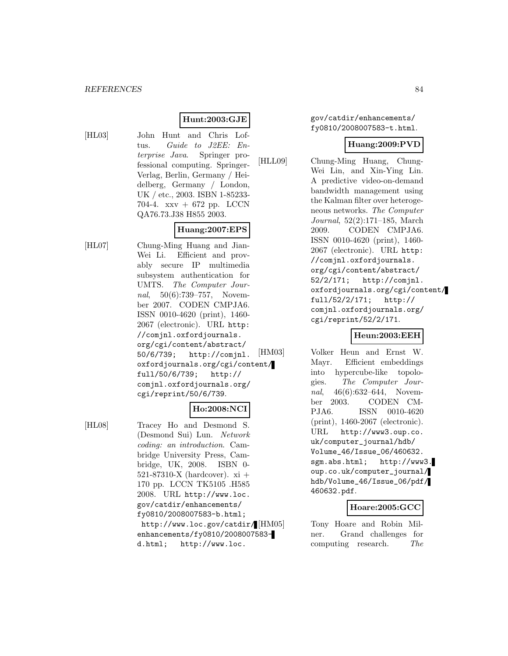## **Hunt:2003:GJE**

[HL03] John Hunt and Chris Loftus. Guide to J2EE: Enterprise Java. Springer professional computing. Springer-Verlag, Berlin, Germany / Heidelberg, Germany / London, UK / etc., 2003. ISBN 1-85233- 704-4. xxv + 672 pp. LCCN QA76.73.J38 H855 2003.

# **Huang:2007:EPS**

[HL07] Chung-Ming Huang and Jian-Wei Li. Efficient and provably secure IP multimedia subsystem authentication for UMTS. The Computer Journal, 50(6):739–757, November 2007. CODEN CMPJA6. ISSN 0010-4620 (print), 1460- 2067 (electronic). URL http: //comjnl.oxfordjournals. org/cgi/content/abstract/ 50/6/739; http://comjnl. oxfordjournals.org/cgi/content/ full/50/6/739; http:// comjnl.oxfordjournals.org/ cgi/reprint/50/6/739.

#### **Ho:2008:NCI**

[HL08] Tracey Ho and Desmond S. (Desmond Sui) Lun. Network coding: an introduction. Cambridge University Press, Cambridge, UK, 2008. ISBN 0- 521-87310-X (hardcover).  $xi +$ 170 pp. LCCN TK5105 .H585 2008. URL http://www.loc. gov/catdir/enhancements/ fy0810/2008007583-b.html; http://www.loc.gov/catdir/ [HM05] enhancements/fy0810/2008007583 d.html; http://www.loc.

gov/catdir/enhancements/ fy0810/2008007583-t.html.

#### **Huang:2009:PVD**

[HLL09] Chung-Ming Huang, Chung-Wei Lin, and Xin-Ying Lin. A predictive video-on-demand bandwidth management using the Kalman filter over heterogeneous networks. The Computer Journal, 52(2):171–185, March 2009. CODEN CMPJA6. ISSN 0010-4620 (print), 1460- 2067 (electronic). URL http: //comjnl.oxfordjournals. org/cgi/content/abstract/ 52/2/171; http://comjnl. oxfordjournals.org/cgi/content/ full/52/2/171; http:// comjnl.oxfordjournals.org/ cgi/reprint/52/2/171.

### **Heun:2003:EEH**

[HM03] Volker Heun and Ernst W. Mayr. Efficient embeddings into hypercube-like topologies. The Computer Journal, 46(6):632–644, November 2003. CODEN CM-PJA6. ISSN 0010-4620 (print), 1460-2067 (electronic). URL http://www3.oup.co. uk/computer\_journal/hdb/ Volume\_46/Issue\_06/460632. sgm.abs.html; http://www3. oup.co.uk/computer\_journal/ hdb/Volume\_46/Issue\_06/pdf/ 460632.pdf.

#### **Hoare:2005:GCC**

Tony Hoare and Robin Milner. Grand challenges for computing research. The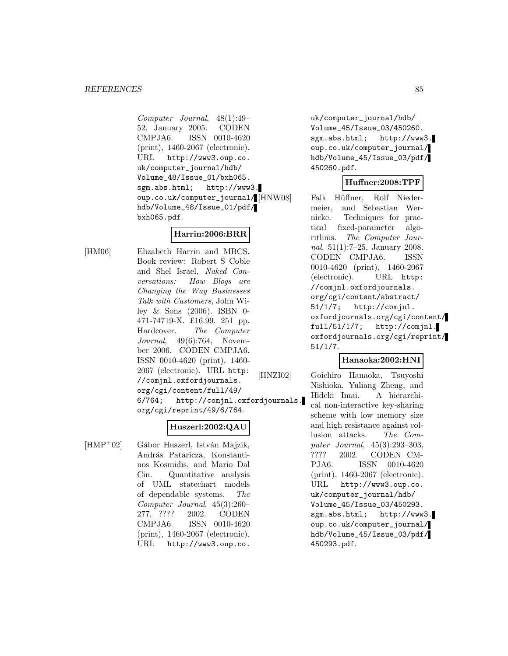Computer Journal, 48(1):49– 52, January 2005. CODEN CMPJA6. ISSN 0010-4620 (print), 1460-2067 (electronic). URL http://www3.oup.co. uk/computer\_journal/hdb/ Volume\_48/Issue\_01/bxh065. sgm.abs.html; http://www3. oup.co.uk/computer\_journal/ hdb/Volume\_48/Issue\_01/pdf/ bxh065.pdf.

## **Harrin:2006:BRR**

[HM06] Elizabeth Harrin and MBCS. Book review: Robert S Coble and Shel Israel, Naked Conversations: How Blogs are Changing the Way Businesses Talk with Customers, John Wiley & Sons (2006). ISBN 0- 471-74719-X. £16.99. 251 pp. Hardcover. The Computer Journal, 49(6):764, November 2006. CODEN CMPJA6. ISSN 0010-4620 (print), 1460- 2067 (electronic). URL http: //comjnl.oxfordjournals. org/cgi/content/full/49/ 6/764; http://comjnl.oxfordjournals. org/cgi/reprint/49/6/764.

### **Huszerl:2002:QAU**

 $[HMP<sup>+</sup>02]$  Gábor Huszerl, István Majzik, András Pataricza, Konstantinos Kosmidis, and Mario Dal Cin. Quantitative analysis of UML statechart models of dependable systems. The Computer Journal, 45(3):260– 277, ???? 2002. CODEN CMPJA6. ISSN 0010-4620 (print), 1460-2067 (electronic). URL http://www3.oup.co.

uk/computer\_journal/hdb/ Volume\_45/Issue\_03/450260. sgm.abs.html; http://www3. oup.co.uk/computer\_journal/ hdb/Volume\_45/Issue\_03/pdf/ 450260.pdf.

## **Huffner:2008:TPF**

Falk Hüffner, Rolf Niedermeier, and Sebastian Wernicke. Techniques for practical fixed-parameter algorithms. The Computer Journal, 51(1):7–25, January 2008. CODEN CMPJA6. ISSN 0010-4620 (print), 1460-2067 (electronic). URL http: //comjnl.oxfordjournals. org/cgi/content/abstract/ 51/1/7; http://comjnl. oxfordjournals.org/cgi/content/ full/51/1/7; http://comjnl. oxfordjournals.org/cgi/reprint/ 51/1/7.

### **Hanaoka:2002:HNI**

[HNZI02] Goichiro Hanaoka, Tsuyoshi Nishioka, Yuliang Zheng, and Hideki Imai. A hierarchical non-interactive key-sharing scheme with low memory size and high resistance against collusion attacks. The Computer Journal, 45(3):293–303, ???? 2002. CODEN CM-PJA6. ISSN 0010-4620 (print), 1460-2067 (electronic). URL http://www3.oup.co. uk/computer\_journal/hdb/ Volume\_45/Issue\_03/450293. sgm.abs.html; http://www3. oup.co.uk/computer\_journal/ hdb/Volume\_45/Issue\_03/pdf/ 450293.pdf.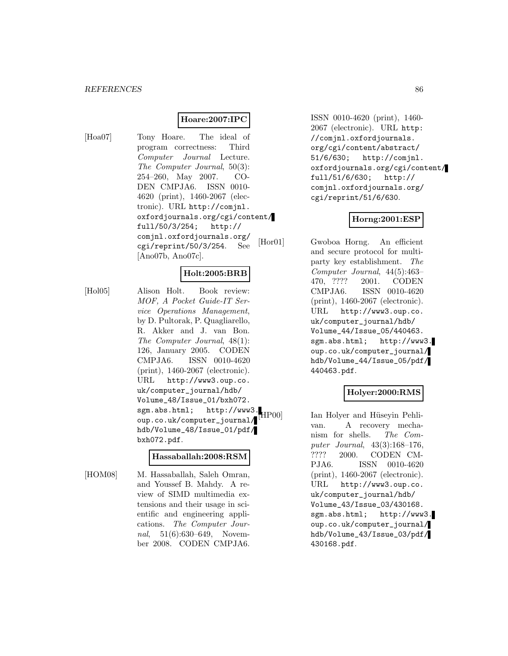#### **Hoare:2007:IPC**

[Hoa07] Tony Hoare. The ideal of program correctness: Third Computer Journal Lecture. The Computer Journal, 50(3): 254–260, May 2007. CO-DEN CMPJA6. ISSN 0010- 4620 (print), 1460-2067 (electronic). URL http://comjnl. oxfordjournals.org/cgi/content/ full/50/3/254; http:// comjnl.oxfordjournals.org/ cgi/reprint/50/3/254. See [Ano07b, Ano07c].

## **Holt:2005:BRB**

[Hol05] Alison Holt. Book review: MOF, A Pocket Guide-IT Service Operations Management, by D. Pultorak, P. Quagliarello, R. Akker and J. van Bon. The Computer Journal, 48(1): 126, January 2005. CODEN CMPJA6. ISSN 0010-4620 (print), 1460-2067 (electronic). URL http://www3.oup.co. uk/computer\_journal/hdb/ Volume\_48/Issue\_01/bxh072. sgm.abs.html; http://www3. oup.co.uk/computer\_journal/ hdb/Volume\_48/Issue\_01/pdf/ bxh072.pdf.

#### **Hassaballah:2008:RSM**

[HOM08] M. Hassaballah, Saleh Omran, and Youssef B. Mahdy. A review of SIMD multimedia extensions and their usage in scientific and engineering applications. The Computer Journal, 51(6):630–649, November 2008. CODEN CMPJA6.

ISSN 0010-4620 (print), 1460- 2067 (electronic). URL http: //comjnl.oxfordjournals. org/cgi/content/abstract/ 51/6/630; http://comjnl. oxfordjournals.org/cgi/content/ full/51/6/630; http:// comjnl.oxfordjournals.org/ cgi/reprint/51/6/630.

### **Horng:2001:ESP**

[Hor01] Gwoboa Horng. An efficient and secure protocol for multiparty key establishment. The Computer Journal, 44(5):463– 470, ???? 2001. CODEN CMPJA6. ISSN 0010-4620 (print), 1460-2067 (electronic). URL http://www3.oup.co. uk/computer\_journal/hdb/ Volume\_44/Issue\_05/440463. sgm.abs.html; http://www3. oup.co.uk/computer\_journal/ hdb/Volume\_44/Issue\_05/pdf/ 440463.pdf.

# **Holyer:2000:RMS**

HP00] Ian Holyer and Hüseyin Pehlivan. A recovery mechanism for shells. The Computer Journal, 43(3):168–176, ???? 2000. CODEN CM-PJA6. ISSN 0010-4620 (print), 1460-2067 (electronic). URL http://www3.oup.co. uk/computer\_journal/hdb/ Volume\_43/Issue\_03/430168. sgm.abs.html; http://www3. oup.co.uk/computer\_journal/ hdb/Volume\_43/Issue\_03/pdf/ 430168.pdf.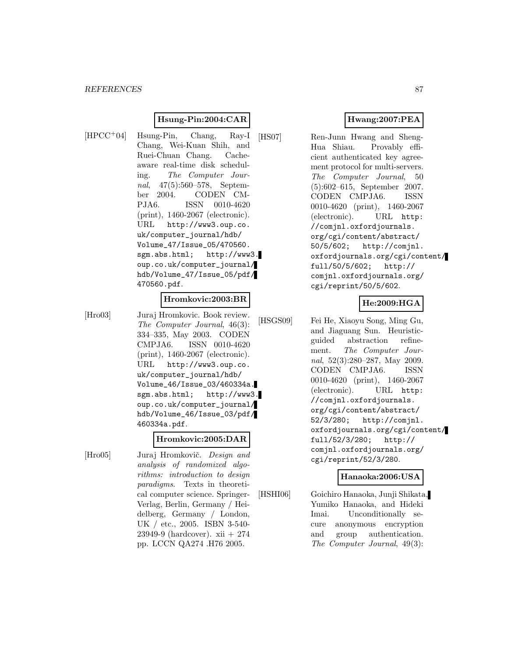### **Hsung-Pin:2004:CAR**

$$
\left[\text{HPCC}^{+}\text{04}\right]
$$

Hsung-Pin, Chang, Ray-I Chang, Wei-Kuan Shih, and Ruei-Chuan Chang. Cacheaware real-time disk scheduling. The Computer Journal, 47(5):560–578, September 2004. CODEN CM-PJA6. ISSN 0010-4620 (print), 1460-2067 (electronic). URL http://www3.oup.co. uk/computer\_journal/hdb/ Volume\_47/Issue\_05/470560. sgm.abs.html; http://www3. oup.co.uk/computer\_journal/ hdb/Volume\_47/Issue\_05/pdf/ 470560.pdf.

### **Hromkovic:2003:BR**

[Hro03] Juraj Hromkovic. Book review. The Computer Journal, 46(3): 334–335, May 2003. CODEN CMPJA6. ISSN 0010-4620 (print), 1460-2067 (electronic). URL http://www3.oup.co. uk/computer\_journal/hdb/ Volume\_46/Issue\_03/460334a. sgm.abs.html; http://www3. oup.co.uk/computer\_journal/ hdb/Volume\_46/Issue\_03/pdf/ 460334a.pdf.

#### **Hromkovic:2005:DAR**

- 
- [Hro05] Juraj Hromkovič. *Design and* analysis of randomized algorithms: introduction to design paradigms. Texts in theoretical computer science. Springer-Verlag, Berlin, Germany / Heidelberg, Germany / London, UK / etc., 2005. ISBN 3-540- 23949-9 (hardcover). xii + 274 pp. LCCN QA274 .H76 2005.

## **Hwang:2007:PEA**

[HS07] Ren-Junn Hwang and Sheng-Hua Shiau. Provably efficient authenticated key agreement protocol for multi-servers. The Computer Journal, 50 (5):602–615, September 2007. CODEN CMPJA6. ISSN 0010-4620 (print), 1460-2067 (electronic). URL http: //comjnl.oxfordjournals. org/cgi/content/abstract/ 50/5/602; http://comjnl. oxfordjournals.org/cgi/content/ full/50/5/602; http:// comjnl.oxfordjournals.org/ cgi/reprint/50/5/602.

## **He:2009:HGA**

[HSGS09] Fei He, Xiaoyu Song, Ming Gu, and Jiaguang Sun. Heuristicguided abstraction refinement. The Computer Journal, 52(3):280–287, May 2009. CODEN CMPJA6. ISSN 0010-4620 (print), 1460-2067 (electronic). URL http: //comjnl.oxfordjournals. org/cgi/content/abstract/ 52/3/280; http://comjnl. oxfordjournals.org/cgi/content/ full/52/3/280; http:// comjnl.oxfordjournals.org/ cgi/reprint/52/3/280.

#### **Hanaoka:2006:USA**

[HSHI06] Goichiro Hanaoka, Junji Shikata, Yumiko Hanaoka, and Hideki Imai. Unconditionally secure anonymous encryption and group authentication. The Computer Journal, 49(3):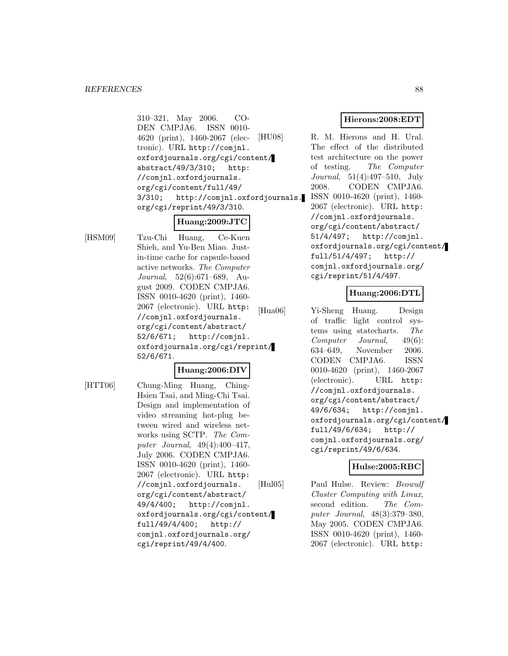310–321, May 2006. CO-DEN CMPJA6. ISSN 0010- 4620 (print), 1460-2067 (electronic). URL http://comjnl. oxfordjournals.org/cgi/content/ abstract/49/3/310; http: //comjnl.oxfordjournals. org/cgi/content/full/49/ 3/310; http://comjnl.oxfordjournals. org/cgi/reprint/49/3/310.

# **Huang:2009:JTC**

[HSM09] Tzu-Chi Huang, Ce-Kuen Shieh, and Yu-Ben Miao. Justin-time cache for capsule-based active networks. The Computer Journal, 52(6):671–689, August 2009. CODEN CMPJA6. ISSN 0010-4620 (print), 1460- 2067 (electronic). URL http: //comjnl.oxfordjournals. org/cgi/content/abstract/ 52/6/671; http://comjnl. oxfordjournals.org/cgi/reprint/ 52/6/671.

### **Huang:2006:DIV**

[HTT06] Chung-Ming Huang, Ching-Hsien Tsai, and Ming-Chi Tsai. Design and implementation of video streaming hot-plug between wired and wireless networks using SCTP. The Computer Journal, 49(4):400–417, July 2006. CODEN CMPJA6. ISSN 0010-4620 (print), 1460- 2067 (electronic). URL http: //comjnl.oxfordjournals. org/cgi/content/abstract/ 49/4/400; http://comjnl. oxfordjournals.org/cgi/content/ full/49/4/400; http:// comjnl.oxfordjournals.org/ cgi/reprint/49/4/400.

### **Hierons:2008:EDT**

[HU08] R. M. Hierons and H. Ural. The effect of the distributed test architecture on the power of testing. The Computer Journal, 51(4):497–510, July 2008. CODEN CMPJA6. ISSN 0010-4620 (print), 1460- 2067 (electronic). URL http: //comjnl.oxfordjournals. org/cgi/content/abstract/ 51/4/497; http://comjnl. oxfordjournals.org/cgi/content/ full/51/4/497; http:// comjnl.oxfordjournals.org/ cgi/reprint/51/4/497.

### **Huang:2006:DTL**

[Hua06] Yi-Sheng Huang. Design of traffic light control systems using statecharts. The Computer Journal, 49(6): 634–649, November 2006. CODEN CMPJA6. ISSN 0010-4620 (print), 1460-2067 (electronic). URL http: //comjnl.oxfordjournals. org/cgi/content/abstract/ 49/6/634; http://comjnl. oxfordjournals.org/cgi/content/ full/49/6/634; http:// comjnl.oxfordjournals.org/ cgi/reprint/49/6/634.

### **Hulse:2005:RBC**

[Hul05] Paul Hulse. Review: Beowulf Cluster Computing with Linux, second edition. The Computer Journal, 48(3):379–380, May 2005. CODEN CMPJA6. ISSN 0010-4620 (print), 1460- 2067 (electronic). URL http: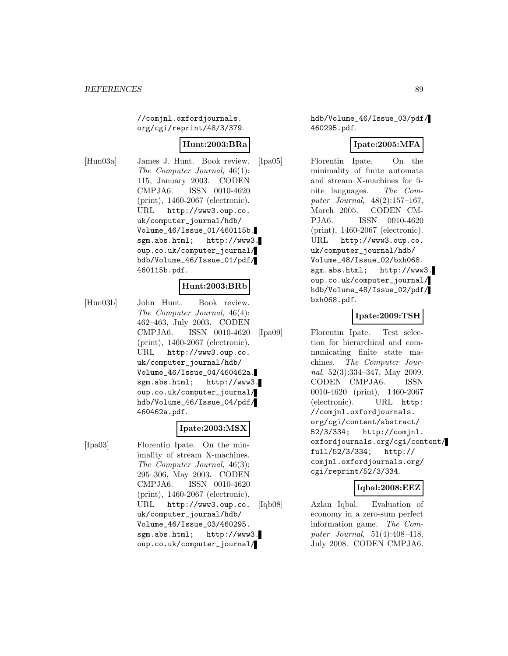//comjnl.oxfordjournals. org/cgi/reprint/48/3/379.

### **Hunt:2003:BRa**

[Hun03a] James J. Hunt. Book review. The Computer Journal, 46(1): 115, January 2003. CODEN CMPJA6. ISSN 0010-4620 (print), 1460-2067 (electronic). URL http://www3.oup.co. uk/computer\_journal/hdb/ Volume\_46/Issue\_01/460115b. sgm.abs.html; http://www3. oup.co.uk/computer\_journal/ hdb/Volume\_46/Issue\_01/pdf/ 460115b.pdf.

#### **Hunt:2003:BRb**

[Hun03b] John Hunt. Book review. The Computer Journal, 46(4): 462–463, July 2003. CODEN CMPJA6. ISSN 0010-4620 (print), 1460-2067 (electronic). URL http://www3.oup.co. uk/computer\_journal/hdb/ Volume\_46/Issue\_04/460462a. sgm.abs.html; http://www3. oup.co.uk/computer\_journal/ hdb/Volume\_46/Issue\_04/pdf/ 460462a.pdf.

#### **Ipate:2003:MSX**

[Ipa03] Florentin Ipate. On the minimality of stream X-machines. The Computer Journal, 46(3): 295–306, May 2003. CODEN CMPJA6. ISSN 0010-4620 (print), 1460-2067 (electronic). URL http://www3.oup.co. uk/computer\_journal/hdb/ Volume\_46/Issue\_03/460295. sgm.abs.html; http://www3. oup.co.uk/computer\_journal/

hdb/Volume\_46/Issue\_03/pdf/ 460295.pdf.

### **Ipate:2005:MFA**

[Ipa05] Florentin Ipate. On the minimality of finite automata and stream X-machines for finite languages. The Computer Journal, 48(2):157–167, March 2005. CODEN CM-PJA6. ISSN 0010-4620 (print), 1460-2067 (electronic). URL http://www3.oup.co. uk/computer\_journal/hdb/ Volume\_48/Issue\_02/bxh068. sgm.abs.html; http://www3. oup.co.uk/computer\_journal/ hdb/Volume\_48/Issue\_02/pdf/ bxh068.pdf.

### **Ipate:2009:TSH**

[Ipa09] Florentin Ipate. Test selection for hierarchical and communicating finite state machines. The Computer Journal, 52(3):334–347, May 2009. CODEN CMPJA6. ISSN 0010-4620 (print), 1460-2067 (electronic). URL http: //comjnl.oxfordjournals. org/cgi/content/abstract/ 52/3/334; http://comjnl. oxfordjournals.org/cgi/content/ full/52/3/334; http:// comjnl.oxfordjournals.org/ cgi/reprint/52/3/334.

### **Iqbal:2008:EEZ**

[Iqb08] Azlan Iqbal. Evaluation of economy in a zero-sum perfect information game. The Computer Journal, 51(4):408–418, July 2008. CODEN CMPJA6.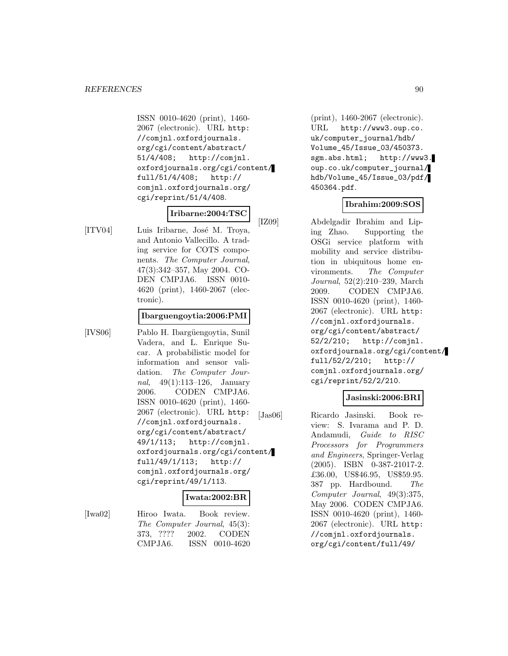ISSN 0010-4620 (print), 1460- 2067 (electronic). URL http: //comjnl.oxfordjournals. org/cgi/content/abstract/ 51/4/408; http://comjnl. oxfordjournals.org/cgi/content/ full/51/4/408; http:// comjnl.oxfordjournals.org/ cgi/reprint/51/4/408.

#### **Iribarne:2004:TSC**

[ITV04] Luis Iribarne, José M. Troya, and Antonio Vallecillo. A trading service for COTS components. The Computer Journal, 47(3):342–357, May 2004. CO-DEN CMPJA6. ISSN 0010- 4620 (print), 1460-2067 (electronic).

#### **Ibarguengoytia:2006:PMI**

[IVS06] Pablo H. Ibargüengoytia, Sunil Vadera, and L. Enrique Sucar. A probabilistic model for information and sensor validation. The Computer Journal, 49(1):113–126, January 2006. CODEN CMPJA6. ISSN 0010-4620 (print), 1460- 2067 (electronic). URL http: //comjnl.oxfordjournals. org/cgi/content/abstract/ 49/1/113; http://comjnl. oxfordjournals.org/cgi/content/ full/49/1/113; http:// comjnl.oxfordjournals.org/ cgi/reprint/49/1/113.

### **Iwata:2002:BR**

[Iwa02] Hiroo Iwata. Book review. The Computer Journal, 45(3): 373, ???? 2002. CODEN CMPJA6. ISSN 0010-4620

(print), 1460-2067 (electronic). URL http://www3.oup.co. uk/computer\_journal/hdb/ Volume\_45/Issue\_03/450373. sgm.abs.html; http://www3. oup.co.uk/computer\_journal/ hdb/Volume\_45/Issue\_03/pdf/ 450364.pdf.

### **Ibrahim:2009:SOS**

[IZ09] Abdelgadir Ibrahim and Liping Zhao. Supporting the OSGi service platform with mobility and service distribution in ubiquitous home environments. The Computer Journal, 52(2):210–239, March 2009. CODEN CMPJA6. ISSN 0010-4620 (print), 1460- 2067 (electronic). URL http: //comjnl.oxfordjournals. org/cgi/content/abstract/ 52/2/210; http://comjnl. oxfordjournals.org/cgi/content/ full/52/2/210; http:// comjnl.oxfordjournals.org/ cgi/reprint/52/2/210.

### **Jasinski:2006:BRI**

[Jas06] Ricardo Jasinski. Book review: S. Ivarama and P. D. Andamudi, Guide to RISC Processors for Programmers and Engineers, Springer-Verlag (2005). ISBN 0-387-21017-2. £36.00, US\$46.95, US\$59.95. 387 pp. Hardbound. The Computer Journal, 49(3):375, May 2006. CODEN CMPJA6. ISSN 0010-4620 (print), 1460- 2067 (electronic). URL http: //comjnl.oxfordjournals. org/cgi/content/full/49/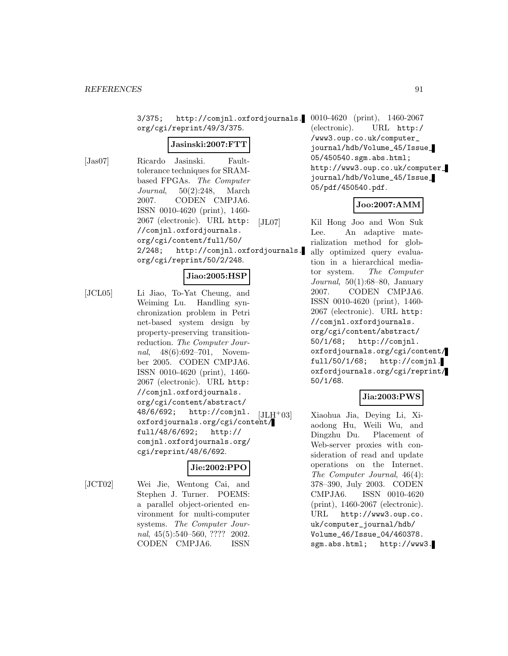3/375; http://comjnl.oxfordjournals. 0010-4620 (print), 1460-2067 org/cgi/reprint/49/3/375.

#### **Jasinski:2007:FTT**

[Jas07] Ricardo Jasinski. Faulttolerance techniques for SRAMbased FPGAs. The Computer Journal, 50(2):248, March 2007. CODEN CMPJA6. ISSN 0010-4620 (print), 1460- 2067 (electronic). URL http: //comjnl.oxfordjournals. org/cgi/content/full/50/ 2/248; http://comjnl.oxfordjournals. org/cgi/reprint/50/2/248.

#### **Jiao:2005:HSP**

[JCL05] Li Jiao, To-Yat Cheung, and Weiming Lu. Handling synchronization problem in Petri net-based system design by property-preserving transitionreduction. The Computer Journal, 48(6):692–701, November 2005. CODEN CMPJA6. ISSN 0010-4620 (print), 1460- 2067 (electronic). URL http: //comjnl.oxfordjournals. org/cgi/content/abstract/ 48/6/692; http://comjnl.  $48/6/692$ ; http://comjn1.  $[JLH^+03]$ <br>oxfordjournals.org/cgi/content/ full/48/6/692; http:// comjnl.oxfordjournals.org/ cgi/reprint/48/6/692.

### **Jie:2002:PPO**

[JCT02] Wei Jie, Wentong Cai, and Stephen J. Turner. POEMS: a parallel object-oriented environment for multi-computer systems. The Computer Journal, 45(5):540–560, ???? 2002. CODEN CMPJA6. ISSN

(electronic). URL http:/ /www3.oup.co.uk/computer\_ journal/hdb/Volume\_45/Issue\_ 05/450540.sgm.abs.html; http://www3.oup.co.uk/computer\_ journal/hdb/Volume\_45/Issue\_ 05/pdf/450540.pdf.

#### **Joo:2007:AMM**

[JL07] Kil Hong Joo and Won Suk Lee. An adaptive materialization method for globally optimized query evaluation in a hierarchical mediator system. The Computer Journal,  $50(1):68-80$ , January 2007. CODEN CMPJA6. ISSN 0010-4620 (print), 1460- 2067 (electronic). URL http: //comjnl.oxfordjournals. org/cgi/content/abstract/ 50/1/68; http://comjnl. oxfordjournals.org/cgi/content/ full/50/1/68; http://comjnl. oxfordjournals.org/cgi/reprint/ 50/1/68.

## **Jia:2003:PWS**

Xiaohua Jia, Deying Li, Xiaodong Hu, Weili Wu, and Dingzhu Du. Placement of Web-server proxies with consideration of read and update operations on the Internet. The Computer Journal, 46(4): 378–390, July 2003. CODEN CMPJA6. ISSN 0010-4620 (print), 1460-2067 (electronic). URL http://www3.oup.co. uk/computer\_journal/hdb/ Volume\_46/Issue\_04/460378. sgm.abs.html; http://www3.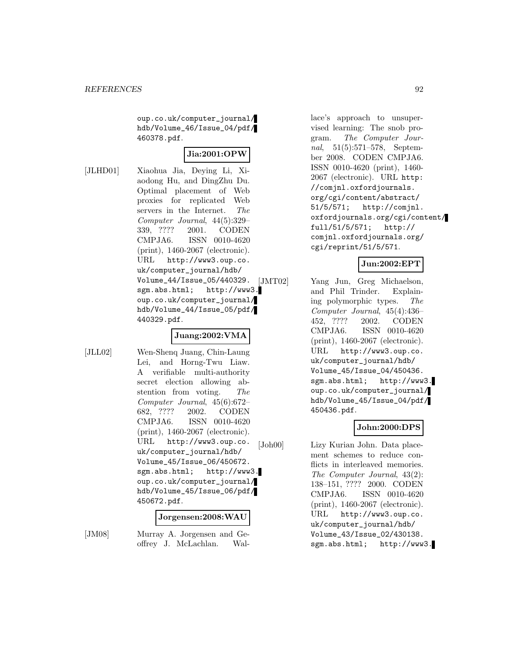oup.co.uk/computer\_journal/ hdb/Volume\_46/Issue\_04/pdf/ 460378.pdf.

## **Jia:2001:OPW**

[JLHD01] Xiaohua Jia, Deying Li, Xiaodong Hu, and DingZhu Du. Optimal placement of Web proxies for replicated Web servers in the Internet. The Computer Journal, 44(5):329– 339, ???? 2001. CODEN CMPJA6. ISSN 0010-4620 (print), 1460-2067 (electronic). URL http://www3.oup.co. uk/computer\_journal/hdb/ Volume\_44/Issue\_05/440329. sgm.abs.html; http://www3. oup.co.uk/computer\_journal/ hdb/Volume\_44/Issue\_05/pdf/ 440329.pdf.

## **Juang:2002:VMA**

[JLL02] Wen-Shenq Juang, Chin-Laung Lei, and Horng-Twu Liaw. A verifiable multi-authority secret election allowing abstention from voting. The Computer Journal, 45(6):672– 682, ???? 2002. CODEN CMPJA6. ISSN 0010-4620 (print), 1460-2067 (electronic). URL http://www3.oup.co. uk/computer\_journal/hdb/ Volume\_45/Issue\_06/450672. sgm.abs.html; http://www3. oup.co.uk/computer\_journal/ hdb/Volume\_45/Issue\_06/pdf/ 450672.pdf.

### **Jorgensen:2008:WAU**

[JM08] Murray A. Jorgensen and Geoffrey J. McLachlan. Wallace's approach to unsupervised learning: The snob program. The Computer Journal, 51(5):571–578, September 2008. CODEN CMPJA6. ISSN 0010-4620 (print), 1460- 2067 (electronic). URL http: //comjnl.oxfordjournals. org/cgi/content/abstract/ 51/5/571; http://comjnl. oxfordjournals.org/cgi/content/ full/51/5/571; http:// comjnl.oxfordjournals.org/ cgi/reprint/51/5/571.

### **Jun:2002:EPT**

[JMT02] Yang Jun, Greg Michaelson, and Phil Trinder. Explaining polymorphic types. The Computer Journal, 45(4):436– 452, ???? 2002. CODEN CMPJA6. ISSN 0010-4620 (print), 1460-2067 (electronic). URL http://www3.oup.co. uk/computer\_journal/hdb/ Volume\_45/Issue\_04/450436. sgm.abs.html; http://www3. oup.co.uk/computer\_journal/ hdb/Volume\_45/Issue\_04/pdf/ 450436.pdf.

### **John:2000:DPS**

[Joh00] Lizy Kurian John. Data placement schemes to reduce conflicts in interleaved memories. The Computer Journal, 43(2): 138–151, ???? 2000. CODEN CMPJA6. ISSN 0010-4620 (print), 1460-2067 (electronic). URL http://www3.oup.co. uk/computer\_journal/hdb/ Volume\_43/Issue\_02/430138. sgm.abs.html; http://www3.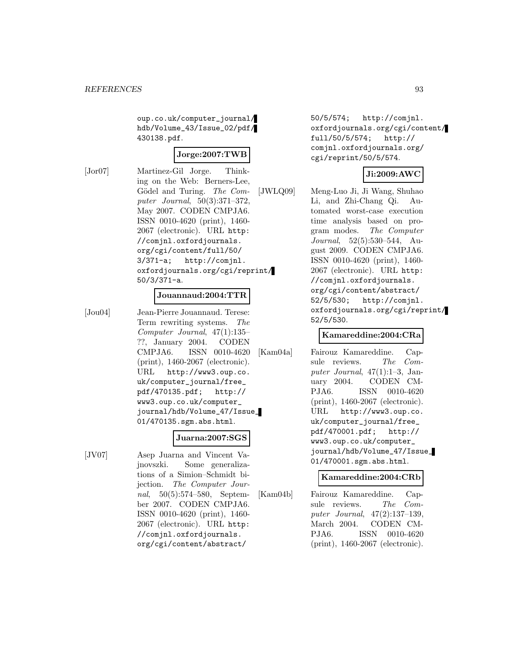oup.co.uk/computer\_journal/ hdb/Volume\_43/Issue\_02/pdf/ 430138.pdf.

### **Jorge:2007:TWB**

[Jor07] Martinez-Gil Jorge. Thinking on the Web: Berners-Lee, Gödel and Turing. The Computer Journal, 50(3):371–372, May 2007. CODEN CMPJA6. ISSN 0010-4620 (print), 1460- 2067 (electronic). URL http: //comjnl.oxfordjournals. org/cgi/content/full/50/ 3/371-a; http://comjnl. oxfordjournals.org/cgi/reprint/ 50/3/371-a.

### **Jouannaud:2004:TTR**

[Jou04] Jean-Pierre Jouannaud. Terese: Term rewriting systems. The Computer Journal, 47(1):135– ??, January 2004. CODEN CMPJA6. ISSN 0010-4620 (print), 1460-2067 (electronic). URL http://www3.oup.co. uk/computer\_journal/free\_ pdf/470135.pdf; http:// www3.oup.co.uk/computer\_ journal/hdb/Volume\_47/Issue\_ 01/470135.sgm.abs.html.

#### **Juarna:2007:SGS**

[JV07] Asep Juarna and Vincent Vajnovszki. Some generalizations of a Simion–Schmidt bijection. The Computer Journal, 50(5):574–580, September 2007. CODEN CMPJA6. ISSN 0010-4620 (print), 1460- 2067 (electronic). URL http: //comjnl.oxfordjournals. org/cgi/content/abstract/

50/5/574; http://comjnl. oxfordjournals.org/cgi/content/ full/50/5/574; http:// comjnl.oxfordjournals.org/ cgi/reprint/50/5/574.

## **Ji:2009:AWC**

[JWLQ09] Meng-Luo Ji, Ji Wang, Shuhao Li, and Zhi-Chang Qi. Automated worst-case execution time analysis based on program modes. The Computer Journal, 52(5):530–544, August 2009. CODEN CMPJA6. ISSN 0010-4620 (print), 1460- 2067 (electronic). URL http: //comjnl.oxfordjournals. org/cgi/content/abstract/ 52/5/530; http://comjnl. oxfordjournals.org/cgi/reprint/ 52/5/530.

### **Kamareddine:2004:CRa**

[Kam04a] Fairouz Kamareddine. Capsule reviews. The Computer Journal,  $47(1):1-3$ , January 2004. CODEN CM-PJA6. ISSN 0010-4620 (print), 1460-2067 (electronic). URL http://www3.oup.co. uk/computer\_journal/free\_ pdf/470001.pdf; http:// www3.oup.co.uk/computer\_ journal/hdb/Volume\_47/Issue\_ 01/470001.sgm.abs.html.

#### **Kamareddine:2004:CRb**

[Kam04b] Fairouz Kamareddine. Capsule reviews. The Computer Journal, 47(2):137–139, March 2004. CODEN CM-PJA6. ISSN 0010-4620 (print), 1460-2067 (electronic).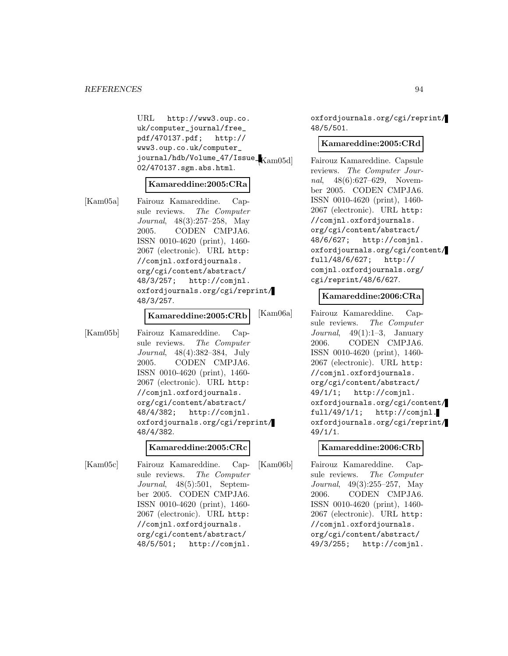#### *REFERENCES* 94

URL http://www3.oup.co. uk/computer\_journal/free\_ pdf/470137.pdf; http:// www3.oup.co.uk/computer\_ journal/hdb/Volume\_47/Issue\_ 02/470137.sgm.abs.html.

#### **Kamareddine:2005:CRa**

[Kam05a] Fairouz Kamareddine. Capsule reviews. The Computer Journal, 48(3):257–258, May 2005. CODEN CMPJA6. ISSN 0010-4620 (print), 1460- 2067 (electronic). URL http: //comjnl.oxfordjournals. org/cgi/content/abstract/ 48/3/257; http://comjnl. oxfordjournals.org/cgi/reprint/ 48/3/257.

#### **Kamareddine:2005:CRb**

[Kam05b] Fairouz Kamareddine. Capsule reviews. The Computer Journal, 48(4):382–384, July 2005. CODEN CMPJA6. ISSN 0010-4620 (print), 1460- 2067 (electronic). URL http: //comjnl.oxfordjournals. org/cgi/content/abstract/ 48/4/382; http://comjnl. oxfordjournals.org/cgi/reprint/ 48/4/382.

#### **Kamareddine:2005:CRc**

[Kam05c] Fairouz Kamareddine. Capsule reviews. The Computer Journal, 48(5):501, September 2005. CODEN CMPJA6. ISSN 0010-4620 (print), 1460- 2067 (electronic). URL http: //comjnl.oxfordjournals. org/cgi/content/abstract/ 48/5/501; http://comjnl.

oxfordjournals.org/cgi/reprint/ 48/5/501.

#### **Kamareddine:2005:CRd**

Fairouz Kamareddine. Capsule reviews. The Computer Journal, 48(6):627–629, November 2005. CODEN CMPJA6. ISSN 0010-4620 (print), 1460- 2067 (electronic). URL http: //comjnl.oxfordjournals. org/cgi/content/abstract/ 48/6/627; http://comjnl. oxfordjournals.org/cgi/content/ full/48/6/627; http:// comjnl.oxfordjournals.org/ cgi/reprint/48/6/627.

#### **Kamareddine:2006:CRa**

[Kam06a] Fairouz Kamareddine. Capsule reviews. The Computer Journal,  $49(1):1-3$ , January 2006. CODEN CMPJA6. ISSN 0010-4620 (print), 1460- 2067 (electronic). URL http: //comjnl.oxfordjournals. org/cgi/content/abstract/ 49/1/1; http://comjnl. oxfordjournals.org/cgi/content/ full/49/1/1;  $http://cominl.$ oxfordjournals.org/cgi/reprint/ 49/1/1.

#### **Kamareddine:2006:CRb**

[Kam06b] Fairouz Kamareddine. Capsule reviews. The Computer Journal, 49(3):255–257, May 2006. CODEN CMPJA6. ISSN 0010-4620 (print), 1460- 2067 (electronic). URL http: //comjnl.oxfordjournals. org/cgi/content/abstract/ 49/3/255; http://comjnl.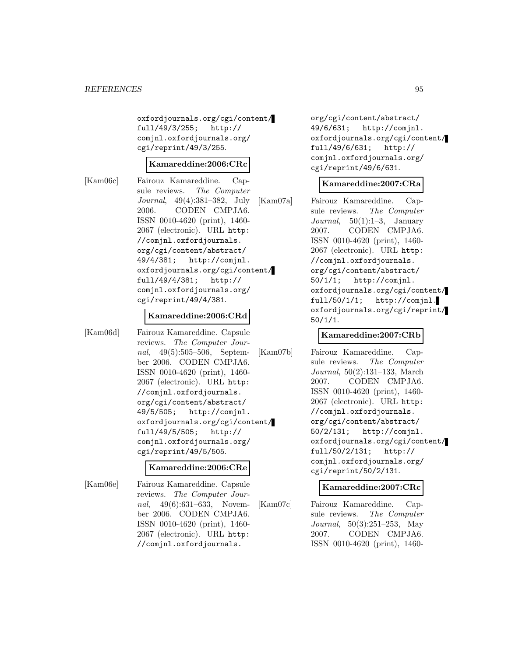oxfordjournals.org/cgi/content/ full/49/3/255; http:// comjnl.oxfordjournals.org/ cgi/reprint/49/3/255.

#### **Kamareddine:2006:CRc**

[Kam06c] Fairouz Kamareddine. Capsule reviews. The Computer Journal, 49(4):381–382, July 2006. CODEN CMPJA6. ISSN 0010-4620 (print), 1460- 2067 (electronic). URL http: //comjnl.oxfordjournals. org/cgi/content/abstract/ 49/4/381; http://comjnl. oxfordjournals.org/cgi/content/ full/49/4/381; http:// comjnl.oxfordjournals.org/ cgi/reprint/49/4/381.

#### **Kamareddine:2006:CRd**

[Kam06d] Fairouz Kamareddine. Capsule reviews. The Computer Journal, 49(5):505–506, September 2006. CODEN CMPJA6. ISSN 0010-4620 (print), 1460- 2067 (electronic). URL http: //comjnl.oxfordjournals. org/cgi/content/abstract/ 49/5/505; http://comjnl. oxfordjournals.org/cgi/content/ full/49/5/505; http:// comjnl.oxfordjournals.org/ cgi/reprint/49/5/505.

#### **Kamareddine:2006:CRe**

[Kam06e] Fairouz Kamareddine. Capsule reviews. The Computer Journal, 49(6):631–633, November 2006. CODEN CMPJA6. ISSN 0010-4620 (print), 1460- 2067 (electronic). URL http: //comjnl.oxfordjournals.

org/cgi/content/abstract/ 49/6/631; http://comjnl. oxfordjournals.org/cgi/content/ full/49/6/631; http:// comjnl.oxfordjournals.org/ cgi/reprint/49/6/631.

#### **Kamareddine:2007:CRa**

[Kam07a] Fairouz Kamareddine. Capsule reviews. The Computer Journal,  $50(1):1-3$ , January 2007. CODEN CMPJA6. ISSN 0010-4620 (print), 1460- 2067 (electronic). URL http: //comjnl.oxfordjournals. org/cgi/content/abstract/ 50/1/1; http://comjnl. oxfordjournals.org/cgi/content/ full/50/1/1; http://comjnl. oxfordjournals.org/cgi/reprint/ 50/1/1.

### **Kamareddine:2007:CRb**

[Kam07b] Fairouz Kamareddine. Capsule reviews. The Computer Journal, 50(2):131–133, March 2007. CODEN CMPJA6. ISSN 0010-4620 (print), 1460- 2067 (electronic). URL http: //comjnl.oxfordjournals. org/cgi/content/abstract/ 50/2/131; http://comjnl. oxfordjournals.org/cgi/content/ full/50/2/131; http:// comjnl.oxfordjournals.org/ cgi/reprint/50/2/131.

### **Kamareddine:2007:CRc**

[Kam07c] Fairouz Kamareddine. Capsule reviews. The Computer Journal, 50(3):251–253, May 2007. CODEN CMPJA6. ISSN 0010-4620 (print), 1460-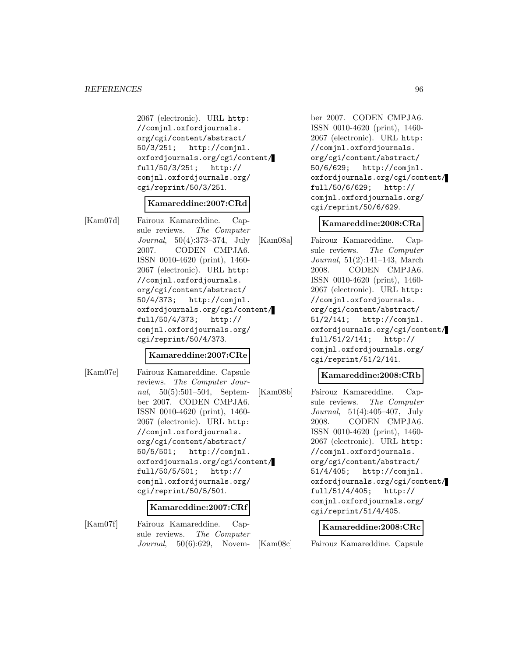#### *REFERENCES* 96

2067 (electronic). URL http: //comjnl.oxfordjournals. org/cgi/content/abstract/ 50/3/251; http://comjnl. oxfordjournals.org/cgi/content/ full/50/3/251; http:// comjnl.oxfordjournals.org/ cgi/reprint/50/3/251.

#### **Kamareddine:2007:CRd**

[Kam07d] Fairouz Kamareddine. Capsule reviews. The Computer Journal, 50(4):373–374, July 2007. CODEN CMPJA6. ISSN 0010-4620 (print), 1460- 2067 (electronic). URL http: //comjnl.oxfordjournals. org/cgi/content/abstract/ 50/4/373; http://comjnl. oxfordjournals.org/cgi/content/ full/50/4/373; http:// comjnl.oxfordjournals.org/ cgi/reprint/50/4/373.

### **Kamareddine:2007:CRe**

[Kam07e] Fairouz Kamareddine. Capsule reviews. The Computer Journal, 50(5):501–504, September 2007. CODEN CMPJA6. ISSN 0010-4620 (print), 1460- 2067 (electronic). URL http: //comjnl.oxfordjournals. org/cgi/content/abstract/ 50/5/501; http://comjnl. oxfordjournals.org/cgi/content/ full/50/5/501; http:// comjnl.oxfordjournals.org/ cgi/reprint/50/5/501.

#### **Kamareddine:2007:CRf**

[Kam07f] Fairouz Kamareddine. Capsule reviews. The Computer Journal, 50(6):629, November 2007. CODEN CMPJA6. ISSN 0010-4620 (print), 1460- 2067 (electronic). URL http: //comjnl.oxfordjournals. org/cgi/content/abstract/ 50/6/629; http://comjnl. oxfordjournals.org/cgi/content/ full/50/6/629; http:// comjnl.oxfordjournals.org/ cgi/reprint/50/6/629.

#### **Kamareddine:2008:CRa**

[Kam08a] Fairouz Kamareddine. Capsule reviews. The Computer Journal, 51(2):141–143, March 2008. CODEN CMPJA6. ISSN 0010-4620 (print), 1460- 2067 (electronic). URL http: //comjnl.oxfordjournals. org/cgi/content/abstract/ 51/2/141; http://comjnl. oxfordjournals.org/cgi/content/ full/51/2/141; http:// comjnl.oxfordjournals.org/ cgi/reprint/51/2/141.

#### **Kamareddine:2008:CRb**

[Kam08b] Fairouz Kamareddine. Capsule reviews. The Computer Journal, 51(4):405–407, July 2008. CODEN CMPJA6. ISSN 0010-4620 (print), 1460- 2067 (electronic). URL http: //comjnl.oxfordjournals. org/cgi/content/abstract/ 51/4/405; http://comjnl. oxfordjournals.org/cgi/content/ full/51/4/405; http:// comjnl.oxfordjournals.org/ cgi/reprint/51/4/405.

#### **Kamareddine:2008:CRc**

[Kam08c] Fairouz Kamareddine. Capsule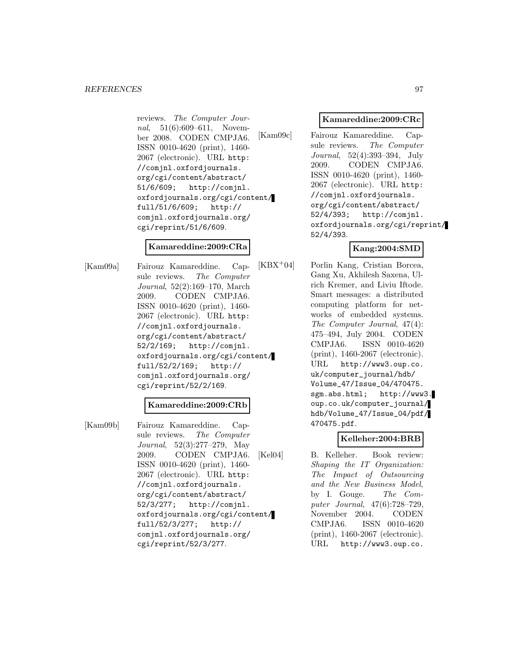reviews. The Computer Journal, 51(6):609-611, November 2008. CODEN CMPJA6. ISSN 0010-4620 (print), 1460- 2067 (electronic). URL http: //comjnl.oxfordjournals. org/cgi/content/abstract/ 51/6/609; http://comjnl. oxfordjournals.org/cgi/content/ full/51/6/609; http:// comjnl.oxfordjournals.org/ cgi/reprint/51/6/609.

## **Kamareddine:2009:CRa**

[Kam09a] Fairouz Kamareddine. Capsule reviews. The Computer Journal, 52(2):169–170, March 2009. CODEN CMPJA6. ISSN 0010-4620 (print), 1460- 2067 (electronic). URL http: //comjnl.oxfordjournals. org/cgi/content/abstract/ 52/2/169; http://comjnl. oxfordjournals.org/cgi/content/ full/52/2/169; http:// comjnl.oxfordjournals.org/ cgi/reprint/52/2/169.

### **Kamareddine:2009:CRb**

[Kam09b] Fairouz Kamareddine. Capsule reviews. The Computer Journal, 52(3):277–279, May 2009. CODEN CMPJA6. ISSN 0010-4620 (print), 1460- 2067 (electronic). URL http: //comjnl.oxfordjournals. org/cgi/content/abstract/ 52/3/277; http://comjnl. oxfordjournals.org/cgi/content/ full/52/3/277; http:// comjnl.oxfordjournals.org/ cgi/reprint/52/3/277.

#### **Kamareddine:2009:CRc**

[Kam09c] Fairouz Kamareddine. Capsule reviews. The Computer Journal, 52(4):393–394, July 2009. CODEN CMPJA6. ISSN 0010-4620 (print), 1460- 2067 (electronic). URL http: //comjnl.oxfordjournals. org/cgi/content/abstract/ 52/4/393; http://comjnl. oxfordjournals.org/cgi/reprint/ 52/4/393.

### **Kang:2004:SMD**

[KBX<sup>+</sup>04] Porlin Kang, Cristian Borcea, Gang Xu, Akhilesh Saxena, Ulrich Kremer, and Liviu Iftode. Smart messages: a distributed computing platform for networks of embedded systems. The Computer Journal, 47(4): 475–494, July 2004. CODEN CMPJA6. ISSN 0010-4620 (print), 1460-2067 (electronic). URL http://www3.oup.co. uk/computer\_journal/hdb/ Volume\_47/Issue\_04/470475. sgm.abs.html; http://www3. oup.co.uk/computer\_journal/ hdb/Volume\_47/Issue\_04/pdf/ 470475.pdf.

### **Kelleher:2004:BRB**

[Kel04] B. Kelleher. Book review: Shaping the IT Organization: The Impact of Outsourcing and the New Business Model, by I. Gouge. The Computer Journal, 47(6):728–729, November 2004. CODEN CMPJA6. ISSN 0010-4620 (print), 1460-2067 (electronic). URL http://www3.oup.co.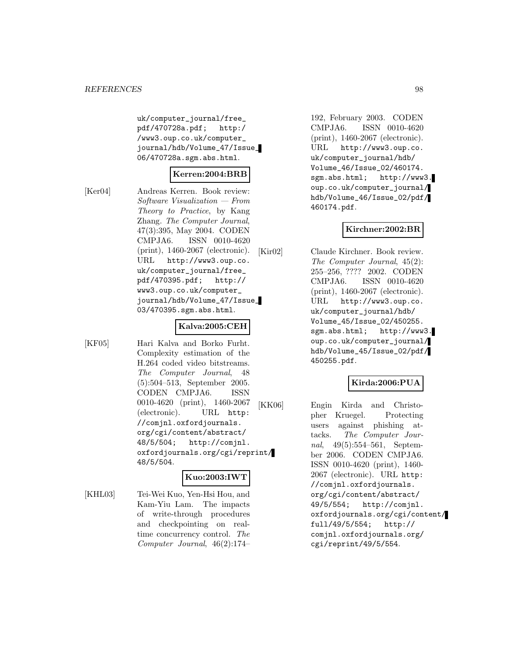uk/computer\_journal/free\_ pdf/470728a.pdf; http:/ /www3.oup.co.uk/computer\_ journal/hdb/Volume\_47/Issue\_ 06/470728a.sgm.abs.html.

### **Kerren:2004:BRB**

[Ker04] Andreas Kerren. Book review: Software Visualization — From Theory to Practice, by Kang Zhang. The Computer Journal, 47(3):395, May 2004. CODEN CMPJA6. ISSN 0010-4620 (print), 1460-2067 (electronic). URL http://www3.oup.co. uk/computer\_journal/free\_ pdf/470395.pdf; http:// www3.oup.co.uk/computer\_ journal/hdb/Volume\_47/Issue\_ 03/470395.sgm.abs.html.

#### **Kalva:2005:CEH**

[KF05] Hari Kalva and Borko Furht. Complexity estimation of the H.264 coded video bitstreams. The Computer Journal, 48 (5):504–513, September 2005. CODEN CMPJA6. ISSN 0010-4620 (print), 1460-2067 (electronic). URL http: //comjnl.oxfordjournals. org/cgi/content/abstract/<br>48/5/504; http://comjnl http://comjnl. oxfordjournals.org/cgi/reprint/ 48/5/504.

## **Kuo:2003:IWT**

[KHL03] Tei-Wei Kuo, Yen-Hsi Hou, and Kam-Yiu Lam. The impacts of write-through procedures and checkpointing on realtime concurrency control. The Computer Journal, 46(2):174–

192, February 2003. CODEN CMPJA6. ISSN 0010-4620 (print), 1460-2067 (electronic). URL http://www3.oup.co. uk/computer\_journal/hdb/ Volume\_46/Issue\_02/460174. sgm.abs.html; http://www3. oup.co.uk/computer\_journal/ hdb/Volume\_46/Issue\_02/pdf/ 460174.pdf.

#### **Kirchner:2002:BR**

[Kir02] Claude Kirchner. Book review. The Computer Journal, 45(2): 255–256, ???? 2002. CODEN CMPJA6. ISSN 0010-4620 (print), 1460-2067 (electronic). URL http://www3.oup.co. uk/computer\_journal/hdb/ Volume\_45/Issue\_02/450255. sgm.abs.html; http://www3. oup.co.uk/computer\_journal/ hdb/Volume\_45/Issue\_02/pdf/ 450255.pdf.

### **Kirda:2006:PUA**

[KK06] Engin Kirda and Christopher Kruegel. Protecting users against phishing attacks. The Computer Journal, 49(5):554–561, September 2006. CODEN CMPJA6. ISSN 0010-4620 (print), 1460- 2067 (electronic). URL http: //comjnl.oxfordjournals. org/cgi/content/abstract/ 49/5/554; http://comjnl. oxfordjournals.org/cgi/content/ full/49/5/554; http:// comjnl.oxfordjournals.org/ cgi/reprint/49/5/554.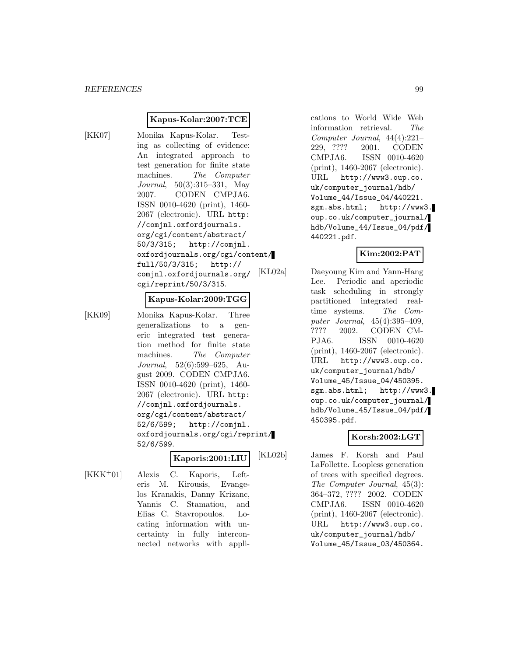#### **Kapus-Kolar:2007:TCE**

[KK07] Monika Kapus-Kolar. Testing as collecting of evidence: An integrated approach to test generation for finite state machines. The Computer Journal, 50(3):315–331, May 2007. CODEN CMPJA6. ISSN 0010-4620 (print), 1460- 2067 (electronic). URL http: //comjnl.oxfordjournals. org/cgi/content/abstract/ 50/3/315; http://comjnl. oxfordjournals.org/cgi/content/ full/50/3/315; http:// comjnl.oxfordjournals.org/ cgi/reprint/50/3/315.

#### **Kapus-Kolar:2009:TGG**

[KK09] Monika Kapus-Kolar. Three generalizations to a generic integrated test generation method for finite state machines. The Computer Journal, 52(6):599–625, August 2009. CODEN CMPJA6. ISSN 0010-4620 (print), 1460- 2067 (electronic). URL http: //comjnl.oxfordjournals. org/cgi/content/abstract/ 52/6/599; http://comjnl. oxfordjournals.org/cgi/reprint/ 52/6/599.

## **Kaporis:2001:LIU**

[KKK<sup>+</sup>01] Alexis C. Kaporis, Lefteris M. Kirousis, Evangelos Kranakis, Danny Krizanc, Yannis C. Stamatiou, and Elias C. Stavropoulos. Locating information with uncertainty in fully interconnected networks with appli-

cations to World Wide Web information retrieval. The Computer Journal, 44(4):221– 229, ???? 2001. CODEN CMPJA6. ISSN 0010-4620 (print), 1460-2067 (electronic). URL http://www3.oup.co. uk/computer\_journal/hdb/ Volume\_44/Issue\_04/440221. sgm.abs.html; http://www3. oup.co.uk/computer\_journal/ hdb/Volume\_44/Issue\_04/pdf/ 440221.pdf.

### **Kim:2002:PAT**

[KL02a] Daeyoung Kim and Yann-Hang Lee. Periodic and aperiodic task scheduling in strongly partitioned integrated realtime systems. The Computer Journal, 45(4):395–409, ???? 2002. CODEN CM-PJA6. ISSN 0010-4620 (print), 1460-2067 (electronic). URL http://www3.oup.co. uk/computer\_journal/hdb/ Volume\_45/Issue\_04/450395. sgm.abs.html; http://www3. oup.co.uk/computer\_journal/ hdb/Volume\_45/Issue\_04/pdf/ 450395.pdf.

## **Korsh:2002:LGT**

[KL02b] James F. Korsh and Paul LaFollette. Loopless generation of trees with specified degrees. The Computer Journal, 45(3): 364–372, ???? 2002. CODEN CMPJA6. ISSN 0010-4620 (print), 1460-2067 (electronic). URL http://www3.oup.co. uk/computer\_journal/hdb/ Volume\_45/Issue\_03/450364.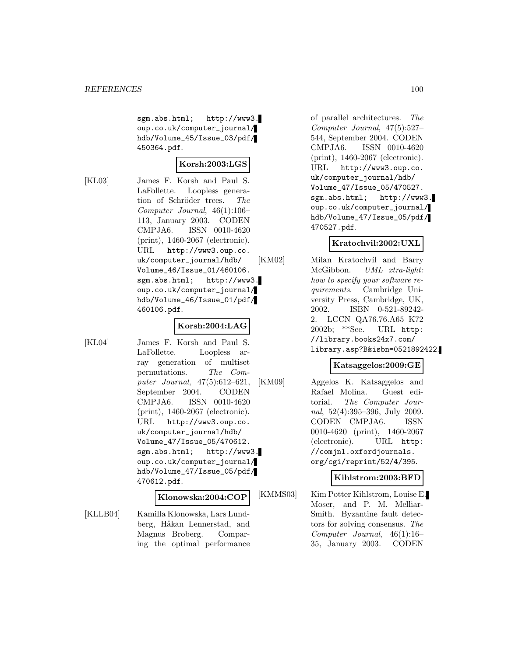sgm.abs.html; http://www3. oup.co.uk/computer\_journal/ hdb/Volume\_45/Issue\_03/pdf/ 450364.pdf.

### **Korsh:2003:LGS**

[KL03] James F. Korsh and Paul S. LaFollette. Loopless generation of Schröder trees. The Computer Journal, 46(1):106– 113, January 2003. CODEN CMPJA6. ISSN 0010-4620 (print), 1460-2067 (electronic). URL http://www3.oup.co. uk/computer\_journal/hdb/ Volume\_46/Issue\_01/460106. sgm.abs.html; http://www3. oup.co.uk/computer\_journal/ hdb/Volume\_46/Issue\_01/pdf/ 460106.pdf.

## **Korsh:2004:LAG**

[KL04] James F. Korsh and Paul S. LaFollette. Loopless array generation of multiset permutations. The Computer Journal, 47(5):612–621, September 2004. CODEN CMPJA6. ISSN 0010-4620 (print), 1460-2067 (electronic). URL http://www3.oup.co. uk/computer\_journal/hdb/ Volume\_47/Issue\_05/470612. sgm.abs.html; http://www3. oup.co.uk/computer\_journal/ hdb/Volume\_47/Issue\_05/pdf/ 470612.pdf.

#### **Klonowska:2004:COP**

[KLLB04] Kamilla Klonowska, Lars Lundberg, Håkan Lennerstad, and Magnus Broberg. Comparing the optimal performance

of parallel architectures. The Computer Journal, 47(5):527– 544, September 2004. CODEN CMPJA6. ISSN 0010-4620 (print), 1460-2067 (electronic). URL http://www3.oup.co. uk/computer\_journal/hdb/ Volume\_47/Issue\_05/470527. sgm.abs.html; http://www3. oup.co.uk/computer\_journal/ hdb/Volume\_47/Issue\_05/pdf/ 470527.pdf.

### **Kratochvil:2002:UXL**

[KM02] Milan Kratochvíl and Barry McGibbon. UML xtra-light: how to specify your software requirements. Cambridge University Press, Cambridge, UK, 2002. ISBN 0-521-89242- 2. LCCN QA76.76.A65 K72 2002b; \*\*See. URL http: //library.books24x7.com/ library.asp?B&isbn=0521892422.

### **Katsaggelos:2009:GE**

[KM09] Aggelos K. Katsaggelos and Rafael Molina. Guest editorial. The Computer Journal, 52(4):395–396, July 2009. CODEN CMPJA6. ISSN 0010-4620 (print), 1460-2067 (electronic). URL http: //comjnl.oxfordjournals. org/cgi/reprint/52/4/395.

### **Kihlstrom:2003:BFD**

[KMMS03] Kim Potter Kihlstrom, Louise E. Moser, and P. M. Melliar-Smith. Byzantine fault detectors for solving consensus. The Computer Journal, 46(1):16– 35, January 2003. CODEN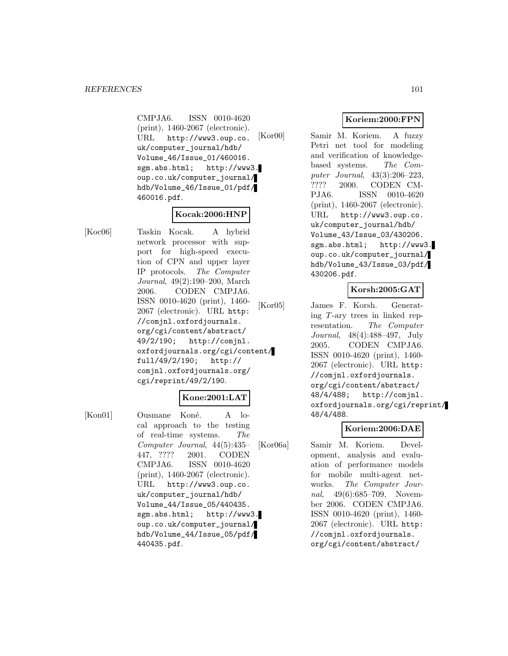CMPJA6. ISSN 0010-4620 (print), 1460-2067 (electronic). URL http://www3.oup.co. uk/computer\_journal/hdb/ Volume\_46/Issue\_01/460016. sgm.abs.html; http://www3. oup.co.uk/computer\_journal/ hdb/Volume\_46/Issue\_01/pdf/ 460016.pdf.

## **Kocak:2006:HNP**

[Koc06] Taskin Kocak. A hybrid network processor with support for high-speed execution of CPN and upper layer IP protocols. The Computer Journal, 49(2):190–200, March 2006. CODEN CMPJA6. ISSN 0010-4620 (print), 1460- 2067 (electronic). URL http: //comjnl.oxfordjournals. org/cgi/content/abstract/ 49/2/190; http://comjnl. oxfordjournals.org/cgi/content/ full/49/2/190; http:// comjnl.oxfordjournals.org/ cgi/reprint/49/2/190.

### **Kone:2001:LAT**

[Kon01] Ousmane Koné. A local approach to the testing of real-time systems. The Computer Journal, 44(5):435– 447, ???? 2001. CODEN CMPJA6. ISSN 0010-4620 (print), 1460-2067 (electronic). URL http://www3.oup.co. uk/computer\_journal/hdb/ Volume\_44/Issue\_05/440435. sgm.abs.html; http://www3. oup.co.uk/computer\_journal/ hdb/Volume\_44/Issue\_05/pdf/ 440435.pdf.

## **Koriem:2000:FPN**

[Kor00] Samir M. Koriem. A fuzzy Petri net tool for modeling and verification of knowledgebased systems. The Computer Journal, 43(3):206–223, ???? 2000. CODEN CM-PJA6. ISSN 0010-4620 (print), 1460-2067 (electronic). URL http://www3.oup.co. uk/computer\_journal/hdb/ Volume\_43/Issue\_03/430206. sgm.abs.html; http://www3. oup.co.uk/computer\_journal/ hdb/Volume\_43/Issue\_03/pdf/ 430206.pdf.

### **Korsh:2005:GAT**

[Kor05] James F. Korsh. Generating  $T$ -ary trees in linked representation. The Computer Journal, 48(4):488–497, July 2005. CODEN CMPJA6. ISSN 0010-4620 (print), 1460- 2067 (electronic). URL http: //comjnl.oxfordjournals. org/cgi/content/abstract/ 48/4/488; http://comjnl. oxfordjournals.org/cgi/reprint/ 48/4/488.

### **Koriem:2006:DAE**

[Kor06a] Samir M. Koriem. Development, analysis and evaluation of performance models for mobile multi-agent networks. The Computer Journal, 49(6):685–709, November 2006. CODEN CMPJA6. ISSN 0010-4620 (print), 1460- 2067 (electronic). URL http: //comjnl.oxfordjournals. org/cgi/content/abstract/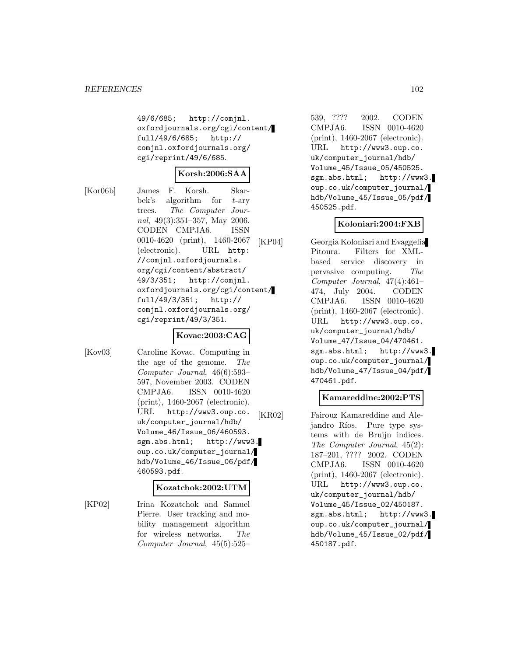49/6/685; http://comjnl. oxfordjournals.org/cgi/content/ full/49/6/685; http:// comjnl.oxfordjournals.org/ cgi/reprint/49/6/685.

#### **Korsh:2006:SAA**

[Kor06b] James F. Korsh. Skarbek's algorithm for  $t$ -ary trees. The Computer Journal, 49(3):351–357, May 2006. CODEN CMPJA6. ISSN 0010-4620 (print), 1460-2067 (electronic). URL http: //comjnl.oxfordjournals. org/cgi/content/abstract/ 49/3/351; http://comjnl. oxfordjournals.org/cgi/content/ full/49/3/351; http:// comjnl.oxfordjournals.org/ cgi/reprint/49/3/351.

## **Kovac:2003:CAG**

[Kov03] Caroline Kovac. Computing in the age of the genome. The Computer Journal, 46(6):593– 597, November 2003. CODEN CMPJA6. ISSN 0010-4620 (print), 1460-2067 (electronic). URL http://www3.oup.co. uk/computer\_journal/hdb/ Volume\_46/Issue\_06/460593. sgm.abs.html; http://www3. oup.co.uk/computer\_journal/ hdb/Volume\_46/Issue\_06/pdf/ 460593.pdf.

#### **Kozatchok:2002:UTM**

[KP02] Irina Kozatchok and Samuel Pierre. User tracking and mobility management algorithm for wireless networks. The Computer Journal, 45(5):525–

539, ???? 2002. CODEN CMPJA6. ISSN 0010-4620 (print), 1460-2067 (electronic). URL http://www3.oup.co. uk/computer\_journal/hdb/ Volume\_45/Issue\_05/450525. sgm.abs.html; http://www3. oup.co.uk/computer\_journal/ hdb/Volume\_45/Issue\_05/pdf/ 450525.pdf.

#### **Koloniari:2004:FXB**

[KP04] Georgia Koloniari and Evaggelia Pitoura. Filters for XMLbased service discovery in pervasive computing. The Computer Journal, 47(4):461– 474, July 2004. CODEN CMPJA6. ISSN 0010-4620 (print), 1460-2067 (electronic). URL http://www3.oup.co. uk/computer\_journal/hdb/ Volume\_47/Issue\_04/470461. sgm.abs.html; http://www3. oup.co.uk/computer\_journal/ hdb/Volume\_47/Issue\_04/pdf/ 470461.pdf.

#### **Kamareddine:2002:PTS**

[KR02] Fairouz Kamareddine and Alejandro Ríos. Pure type systems with de Bruijn indices. The Computer Journal, 45(2): 187–201, ???? 2002. CODEN CMPJA6. ISSN 0010-4620 (print), 1460-2067 (electronic). URL http://www3.oup.co. uk/computer\_journal/hdb/ Volume\_45/Issue\_02/450187. sgm.abs.html; http://www3. oup.co.uk/computer\_journal/ hdb/Volume\_45/Issue\_02/pdf/ 450187.pdf.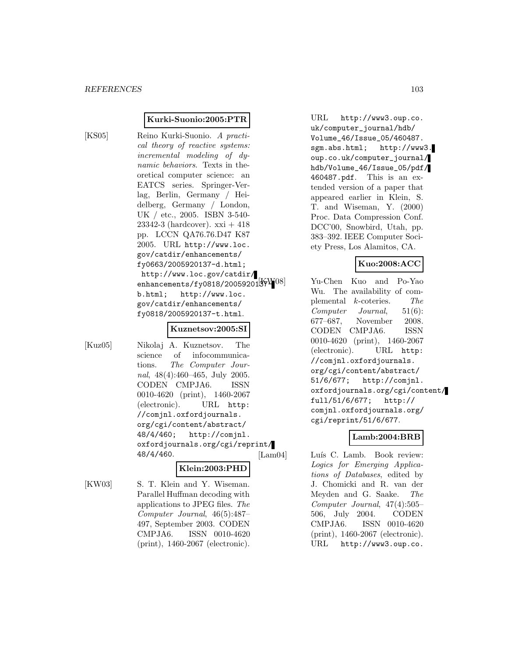### **Kurki-Suonio:2005:PTR**

[KS05] Reino Kurki-Suonio. A practical theory of reactive systems: incremental modeling of dynamic behaviors. Texts in theoretical computer science: an EATCS series. Springer-Verlag, Berlin, Germany / Heidelberg, Germany / London, UK / etc., 2005. ISBN 3-540- 23342-3 (hardcover).  $xxi + 418$ pp. LCCN QA76.76.D47 K87 2005. URL http://www.loc. gov/catdir/enhancements/ fy0663/2005920137-d.html; http://www.loc.gov/catdir/ enhancements/fy0818/200592013 $\frac{11}{32}$ b.html; http://www.loc. gov/catdir/enhancements/ fy0818/2005920137-t.html.

#### **Kuznetsov:2005:SI**

[Kuz05] Nikolaj A. Kuznetsov. The science of infocommunications. The Computer Journal, 48(4):460–465, July 2005. CODEN CMPJA6. ISSN 0010-4620 (print), 1460-2067 (electronic). URL http: //comjnl.oxfordjournals. org/cgi/content/abstract/ 48/4/460; http://comjnl. oxfordjournals.org/cgi/reprint/ 48/4/460.

### **Klein:2003:PHD**

[KW03] S. T. Klein and Y. Wiseman. Parallel Huffman decoding with applications to JPEG files. The Computer Journal, 46(5):487– 497, September 2003. CODEN CMPJA6. ISSN 0010-4620 (print), 1460-2067 (electronic).

URL http://www3.oup.co. uk/computer\_journal/hdb/ Volume\_46/Issue\_05/460487. sgm.abs.html; http://www3. oup.co.uk/computer\_journal/ hdb/Volume\_46/Issue\_05/pdf/ 460487.pdf. This is an extended version of a paper that appeared earlier in Klein, S. T. and Wiseman, Y. (2000) Proc. Data Compression Conf. DCC'00, Snowbird, Utah, pp. 383–392. IEEE Computer Society Press, Los Alamitos, CA.

## **Kuo:2008:ACC**

Yu-Chen Kuo and Po-Yao Wu. The availability of complemental k-coteries. The Computer Journal, 51(6): 677–687, November 2008. CODEN CMPJA6. ISSN 0010-4620 (print), 1460-2067 (electronic). URL http: //comjnl.oxfordjournals. org/cgi/content/abstract/ 51/6/677; http://comjnl. oxfordjournals.org/cgi/content/ full/51/6/677; http:// comjnl.oxfordjournals.org/ cgi/reprint/51/6/677.

# **Lamb:2004:BRB**

[Lam04] Luís C. Lamb. Book review: Logics for Emerging Applications of Databases, edited by J. Chomicki and R. van der Meyden and G. Saake. The Computer Journal, 47(4):505– 506, July 2004. CODEN CMPJA6. ISSN 0010-4620 (print), 1460-2067 (electronic). URL http://www3.oup.co.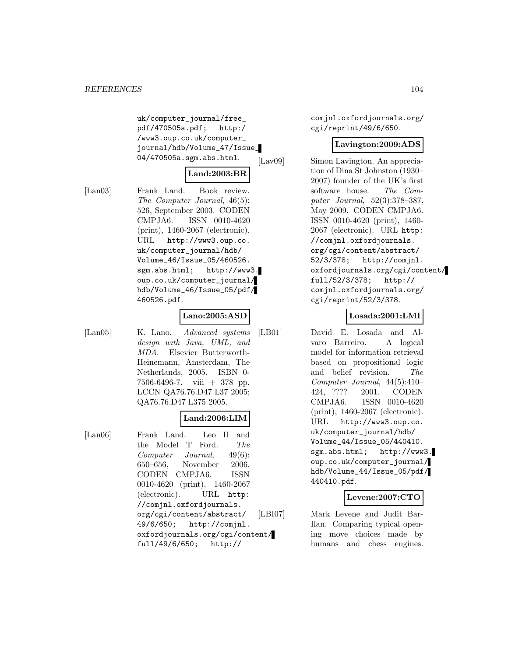uk/computer\_journal/free\_ pdf/470505a.pdf; http:/ /www3.oup.co.uk/computer\_ journal/hdb/Volume\_47/Issue\_ 04/470505a.sgm.abs.html.

## **Land:2003:BR**

[Lan03] Frank Land. Book review. The Computer Journal, 46(5): 526, September 2003. CODEN CMPJA6. ISSN 0010-4620 (print), 1460-2067 (electronic). URL http://www3.oup.co. uk/computer\_journal/hdb/ Volume\_46/Issue\_05/460526. sgm.abs.html; http://www3. oup.co.uk/computer\_journal/ hdb/Volume\_46/Issue\_05/pdf/ 460526.pdf.

### **Lano:2005:ASD**

[Lan05] K. Lano. Advanced systems design with Java, UML, and MDA. Elsevier Butterworth-Heinemann, Amsterdam, The Netherlands, 2005. ISBN 0- 7506-6496-7. viii + 378 pp. LCCN QA76.76.D47 L37 2005; QA76.76.D47 L375 2005.

## **Land:2006:LIM**

[Lan06] Frank Land. Leo II and the Model T Ford. The Computer Journal, 49(6): 650–656, November 2006. CODEN CMPJA6. ISSN 0010-4620 (print), 1460-2067 (electronic). URL http: //comjnl.oxfordjournals. org/cgi/content/abstract/ 49/6/650; http://comjnl. oxfordjournals.org/cgi/content/ full/49/6/650; http://

comjnl.oxfordjournals.org/ cgi/reprint/49/6/650.

## **Lavington:2009:ADS**

[Lav09] Simon Lavington. An appreciation of Dina St Johnston (1930– 2007) founder of the UK's first software house. The Computer Journal, 52(3):378–387, May 2009. CODEN CMPJA6. ISSN 0010-4620 (print), 1460- 2067 (electronic). URL http: //comjnl.oxfordjournals. org/cgi/content/abstract/ 52/3/378; http://comjnl. oxfordjournals.org/cgi/content/ full/52/3/378; http:// comjnl.oxfordjournals.org/ cgi/reprint/52/3/378.

## **Losada:2001:LMI**

[LB01] David E. Losada and Alvaro Barreiro. A logical model for information retrieval based on propositional logic and belief revision. The Computer Journal, 44(5):410– 424, ???? 2001. CODEN CMPJA6. ISSN 0010-4620 (print), 1460-2067 (electronic). URL http://www3.oup.co. uk/computer\_journal/hdb/ Volume\_44/Issue\_05/440410. sgm.abs.html; http://www3. oup.co.uk/computer\_journal/ hdb/Volume\_44/Issue\_05/pdf/ 440410.pdf.

### **Levene:2007:CTO**

[LBI07] Mark Levene and Judit Bar-Ilan. Comparing typical opening move choices made by humans and chess engines.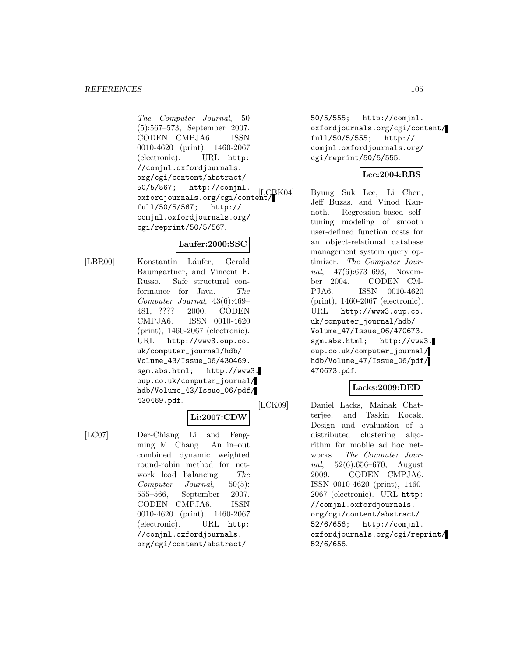The Computer Journal, 50 (5):567–573, September 2007. CODEN CMPJA6. ISSN 0010-4620 (print), 1460-2067 (electronic). URL http: //comjnl.oxfordjournals. org/cgi/content/abstract/ 50/5/567; http://comjnl. oxfordjournals.org/cgi/content/ full/50/5/567; http:// comjnl.oxfordjournals.org/ cgi/reprint/50/5/567.

## **Laufer:2000:SSC**

[LBR00] Konstantin Läufer, Gerald Baumgartner, and Vincent F. Russo. Safe structural conformance for Java. The Computer Journal, 43(6):469– 481, ???? 2000. CODEN CMPJA6. ISSN 0010-4620 (print), 1460-2067 (electronic). URL http://www3.oup.co. uk/computer\_journal/hdb/ Volume\_43/Issue\_06/430469. sgm.abs.html; http://www3. oup.co.uk/computer\_journal/ hdb/Volume\_43/Issue\_06/pdf/ 430469.pdf.

# **Li:2007:CDW**

[LC07] Der-Chiang Li and Fengming M. Chang. An in–out combined dynamic weighted round-robin method for network load balancing. The Computer Journal, 50(5): 555–566, September 2007. CODEN CMPJA6. ISSN 0010-4620 (print), 1460-2067 (electronic). URL http: //comjnl.oxfordjournals. org/cgi/content/abstract/

50/5/555; http://comjnl. oxfordjournals.org/cgi/content/ full/50/5/555; http:// comjnl.oxfordjournals.org/ cgi/reprint/50/5/555.

# **Lee:2004:RBS**

Byung Suk Lee, Li Chen, Jeff Buzas, and Vinod Kannoth. Regression-based selftuning modeling of smooth user-defined function costs for an object-relational database management system query optimizer. The Computer Journal, 47(6):673–693, November 2004. CODEN CM-PJA6. ISSN 0010-4620 (print), 1460-2067 (electronic). URL http://www3.oup.co. uk/computer\_journal/hdb/ Volume\_47/Issue\_06/470673. sgm.abs.html; http://www3. oup.co.uk/computer\_journal/ hdb/Volume\_47/Issue\_06/pdf/ 470673.pdf.

# **Lacks:2009:DED**

[LCK09] Daniel Lacks, Mainak Chatterjee, and Taskin Kocak. Design and evaluation of a distributed clustering algorithm for mobile ad hoc networks. The Computer Journal, 52(6):656–670, August 2009. CODEN CMPJA6. ISSN 0010-4620 (print), 1460- 2067 (electronic). URL http: //comjnl.oxfordjournals. org/cgi/content/abstract/ 52/6/656; http://comjnl. oxfordjournals.org/cgi/reprint/ 52/6/656.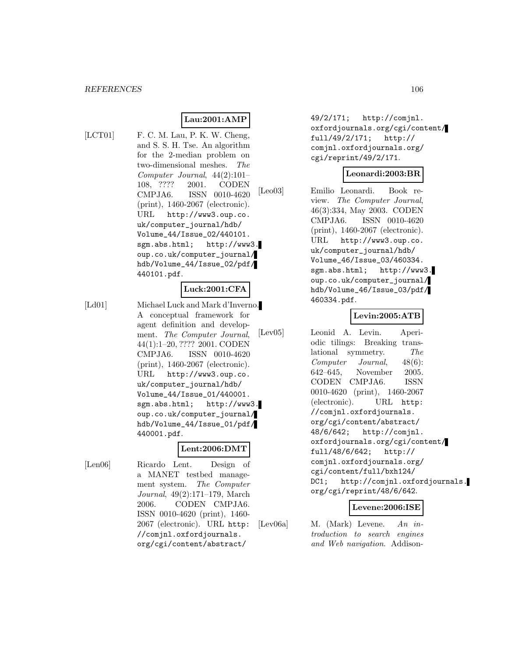# **Lau:2001:AMP**

[LCT01] F. C. M. Lau, P. K. W. Cheng, and S. S. H. Tse. An algorithm for the 2-median problem on two-dimensional meshes. The Computer Journal, 44(2):101– 108, ???? 2001. CODEN CMPJA6. ISSN 0010-4620 (print), 1460-2067 (electronic). URL http://www3.oup.co. uk/computer\_journal/hdb/ Volume\_44/Issue\_02/440101. sgm.abs.html; http://www3. oup.co.uk/computer\_journal/ hdb/Volume\_44/Issue\_02/pdf/ 440101.pdf.

### **Luck:2001:CFA**

[Ld01] Michael Luck and Mark d'Inverno. A conceptual framework for agent definition and development. The Computer Journal, 44(1):1–20, ???? 2001. CODEN CMPJA6. ISSN 0010-4620 (print), 1460-2067 (electronic). URL http://www3.oup.co. uk/computer\_journal/hdb/ Volume\_44/Issue\_01/440001. sgm.abs.html; http://www3. oup.co.uk/computer\_journal/ hdb/Volume\_44/Issue\_01/pdf/ 440001.pdf.

#### **Lent:2006:DMT**

[Len06] Ricardo Lent. Design of a MANET testbed management system. The Computer Journal, 49(2):171–179, March 2006. CODEN CMPJA6. ISSN 0010-4620 (print), 1460- 2067 (electronic). URL http: //comjnl.oxfordjournals. org/cgi/content/abstract/

49/2/171; http://comjnl. oxfordjournals.org/cgi/content/ full/49/2/171; http:// comjnl.oxfordjournals.org/ cgi/reprint/49/2/171.

#### **Leonardi:2003:BR**

[Leo03] Emilio Leonardi. Book review. The Computer Journal, 46(3):334, May 2003. CODEN CMPJA6. ISSN 0010-4620 (print), 1460-2067 (electronic). URL http://www3.oup.co. uk/computer\_journal/hdb/ Volume\_46/Issue\_03/460334. sgm.abs.html; http://www3. oup.co.uk/computer\_journal/ hdb/Volume\_46/Issue\_03/pdf/ 460334.pdf.

### **Levin:2005:ATB**

[Lev05] Leonid A. Levin. Aperiodic tilings: Breaking translational symmetry. The Computer Journal, 48(6): 642–645, November 2005. CODEN CMPJA6. ISSN 0010-4620 (print), 1460-2067 (electronic). URL http: //comjnl.oxfordjournals. org/cgi/content/abstract/ 48/6/642; http://comjnl. oxfordjournals.org/cgi/content/ full/48/6/642; http:// comjnl.oxfordjournals.org/ cgi/content/full/bxh124/ DC1; http://comjnl.oxfordjournals. org/cgi/reprint/48/6/642.

#### **Levene:2006:ISE**

[Lev06a] M. (Mark) Levene. An introduction to search engines and Web navigation. Addison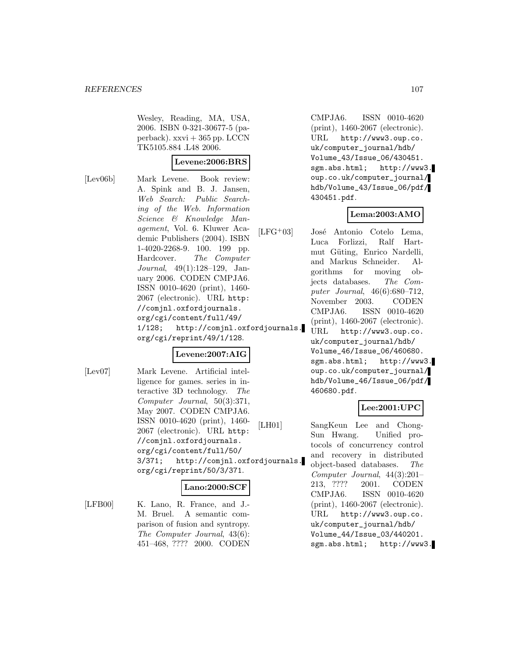Wesley, Reading, MA, USA, 2006. ISBN 0-321-30677-5 (paperback).  $xxvi + 365$  pp. LCCN TK5105.884 .L48 2006.

### **Levene:2006:BRS**

[Lev06b] Mark Levene. Book review: A. Spink and B. J. Jansen, Web Search: Public Searching of the Web. Information Science & Knowledge Management, Vol. 6. Kluwer Academic Publishers (2004). ISBN 1-4020-2268-9. 100. 199 pp. Hardcover. The Computer Journal, 49(1):128–129, January 2006. CODEN CMPJA6. ISSN 0010-4620 (print), 1460- 2067 (electronic). URL http: //comjnl.oxfordjournals. org/cgi/content/full/49/ 1/128; http://comjnl.oxfordjournals. org/cgi/reprint/49/1/128.

## **Levene:2007:AIG**

[Lev07] Mark Levene. Artificial intelligence for games. series in interactive 3D technology. The Computer Journal, 50(3):371, May 2007. CODEN CMPJA6. ISSN 0010-4620 (print), 1460- 2067 (electronic). URL http: //comjnl.oxfordjournals. org/cgi/content/full/50/ 3/371; http://comjnl.oxfordjournals. org/cgi/reprint/50/3/371.

### **Lano:2000:SCF**

[LFB00] K. Lano, R. France, and J.-M. Bruel. A semantic comparison of fusion and syntropy. The Computer Journal, 43(6): 451–468, ???? 2000. CODEN

CMPJA6. ISSN 0010-4620 (print), 1460-2067 (electronic). URL http://www3.oup.co. uk/computer\_journal/hdb/ Volume\_43/Issue\_06/430451. sgm.abs.html; http://www3. oup.co.uk/computer\_journal/ hdb/Volume\_43/Issue\_06/pdf/ 430451.pdf.

### **Lema:2003:AMO**

- $[LFG<sup>+</sup>03]$  José Antonio Cotelo Lema, Luca Forlizzi, Ralf Hartmut Güting, Enrico Nardelli, and Markus Schneider. Algorithms for moving objects databases. The Computer Journal, 46(6):680–712, November 2003. CODEN CMPJA6. ISSN 0010-4620 (print), 1460-2067 (electronic).
	- URL http://www3.oup.co. uk/computer\_journal/hdb/ Volume\_46/Issue\_06/460680. sgm.abs.html; http://www3. oup.co.uk/computer\_journal/ hdb/Volume\_46/Issue\_06/pdf/ 460680.pdf.

## **Lee:2001:UPC**

[LH01] SangKeun Lee and Chong-Sun Hwang. Unified protocols of concurrency control and recovery in distributed object-based databases. The Computer Journal, 44(3):201– 213, ???? 2001. CODEN CMPJA6. ISSN 0010-4620 (print), 1460-2067 (electronic). URL http://www3.oup.co. uk/computer\_journal/hdb/ Volume\_44/Issue\_03/440201. sgm.abs.html; http://www3.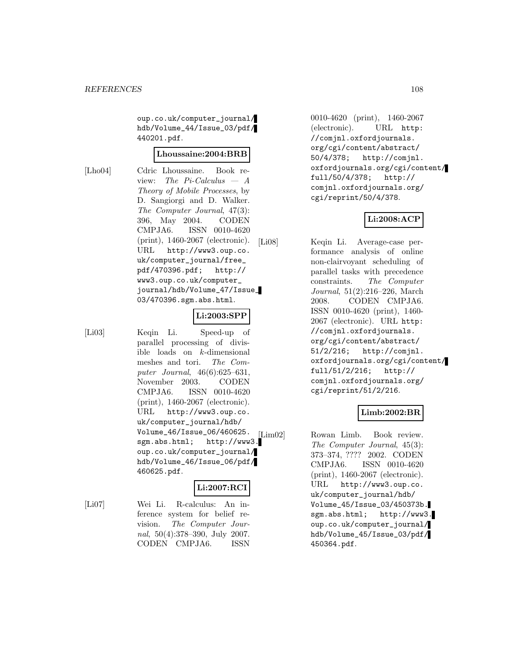oup.co.uk/computer\_journal/ hdb/Volume\_44/Issue\_03/pdf/ 440201.pdf.

#### **Lhoussaine:2004:BRB**

[Lho04] Cdric Lhoussaine. Book review: The Pi-Calculus  $- A$ Theory of Mobile Processes, by D. Sangiorgi and D. Walker. The Computer Journal, 47(3): 396, May 2004. CODEN CMPJA6. ISSN 0010-4620 (print), 1460-2067 (electronic). URL http://www3.oup.co. uk/computer\_journal/free\_ pdf/470396.pdf; http:// www3.oup.co.uk/computer\_ journal/hdb/Volume\_47/Issue\_ 03/470396.sgm.abs.html.

#### **Li:2003:SPP**

[Li03] Keqin Li. Speed-up of parallel processing of divisible loads on k-dimensional meshes and tori. The Computer Journal, 46(6):625–631, November 2003. CODEN CMPJA6. ISSN 0010-4620 (print), 1460-2067 (electronic). URL http://www3.oup.co. uk/computer\_journal/hdb/ Volume\_46/Issue\_06/460625. sgm.abs.html; http://www3. oup.co.uk/computer\_journal/ hdb/Volume\_46/Issue\_06/pdf/ 460625.pdf.

### **Li:2007:RCI**

[Li07] Wei Li. R-calculus: An inference system for belief revision. The Computer Journal, 50(4):378–390, July 2007. CODEN CMPJA6. ISSN

0010-4620 (print), 1460-2067 (electronic). URL http: //comjnl.oxfordjournals. org/cgi/content/abstract/ 50/4/378; http://comjnl. oxfordjournals.org/cgi/content/ full/50/4/378; http:// comjnl.oxfordjournals.org/ cgi/reprint/50/4/378.

## **Li:2008:ACP**

[Li08] Keqin Li. Average-case performance analysis of online non-clairvoyant scheduling of parallel tasks with precedence constraints. The Computer Journal, 51(2):216–226, March 2008. CODEN CMPJA6. ISSN 0010-4620 (print), 1460- 2067 (electronic). URL http: //comjnl.oxfordjournals. org/cgi/content/abstract/ 51/2/216; http://comjnl. oxfordjournals.org/cgi/content/ full/51/2/216; http:// comjnl.oxfordjournals.org/ cgi/reprint/51/2/216.

### **Limb:2002:BR**

[Lim02] Rowan Limb. Book review. The Computer Journal, 45(3): 373–374, ???? 2002. CODEN CMPJA6. ISSN 0010-4620 (print), 1460-2067 (electronic). URL http://www3.oup.co. uk/computer\_journal/hdb/ Volume\_45/Issue\_03/450373b. sgm.abs.html; http://www3. oup.co.uk/computer\_journal/ hdb/Volume\_45/Issue\_03/pdf/ 450364.pdf.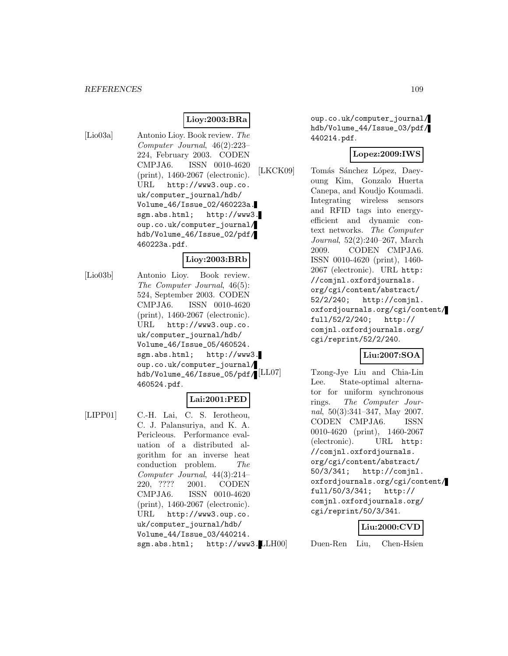#### *REFERENCES* 109

## **Lioy:2003:BRa**

[Lio03a] Antonio Lioy. Book review. The Computer Journal, 46(2):223– 224, February 2003. CODEN CMPJA6. ISSN 0010-4620 (print), 1460-2067 (electronic). URL http://www3.oup.co. uk/computer\_journal/hdb/ Volume\_46/Issue\_02/460223a. sgm.abs.html; http://www3. oup.co.uk/computer\_journal/ hdb/Volume\_46/Issue\_02/pdf/ 460223a.pdf.

#### **Lioy:2003:BRb**

[Lio03b] Antonio Lioy. Book review. The Computer Journal, 46(5): 524, September 2003. CODEN CMPJA6. ISSN 0010-4620 (print), 1460-2067 (electronic). URL http://www3.oup.co. uk/computer\_journal/hdb/ Volume\_46/Issue\_05/460524. sgm.abs.html; http://www3. oup.co.uk/computer\_journal/ hdb/Volume\_46/Issue\_05/pdf/ 460524.pdf.

### **Lai:2001:PED**

[LIPP01] C.-H. Lai, C. S. Ierotheou, C. J. Palansuriya, and K. A. Pericleous. Performance evaluation of a distributed algorithm for an inverse heat conduction problem. The Computer Journal, 44(3):214– 220, ???? 2001. CODEN CMPJA6. ISSN 0010-4620 (print), 1460-2067 (electronic). URL http://www3.oup.co. uk/computer\_journal/hdb/ Volume\_44/Issue\_03/440214. sgm.abs.html; http://www3.LLH00

oup.co.uk/computer\_journal/ hdb/Volume\_44/Issue\_03/pdf/ 440214.pdf.

## **Lopez:2009:IWS**

[LKCK09] Tomás Sánchez López, Daeyoung Kim, Gonzalo Huerta Canepa, and Koudjo Koumadi. Integrating wireless sensors and RFID tags into energyefficient and dynamic context networks. The Computer Journal, 52(2):240–267, March 2009. CODEN CMPJA6. ISSN 0010-4620 (print), 1460- 2067 (electronic). URL http: //comjnl.oxfordjournals. org/cgi/content/abstract/ 52/2/240; http://comjnl. oxfordjournals.org/cgi/content/ full/52/2/240; http:// comjnl.oxfordjournals.org/ cgi/reprint/52/2/240.

## **Liu:2007:SOA**

[LL07] Tzong-Jye Liu and Chia-Lin Lee. State-optimal alternator for uniform synchronous rings. The Computer Journal, 50(3):341–347, May 2007. CODEN CMPJA6. ISSN 0010-4620 (print), 1460-2067 (electronic). URL http: //comjnl.oxfordjournals. org/cgi/content/abstract/ 50/3/341; http://comjnl. oxfordjournals.org/cgi/content/ full/50/3/341; http:// comjnl.oxfordjournals.org/ cgi/reprint/50/3/341.

#### **Liu:2000:CVD**

Duen-Ren Liu, Chen-Hsien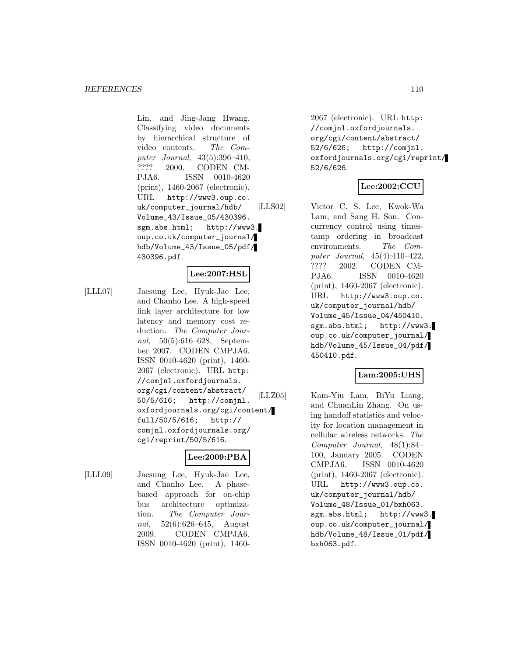Lin, and Jing-Jang Hwang. Classifying video documents by hierarchical structure of video contents. The Computer Journal, 43(5):396–410, ???? 2000. CODEN CM-PJA6. ISSN 0010-4620 (print), 1460-2067 (electronic). URL http://www3.oup.co. uk/computer\_journal/hdb/ Volume\_43/Issue\_05/430396. sgm.abs.html; http://www3. oup.co.uk/computer\_journal/ hdb/Volume\_43/Issue\_05/pdf/ 430396.pdf.

## **Lee:2007:HSL**

[LLL07] Jaesung Lee, Hyuk-Jae Lee, and Chanho Lee. A high-speed link layer architecture for low latency and memory cost reduction. The Computer Journal, 50(5):616–628, September 2007. CODEN CMPJA6. ISSN 0010-4620 (print), 1460- 2067 (electronic). URL http: //comjnl.oxfordjournals. org/cgi/content/abstract/ 50/5/616; http://comjnl. oxfordjournals.org/cgi/content/ full/50/5/616; http:// comjnl.oxfordjournals.org/ cgi/reprint/50/5/616.

## **Lee:2009:PBA**

[LLL09] Jaesung Lee, Hyuk-Jae Lee, and Chanho Lee. A phasebased approach for on-chip bus architecture optimization. The Computer Journal, 52(6):626–645, August 2009. CODEN CMPJA6. ISSN 0010-4620 (print), 14602067 (electronic). URL http: //comjnl.oxfordjournals. org/cgi/content/abstract/ 52/6/626; http://comjnl. oxfordjournals.org/cgi/reprint/ 52/6/626.

### **Lee:2002:CCU**

[LLS02] Victor C. S. Lee, Kwok-Wa Lam, and Sang H. Son. Concurrency control using timestamp ordering in broadcast environments. The Computer Journal, 45(4):410–422, ???? 2002. CODEN CM-PJA6. ISSN 0010-4620 (print), 1460-2067 (electronic). URL http://www3.oup.co. uk/computer\_journal/hdb/ Volume\_45/Issue\_04/450410. sgm.abs.html; http://www3. oup.co.uk/computer\_journal/ hdb/Volume\_45/Issue\_04/pdf/ 450410.pdf.

## **Lam:2005:UHS**

[LLZ05] Kam-Yiu Lam, BiYu Liang, and ChuanLin Zhang. On using handoff statistics and velocity for location management in cellular wireless networks. The Computer Journal, 48(1):84– 100, January 2005. CODEN CMPJA6. ISSN 0010-4620 (print), 1460-2067 (electronic). URL http://www3.oup.co. uk/computer\_journal/hdb/ Volume\_48/Issue\_01/bxh063. sgm.abs.html; http://www3. oup.co.uk/computer\_journal/ hdb/Volume\_48/Issue\_01/pdf/ bxh063.pdf.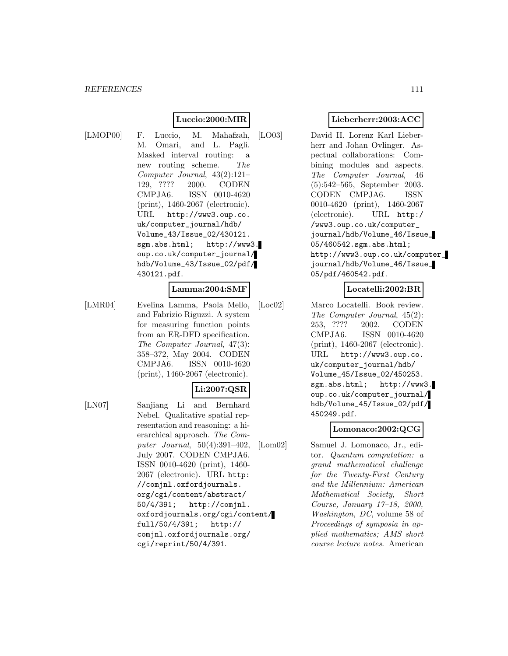## **Luccio:2000:MIR**

[LMOP00] F. Luccio, M. Mahafzah, M. Omari, and L. Pagli. Masked interval routing: a new routing scheme. The Computer Journal, 43(2):121– 129, ???? 2000. CODEN CMPJA6. ISSN 0010-4620 (print), 1460-2067 (electronic). URL http://www3.oup.co. uk/computer\_journal/hdb/ Volume\_43/Issue\_02/430121. sgm.abs.html; http://www3. oup.co.uk/computer\_journal/ hdb/Volume\_43/Issue\_02/pdf/ 430121.pdf.

#### **Lamma:2004:SMF**

[LMR04] Evelina Lamma, Paola Mello, and Fabrizio Riguzzi. A system for measuring function points from an ER-DFD specification. The Computer Journal, 47(3): 358–372, May 2004. CODEN CMPJA6. ISSN 0010-4620 (print), 1460-2067 (electronic).

### **Li:2007:QSR**

[LN07] Sanjiang Li and Bernhard Nebel. Qualitative spatial representation and reasoning: a hierarchical approach. The Computer Journal, 50(4):391–402, July 2007. CODEN CMPJA6. ISSN 0010-4620 (print), 1460- 2067 (electronic). URL http: //comjnl.oxfordjournals. org/cgi/content/abstract/ 50/4/391; http://comjnl. oxfordjournals.org/cgi/content/ full/50/4/391; http:// comjnl.oxfordjournals.org/ cgi/reprint/50/4/391.

## **Lieberherr:2003:ACC**

[LO03] David H. Lorenz Karl Lieberherr and Johan Ovlinger. Aspectual collaborations: Combining modules and aspects. The Computer Journal, 46 (5):542–565, September 2003. CODEN CMPJA6. ISSN 0010-4620 (print), 1460-2067 (electronic). URL http:/ /www3.oup.co.uk/computer\_ journal/hdb/Volume\_46/Issue\_ 05/460542.sgm.abs.html; http://www3.oup.co.uk/computer\_ journal/hdb/Volume\_46/Issue\_ 05/pdf/460542.pdf.

## **Locatelli:2002:BR**

[Loc02] Marco Locatelli. Book review. The Computer Journal, 45(2): 253, ???? 2002. CODEN CMPJA6. ISSN 0010-4620 (print), 1460-2067 (electronic). URL http://www3.oup.co. uk/computer\_journal/hdb/ Volume\_45/Issue\_02/450253. sgm.abs.html; http://www3. oup.co.uk/computer\_journal/ hdb/Volume\_45/Issue\_02/pdf/ 450249.pdf.

#### **Lomonaco:2002:QCG**

[Lom02] Samuel J. Lomonaco, Jr., editor. Quantum computation: a grand mathematical challenge for the Twenty-First Century and the Millennium: American Mathematical Society, Short Course, January 17–18, 2000, Washington, DC, volume 58 of Proceedings of symposia in applied mathematics; AMS short course lecture notes. American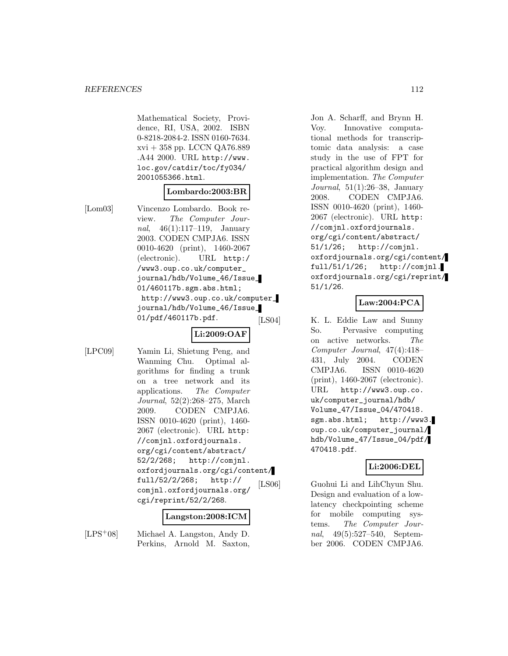Mathematical Society, Providence, RI, USA, 2002. ISBN 0-8218-2084-2. ISSN 0160-7634. xvi + 358 pp. LCCN QA76.889 .A44 2000. URL http://www. loc.gov/catdir/toc/fy034/ 2001055366.html.

## **Lombardo:2003:BR**

[Lom03] Vincenzo Lombardo. Book review. The Computer Journal, 46(1):117–119, January 2003. CODEN CMPJA6. ISSN 0010-4620 (print), 1460-2067 (electronic). URL http:/ /www3.oup.co.uk/computer\_ journal/hdb/Volume\_46/Issue\_ 01/460117b.sgm.abs.html; http://www3.oup.co.uk/computer\_ journal/hdb/Volume\_46/Issue\_ 01/pdf/460117b.pdf.

# **Li:2009:OAF**

[LPC09] Yamin Li, Shietung Peng, and Wanming Chu. Optimal algorithms for finding a trunk on a tree network and its applications. The Computer Journal, 52(2):268–275, March 2009. CODEN CMPJA6. ISSN 0010-4620 (print), 1460- 2067 (electronic). URL http: //comjnl.oxfordjournals. org/cgi/content/abstract/ 52/2/268; http://comjnl. oxfordjournals.org/cgi/content/ full/52/2/268; http:// comjnl.oxfordjournals.org/ cgi/reprint/52/2/268.

#### **Langston:2008:ICM**

[LPS<sup>+</sup>08] Michael A. Langston, Andy D. Perkins, Arnold M. Saxton,

Jon A. Scharff, and Brynn H. Voy. Innovative computational methods for transcriptomic data analysis: a case study in the use of FPT for practical algorithm design and implementation. The Computer Journal, 51(1):26–38, January 2008. CODEN CMPJA6. ISSN 0010-4620 (print), 1460- 2067 (electronic). URL http: //comjnl.oxfordjournals. org/cgi/content/abstract/ 51/1/26; http://comjnl. oxfordjournals.org/cgi/content/ full/51/1/26; http://comjnl. oxfordjournals.org/cgi/reprint/ 51/1/26.

## **Law:2004:PCA**

[LS04] K. L. Eddie Law and Sunny So. Pervasive computing on active networks. The Computer Journal, 47(4):418– 431, July 2004. CODEN CMPJA6. ISSN 0010-4620 (print), 1460-2067 (electronic). URL http://www3.oup.co. uk/computer\_journal/hdb/ Volume\_47/Issue\_04/470418. sgm.abs.html; http://www3. oup.co.uk/computer\_journal/ hdb/Volume\_47/Issue\_04/pdf/ 470418.pdf.

## **Li:2006:DEL**

[LS06] Guohui Li and LihChyun Shu. Design and evaluation of a lowlatency checkpointing scheme for mobile computing systems. The Computer Journal, 49(5):527–540, September 2006. CODEN CMPJA6.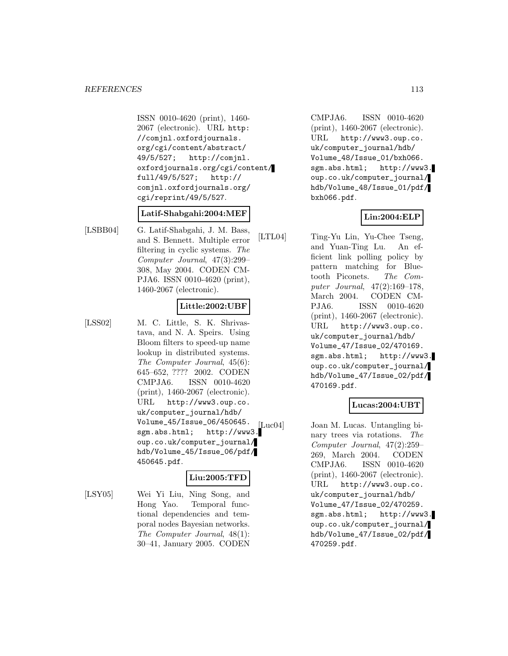ISSN 0010-4620 (print), 1460- 2067 (electronic). URL http: //comjnl.oxfordjournals. org/cgi/content/abstract/ 49/5/527; http://comjnl. oxfordjournals.org/cgi/content/ full/49/5/527; http:// comjnl.oxfordjournals.org/ cgi/reprint/49/5/527.

#### **Latif-Shabgahi:2004:MEF**

[LSBB04] G. Latif-Shabgahi, J. M. Bass, and S. Bennett. Multiple error filtering in cyclic systems. The Computer Journal, 47(3):299– 308, May 2004. CODEN CM-PJA6. ISSN 0010-4620 (print), 1460-2067 (electronic).

### **Little:2002:UBF**

[LSS02] M. C. Little, S. K. Shrivastava, and N. A. Speirs. Using Bloom filters to speed-up name lookup in distributed systems. The Computer Journal, 45(6): 645–652, ???? 2002. CODEN CMPJA6. ISSN 0010-4620 (print), 1460-2067 (electronic). URL http://www3.oup.co. uk/computer\_journal/hdb/ Volume\_45/Issue\_06/450645. sgm.abs.html; http://www3. oup.co.uk/computer\_journal/ hdb/Volume\_45/Issue\_06/pdf/ 450645.pdf.

## **Liu:2005:TFD**

[LSY05] Wei Yi Liu, Ning Song, and Hong Yao. Temporal functional dependencies and temporal nodes Bayesian networks. The Computer Journal, 48(1): 30–41, January 2005. CODEN

CMPJA6. ISSN 0010-4620 (print), 1460-2067 (electronic). URL http://www3.oup.co. uk/computer\_journal/hdb/ Volume\_48/Issue\_01/bxh066. sgm.abs.html; http://www3. oup.co.uk/computer\_journal/ hdb/Volume\_48/Issue\_01/pdf/ bxh066.pdf.

## **Lin:2004:ELP**

[LTL04] Ting-Yu Lin, Yu-Chee Tseng, and Yuan-Ting Lu. An efficient link polling policy by pattern matching for Bluetooth Piconets. The Computer Journal, 47(2):169–178, March 2004. CODEN CM-PJA6. ISSN 0010-4620 (print), 1460-2067 (electronic). URL http://www3.oup.co. uk/computer\_journal/hdb/ Volume\_47/Issue\_02/470169. sgm.abs.html; http://www3. oup.co.uk/computer\_journal/ hdb/Volume\_47/Issue\_02/pdf/ 470169.pdf.

## **Lucas:2004:UBT**

[Luc04] Joan M. Lucas. Untangling binary trees via rotations. The Computer Journal, 47(2):259– 269, March 2004. CODEN CMPJA6. ISSN 0010-4620 (print), 1460-2067 (electronic). URL http://www3.oup.co. uk/computer\_journal/hdb/ Volume\_47/Issue\_02/470259. sgm.abs.html; http://www3. oup.co.uk/computer\_journal/ hdb/Volume\_47/Issue\_02/pdf/ 470259.pdf.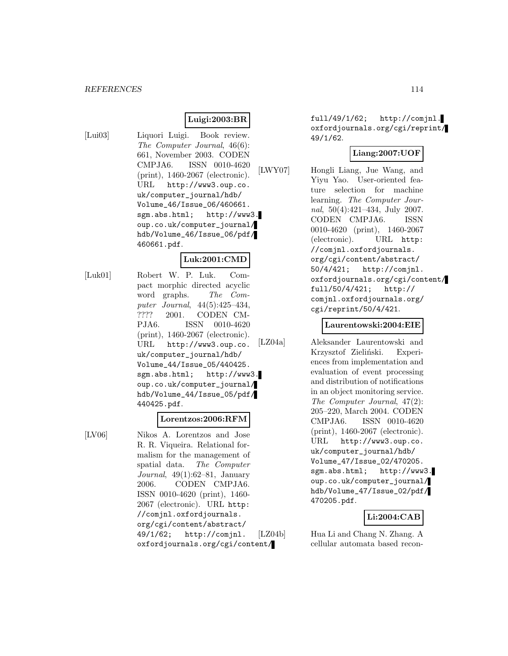#### *REFERENCES* 114

## **Luigi:2003:BR**

- 
- [Lui03] Liquori Luigi. Book review. The Computer Journal, 46(6): 661, November 2003. CODEN CMPJA6. ISSN 0010-4620 (print), 1460-2067 (electronic). URL http://www3.oup.co. uk/computer\_journal/hdb/ Volume\_46/Issue\_06/460661. sgm.abs.html; http://www3. oup.co.uk/computer\_journal/ hdb/Volume\_46/Issue\_06/pdf/ 460661.pdf.

### **Luk:2001:CMD**

[Luk01] Robert W. P. Luk. Compact morphic directed acyclic word graphs. The Computer Journal, 44(5):425–434, ???? 2001. CODEN CM-PJA6. ISSN 0010-4620 (print), 1460-2067 (electronic). URL http://www3.oup.co. uk/computer\_journal/hdb/ Volume\_44/Issue\_05/440425. sgm.abs.html; http://www3. oup.co.uk/computer\_journal/ hdb/Volume\_44/Issue\_05/pdf/ 440425.pdf.

#### **Lorentzos:2006:RFM**

[LV06] Nikos A. Lorentzos and Jose R. R. Viqueira. Relational formalism for the management of spatial data. The Computer Journal, 49(1):62–81, January 2006. CODEN CMPJA6. ISSN 0010-4620 (print), 1460- 2067 (electronic). URL http: //comjnl.oxfordjournals. org/cgi/content/abstract/ 49/1/62; http://comjnl. oxfordjournals.org/cgi/content/ full/49/1/62; http://comjnl. oxfordjournals.org/cgi/reprint/ 49/1/62.

## **Liang:2007:UOF**

[LWY07] Hongli Liang, Jue Wang, and Yiyu Yao. User-oriented feature selection for machine learning. The Computer Journal, 50(4):421–434, July 2007. CODEN CMPJA6. ISSN 0010-4620 (print), 1460-2067 (electronic). URL http: //comjnl.oxfordjournals. org/cgi/content/abstract/ 50/4/421; http://comjnl. oxfordjournals.org/cgi/content/ full/50/4/421; http:// comjnl.oxfordjournals.org/ cgi/reprint/50/4/421.

#### **Laurentowski:2004:EIE**

[LZ04a] Aleksander Laurentowski and Krzysztof Zieliński. Experiences from implementation and evaluation of event processing and distribution of notifications in an object monitoring service. The Computer Journal, 47(2): 205–220, March 2004. CODEN CMPJA6. ISSN 0010-4620 (print), 1460-2067 (electronic). URL http://www3.oup.co. uk/computer\_journal/hdb/ Volume\_47/Issue\_02/470205. sgm.abs.html; http://www3. oup.co.uk/computer\_journal/ hdb/Volume\_47/Issue\_02/pdf/ 470205.pdf.

#### **Li:2004:CAB**

[LZ04b] Hua Li and Chang N. Zhang. A cellular automata based recon-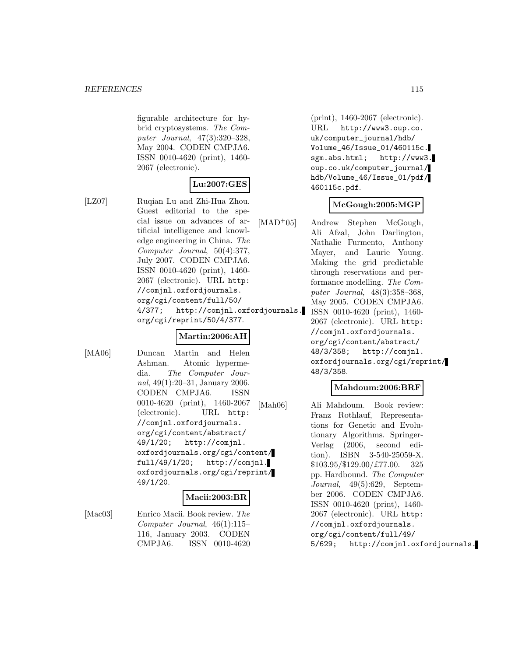figurable architecture for hybrid cryptosystems. The Computer Journal, 47(3):320–328, May 2004. CODEN CMPJA6. ISSN 0010-4620 (print), 1460- 2067 (electronic).

## **Lu:2007:GES**

[LZ07] Ruqian Lu and Zhi-Hua Zhou. Guest editorial to the special issue on advances of artificial intelligence and knowledge engineering in China. The Computer Journal, 50(4):377, July 2007. CODEN CMPJA6. ISSN 0010-4620 (print), 1460- 2067 (electronic). URL http: //comjnl.oxfordjournals. org/cgi/content/full/50/ 4/377; http://comjnl.oxfordjournals. org/cgi/reprint/50/4/377.

### **Martin:2006:AH**

[MA06] Duncan Martin and Helen Ashman. Atomic hypermedia. The Computer Journal, 49(1):20–31, January 2006. CODEN CMPJA6. ISSN 0010-4620 (print), 1460-2067 (electronic). URL http: //comjnl.oxfordjournals. org/cgi/content/abstract/ 49/1/20; http://comjnl. oxfordjournals.org/cgi/content/ full/49/1/20; http://comjnl. oxfordjournals.org/cgi/reprint/ 49/1/20.

## **Macii:2003:BR**

[Mac03] Enrico Macii. Book review. The Computer Journal, 46(1):115– 116, January 2003. CODEN CMPJA6. ISSN 0010-4620

(print), 1460-2067 (electronic). URL http://www3.oup.co. uk/computer\_journal/hdb/ Volume\_46/Issue\_01/460115c. sgm.abs.html; http://www3. oup.co.uk/computer\_journal/ hdb/Volume\_46/Issue\_01/pdf/ 460115c.pdf.

### **McGough:2005:MGP**

[MAD<sup>+</sup>05] Andrew Stephen McGough, Ali Afzal, John Darlington, Nathalie Furmento, Anthony Mayer, and Laurie Young. Making the grid predictable through reservations and performance modelling. The Computer Journal, 48(3):358–368, May 2005. CODEN CMPJA6. ISSN 0010-4620 (print), 1460- 2067 (electronic). URL http: //comjnl.oxfordjournals. org/cgi/content/abstract/ 48/3/358; http://comjnl. oxfordjournals.org/cgi/reprint/ 48/3/358.

### **Mahdoum:2006:BRF**

[Mah06] Ali Mahdoum. Book review: Franz Rothlauf, Representations for Genetic and Evolutionary Algorithms. Springer-Verlag (2006, second edition). ISBN 3-540-25059-X. \$103.95/\$129.00/£77.00. 325 pp. Hardbound. The Computer Journal, 49(5):629, September 2006. CODEN CMPJA6. ISSN 0010-4620 (print), 1460- 2067 (electronic). URL http: //comjnl.oxfordjournals. org/cgi/content/full/49/ 5/629; http://comjnl.oxfordjournals.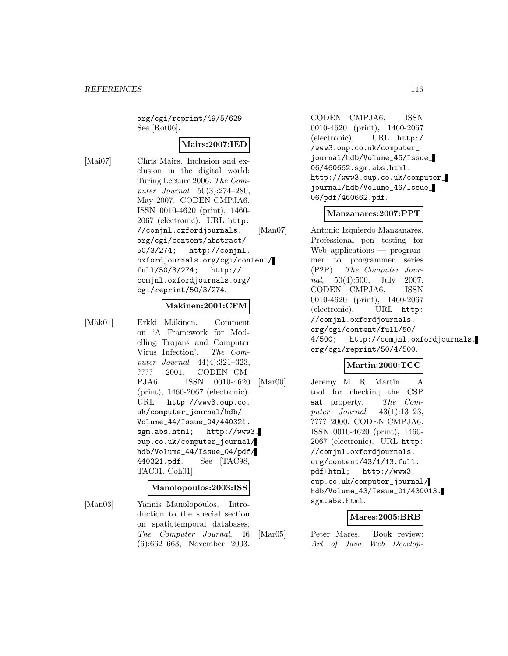org/cgi/reprint/49/5/629. See [Rot06].

## **Mairs:2007:IED**

[Mai07] Chris Mairs. Inclusion and exclusion in the digital world: Turing Lecture 2006. The Computer Journal, 50(3):274–280, May 2007. CODEN CMPJA6. ISSN 0010-4620 (print), 1460- 2067 (electronic). URL http: //comjnl.oxfordjournals. org/cgi/content/abstract/ 50/3/274; http://comjnl. oxfordjournals.org/cgi/content/ full/50/3/274; http:// comjnl.oxfordjournals.org/ cgi/reprint/50/3/274.

#### **Makinen:2001:CFM**

[Mäk01] Erkki Mäkinen. Comment on 'A Framework for Modelling Trojans and Computer Virus Infection'. The Computer Journal, 44(4):321–323, ???? 2001. CODEN CM-PJA6. ISSN 0010-4620 (print), 1460-2067 (electronic). URL http://www3.oup.co. uk/computer\_journal/hdb/ Volume\_44/Issue\_04/440321. sgm.abs.html; http://www3. oup.co.uk/computer\_journal/ hdb/Volume\_44/Issue\_04/pdf/ 440321.pdf. See [TAC98, TAC01, Coh01].

### **Manolopoulos:2003:ISS**

[Man03] Yannis Manolopoulos. Introduction to the special section on spatiotemporal databases. The Computer Journal, 46 (6):662–663, November 2003.

CODEN CMPJA6. ISSN 0010-4620 (print), 1460-2067 (electronic). URL http:/ /www3.oup.co.uk/computer\_ journal/hdb/Volume\_46/Issue\_ 06/460662.sgm.abs.html; http://www3.oup.co.uk/computer\_ journal/hdb/Volume\_46/Issue\_ 06/pdf/460662.pdf.

### **Manzanares:2007:PPT**

[Man07] Antonio Izquierdo Manzanares. Professional pen testing for Web applications — programmer to programmer series (P2P). The Computer Journal, 50(4):500, July 2007. CODEN CMPJA6. ISSN 0010-4620 (print), 1460-2067 (electronic). URL http: //comjnl.oxfordjournals. org/cgi/content/full/50/ 4/500; http://comjnl.oxfordjournals. org/cgi/reprint/50/4/500.

## **Martin:2000:TCC**

[Mar00] Jeremy M. R. Martin. A tool for checking the CSP **sat** property. The Computer Journal, 43(1):13–23, ???? 2000. CODEN CMPJA6. ISSN 0010-4620 (print), 1460- 2067 (electronic). URL http: //comjnl.oxfordjournals. org/content/43/1/13.full. pdf+html; http://www3. oup.co.uk/computer\_journal/ hdb/Volume\_43/Issue\_01/430013. sgm.abs.html.

### **Mares:2005:BRB**

[Mar05] Peter Mares. Book review: Art of Java Web Develop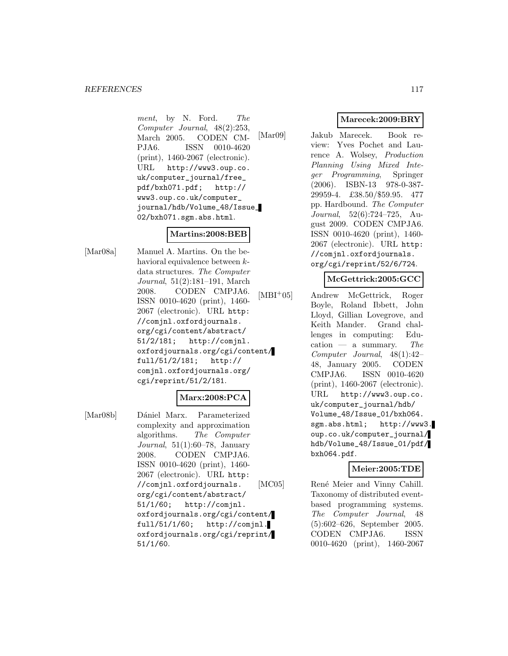ment, by N. Ford. The Computer Journal, 48(2):253, March 2005. CODEN CM-PJA6. ISSN 0010-4620 (print), 1460-2067 (electronic). URL http://www3.oup.co. uk/computer\_journal/free\_ pdf/bxh071.pdf; http:// www3.oup.co.uk/computer\_ journal/hdb/Volume\_48/Issue\_ 02/bxh071.sgm.abs.html.

### **Martins:2008:BEB**

[Mar08a] Manuel A. Martins. On the behavioral equivalence between kdata structures. The Computer Journal, 51(2):181–191, March 2008. CODEN CMPJA6. ISSN 0010-4620 (print), 1460- 2067 (electronic). URL http: //comjnl.oxfordjournals. org/cgi/content/abstract/ 51/2/181; http://comjnl. oxfordjournals.org/cgi/content/ full/51/2/181; http:// comjnl.oxfordjournals.org/ cgi/reprint/51/2/181.

### **Marx:2008:PCA**

[Mar08b] Dániel Marx. Parameterized complexity and approximation algorithms. The Computer Journal, 51(1):60–78, January 2008. CODEN CMPJA6. ISSN 0010-4620 (print), 1460- 2067 (electronic). URL http: //comjnl.oxfordjournals. org/cgi/content/abstract/ 51/1/60; http://comjnl. oxfordjournals.org/cgi/content/ full/51/1/60; http://comjnl. oxfordjournals.org/cgi/reprint/ 51/1/60.

## **Marecek:2009:BRY**

[Mar09] Jakub Marecek. Book review: Yves Pochet and Laurence A. Wolsey, Production Planning Using Mixed Integer Programming, Springer (2006). ISBN-13 978-0-387- 29959-4. £38.50/\$59.95. 477 pp. Hardbound. The Computer Journal, 52(6):724–725, August 2009. CODEN CMPJA6. ISSN 0010-4620 (print), 1460- 2067 (electronic). URL http: //comjnl.oxfordjournals. org/cgi/reprint/52/6/724.

## **McGettrick:2005:GCC**

[MBI<sup>+</sup>05] Andrew McGettrick, Roger Boyle, Roland Ibbett, John Lloyd, Gillian Lovegrove, and Keith Mander. Grand challenges in computing: Education — a summary. The Computer Journal, 48(1):42– 48, January 2005. CODEN CMPJA6. ISSN 0010-4620 (print), 1460-2067 (electronic). URL http://www3.oup.co. uk/computer\_journal/hdb/ Volume\_48/Issue\_01/bxh064. sgm.abs.html; http://www3. oup.co.uk/computer\_journal/ hdb/Volume\_48/Issue\_01/pdf/ bxh064.pdf.

### **Meier:2005:TDE**

[MC05] René Meier and Vinny Cahill. Taxonomy of distributed eventbased programming systems. The Computer Journal, 48 (5):602–626, September 2005. CODEN CMPJA6. ISSN 0010-4620 (print), 1460-2067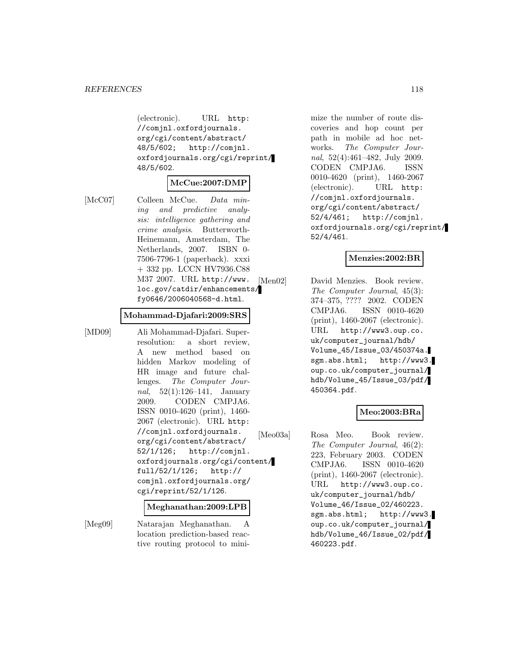(electronic). URL http: //comjnl.oxfordjournals. org/cgi/content/abstract/ 48/5/602; http://comjnl. oxfordjournals.org/cgi/reprint/ 48/5/602.

#### **McCue:2007:DMP**

[McC07] Colleen McCue. Data mining and predictive analysis: intelligence gathering and crime analysis. Butterworth-Heinemann, Amsterdam, The Netherlands, 2007. ISBN 0- 7506-7796-1 (paperback). xxxi + 332 pp. LCCN HV7936.C88 M37 2007. URL http://www. loc.gov/catdir/enhancements/ fy0646/2006040568-d.html.

#### **Mohammad-Djafari:2009:SRS**

[MD09] Ali Mohammad-Djafari. Superresolution: a short review, A new method based on hidden Markov modeling of HR image and future challenges. The Computer Journal, 52(1):126–141, January 2009. CODEN CMPJA6. ISSN 0010-4620 (print), 1460- 2067 (electronic). URL http: //comjnl.oxfordjournals. org/cgi/content/abstract/ 52/1/126; http://comjnl. oxfordjournals.org/cgi/content/ full/52/1/126; http:// comjnl.oxfordjournals.org/ cgi/reprint/52/1/126.

#### **Meghanathan:2009:LPB**

[Meg09] Natarajan Meghanathan. A location prediction-based reactive routing protocol to minimize the number of route discoveries and hop count per path in mobile ad hoc networks. The Computer Journal, 52(4):461–482, July 2009. CODEN CMPJA6. ISSN 0010-4620 (print), 1460-2067 (electronic). URL http: //comjnl.oxfordjournals. org/cgi/content/abstract/ 52/4/461; http://comjnl. oxfordjournals.org/cgi/reprint/ 52/4/461.

## **Menzies:2002:BR**

[Men02] David Menzies. Book review. The Computer Journal, 45(3): 374–375, ???? 2002. CODEN CMPJA6. ISSN 0010-4620 (print), 1460-2067 (electronic). URL http://www3.oup.co. uk/computer\_journal/hdb/ Volume\_45/Issue\_03/450374a. sgm.abs.html; http://www3. oup.co.uk/computer\_journal/ hdb/Volume\_45/Issue\_03/pdf/ 450364.pdf.

### **Meo:2003:BRa**

[Meo03a] Rosa Meo. Book review. The Computer Journal, 46(2): 223, February 2003. CODEN CMPJA6. ISSN 0010-4620 (print), 1460-2067 (electronic). URL http://www3.oup.co. uk/computer\_journal/hdb/ Volume\_46/Issue\_02/460223. sgm.abs.html; http://www3. oup.co.uk/computer\_journal/ hdb/Volume\_46/Issue\_02/pdf/ 460223.pdf.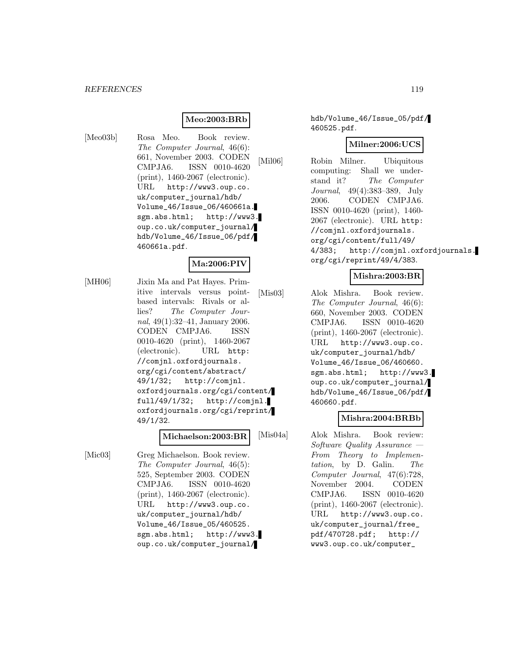#### *REFERENCES* 119

## **Meo:2003:BRb**

[Meo03b] Rosa Meo. Book review. The Computer Journal, 46(6): 661, November 2003. CODEN CMPJA6. ISSN 0010-4620 (print), 1460-2067 (electronic). URL http://www3.oup.co. uk/computer\_journal/hdb/ Volume\_46/Issue\_06/460661a. sgm.abs.html; http://www3. oup.co.uk/computer\_journal/ hdb/Volume\_46/Issue\_06/pdf/ 460661a.pdf.

#### **Ma:2006:PIV**

[MH06] Jixin Ma and Pat Hayes. Primitive intervals versus pointbased intervals: Rivals or allies? The Computer Journal, 49(1):32–41, January 2006. CODEN CMPJA6. ISSN 0010-4620 (print), 1460-2067 (electronic). URL http: //comjnl.oxfordjournals. org/cgi/content/abstract/ 49/1/32; http://comjnl. oxfordjournals.org/cgi/content/ full/49/1/32; http://comjnl. oxfordjournals.org/cgi/reprint/ 49/1/32.

#### **Michaelson:2003:BR**

[Mic03] Greg Michaelson. Book review. The Computer Journal, 46(5): 525, September 2003. CODEN CMPJA6. ISSN 0010-4620 (print), 1460-2067 (electronic). URL http://www3.oup.co. uk/computer\_journal/hdb/ Volume\_46/Issue\_05/460525. sgm.abs.html; http://www3. oup.co.uk/computer\_journal/

hdb/Volume\_46/Issue\_05/pdf/ 460525.pdf.

#### **Milner:2006:UCS**

[Mil06] Robin Milner. Ubiquitous computing: Shall we understand it? The Computer Journal, 49(4):383–389, July 2006. CODEN CMPJA6. ISSN 0010-4620 (print), 1460- 2067 (electronic). URL http: //comjnl.oxfordjournals. org/cgi/content/full/49/ 4/383; http://comjnl.oxfordjournals. org/cgi/reprint/49/4/383.

### **Mishra:2003:BR**

[Mis03] Alok Mishra. Book review. The Computer Journal, 46(6): 660, November 2003. CODEN CMPJA6. ISSN 0010-4620 (print), 1460-2067 (electronic). URL http://www3.oup.co. uk/computer\_journal/hdb/ Volume\_46/Issue\_06/460660. sgm.abs.html; http://www3. oup.co.uk/computer\_journal/ hdb/Volume\_46/Issue\_06/pdf/ 460660.pdf.

### **Mishra:2004:BRBb**

[Mis04a] Alok Mishra. Book review: Software Quality Assurance — From Theory to Implementation, by D. Galin. The Computer Journal, 47(6):728, November 2004. CODEN CMPJA6. ISSN 0010-4620 (print), 1460-2067 (electronic). URL http://www3.oup.co. uk/computer\_journal/free\_ pdf/470728.pdf; http:// www3.oup.co.uk/computer\_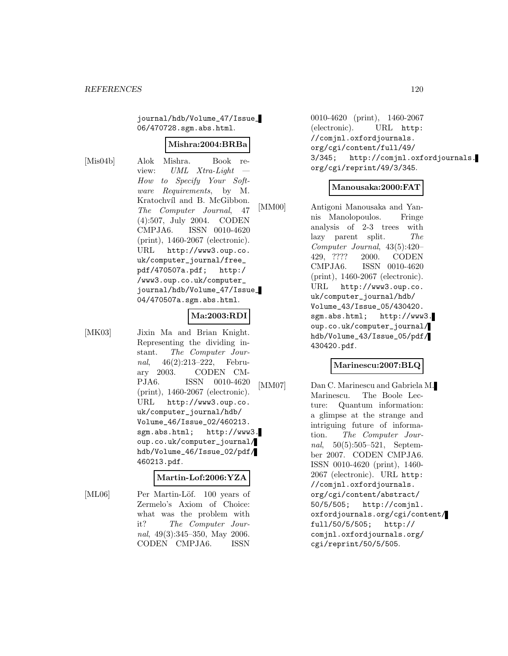journal/hdb/Volume\_47/Issue\_ 06/470728.sgm.abs.html.

#### **Mishra:2004:BRBa**

[Mis04b] Alok Mishra. Book review: *UML Xtra-Light* How to Specify Your Software Requirements, by M. Kratochvíl and B. McGibbon. The Computer Journal, 47 (4):507, July 2004. CODEN CMPJA6. ISSN 0010-4620 (print), 1460-2067 (electronic). URL http://www3.oup.co. uk/computer\_journal/free\_ pdf/470507a.pdf; http:/ /www3.oup.co.uk/computer\_ journal/hdb/Volume\_47/Issue\_ 04/470507a.sgm.abs.html.

#### **Ma:2003:RDI**

[MK03] Jixin Ma and Brian Knight. Representing the dividing instant. The Computer Journal, 46(2):213–222, February 2003. CODEN CM-PJA6. ISSN 0010-4620 (print), 1460-2067 (electronic). URL http://www3.oup.co. uk/computer\_journal/hdb/ Volume\_46/Issue\_02/460213. sgm.abs.html; http://www3. oup.co.uk/computer\_journal/ hdb/Volume\_46/Issue\_02/pdf/ 460213.pdf.

#### **Martin-Lof:2006:YZA**

[ML06] Per Martin-Löf. 100 years of Zermelo's Axiom of Choice: what was the problem with it? The Computer Journal, 49(3):345–350, May 2006. CODEN CMPJA6. ISSN

0010-4620 (print), 1460-2067 (electronic). URL http: //comjnl.oxfordjournals. org/cgi/content/full/49/ 3/345; http://comjnl.oxfordjournals. org/cgi/reprint/49/3/345.

#### **Manousaka:2000:FAT**

[MM00] Antigoni Manousaka and Yannis Manolopoulos. Fringe analysis of 2-3 trees with lazy parent split. The Computer Journal, 43(5):420– 429, ???? 2000. CODEN CMPJA6. ISSN 0010-4620 (print), 1460-2067 (electronic). URL http://www3.oup.co. uk/computer\_journal/hdb/ Volume\_43/Issue\_05/430420. sgm.abs.html; http://www3. oup.co.uk/computer\_journal/ hdb/Volume\_43/Issue\_05/pdf/ 430420.pdf.

### **Marinescu:2007:BLQ**

[MM07] Dan C. Marinescu and Gabriela M. Marinescu. The Boole Lecture: Quantum information: a glimpse at the strange and intriguing future of information. The Computer Journal, 50(5):505–521, September 2007. CODEN CMPJA6. ISSN 0010-4620 (print), 1460- 2067 (electronic). URL http: //comjnl.oxfordjournals. org/cgi/content/abstract/ 50/5/505; http://comjnl. oxfordjournals.org/cgi/content/ full/50/5/505; http:// comjnl.oxfordjournals.org/ cgi/reprint/50/5/505.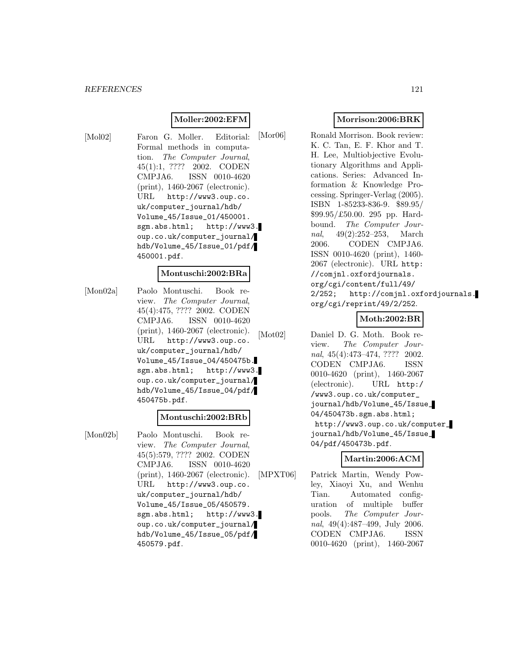## **Moller:2002:EFM**

[Mol02] Faron G. Moller. Editorial: Formal methods in computation. The Computer Journal, 45(1):1, ???? 2002. CODEN CMPJA6. ISSN 0010-4620 (print), 1460-2067 (electronic). URL http://www3.oup.co. uk/computer\_journal/hdb/ Volume\_45/Issue\_01/450001. sgm.abs.html; http://www3. oup.co.uk/computer\_journal/ hdb/Volume\_45/Issue\_01/pdf/ 450001.pdf.

#### **Montuschi:2002:BRa**

[Mon02a] Paolo Montuschi. Book review. The Computer Journal, 45(4):475, ???? 2002. CODEN CMPJA6. ISSN 0010-4620 (print), 1460-2067 (electronic). URL http://www3.oup.co. uk/computer\_journal/hdb/ Volume\_45/Issue\_04/450475b. sgm.abs.html; http://www3. oup.co.uk/computer\_journal/ hdb/Volume\_45/Issue\_04/pdf/ 450475b.pdf.

#### **Montuschi:2002:BRb**

[Mon02b] Paolo Montuschi. Book review. The Computer Journal, 45(5):579, ???? 2002. CODEN CMPJA6. ISSN 0010-4620 (print), 1460-2067 (electronic). URL http://www3.oup.co. uk/computer\_journal/hdb/ Volume\_45/Issue\_05/450579. sgm.abs.html; http://www3. oup.co.uk/computer\_journal/ hdb/Volume\_45/Issue\_05/pdf/ 450579.pdf.

## **Morrison:2006:BRK**

[Mor06] Ronald Morrison. Book review: K. C. Tan, E. F. Khor and T. H. Lee, Multiobjective Evolutionary Algorithms and Applications. Series: Advanced Information & Knowledge Processing. Springer-Verlag (2005). ISBN 1-85233-836-9. \$89.95/ \$99.95/£50.00. 295 pp. Hardbound. The Computer Journal, 49(2):252–253, March 2006. CODEN CMPJA6. ISSN 0010-4620 (print), 1460- 2067 (electronic). URL http: //comjnl.oxfordjournals. org/cgi/content/full/49/ 2/252; http://comjnl.oxfordjournals. org/cgi/reprint/49/2/252.

## **Moth:2002:BR**

[Mot02] Daniel D. G. Moth. Book review. The Computer Journal, 45(4):473–474, ???? 2002. CODEN CMPJA6. ISSN 0010-4620 (print), 1460-2067 (electronic). URL http:/ /www3.oup.co.uk/computer\_ journal/hdb/Volume\_45/Issue\_ 04/450473b.sgm.abs.html; http://www3.oup.co.uk/computer\_ journal/hdb/Volume\_45/Issue\_ 04/pdf/450473b.pdf.

### **Martin:2006:ACM**

[MPXT06] Patrick Martin, Wendy Powley, Xiaoyi Xu, and Wenhu Tian. Automated configuration of multiple buffer pools. The Computer Journal, 49(4):487–499, July 2006. CODEN CMPJA6. ISSN 0010-4620 (print), 1460-2067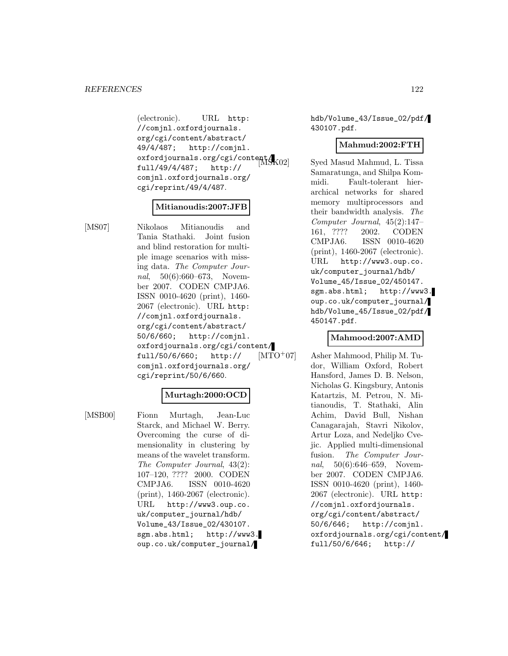(electronic). URL http: //comjnl.oxfordjournals. org/cgi/content/abstract/ 49/4/487; http://comjnl. oxfordjournals.org/cgi/content $\mathcal{A}_{\text{NO2}}$ full/49/4/487; http:// comjnl.oxfordjournals.org/ cgi/reprint/49/4/487.

#### **Mitianoudis:2007:JFB**

[MS07] Nikolaos Mitianoudis and Tania Stathaki. Joint fusion and blind restoration for multiple image scenarios with missing data. The Computer Journal, 50(6):660–673, November 2007. CODEN CMPJA6. ISSN 0010-4620 (print), 1460- 2067 (electronic). URL http: //comjnl.oxfordjournals. org/cgi/content/abstract/ 50/6/660; http://comjnl. oxfordjournals.org/cgi/content/ full/50/6/660; http:// comjnl.oxfordjournals.org/ cgi/reprint/50/6/660.

### **Murtagh:2000:OCD**

[MSB00] Fionn Murtagh, Jean-Luc Starck, and Michael W. Berry. Overcoming the curse of dimensionality in clustering by means of the wavelet transform. The Computer Journal, 43(2): 107–120, ???? 2000. CODEN CMPJA6. ISSN 0010-4620 (print), 1460-2067 (electronic). URL http://www3.oup.co. uk/computer\_journal/hdb/ Volume\_43/Issue\_02/430107. sgm.abs.html; http://www3. oup.co.uk/computer\_journal/

hdb/Volume\_43/Issue\_02/pdf/ 430107.pdf.

### **Mahmud:2002:FTH**

Syed Masud Mahmud, L. Tissa Samaratunga, and Shilpa Kommidi. Fault-tolerant hierarchical networks for shared memory multiprocessors and their bandwidth analysis. The Computer Journal, 45(2):147– 161, ???? 2002. CODEN CMPJA6. ISSN 0010-4620 (print), 1460-2067 (electronic). URL http://www3.oup.co. uk/computer\_journal/hdb/ Volume\_45/Issue\_02/450147. sgm.abs.html; http://www3. oup.co.uk/computer\_journal/ hdb/Volume\_45/Issue\_02/pdf/ 450147.pdf.

### **Mahmood:2007:AMD**

[MTO<sup>+</sup>07] Asher Mahmood, Philip M. Tudor, William Oxford, Robert Hansford, James D. B. Nelson, Nicholas G. Kingsbury, Antonis Katartzis, M. Petrou, N. Mitianoudis, T. Stathaki, Alin Achim, David Bull, Nishan Canagarajah, Stavri Nikolov, Artur Loza, and Nedeljko Cvejic. Applied multi-dimensional fusion. The Computer Journal, 50(6):646–659, November 2007. CODEN CMPJA6. ISSN 0010-4620 (print), 1460- 2067 (electronic). URL http: //comjnl.oxfordjournals. org/cgi/content/abstract/ 50/6/646; http://comjnl. oxfordjournals.org/cgi/content/ full/50/6/646; http://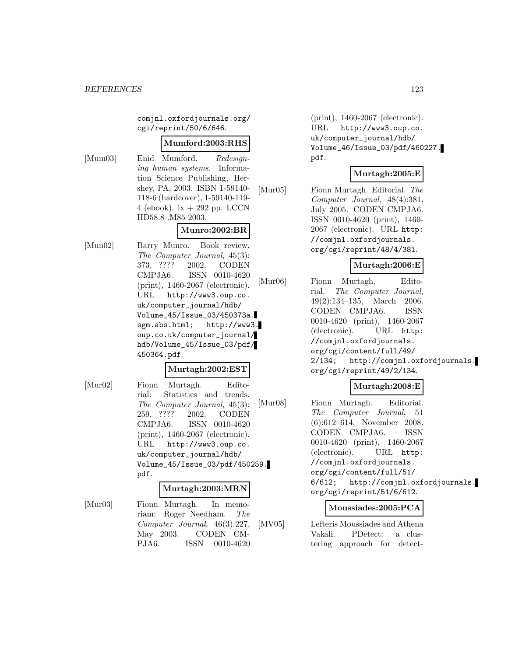comjnl.oxfordjournals.org/ cgi/reprint/50/6/646.

#### **Mumford:2003:RHS**

[Mum03] Enid Mumford. Redesigning human systems. Information Science Publishing, Hershey, PA, 2003. ISBN 1-59140- 118-6 (hardcover), 1-59140-119- 4 (ebook). ix  $+292$  pp. LCCN HD58.8 .M85 2003.

## **Munro:2002:BR**

[Mun02] Barry Munro. Book review. The Computer Journal, 45(3): 373, ???? 2002. CODEN CMPJA6. ISSN 0010-4620 (print), 1460-2067 (electronic). URL http://www3.oup.co. uk/computer\_journal/hdb/ Volume\_45/Issue\_03/450373a. sgm.abs.html; http://www3. oup.co.uk/computer\_journal/ hdb/Volume\_45/Issue\_03/pdf/ 450364.pdf.

#### **Murtagh:2002:EST**

[Mur02] Fionn Murtagh. Editorial: Statistics and trends. The Computer Journal, 45(3): 259, ???? 2002. CODEN CMPJA6. ISSN 0010-4620 (print), 1460-2067 (electronic). URL http://www3.oup.co. uk/computer\_journal/hdb/ Volume\_45/Issue\_03/pdf/450259. pdf.

#### **Murtagh:2003:MRN**

[Mur03] Fionn Murtagh. In memoriam: Roger Needham. The Computer Journal, 46(3):227, May 2003. CODEN CM-PJA6. ISSN 0010-4620

(print), 1460-2067 (electronic). URL http://www3.oup.co. uk/computer\_journal/hdb/ Volume\_46/Issue\_03/pdf/460227. pdf.

### **Murtagh:2005:E**

[Mur05] Fionn Murtagh. Editorial. The Computer Journal, 48(4):381, July 2005. CODEN CMPJA6. ISSN 0010-4620 (print), 1460- 2067 (electronic). URL http: //comjnl.oxfordjournals. org/cgi/reprint/48/4/381.

#### **Murtagh:2006:E**

[Mur06] Fionn Murtagh. Editorial. The Computer Journal, 49(2):134–135, March 2006. CODEN CMPJA6. ISSN 0010-4620 (print), 1460-2067 (electronic). URL http: //comjnl.oxfordjournals. org/cgi/content/full/49/ 2/134; http://comjnl.oxfordjournals. org/cgi/reprint/49/2/134.

## **Murtagh:2008:E**

[Mur08] Fionn Murtagh. Editorial. The Computer Journal, 51 (6):612–614, November 2008. CODEN CMPJA6. ISSN 0010-4620 (print), 1460-2067 (electronic). URL http: //comjnl.oxfordjournals. org/cgi/content/full/51/ 6/612; http://comjnl.oxfordjournals. org/cgi/reprint/51/6/612.

#### **Moussiades:2005:PCA**

[MV05] Lefteris Moussiades and Athena Vakali. PDetect: a clustering approach for detect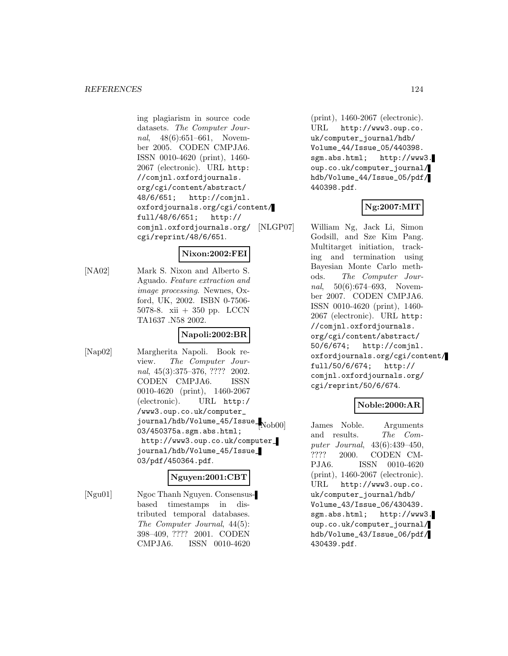ing plagiarism in source code datasets. The Computer Journal, 48(6):651–661, November 2005. CODEN CMPJA6. ISSN 0010-4620 (print), 1460- 2067 (electronic). URL http: //comjnl.oxfordjournals. org/cgi/content/abstract/ 48/6/651; http://comjnl. oxfordjournals.org/cgi/content/ full/48/6/651; http:// comjnl.oxfordjournals.org/ cgi/reprint/48/6/651.

### **Nixon:2002:FEI**

[NA02] Mark S. Nixon and Alberto S. Aguado. Feature extraction and image processing. Newnes, Oxford, UK, 2002. ISBN 0-7506- 5078-8. xii + 350 pp. LCCN TA1637 .N58 2002.

## **Napoli:2002:BR**

[Nap02] Margherita Napoli. Book review. The Computer Journal, 45(3):375–376, ???? 2002. CODEN CMPJA6. ISSN 0010-4620 (print), 1460-2067 (electronic). URL http:/ /www3.oup.co.uk/computer\_ journal/hdb/Volume\_45/Issue\_ 03/450375a.sgm.abs.html; http://www3.oup.co.uk/computer\_ journal/hdb/Volume\_45/Issue\_ 03/pdf/450364.pdf.

## **Nguyen:2001:CBT**

[Ngu01] Ngoc Thanh Nguyen. Consensusbased timestamps in distributed temporal databases. The Computer Journal, 44(5): 398–409, ???? 2001. CODEN CMPJA6. ISSN 0010-4620

(print), 1460-2067 (electronic). URL http://www3.oup.co. uk/computer\_journal/hdb/ Volume\_44/Issue\_05/440398. sgm.abs.html; http://www3. oup.co.uk/computer\_journal/ hdb/Volume\_44/Issue\_05/pdf/ 440398.pdf.

## **Ng:2007:MIT**

[NLGP07] William Ng, Jack Li, Simon Godsill, and Sze Kim Pang. Multitarget initiation, tracking and termination using Bayesian Monte Carlo methods. The Computer Journal, 50(6):674–693, November 2007. CODEN CMPJA6. ISSN 0010-4620 (print), 1460- 2067 (electronic). URL http: //comjnl.oxfordjournals. org/cgi/content/abstract/ 50/6/674; http://comjnl. oxfordjournals.org/cgi/content/ full/50/6/674; http:// comjnl.oxfordjournals.org/ cgi/reprint/50/6/674.

## **Noble:2000:AR**

James Noble. Arguments and results. The Computer Journal, 43(6):439–450, ???? 2000. CODEN CM-PJA6. ISSN 0010-4620 (print), 1460-2067 (electronic). URL http://www3.oup.co. uk/computer\_journal/hdb/ Volume\_43/Issue\_06/430439. sgm.abs.html; http://www3. oup.co.uk/computer\_journal/ hdb/Volume\_43/Issue\_06/pdf/ 430439.pdf.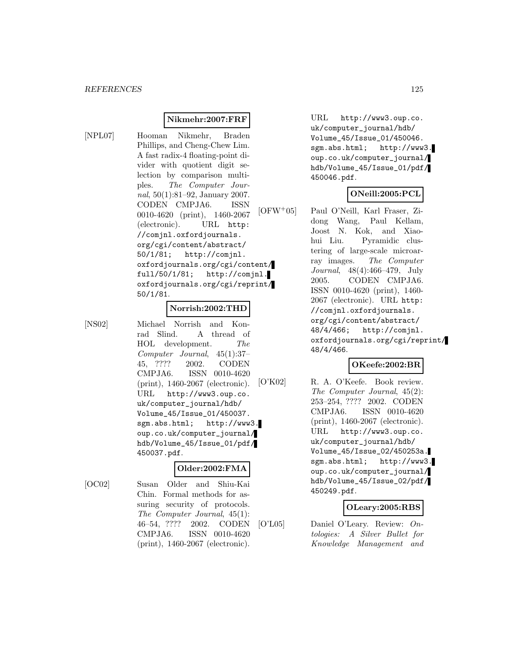#### **Nikmehr:2007:FRF**

[NPL07] Hooman Nikmehr, Braden Phillips, and Cheng-Chew Lim. A fast radix-4 floating-point divider with quotient digit selection by comparison multiples. The Computer Journal, 50(1):81–92, January 2007. CODEN CMPJA6. ISSN 0010-4620 (print), 1460-2067 (electronic). URL http: //comjnl.oxfordjournals. org/cgi/content/abstract/ 50/1/81; http://comjnl. oxfordjournals.org/cgi/content/ full/50/1/81; http://comjnl. oxfordjournals.org/cgi/reprint/ 50/1/81.

#### **Norrish:2002:THD**

[NS02] Michael Norrish and Konrad Slind. A thread of HOL development. The Computer Journal, 45(1):37– 45, ???? 2002. CODEN CMPJA6. ISSN 0010-4620 (print), 1460-2067 (electronic). URL http://www3.oup.co. uk/computer\_journal/hdb/ Volume\_45/Issue\_01/450037. sgm.abs.html; http://www3. oup.co.uk/computer\_journal/ hdb/Volume\_45/Issue\_01/pdf/ 450037.pdf.

#### **Older:2002:FMA**

[OC02] Susan Older and Shiu-Kai Chin. Formal methods for assuring security of protocols. The Computer Journal, 45(1): 46–54, ???? 2002. CODEN CMPJA6. ISSN 0010-4620 (print), 1460-2067 (electronic).

URL http://www3.oup.co. uk/computer\_journal/hdb/ Volume\_45/Issue\_01/450046. sgm.abs.html; http://www3. oup.co.uk/computer\_journal/ hdb/Volume\_45/Issue\_01/pdf/ 450046.pdf.

#### **ONeill:2005:PCL**

[OFW<sup>+</sup>05] Paul O'Neill, Karl Fraser, Zidong Wang, Paul Kellam, Joost N. Kok, and Xiaohui Liu. Pyramidic clustering of large-scale microarray images. The Computer Journal, 48(4):466–479, July 2005. CODEN CMPJA6. ISSN 0010-4620 (print), 1460- 2067 (electronic). URL http: //comjnl.oxfordjournals. org/cgi/content/abstract/ 48/4/466; http://comjnl. oxfordjournals.org/cgi/reprint/ 48/4/466.

### **OKeefe:2002:BR**

[O'K02] R. A. O'Keefe. Book review. The Computer Journal, 45(2): 253–254, ???? 2002. CODEN CMPJA6. ISSN 0010-4620 (print), 1460-2067 (electronic). URL http://www3.oup.co. uk/computer\_journal/hdb/ Volume\_45/Issue\_02/450253a. sgm.abs.html; http://www3. oup.co.uk/computer\_journal/ hdb/Volume\_45/Issue\_02/pdf/ 450249.pdf.

#### **OLeary:2005:RBS**

[O'L05] Daniel O'Leary. Review: Ontologies: A Silver Bullet for Knowledge Management and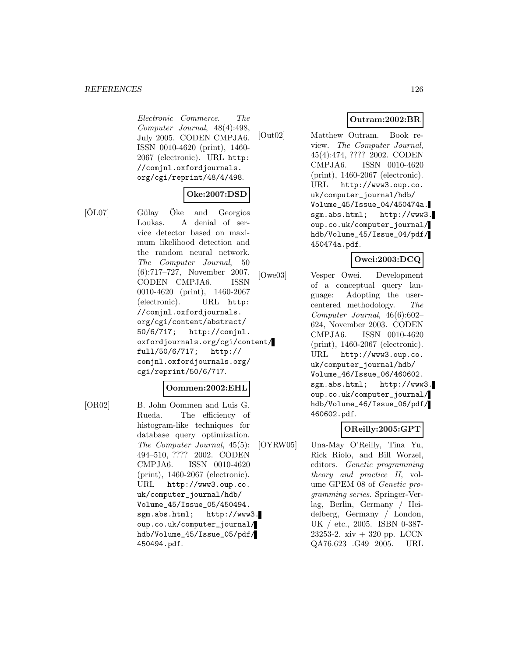Electronic Commerce. The Computer Journal, 48(4):498, July 2005. CODEN CMPJA6. ISSN 0010-4620 (print), 1460- 2067 (electronic). URL http: //comjnl.oxfordjournals. org/cgi/reprint/48/4/498.

## **Oke:2007:DSD**

 $|\text{O}L07|$  Gülay  $\text{Oke}$  and Georgios Loukas. A denial of service detector based on maximum likelihood detection and the random neural network. The Computer Journal, 50 (6):717–727, November 2007. CODEN CMPJA6. ISSN 0010-4620 (print), 1460-2067 (electronic). URL http: //comjnl.oxfordjournals. org/cgi/content/abstract/ 50/6/717; http://comjnl. oxfordjournals.org/cgi/content/ full/50/6/717; http:// comjnl.oxfordjournals.org/ cgi/reprint/50/6/717.

### **Oommen:2002:EHL**

[OR02] B. John Oommen and Luis G. Rueda. The efficiency of histogram-like techniques for database query optimization. The Computer Journal, 45(5): 494–510, ???? 2002. CODEN CMPJA6. ISSN 0010-4620 (print), 1460-2067 (electronic). URL http://www3.oup.co. uk/computer\_journal/hdb/ Volume\_45/Issue\_05/450494. sgm.abs.html; http://www3. oup.co.uk/computer\_journal/ hdb/Volume\_45/Issue\_05/pdf/ 450494.pdf.

## **Outram:2002:BR**

[Out02] Matthew Outram. Book review. The Computer Journal, 45(4):474, ???? 2002. CODEN CMPJA6. ISSN 0010-4620 (print), 1460-2067 (electronic). URL http://www3.oup.co. uk/computer\_journal/hdb/ Volume\_45/Issue\_04/450474a. sgm.abs.html; http://www3. oup.co.uk/computer\_journal/ hdb/Volume\_45/Issue\_04/pdf/ 450474a.pdf.

## **Owei:2003:DCQ**

[Owe03] Vesper Owei. Development of a conceptual query language: Adopting the usercentered methodology. The Computer Journal, 46(6):602– 624, November 2003. CODEN CMPJA6. ISSN 0010-4620 (print), 1460-2067 (electronic). URL http://www3.oup.co. uk/computer\_journal/hdb/ Volume\_46/Issue\_06/460602. sgm.abs.html; http://www3. oup.co.uk/computer\_journal/ hdb/Volume\_46/Issue\_06/pdf/ 460602.pdf.

## **OReilly:2005:GPT**

[OYRW05] Una-May O'Reilly, Tina Yu, Rick Riolo, and Bill Worzel, editors. Genetic programming theory and practice II, volume GPEM 08 of Genetic programming series. Springer-Verlag, Berlin, Germany / Heidelberg, Germany / London, UK / etc., 2005. ISBN 0-387- 23253-2. xiv + 320 pp. LCCN QA76.623 .G49 2005. URL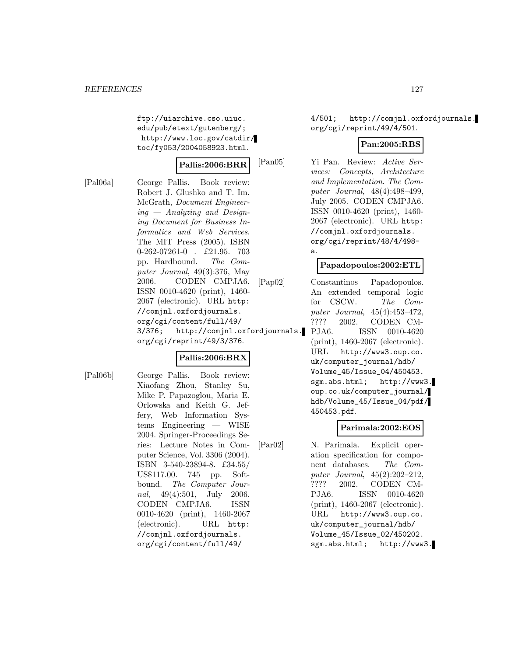ftp://uiarchive.cso.uiuc. edu/pub/etext/gutenberg/; http://www.loc.gov/catdir/ toc/fy053/2004058923.html.

#### **Pallis:2006:BRR**

[Pal06a] George Pallis. Book review: Robert J. Glushko and T. Im. McGrath, Document Engineer $ing$  – Analyzing and Designing Document for Business Informatics and Web Services. The MIT Press (2005). ISBN 0-262-07261-0 . £21.95. 703 pp. Hardbound. The Computer Journal, 49(3):376, May 2006. CODEN CMPJA6. ISSN 0010-4620 (print), 1460- 2067 (electronic). URL http: //comjnl.oxfordjournals. org/cgi/content/full/49/ 3/376; http://comjnl.oxfordjournals. org/cgi/reprint/49/3/376.

## **Pallis:2006:BRX**

[Pal06b] George Pallis. Book review: Xiaofang Zhou, Stanley Su, Mike P. Papazoglou, Maria E. Orlowska and Keith G. Jeffery, Web Information Systems Engineering — WISE 2004. Springer-Proceedings Series: Lecture Notes in Computer Science, Vol. 3306 (2004). ISBN 3-540-23894-8. £34.55/ US\$117.00. 745 pp. Softbound. The Computer Journal, 49(4):501, July 2006. CODEN CMPJA6. ISSN 0010-4620 (print), 1460-2067 (electronic). URL http: //comjnl.oxfordjournals. org/cgi/content/full/49/

4/501; http://comjnl.oxfordjournals. org/cgi/reprint/49/4/501.

## **Pan:2005:RBS**

[Pan05] Yi Pan. Review: Active Services: Concepts, Architecture and Implementation. The Computer Journal, 48(4):498–499, July 2005. CODEN CMPJA6. ISSN 0010-4620 (print), 1460- 2067 (electronic). URL http: //comjnl.oxfordjournals. org/cgi/reprint/48/4/498 a.

## **Papadopoulos:2002:ETL**

[Pap02] Constantinos Papadopoulos. An extended temporal logic for CSCW. The Computer Journal, 45(4):453–472, ???? 2002. CODEN CM-PJA6. ISSN 0010-4620 (print), 1460-2067 (electronic). URL http://www3.oup.co. uk/computer\_journal/hdb/ Volume\_45/Issue\_04/450453. sgm.abs.html; http://www3. oup.co.uk/computer\_journal/ hdb/Volume\_45/Issue\_04/pdf/ 450453.pdf.

#### **Parimala:2002:EOS**

[Par02] N. Parimala. Explicit operation specification for component databases. The Computer Journal, 45(2):202–212, ???? 2002. CODEN CM-PJA6. ISSN 0010-4620 (print), 1460-2067 (electronic). URL http://www3.oup.co. uk/computer\_journal/hdb/ Volume\_45/Issue\_02/450202. sgm.abs.html; http://www3.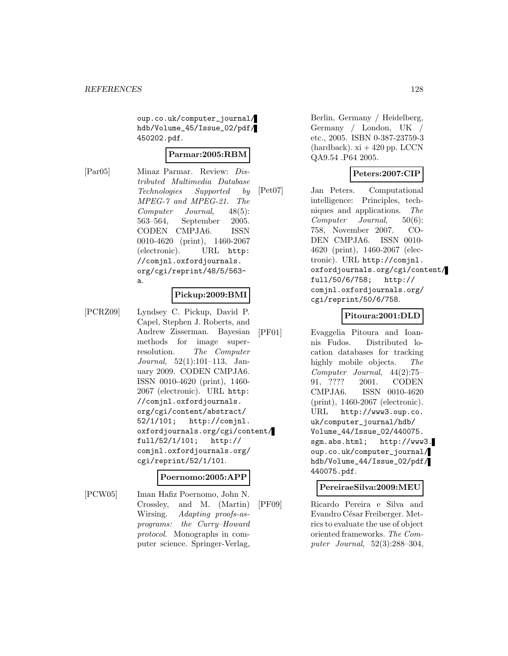oup.co.uk/computer\_journal/ hdb/Volume\_45/Issue\_02/pdf/ 450202.pdf.

#### **Parmar:2005:RBM**

[Par05] Minaz Parmar. Review: Distributed Multimedia Database Technologies Supported by MPEG-7 and MPEG-21. The Computer Journal, 48(5): 563–564, September 2005. CODEN CMPJA6. ISSN 0010-4620 (print), 1460-2067 (electronic). URL http: //comjnl.oxfordjournals. org/cgi/reprint/48/5/563 a.

#### **Pickup:2009:BMI**

[PCRZ09] Lyndsey C. Pickup, David P. Capel, Stephen J. Roberts, and Andrew Zisserman. Bayesian methods for image superresolution. The Computer Journal, 52(1):101–113, January 2009. CODEN CMPJA6. ISSN 0010-4620 (print), 1460- 2067 (electronic). URL http: //comjnl.oxfordjournals. org/cgi/content/abstract/ 52/1/101; http://comjnl. oxfordjournals.org/cgi/content/ full/52/1/101; http:// comjnl.oxfordjournals.org/ cgi/reprint/52/1/101.

## **Poernomo:2005:APP**

[PCW05] Iman Hafiz Poernomo, John N. Crossley, and M. (Martin) Wirsing. Adapting proofs-asprograms: the Curry–Howard protocol. Monographs in computer science. Springer-Verlag,

Berlin, Germany / Heidelberg, Germany / London, UK / etc., 2005. ISBN 0-387-23759-3  $(hardback)$ . xi  $+420$  pp. LCCN QA9.54 .P64 2005.

## **Peters:2007:CIP**

[Pet07] Jan Peters. Computational intelligence: Principles, techniques and applications. The Computer Journal, 50(6): 758, November 2007. CO-DEN CMPJA6. ISSN 0010- 4620 (print), 1460-2067 (electronic). URL http://comjnl. oxfordjournals.org/cgi/content/ full/50/6/758; http:// comjnl.oxfordjournals.org/ cgi/reprint/50/6/758.

### **Pitoura:2001:DLD**

[PF01] Evaggelia Pitoura and Ioannis Fudos. Distributed location databases for tracking highly mobile objects. The Computer Journal, 44(2):75– 91, ???? 2001. CODEN CMPJA6. ISSN 0010-4620 (print), 1460-2067 (electronic). URL http://www3.oup.co. uk/computer\_journal/hdb/ Volume\_44/Issue\_02/440075. sgm.abs.html; http://www3. oup.co.uk/computer\_journal/ hdb/Volume\_44/Issue\_02/pdf/ 440075.pdf.

#### **PereiraeSilva:2009:MEU**

[PF09] Ricardo Pereira e Silva and Evandro César Freiberger. Metrics to evaluate the use of object oriented frameworks. The Computer Journal, 52(3):288–304,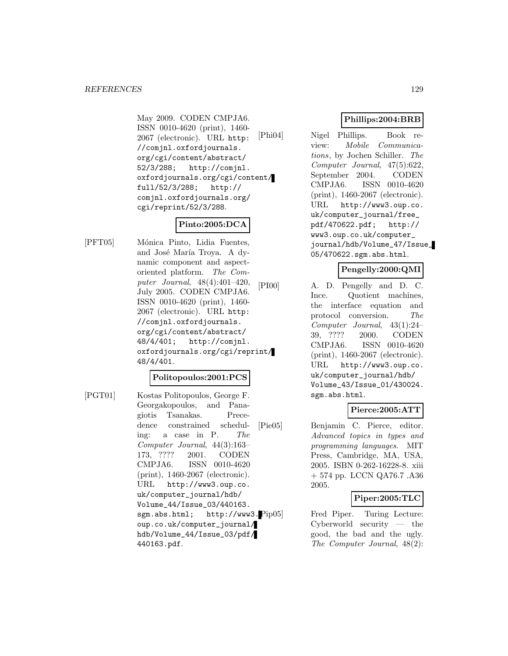May 2009. CODEN CMPJA6. ISSN 0010-4620 (print), 1460- 2067 (electronic). URL http: //comjnl.oxfordjournals. org/cgi/content/abstract/ 52/3/288; http://comjnl. oxfordjournals.org/cgi/content/ full/52/3/288; http:// comjnl.oxfordjournals.org/ cgi/reprint/52/3/288.

# **Pinto:2005:DCA**

[PFT05] M´onica Pinto, Lidia Fuentes, and José María Troya. A dynamic component and aspectoriented platform. The Computer Journal, 48(4):401–420, July 2005. CODEN CMPJA6. ISSN 0010-4620 (print), 1460- 2067 (electronic). URL http: //comjnl.oxfordjournals. org/cgi/content/abstract/ 48/4/401; http://comjnl. oxfordjournals.org/cgi/reprint/ 48/4/401.

### **Politopoulos:2001:PCS**

[PGT01] Kostas Politopoulos, George F. Georgakopoulos, and Panagiotis Tsanakas. Precedence constrained scheduling: a case in P. The Computer Journal, 44(3):163– 173, ???? 2001. CODEN CMPJA6. ISSN 0010-4620 (print), 1460-2067 (electronic). URL http://www3.oup.co. uk/computer\_journal/hdb/ Volume\_44/Issue\_03/440163. sgm.abs.html; http://www3.Pip05 oup.co.uk/computer\_journal/ hdb/Volume\_44/Issue\_03/pdf/ 440163.pdf.

## **Phillips:2004:BRB**

[Phi04] Nigel Phillips. Book review: Mobile Communications, by Jochen Schiller. The Computer Journal, 47(5):622, September 2004. CODEN CMPJA6. ISSN 0010-4620 (print), 1460-2067 (electronic). URL http://www3.oup.co. uk/computer\_journal/free\_ pdf/470622.pdf; http:// www3.oup.co.uk/computer\_ journal/hdb/Volume\_47/Issue\_ 05/470622.sgm.abs.html.

## **Pengelly:2000:QMI**

[PI00] A. D. Pengelly and D. C. Ince. Quotient machines, the interface equation and protocol conversion. The Computer Journal, 43(1):24– 39, ???? 2000. CODEN CMPJA6. ISSN 0010-4620 (print), 1460-2067 (electronic). URL http://www3.oup.co. uk/computer\_journal/hdb/ Volume\_43/Issue\_01/430024. sgm.abs.html.

### **Pierce:2005:ATT**

[Pie05] Benjamin C. Pierce, editor. Advanced topics in types and programming languages. MIT Press, Cambridge, MA, USA, 2005. ISBN 0-262-16228-8. xiii + 574 pp. LCCN QA76.7 .A36 2005.

### **Piper:2005:TLC**

Fred Piper. Turing Lecture: Cyberworld security — the good, the bad and the ugly. The Computer Journal, 48(2):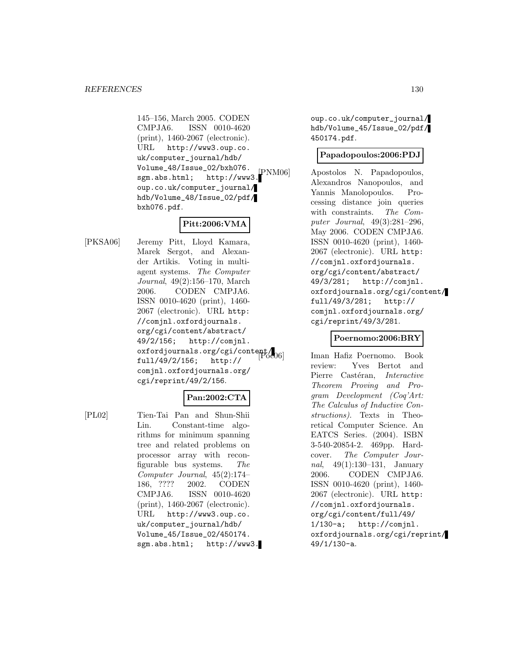145–156, March 2005. CODEN CMPJA6. ISSN 0010-4620 (print), 1460-2067 (electronic). URL http://www3.oup.co. uk/computer\_journal/hdb/ Volume\_48/Issue\_02/bxh076. sgm.abs.html; http://www3. oup.co.uk/computer\_journal/ hdb/Volume\_48/Issue\_02/pdf/ bxh076.pdf.

## **Pitt:2006:VMA**

[PKSA06] Jeremy Pitt, Lloyd Kamara, Marek Sergot, and Alexander Artikis. Voting in multiagent systems. The Computer Journal, 49(2):156–170, March 2006. CODEN CMPJA6. ISSN 0010-4620 (print), 1460- 2067 (electronic). URL http: //comjnl.oxfordjournals. org/cgi/content/abstract/ 49/2/156; http://comjnl. oxfordjournals.org/cgi/content/ full/49/2/156; http:// comjnl.oxfordjournals.org/ cgi/reprint/49/2/156.

## **Pan:2002:CTA**

[PL02] Tien-Tai Pan and Shun-Shii Lin. Constant-time algorithms for minimum spanning tree and related problems on processor array with reconfigurable bus systems. The Computer Journal, 45(2):174– 186, ???? 2002. CODEN CMPJA6. ISSN 0010-4620 (print), 1460-2067 (electronic). URL http://www3.oup.co. uk/computer\_journal/hdb/ Volume\_45/Issue\_02/450174. sgm.abs.html; http://www3.

oup.co.uk/computer\_journal/ hdb/Volume\_45/Issue\_02/pdf/ 450174.pdf.

## **Papadopoulos:2006:PDJ**

Apostolos N. Papadopoulos, Alexandros Nanopoulos, and Yannis Manolopoulos. Processing distance join queries with constraints. The Computer Journal, 49(3):281–296, May 2006. CODEN CMPJA6. ISSN 0010-4620 (print), 1460- 2067 (electronic). URL http: //comjnl.oxfordjournals. org/cgi/content/abstract/ 49/3/281; http://comjnl. oxfordjournals.org/cgi/content/ full/49/3/281; http:// comjnl.oxfordjournals.org/ cgi/reprint/49/3/281.

### **Poernomo:2006:BRY**

Iman Hafiz Poernomo. Book review: Yves Bertot and Pierre Castéran, Interactive Theorem Proving and Program Development (Coq'Art: The Calculus of Inductive Constructions). Texts in Theoretical Computer Science. An EATCS Series. (2004). ISBN 3-540-20854-2. 469pp. Hardcover. The Computer Journal, 49(1):130–131, January 2006. CODEN CMPJA6. ISSN 0010-4620 (print), 1460- 2067 (electronic). URL http: //comjnl.oxfordjournals. org/cgi/content/full/49/ 1/130-a; http://comjnl. oxfordjournals.org/cgi/reprint/ 49/1/130-a.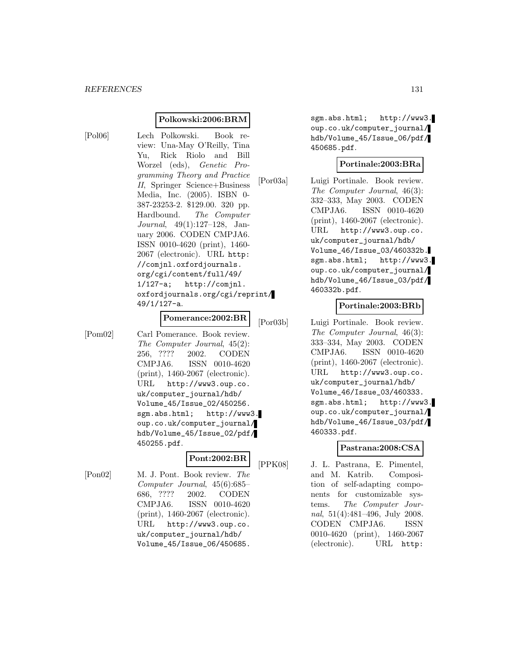#### **Polkowski:2006:BRM**

[Pol06] Lech Polkowski. Book review: Una-May O'Reilly, Tina Yu, Rick Riolo and Bill Worzel (eds), Genetic Programming Theory and Practice II, Springer Science+Business Media, Inc. (2005). ISBN 0- 387-23253-2. \$129.00. 320 pp. Hardbound. The Computer Journal, 49(1):127–128, January 2006. CODEN CMPJA6. ISSN 0010-4620 (print), 1460- 2067 (electronic). URL http: //comjnl.oxfordjournals. org/cgi/content/full/49/ 1/127-a; http://comjnl. oxfordjournals.org/cgi/reprint/ 49/1/127-a.

# **Pomerance:2002:BR**

[Pom02] Carl Pomerance. Book review. The Computer Journal, 45(2): 256, ???? 2002. CODEN CMPJA6. ISSN 0010-4620 (print), 1460-2067 (electronic). URL http://www3.oup.co. uk/computer\_journal/hdb/ Volume\_45/Issue\_02/450256. sgm.abs.html; http://www3. oup.co.uk/computer\_journal/ hdb/Volume\_45/Issue\_02/pdf/ 450255.pdf.

## **Pont:2002:BR**

[Pon02] M. J. Pont. Book review. The Computer Journal, 45(6):685– 686, ???? 2002. CODEN CMPJA6. ISSN 0010-4620 (print), 1460-2067 (electronic). URL http://www3.oup.co. uk/computer\_journal/hdb/ Volume\_45/Issue\_06/450685.

sgm.abs.html; http://www3. oup.co.uk/computer\_journal/ hdb/Volume\_45/Issue\_06/pdf/ 450685.pdf.

## **Portinale:2003:BRa**

[Por03a] Luigi Portinale. Book review. The Computer Journal, 46(3): 332–333, May 2003. CODEN CMPJA6. ISSN 0010-4620 (print), 1460-2067 (electronic). URL http://www3.oup.co. uk/computer\_journal/hdb/ Volume\_46/Issue\_03/460332b. sgm.abs.html; http://www3. oup.co.uk/computer\_journal/ hdb/Volume\_46/Issue\_03/pdf/ 460332b.pdf.

#### **Portinale:2003:BRb**

[Por03b] Luigi Portinale. Book review. The Computer Journal, 46(3): 333–334, May 2003. CODEN CMPJA6. ISSN 0010-4620 (print), 1460-2067 (electronic). URL http://www3.oup.co. uk/computer\_journal/hdb/ Volume\_46/Issue\_03/460333. sgm.abs.html; http://www3. oup.co.uk/computer\_journal/ hdb/Volume\_46/Issue\_03/pdf/ 460333.pdf.

#### **Pastrana:2008:CSA**

[PPK08] J. L. Pastrana, E. Pimentel, and M. Katrib. Composition of self-adapting components for customizable systems. The Computer Journal, 51(4):481–496, July 2008. CODEN CMPJA6. ISSN 0010-4620 (print), 1460-2067 (electronic). URL http: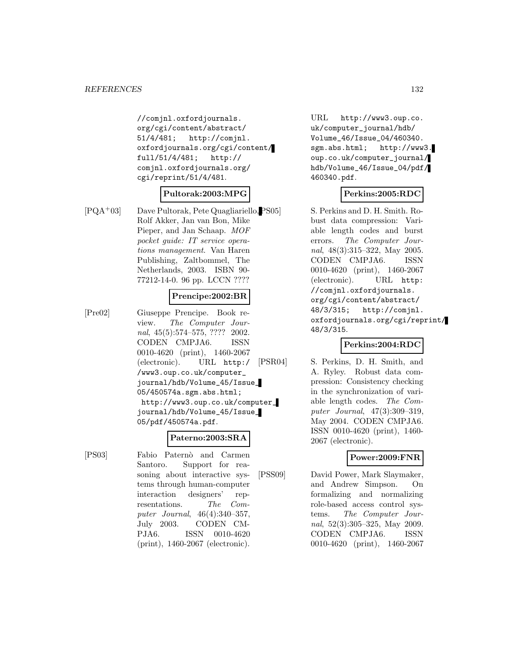//comjnl.oxfordjournals. org/cgi/content/abstract/ 51/4/481; http://comjnl. oxfordjournals.org/cgi/content/ full/51/4/481; http:// comjnl.oxfordjournals.org/ cgi/reprint/51/4/481.

## **Pultorak:2003:MPG**

[PQA<sup>+</sup>03] Dave Pultorak, Pete Quagliariello, Rolf Akker, Jan van Bon, Mike Pieper, and Jan Schaap. MOF pocket guide: IT service operations management. Van Haren Publishing, Zaltbommel, The Netherlands, 2003. ISBN 90- 77212-14-0. 96 pp. LCCN ????

### **Prencipe:2002:BR**

[Pre02] Giuseppe Prencipe. Book review. The Computer Journal, 45(5):574–575, ???? 2002. CODEN CMPJA6. ISSN 0010-4620 (print), 1460-2067 (electronic). URL http:/ /www3.oup.co.uk/computer\_ journal/hdb/Volume\_45/Issue\_ 05/450574a.sgm.abs.html; http://www3.oup.co.uk/computer\_ journal/hdb/Volume\_45/Issue\_ 05/pdf/450574a.pdf.

#### **Paterno:2003:SRA**

[PS03] Fabio Patern`o and Carmen Santoro. Support for reasoning about interactive systems through human-computer interaction designers' representations. The Computer Journal, 46(4):340–357, July 2003. CODEN CM-PJA6. ISSN 0010-4620 (print), 1460-2067 (electronic).

URL http://www3.oup.co. uk/computer\_journal/hdb/ Volume\_46/Issue\_04/460340. sgm.abs.html; http://www3. oup.co.uk/computer\_journal/ hdb/Volume\_46/Issue\_04/pdf/ 460340.pdf.

## **Perkins:2005:RDC**

S. Perkins and D. H. Smith. Robust data compression: Variable length codes and burst errors. The Computer Journal, 48(3):315–322, May 2005. CODEN CMPJA6. ISSN 0010-4620 (print), 1460-2067 (electronic). URL http: //comjnl.oxfordjournals. org/cgi/content/abstract/ 48/3/315; http://comjnl. oxfordjournals.org/cgi/reprint/ 48/3/315.

### **Perkins:2004:RDC**

[PSR04] S. Perkins, D. H. Smith, and A. Ryley. Robust data compression: Consistency checking in the synchronization of variable length codes. The Computer Journal, 47(3):309–319, May 2004. CODEN CMPJA6. ISSN 0010-4620 (print), 1460- 2067 (electronic).

### **Power:2009:FNR**

[PSS09] David Power, Mark Slaymaker, and Andrew Simpson. On formalizing and normalizing role-based access control systems. The Computer Journal, 52(3):305–325, May 2009. CODEN CMPJA6. ISSN 0010-4620 (print), 1460-2067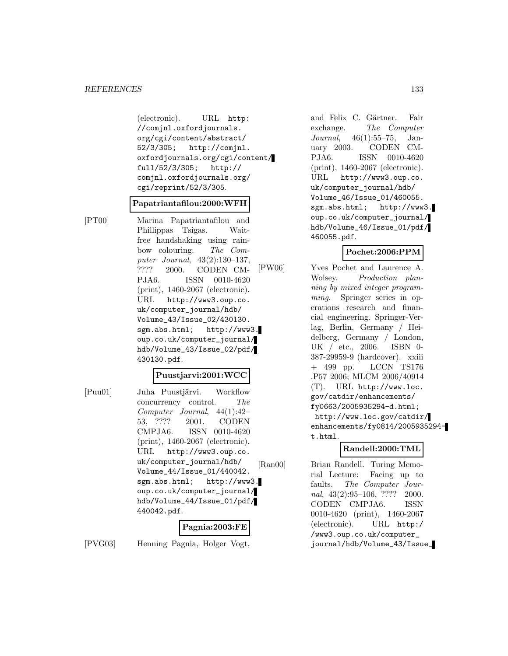(electronic). URL http: //comjnl.oxfordjournals. org/cgi/content/abstract/ 52/3/305; http://comjnl. oxfordjournals.org/cgi/content/ full/52/3/305; http:// comjnl.oxfordjournals.org/ cgi/reprint/52/3/305.

#### **Papatriantafilou:2000:WFH**

[PT00] Marina Papatriantafilou and Phillippas Tsigas. Waitfree handshaking using rainbow colouring. The Computer Journal, 43(2):130–137, ???? 2000. CODEN CM-PJA6. ISSN 0010-4620 (print), 1460-2067 (electronic). URL http://www3.oup.co. uk/computer\_journal/hdb/ Volume\_43/Issue\_02/430130. sgm.abs.html; http://www3. oup.co.uk/computer\_journal/ hdb/Volume\_43/Issue\_02/pdf/ 430130.pdf.

#### **Puustjarvi:2001:WCC**

[Puu01] Juha Puustjärvi. Workflow concurrency control. The Computer Journal, 44(1):42– 53, ???? 2001. CODEN CMPJA6. ISSN 0010-4620 (print), 1460-2067 (electronic). URL http://www3.oup.co. uk/computer\_journal/hdb/ Volume\_44/Issue\_01/440042. sgm.abs.html; http://www3. oup.co.uk/computer\_journal/ hdb/Volume\_44/Issue\_01/pdf/ 440042.pdf.

#### **Pagnia:2003:FE**

[PVG03] Henning Pagnia, Holger Vogt,

and Felix C. Gärtner. Fair exchange. The Computer Journal, 46(1):55–75, January 2003. CODEN CM-PJA6. ISSN 0010-4620 (print), 1460-2067 (electronic). URL http://www3.oup.co. uk/computer\_journal/hdb/ Volume\_46/Issue\_01/460055. sgm.abs.html; http://www3. oup.co.uk/computer\_journal/ hdb/Volume\_46/Issue\_01/pdf/ 460055.pdf.

#### **Pochet:2006:PPM**

[PW06] Yves Pochet and Laurence A. Wolsey. Production planning by mixed integer programming. Springer series in operations research and financial engineering. Springer-Verlag, Berlin, Germany / Heidelberg, Germany / London, UK / etc., 2006. ISBN 0- 387-29959-9 (hardcover). xxiii + 499 pp. LCCN TS176 .P57 2006; MLCM 2006/40914 (T). URL http://www.loc. gov/catdir/enhancements/ fy0663/2005935294-d.html; http://www.loc.gov/catdir/ enhancements/fy0814/2005935294 t.html.

### **Randell:2000:TML**

[Ran00] Brian Randell. Turing Memorial Lecture: Facing up to faults. The Computer Journal, 43(2):95–106, ???? 2000. CODEN CMPJA6. ISSN 0010-4620 (print), 1460-2067 (electronic). URL http:/ /www3.oup.co.uk/computer\_ journal/hdb/Volume\_43/Issue\_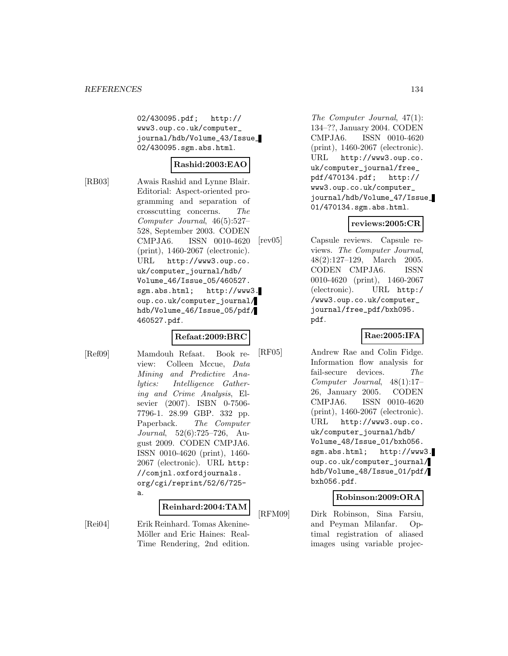02/430095.pdf; http:// www3.oup.co.uk/computer\_ journal/hdb/Volume\_43/Issue\_ 02/430095.sgm.abs.html.

## **Rashid:2003:EAO**

[RB03] Awais Rashid and Lynne Blair. Editorial: Aspect-oriented programming and separation of crosscutting concerns. The Computer Journal, 46(5):527– 528, September 2003. CODEN CMPJA6. ISSN 0010-4620 (print), 1460-2067 (electronic). URL http://www3.oup.co. uk/computer\_journal/hdb/ Volume\_46/Issue\_05/460527. sgm.abs.html; http://www3. oup.co.uk/computer\_journal/ hdb/Volume\_46/Issue\_05/pdf/ 460527.pdf.

## **Refaat:2009:BRC**

[Ref09] Mamdouh Refaat. Book review: Colleen Mccue, Data Mining and Predictive Analytics: Intelligence Gathering and Crime Analysis, Elsevier (2007). ISBN 0-7506- 7796-1. 28.99 GBP. 332 pp. Paperback. The Computer Journal, 52(6):725–726, August 2009. CODEN CMPJA6. ISSN 0010-4620 (print), 1460- 2067 (electronic). URL http: //comjnl.oxfordjournals. org/cgi/reprint/52/6/725 a.

#### **Reinhard:2004:TAM**

[Rei04] Erik Reinhard. Tomas Akenine-Möller and Eric Haines: Real-Time Rendering, 2nd edition.

The Computer Journal, 47(1): 134–??, January 2004. CODEN CMPJA6. ISSN 0010-4620 (print), 1460-2067 (electronic). URL http://www3.oup.co. uk/computer\_journal/free\_ pdf/470134.pdf; http:// www3.oup.co.uk/computer\_ journal/hdb/Volume\_47/Issue\_ 01/470134.sgm.abs.html.

#### **reviews:2005:CR**

[rev05] Capsule reviews. Capsule reviews. The Computer Journal, 48(2):127–129, March 2005. CODEN CMPJA6. ISSN 0010-4620 (print), 1460-2067 (electronic). URL http:/ /www3.oup.co.uk/computer\_ journal/free\_pdf/bxh095. pdf.

### **Rae:2005:IFA**

[RF05] Andrew Rae and Colin Fidge. Information flow analysis for fail-secure devices. The Computer Journal, 48(1):17– 26, January 2005. CODEN CMPJA6. ISSN 0010-4620 (print), 1460-2067 (electronic). URL http://www3.oup.co. uk/computer\_journal/hdb/ Volume\_48/Issue\_01/bxh056. sgm.abs.html; http://www3. oup.co.uk/computer\_journal/ hdb/Volume\_48/Issue\_01/pdf/ bxh056.pdf.

### **Robinson:2009:ORA**

[RFM09] Dirk Robinson, Sina Farsiu, and Peyman Milanfar. Optimal registration of aliased images using variable projec-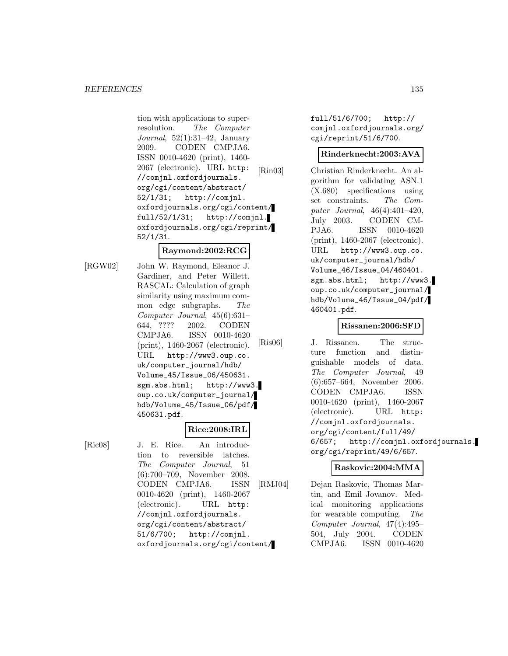tion with applications to superresolution. The Computer Journal,  $52(1):31-42$ , January 2009. CODEN CMPJA6. ISSN 0010-4620 (print), 1460- 2067 (electronic). URL http: //comjnl.oxfordjournals. org/cgi/content/abstract/ 52/1/31; http://comjnl. oxfordjournals.org/cgi/content/ full/52/1/31; http://comjnl. oxfordjournals.org/cgi/reprint/ 52/1/31.

### **Raymond:2002:RCG**

[RGW02] John W. Raymond, Eleanor J. Gardiner, and Peter Willett. RASCAL: Calculation of graph similarity using maximum common edge subgraphs. The Computer Journal, 45(6):631– 644, ???? 2002. CODEN CMPJA6. ISSN 0010-4620 (print), 1460-2067 (electronic). URL http://www3.oup.co. uk/computer\_journal/hdb/ Volume\_45/Issue\_06/450631. sgm.abs.html; http://www3. oup.co.uk/computer\_journal/ hdb/Volume\_45/Issue\_06/pdf/ 450631.pdf.

## **Rice:2008:IRL**

[Ric08] J. E. Rice. An introduction to reversible latches. The Computer Journal, 51 (6):700–709, November 2008. CODEN CMPJA6. ISSN 0010-4620 (print), 1460-2067 (electronic). URL http: //comjnl.oxfordjournals. org/cgi/content/abstract/ 51/6/700; http://comjnl. oxfordjournals.org/cgi/content/ full/51/6/700; http:// comjnl.oxfordjournals.org/ cgi/reprint/51/6/700.

#### **Rinderknecht:2003:AVA**

[Rin03] Christian Rinderknecht. An algorithm for validating ASN.1 (X.680) specifications using set constraints. The Computer Journal, 46(4):401–420, July 2003. CODEN CM-PJA6. ISSN 0010-4620 (print), 1460-2067 (electronic). URL http://www3.oup.co. uk/computer\_journal/hdb/ Volume\_46/Issue\_04/460401. sgm.abs.html; http://www3. oup.co.uk/computer\_journal/ hdb/Volume\_46/Issue\_04/pdf/ 460401.pdf.

## **Rissanen:2006:SFD**

[Ris06] J. Rissanen. The structure function and distinguishable models of data. The Computer Journal, 49 (6):657–664, November 2006. CODEN CMPJA6. ISSN 0010-4620 (print), 1460-2067 (electronic). URL http: //comjnl.oxfordjournals. org/cgi/content/full/49/ 6/657; http://comjnl.oxfordjournals. org/cgi/reprint/49/6/657.

### **Raskovic:2004:MMA**

[RMJ04] Dejan Raskovic, Thomas Martin, and Emil Jovanov. Medical monitoring applications for wearable computing. The Computer Journal, 47(4):495– 504, July 2004. CODEN CMPJA6. ISSN 0010-4620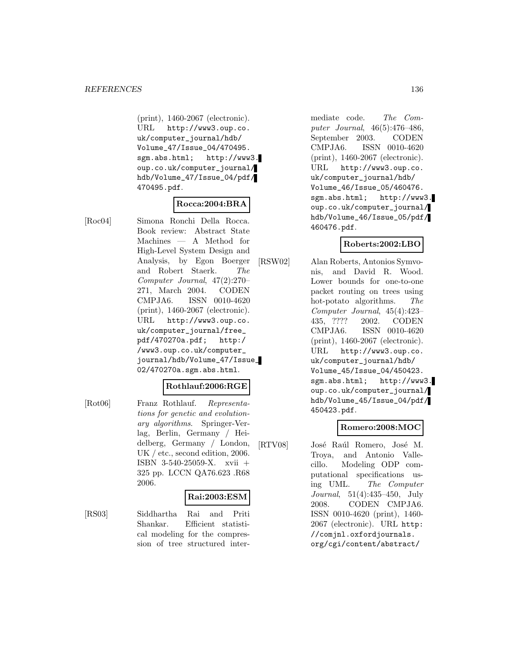(print), 1460-2067 (electronic). URL http://www3.oup.co. uk/computer\_journal/hdb/ Volume\_47/Issue\_04/470495. sgm.abs.html; http://www3. oup.co.uk/computer\_journal/ hdb/Volume\_47/Issue\_04/pdf/ 470495.pdf.

#### **Rocca:2004:BRA**

[Roc04] Simona Ronchi Della Rocca. Book review: Abstract State Machines — A Method for High-Level System Design and Analysis, by Egon Boerger and Robert Staerk. The Computer Journal, 47(2):270– 271, March 2004. CODEN CMPJA6. ISSN 0010-4620 (print), 1460-2067 (electronic). URL http://www3.oup.co. uk/computer\_journal/free\_ pdf/470270a.pdf; http:/ /www3.oup.co.uk/computer\_ journal/hdb/Volume\_47/Issue\_ 02/470270a.sgm.abs.html.

#### **Rothlauf:2006:RGE**

[Rot06] Franz Rothlauf. Representations for genetic and evolutionary algorithms. Springer-Verlag, Berlin, Germany / Heidelberg, Germany / London, UK / etc., second edition, 2006. ISBN 3-540-25059-X. xvii + 325 pp. LCCN QA76.623 .R68 2006.

## **Rai:2003:ESM**

[RS03] Siddhartha Rai and Priti Shankar. Efficient statistical modeling for the compression of tree structured inter-

mediate code. The Computer Journal, 46(5):476–486, September 2003. CODEN CMPJA6. ISSN 0010-4620 (print), 1460-2067 (electronic). URL http://www3.oup.co. uk/computer\_journal/hdb/ Volume\_46/Issue\_05/460476. sgm.abs.html; http://www3. oup.co.uk/computer\_journal/ hdb/Volume\_46/Issue\_05/pdf/ 460476.pdf.

## **Roberts:2002:LBO**

[RSW02] Alan Roberts, Antonios Symvonis, and David R. Wood. Lower bounds for one-to-one packet routing on trees using hot-potato algorithms. The Computer Journal, 45(4):423– 435, ???? 2002. CODEN CMPJA6. ISSN 0010-4620 (print), 1460-2067 (electronic). URL http://www3.oup.co. uk/computer\_journal/hdb/ Volume\_45/Issue\_04/450423. sgm.abs.html; http://www3. oup.co.uk/computer\_journal/ hdb/Volume\_45/Issue\_04/pdf/ 450423.pdf.

### **Romero:2008:MOC**

[RTV08] José Raúl Romero, José M. Troya, and Antonio Vallecillo. Modeling ODP computational specifications using UML. The Computer Journal, 51(4):435–450, July 2008. CODEN CMPJA6. ISSN 0010-4620 (print), 1460- 2067 (electronic). URL http: //comjnl.oxfordjournals. org/cgi/content/abstract/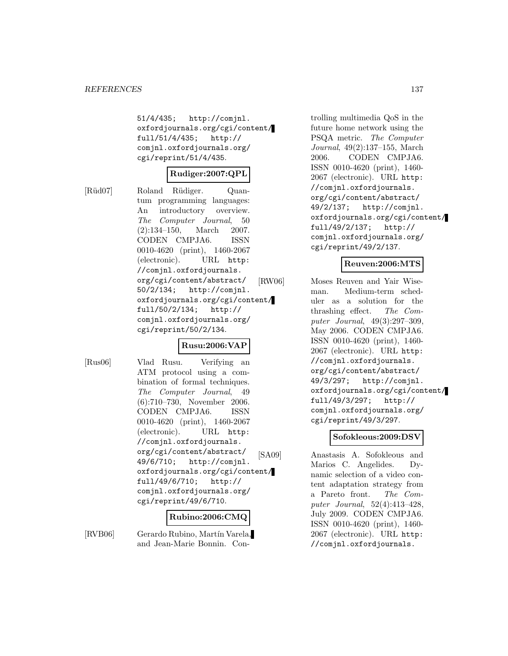51/4/435; http://comjnl. oxfordjournals.org/cgi/content/ full/51/4/435; http:// comjnl.oxfordjournals.org/ cgi/reprint/51/4/435.

#### **Rudiger:2007:QPL**

[Rüd07] Roland Rüdiger. Quantum programming languages: An introductory overview. The Computer Journal, 50 (2):134–150, March 2007. CODEN CMPJA6. ISSN 0010-4620 (print), 1460-2067 (electronic). URL http: //comjnl.oxfordjournals. org/cgi/content/abstract/ 50/2/134; http://comjnl. oxfordjournals.org/cgi/content/ full/50/2/134; http:// comjnl.oxfordjournals.org/ cgi/reprint/50/2/134.

## **Rusu:2006:VAP**

[Rus06] Vlad Rusu. Verifying an ATM protocol using a combination of formal techniques. The Computer Journal, 49 (6):710–730, November 2006. CODEN CMPJA6. ISSN 0010-4620 (print), 1460-2067 (electronic). URL http: //comjnl.oxfordjournals. org/cgi/content/abstract/ 49/6/710; http://comjnl. oxfordjournals.org/cgi/content/ full/49/6/710; http:// comjnl.oxfordjournals.org/ cgi/reprint/49/6/710.

#### **Rubino:2006:CMQ**

[RVB06] Gerardo Rubino, Martín Varela, and Jean-Marie Bonnin. Con-

trolling multimedia QoS in the future home network using the PSQA metric. The Computer Journal, 49(2):137–155, March 2006. CODEN CMPJA6. ISSN 0010-4620 (print), 1460- 2067 (electronic). URL http: //comjnl.oxfordjournals. org/cgi/content/abstract/ 49/2/137; http://comjnl. oxfordjournals.org/cgi/content/ full/49/2/137; http:// comjnl.oxfordjournals.org/ cgi/reprint/49/2/137.

## **Reuven:2006:MTS**

[RW06] Moses Reuven and Yair Wiseman. Medium-term scheduler as a solution for the thrashing effect. The Computer Journal, 49(3):297–309, May 2006. CODEN CMPJA6. ISSN 0010-4620 (print), 1460- 2067 (electronic). URL http: //comjnl.oxfordjournals. org/cgi/content/abstract/ 49/3/297; http://comjnl. oxfordjournals.org/cgi/content/ full/49/3/297; http:// comjnl.oxfordjournals.org/ cgi/reprint/49/3/297.

# **Sofokleous:2009:DSV**

[SA09] Anastasis A. Sofokleous and Marios C. Angelides. Dynamic selection of a video content adaptation strategy from a Pareto front. The Computer Journal, 52(4):413–428, July 2009. CODEN CMPJA6. ISSN 0010-4620 (print), 1460- 2067 (electronic). URL http: //comjnl.oxfordjournals.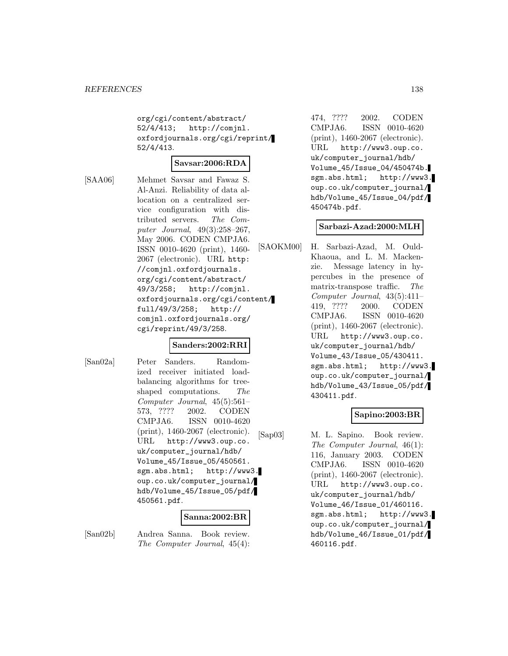org/cgi/content/abstract/ 52/4/413; http://comjnl. oxfordjournals.org/cgi/reprint/ 52/4/413.

### **Savsar:2006:RDA**

[SAA06] Mehmet Savsar and Fawaz S. Al-Anzi. Reliability of data allocation on a centralized service configuration with distributed servers. The Computer Journal, 49(3):258–267, May 2006. CODEN CMPJA6. ISSN 0010-4620 (print), 1460- 2067 (electronic). URL http: //comjnl.oxfordjournals. org/cgi/content/abstract/ 49/3/258; http://comjnl. oxfordjournals.org/cgi/content/ full/49/3/258; http:// comjnl.oxfordjournals.org/ cgi/reprint/49/3/258.

### **Sanders:2002:RRI**

[San02a] Peter Sanders. Randomized receiver initiated loadbalancing algorithms for treeshaped computations. The Computer Journal, 45(5):561– 573, ???? 2002. CODEN CMPJA6. ISSN 0010-4620 (print), 1460-2067 (electronic). URL http://www3.oup.co. uk/computer\_journal/hdb/ Volume\_45/Issue\_05/450561. sgm.abs.html; http://www3. oup.co.uk/computer\_journal/ hdb/Volume\_45/Issue\_05/pdf/ 450561.pdf.

### **Sanna:2002:BR**

[San02b] Andrea Sanna. Book review. The Computer Journal, 45(4):

474, ???? 2002. CODEN CMPJA6. ISSN 0010-4620 (print), 1460-2067 (electronic). URL http://www3.oup.co. uk/computer\_journal/hdb/ Volume\_45/Issue\_04/450474b. sgm.abs.html; http://www3. oup.co.uk/computer\_journal/ hdb/Volume\_45/Issue\_04/pdf/ 450474b.pdf.

#### **Sarbazi-Azad:2000:MLH**

[SAOKM00] H. Sarbazi-Azad, M. Ould-Khaoua, and L. M. Mackenzie. Message latency in hypercubes in the presence of matrix-transpose traffic. The Computer Journal, 43(5):411– 419, ???? 2000. CODEN CMPJA6. ISSN 0010-4620 (print), 1460-2067 (electronic). URL http://www3.oup.co. uk/computer\_journal/hdb/ Volume\_43/Issue\_05/430411. sgm.abs.html; http://www3. oup.co.uk/computer\_journal/ hdb/Volume\_43/Issue\_05/pdf/ 430411.pdf.

## **Sapino:2003:BR**

[Sap03] M. L. Sapino. Book review. The Computer Journal, 46(1): 116, January 2003. CODEN CMPJA6. ISSN 0010-4620 (print), 1460-2067 (electronic). URL http://www3.oup.co. uk/computer\_journal/hdb/ Volume\_46/Issue\_01/460116. sgm.abs.html; http://www3. oup.co.uk/computer\_journal/ hdb/Volume\_46/Issue\_01/pdf/ 460116.pdf.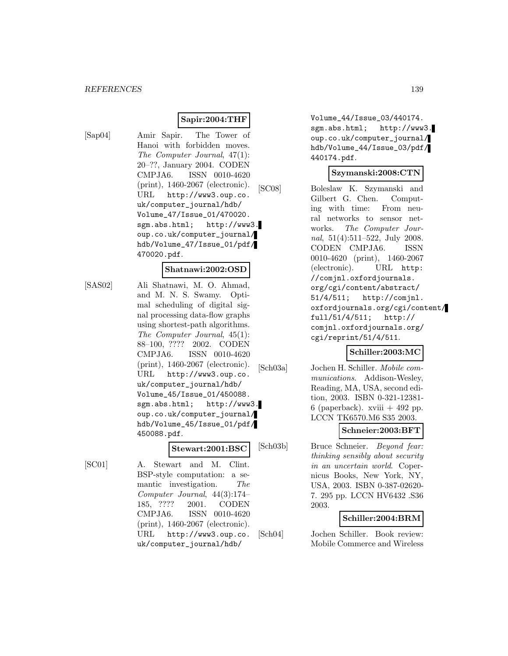#### **Sapir:2004:THF**

[Sap04] Amir Sapir. The Tower of Hanoi with forbidden moves. The Computer Journal, 47(1): 20–??, January 2004. CODEN CMPJA6. ISSN 0010-4620 (print), 1460-2067 (electronic). URL http://www3.oup.co. uk/computer\_journal/hdb/ Volume\_47/Issue\_01/470020. sgm.abs.html; http://www3. oup.co.uk/computer\_journal/ hdb/Volume\_47/Issue\_01/pdf/ 470020.pdf.

#### **Shatnawi:2002:OSD**

[SAS02] Ali Shatnawi, M. O. Ahmad, and M. N. S. Swamy. Optimal scheduling of digital signal processing data-flow graphs using shortest-path algorithms. The Computer Journal, 45(1): 88–100, ???? 2002. CODEN CMPJA6. ISSN 0010-4620 (print), 1460-2067 (electronic). URL http://www3.oup.co. uk/computer\_journal/hdb/ Volume\_45/Issue\_01/450088. sgm.abs.html; http://www3. oup.co.uk/computer\_journal/ hdb/Volume\_45/Issue\_01/pdf/ 450088.pdf.

### **Stewart:2001:BSC**

[SC01] A. Stewart and M. Clint. BSP-style computation: a semantic investigation. The Computer Journal, 44(3):174– 185, ???? 2001. CODEN CMPJA6. ISSN 0010-4620 (print), 1460-2067 (electronic). URL http://www3.oup.co. uk/computer\_journal/hdb/

Volume\_44/Issue\_03/440174. sgm.abs.html; http://www3. oup.co.uk/computer\_journal/ hdb/Volume\_44/Issue\_03/pdf/ 440174.pdf.

#### **Szymanski:2008:CTN**

[SC08] Boleslaw K. Szymanski and Gilbert G. Chen. Computing with time: From neural networks to sensor networks. The Computer Journal, 51(4):511–522, July 2008. CODEN CMPJA6. ISSN 0010-4620 (print), 1460-2067 (electronic). URL http: //comjnl.oxfordjournals. org/cgi/content/abstract/ 51/4/511; http://comjnl. oxfordjournals.org/cgi/content/ full/51/4/511; http:// comjnl.oxfordjournals.org/ cgi/reprint/51/4/511.

#### **Schiller:2003:MC**

[Sch03a] Jochen H. Schiller. Mobile communications. Addison-Wesley, Reading, MA, USA, second edition, 2003. ISBN 0-321-12381- 6 (paperback). xviii  $+492$  pp. LCCN TK6570.M6 S35 2003.

#### **Schneier:2003:BFT**

[Sch03b] Bruce Schneier. Beyond fear: thinking sensibly about security in an uncertain world. Copernicus Books, New York, NY, USA, 2003. ISBN 0-387-02620- 7. 295 pp. LCCN HV6432 .S36 2003.

## **Schiller:2004:BRM**

[Sch04] Jochen Schiller. Book review: Mobile Commerce and Wireless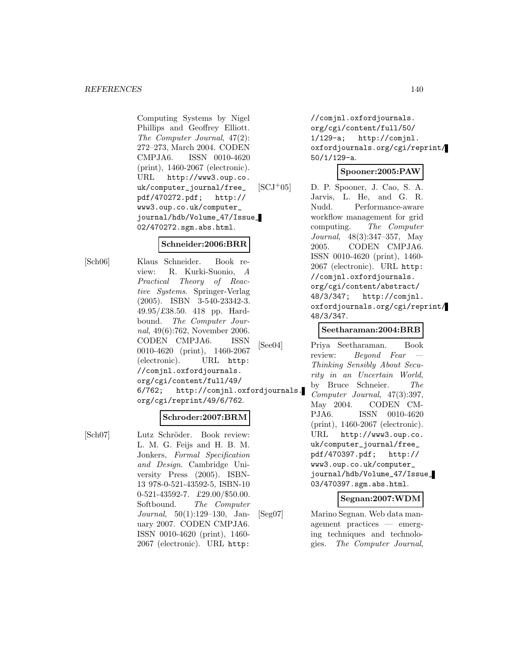Computing Systems by Nigel Phillips and Geoffrey Elliott. The Computer Journal, 47(2): 272–273, March 2004. CODEN CMPJA6. ISSN 0010-4620 (print), 1460-2067 (electronic). URL http://www3.oup.co. uk/computer\_journal/free\_ pdf/470272.pdf; http:// www3.oup.co.uk/computer\_ journal/hdb/Volume\_47/Issue\_ 02/470272.sgm.abs.html.

### **Schneider:2006:BRR**

[Sch06] Klaus Schneider. Book review: R. Kurki-Suonio, A Practical Theory of Reactive Systems. Springer-Verlag (2005). ISBN 3-540-23342-3. 49.95/£38.50. 418 pp. Hardbound. The Computer Journal, 49(6):762, November 2006. CODEN CMPJA6. ISSN 0010-4620 (print), 1460-2067 (electronic). URL http: //comjnl.oxfordjournals. org/cgi/content/full/49/ 6/762; http://comjnl.oxfordjournals. org/cgi/reprint/49/6/762.

### **Schroder:2007:BRM**

[Sch07] Lutz Schröder. Book review: L. M. G. Feijs and H. B. M. Jonkers, Formal Specification and Design. Cambridge University Press (2005). ISBN-13 978-0-521-43592-5, ISBN-10 0-521-43592-7. £29.00/\$50.00. Softbound. The Computer Journal, 50(1):129–130, January 2007. CODEN CMPJA6. ISSN 0010-4620 (print), 1460- 2067 (electronic). URL http:

//comjnl.oxfordjournals. org/cgi/content/full/50/ 1/129-a; http://comjnl. oxfordjournals.org/cgi/reprint/ 50/1/129-a.

### **Spooner:2005:PAW**

 $[SCJ+05]$  D. P. Spooner, J. Cao, S. A. Jarvis, L. He, and G. R. Nudd. Performance-aware workflow management for grid computing. The Computer Journal, 48(3):347–357, May 2005. CODEN CMPJA6. ISSN 0010-4620 (print), 1460- 2067 (electronic). URL http: //comjnl.oxfordjournals. org/cgi/content/abstract/ 48/3/347; http://comjnl. oxfordjournals.org/cgi/reprint/ 48/3/347.

## **Seetharaman:2004:BRB**

[See04] Priya Seetharaman. Book review: Beyond Fear Thinking Sensibly About Security in an Uncertain World, by Bruce Schneier. The Computer Journal, 47(3):397, May 2004. CODEN CM-PJA6. ISSN 0010-4620 (print), 1460-2067 (electronic). URL http://www3.oup.co. uk/computer\_journal/free\_ pdf/470397.pdf; http:// www3.oup.co.uk/computer\_ journal/hdb/Volume\_47/Issue\_ 03/470397.sgm.abs.html.

### **Segnan:2007:WDM**

[Seg07] Marino Segnan. Web data management practices — emerging techniques and technologies. The Computer Journal,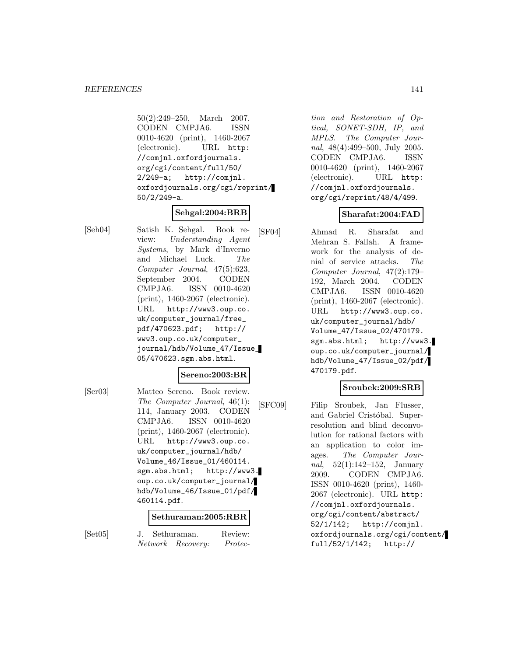50(2):249–250, March 2007. CODEN CMPJA6. ISSN 0010-4620 (print), 1460-2067 (electronic). URL http: //comjnl.oxfordjournals. org/cgi/content/full/50/ 2/249-a; http://comjnl. oxfordjournals.org/cgi/reprint/ 50/2/249-a.

# **Sehgal:2004:BRB**

[Seh04] Satish K. Sehgal. Book review: Understanding Agent Systems, by Mark d'Inverno and Michael Luck. The Computer Journal, 47(5):623, September 2004. CODEN CMPJA6. ISSN 0010-4620 (print), 1460-2067 (electronic). URL http://www3.oup.co. uk/computer\_journal/free\_ pdf/470623.pdf; http:// www3.oup.co.uk/computer\_ journal/hdb/Volume\_47/Issue\_ 05/470623.sgm.abs.html.

#### **Sereno:2003:BR**

[Ser03] Matteo Sereno. Book review. The Computer Journal, 46(1): 114, January 2003. CODEN CMPJA6. ISSN 0010-4620 (print), 1460-2067 (electronic). URL http://www3.oup.co. uk/computer\_journal/hdb/ Volume\_46/Issue\_01/460114. sgm.abs.html; http://www3. oup.co.uk/computer\_journal/ hdb/Volume\_46/Issue\_01/pdf/ 460114.pdf.

#### **Sethuraman:2005:RBR**

[Set05] J. Sethuraman. Review: Network Recovery: Protec-

tion and Restoration of Optical, SONET-SDH, IP, and MPLS. The Computer Journal, 48(4):499–500, July 2005. CODEN CMPJA6. ISSN 0010-4620 (print), 1460-2067 (electronic). URL http: //comjnl.oxfordjournals. org/cgi/reprint/48/4/499.

## **Sharafat:2004:FAD**

[SF04] Ahmad R. Sharafat and Mehran S. Fallah. A framework for the analysis of denial of service attacks. The Computer Journal, 47(2):179– 192, March 2004. CODEN CMPJA6. ISSN 0010-4620 (print), 1460-2067 (electronic). URL http://www3.oup.co. uk/computer\_journal/hdb/ Volume\_47/Issue\_02/470179. sgm.abs.html; http://www3. oup.co.uk/computer\_journal/ hdb/Volume\_47/Issue\_02/pdf/ 470179.pdf.

### **Sroubek:2009:SRB**

[SFC09] Filip Sroubek, Jan Flusser, and Gabriel Cristóbal. Superresolution and blind deconvolution for rational factors with an application to color images. The Computer Journal, 52(1):142–152, January 2009. CODEN CMPJA6. ISSN 0010-4620 (print), 1460- 2067 (electronic). URL http: //comjnl.oxfordjournals. org/cgi/content/abstract/ 52/1/142; http://comjnl. oxfordjournals.org/cgi/content/ full/52/1/142; http://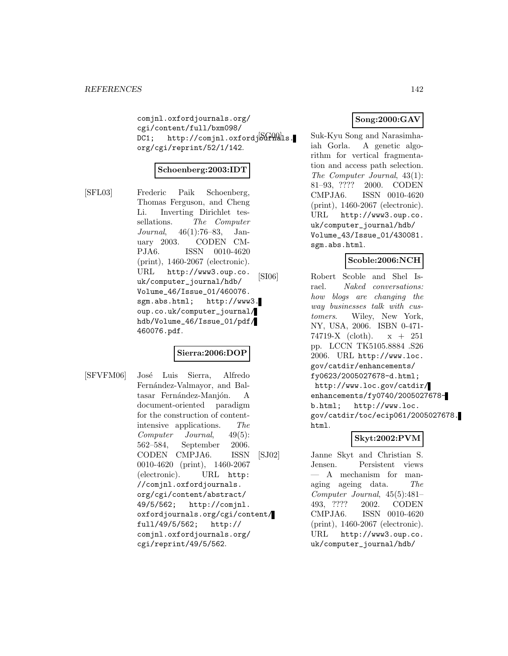comjnl.oxfordjournals.org/ cgi/content/full/bxm098/ DC1; http://comjnl.oxfordj $\delta\Omega$ uls. org/cgi/reprint/52/1/142.

#### **Schoenberg:2003:IDT**

[SFL03] Frederic Paik Schoenberg, Thomas Ferguson, and Cheng Li. Inverting Dirichlet tessellations. The Computer Journal, 46(1):76–83, January 2003. CODEN CM-PJA6. ISSN 0010-4620 (print), 1460-2067 (electronic). URL http://www3.oup.co. uk/computer\_journal/hdb/ Volume\_46/Issue\_01/460076. sgm.abs.html; http://www3. oup.co.uk/computer\_journal/ hdb/Volume\_46/Issue\_01/pdf/ 460076.pdf.

## **Sierra:2006:DOP**

[SFVFM06] José Luis Sierra, Alfredo Fernández-Valmayor, and Baltasar Fernández-Manjón. A document-oriented paradigm for the construction of contentintensive applications. The Computer Journal, 49(5): 562–584, September 2006. CODEN CMPJA6. ISSN 0010-4620 (print), 1460-2067 (electronic). URL http: //comjnl.oxfordjournals. org/cgi/content/abstract/ 49/5/562; http://comjnl. oxfordjournals.org/cgi/content/ full/49/5/562; http:// comjnl.oxfordjournals.org/ cgi/reprint/49/5/562.

## **Song:2000:GAV**

Suk-Kyu Song and Narasimhaiah Gorla. A genetic algorithm for vertical fragmentation and access path selection. The Computer Journal, 43(1): 81–93, ???? 2000. CODEN CMPJA6. ISSN 0010-4620 (print), 1460-2067 (electronic). URL http://www3.oup.co. uk/computer\_journal/hdb/ Volume\_43/Issue\_01/430081. sgm.abs.html.

#### **Scoble:2006:NCH**

[SI06] Robert Scoble and Shel Israel. Naked conversations: how blogs are changing the way businesses talk with customers. Wiley, New York, NY, USA, 2006. ISBN 0-471- 74719-X (cloth).  $x + 251$ pp. LCCN TK5105.8884 .S26 2006. URL http://www.loc. gov/catdir/enhancements/ fy0623/2005027678-d.html; http://www.loc.gov/catdir/ enhancements/fy0740/2005027678 b.html; http://www.loc. gov/catdir/toc/ecip061/2005027678. html.

## **Skyt:2002:PVM**

[SJ02] Janne Skyt and Christian S. Jensen. Persistent views — A mechanism for managing ageing data. The Computer Journal, 45(5):481– 493, ???? 2002. CODEN CMPJA6. ISSN 0010-4620 (print), 1460-2067 (electronic). URL http://www3.oup.co. uk/computer\_journal/hdb/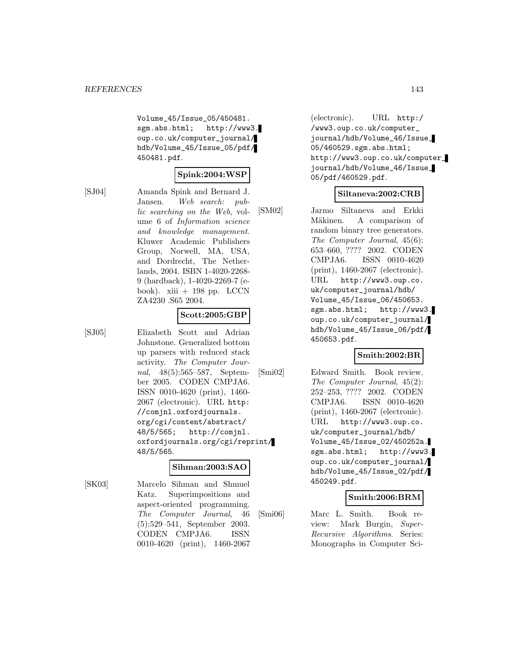Volume\_45/Issue\_05/450481. sgm.abs.html; http://www3. oup.co.uk/computer\_journal/ hdb/Volume\_45/Issue\_05/pdf/ 450481.pdf.

## **Spink:2004:WSP**

[SJ04] Amanda Spink and Bernard J. Jansen. Web search: public searching on the Web, volume 6 of Information science and knowledge management. Kluwer Academic Publishers Group, Norwell, MA, USA, and Dordrecht, The Netherlands, 2004. ISBN 1-4020-2268- 9 (hardback), 1-4020-2269-7 (ebook).  $xiii + 198$  pp. LCCN ZA4230 .S65 2004.

## **Scott:2005:GBP**

[SJ05] Elizabeth Scott and Adrian Johnstone. Generalized bottom up parsers with reduced stack activity. The Computer Journal, 48(5):565–587, September 2005. CODEN CMPJA6. ISSN 0010-4620 (print), 1460- 2067 (electronic). URL http: //comjnl.oxfordjournals. org/cgi/content/abstract/ 48/5/565; http://comjnl. oxfordjournals.org/cgi/reprint/ 48/5/565.

### **Sihman:2003:SAO**

[SK03] Marcelo Sihman and Shmuel Katz. Superimpositions and aspect-oriented programming. The Computer Journal, 46 (5):529–541, September 2003. CODEN CMPJA6. ISSN 0010-4620 (print), 1460-2067

(electronic). URL http:/ /www3.oup.co.uk/computer\_ journal/hdb/Volume\_46/Issue\_ 05/460529.sgm.abs.html; http://www3.oup.co.uk/computer\_ journal/hdb/Volume\_46/Issue\_ 05/pdf/460529.pdf.

## **Siltaneva:2002:CRB**

[SM02] Jarmo Siltaneva and Erkki Mäkinen. A comparison of random binary tree generators. The Computer Journal, 45(6): 653–660, ???? 2002. CODEN CMPJA6. ISSN 0010-4620 (print), 1460-2067 (electronic). URL http://www3.oup.co. uk/computer\_journal/hdb/ Volume\_45/Issue\_06/450653. sgm.abs.html; http://www3. oup.co.uk/computer\_journal/ hdb/Volume\_45/Issue\_06/pdf/ 450653.pdf.

### **Smith:2002:BR**

[Smi02] Edward Smith. Book review. The Computer Journal, 45(2): 252–253, ???? 2002. CODEN CMPJA6. ISSN 0010-4620 (print), 1460-2067 (electronic). URL http://www3.oup.co. uk/computer\_journal/hdb/ Volume\_45/Issue\_02/450252a. sgm.abs.html; http://www3. oup.co.uk/computer\_journal/ hdb/Volume\_45/Issue\_02/pdf/ 450249.pdf.

### **Smith:2006:BRM**

[Smi06] Marc L. Smith. Book review: Mark Burgin, Super-Recursive Algorithms. Series: Monographs in Computer Sci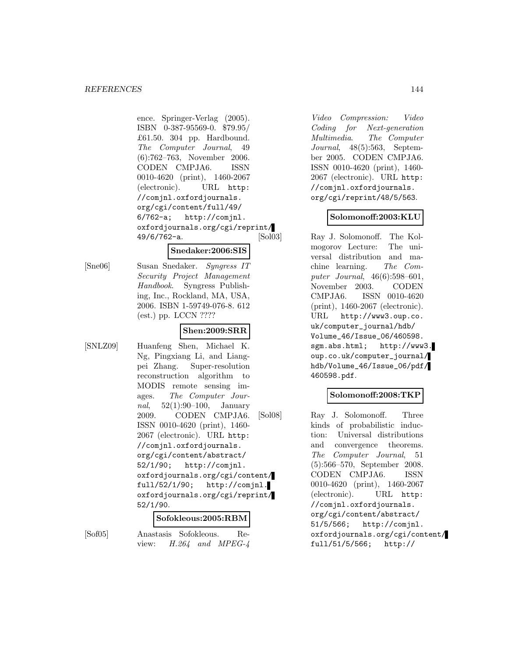ence. Springer-Verlag (2005). ISBN 0-387-95569-0. \$79.95/ £61.50. 304 pp. Hardbound. The Computer Journal, 49 (6):762–763, November 2006. CODEN CMPJA6. ISSN 0010-4620 (print), 1460-2067 (electronic). URL http: //comjnl.oxfordjournals. org/cgi/content/full/49/ 6/762-a; http://comjnl. oxfordjournals.org/cgi/reprint/ 49/6/762-a.

#### **Snedaker:2006:SIS**

[Sne06] Susan Snedaker. Syngress IT Security Project Management Handbook. Syngress Publishing, Inc., Rockland, MA, USA, 2006. ISBN 1-59749-076-8. 612 (est.) pp. LCCN ????

## **Shen:2009:SRR**

[SNLZ09] Huanfeng Shen, Michael K. Ng, Pingxiang Li, and Liangpei Zhang. Super-resolution reconstruction algorithm to MODIS remote sensing images. The Computer Journal,  $52(1):90-100$ , January 2009. CODEN CMPJA6. ISSN 0010-4620 (print), 1460- 2067 (electronic). URL http: //comjnl.oxfordjournals. org/cgi/content/abstract/ 52/1/90; http://comjnl. oxfordjournals.org/cgi/content/ full/52/1/90; http://comjnl. oxfordjournals.org/cgi/reprint/ 52/1/90.

#### **Sofokleous:2005:RBM**

[Sof05] Anastasis Sofokleous. Review: H.264 and MPEG-4

Video Compression: Video Coding for Next-generation Multimedia. The Computer Journal, 48(5):563, September 2005. CODEN CMPJA6. ISSN 0010-4620 (print), 1460- 2067 (electronic). URL http: //comjnl.oxfordjournals. org/cgi/reprint/48/5/563.

### **Solomonoff:2003:KLU**

[Sol03] Ray J. Solomonoff. The Kolmogorov Lecture: The universal distribution and machine learning. The Computer Journal, 46(6):598–601, November 2003. CODEN CMPJA6. ISSN 0010-4620 (print), 1460-2067 (electronic). URL http://www3.oup.co. uk/computer\_journal/hdb/ Volume\_46/Issue\_06/460598. sgm.abs.html; http://www3. oup.co.uk/computer\_journal/ hdb/Volume\_46/Issue\_06/pdf/ 460598.pdf.

### **Solomonoff:2008:TKP**

[Sol08] Ray J. Solomonoff. Three kinds of probabilistic induction: Universal distributions and convergence theorems. The Computer Journal, 51 (5):566–570, September 2008. CODEN CMPJA6. ISSN 0010-4620 (print), 1460-2067 (electronic). URL http: //comjnl.oxfordjournals. org/cgi/content/abstract/ 51/5/566; http://comjnl. oxfordjournals.org/cgi/content/ full/51/5/566; http://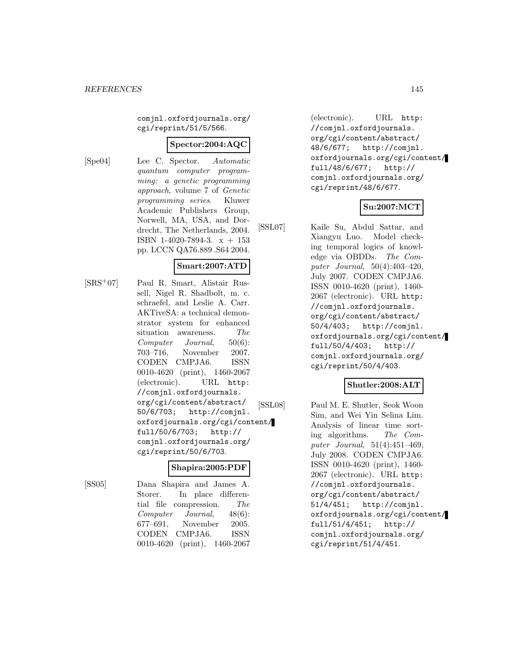comjnl.oxfordjournals.org/ cgi/reprint/51/5/566.

### **Spector:2004:AQC**

[Spe04] Lee C. Spector. Automatic quantum computer programming: a genetic programming approach, volume 7 of Genetic programming series. Kluwer Academic Publishers Group, Norwell, MA, USA, and Dordrecht, The Netherlands, 2004. ISBN 1-4020-7894-3.  $x + 153$ pp. LCCN QA76.889 .S64 2004.

### **Smart:2007:ATD**

[SRS<sup>+</sup>07] Paul R. Smart, Alistair Russell, Nigel R. Shadbolt, m. c. schraefel, and Leslie A. Carr. AKTiveSA: a technical demonstrator system for enhanced situation awareness. The Computer Journal, 50(6): 703–716, November 2007. CODEN CMPJA6. ISSN 0010-4620 (print), 1460-2067 (electronic). URL http: //comjnl.oxfordjournals. org/cgi/content/abstract/ 50/6/703; http://comjnl. oxfordjournals.org/cgi/content/ full/50/6/703; http:// comjnl.oxfordjournals.org/ cgi/reprint/50/6/703.

#### **Shapira:2005:PDF**

[SS05] Dana Shapira and James A. Storer. In place differential file compression. The Computer Journal, 48(6): 677–691, November 2005. CODEN CMPJA6. ISSN 0010-4620 (print), 1460-2067

(electronic). URL http: //comjnl.oxfordjournals. org/cgi/content/abstract/ 48/6/677; http://comjnl. oxfordjournals.org/cgi/content/ full/48/6/677; http:// comjnl.oxfordjournals.org/ cgi/reprint/48/6/677.

### **Su:2007:MCT**

[SSL07] Kaile Su, Abdul Sattar, and Xiangyu Luo. Model checking temporal logics of knowledge via OBDDs. The Computer Journal, 50(4):403–420, July 2007. CODEN CMPJA6. ISSN 0010-4620 (print), 1460- 2067 (electronic). URL http: //comjnl.oxfordjournals. org/cgi/content/abstract/ 50/4/403; http://comjnl. oxfordjournals.org/cgi/content/ full/50/4/403; http:// comjnl.oxfordjournals.org/ cgi/reprint/50/4/403.

### **Shutler:2008:ALT**

[SSL08] Paul M. E. Shutler, Seok Woon Sim, and Wei Yin Selina Lim. Analysis of linear time sorting algorithms. The Computer Journal, 51(4):451–469, July 2008. CODEN CMPJA6. ISSN 0010-4620 (print), 1460- 2067 (electronic). URL http: //comjnl.oxfordjournals. org/cgi/content/abstract/ 51/4/451; http://comjnl. oxfordjournals.org/cgi/content/ full/51/4/451; http:// comjnl.oxfordjournals.org/ cgi/reprint/51/4/451.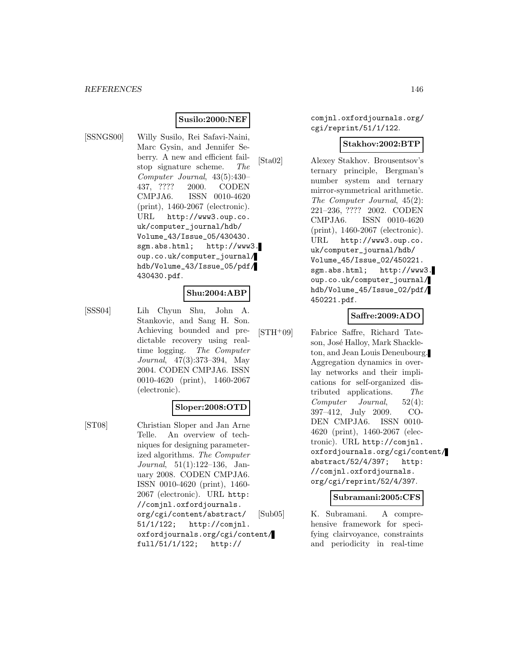### **Susilo:2000:NEF**

- 
- [SSNGS00] Willy Susilo, Rei Safavi-Naini, Marc Gysin, and Jennifer Seberry. A new and efficient failstop signature scheme. The Computer Journal, 43(5):430– 437, ???? 2000. CODEN CMPJA6. ISSN 0010-4620 (print), 1460-2067 (electronic). URL http://www3.oup.co. uk/computer\_journal/hdb/ Volume\_43/Issue\_05/430430. sgm.abs.html; http://www3. oup.co.uk/computer\_journal/ hdb/Volume\_43/Issue\_05/pdf/ 430430.pdf.

#### **Shu:2004:ABP**

[SSS04] Lih Chyun Shu, John A. Stankovic, and Sang H. Son. Achieving bounded and predictable recovery using realtime logging. The Computer Journal, 47(3):373–394, May 2004. CODEN CMPJA6. ISSN 0010-4620 (print), 1460-2067 (electronic).

### **Sloper:2008:OTD**

[ST08] Christian Sloper and Jan Arne Telle. An overview of techniques for designing parameterized algorithms. The Computer Journal, 51(1):122–136, January 2008. CODEN CMPJA6. ISSN 0010-4620 (print), 1460- 2067 (electronic). URL http: //comjnl.oxfordjournals. org/cgi/content/abstract/ 51/1/122; http://comjnl. oxfordjournals.org/cgi/content/ full/51/1/122; http://

comjnl.oxfordjournals.org/ cgi/reprint/51/1/122.

### **Stakhov:2002:BTP**

[Sta02] Alexey Stakhov. Brousentsov's ternary principle, Bergman's number system and ternary mirror-symmetrical arithmetic. The Computer Journal, 45(2): 221–236, ???? 2002. CODEN CMPJA6. ISSN 0010-4620 (print), 1460-2067 (electronic). URL http://www3.oup.co. uk/computer\_journal/hdb/ Volume\_45/Issue\_02/450221. sgm.abs.html; http://www3. oup.co.uk/computer\_journal/ hdb/Volume\_45/Issue\_02/pdf/ 450221.pdf.

### **Saffre:2009:ADO**

[STH<sup>+</sup>09] Fabrice Saffre, Richard Tate-

son, José Halloy, Mark Shackleton, and Jean Louis Deneubourg. Aggregation dynamics in overlay networks and their implications for self-organized distributed applications. The Computer Journal, 52(4): 397–412, July 2009. CO-DEN CMPJA6. ISSN 0010- 4620 (print), 1460-2067 (electronic). URL http://comjnl. oxfordjournals.org/cgi/content/ abstract/52/4/397; http: //comjnl.oxfordjournals. org/cgi/reprint/52/4/397.

#### **Subramani:2005:CFS**

[Sub05] K. Subramani. A comprehensive framework for specifying clairvoyance, constraints and periodicity in real-time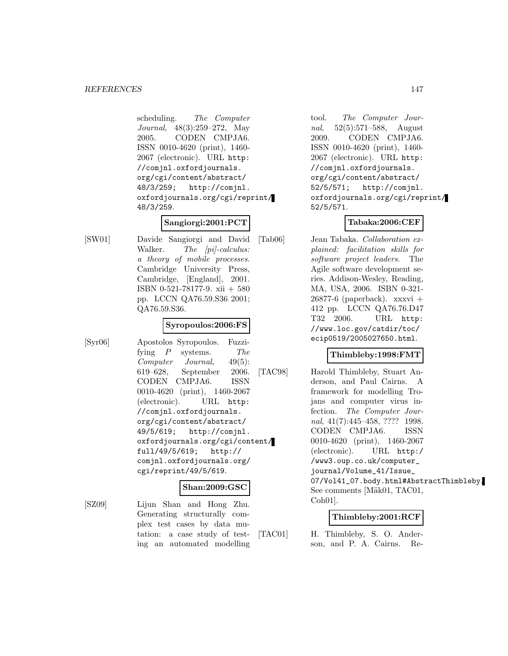scheduling. The Computer Journal, 48(3):259–272, May 2005. CODEN CMPJA6. ISSN 0010-4620 (print), 1460- 2067 (electronic). URL http: //comjnl.oxfordjournals. org/cgi/content/abstract/ 48/3/259; http://comjnl. oxfordjournals.org/cgi/reprint/ 48/3/259.

# **Sangiorgi:2001:PCT**

[SW01] Davide Sangiorgi and David Walker. The [pi]-calculus: a theory of mobile processes. Cambridge University Press, Cambridge, [England], 2001. ISBN 0-521-78177-9. xii + 580 pp. LCCN QA76.59.S36 2001; QA76.59.S36.

### **Syropoulos:2006:FS**

[Syr06] Apostolos Syropoulos. Fuzzifying P systems. The Computer Journal, 49(5): 619–628, September 2006. CODEN CMPJA6. ISSN 0010-4620 (print), 1460-2067 (electronic). URL http: //comjnl.oxfordjournals. org/cgi/content/abstract/ 49/5/619; http://comjnl. oxfordjournals.org/cgi/content/ full/49/5/619; http:// comjnl.oxfordjournals.org/ cgi/reprint/49/5/619.

### **Shan:2009:GSC**

[SZ09] Lijun Shan and Hong Zhu. Generating structurally complex test cases by data mutation: a case study of testing an automated modelling

tool. The Computer Journal, 52(5):571–588, August 2009. CODEN CMPJA6. ISSN 0010-4620 (print), 1460- 2067 (electronic). URL http: //comjnl.oxfordjournals. org/cgi/content/abstract/ 52/5/571; http://comjnl. oxfordjournals.org/cgi/reprint/ 52/5/571.

## **Tabaka:2006:CEF**

[Tab06] Jean Tabaka. Collaboration explained: facilitation skills for software project leaders. The Agile software development series. Addison-Wesley, Reading, MA, USA, 2006. ISBN 0-321-  $26877-6$  (paperback). xxxvi + 412 pp. LCCN QA76.76.D47 T32 2006. URL http: //www.loc.gov/catdir/toc/ ecip0519/2005027650.html.

## **Thimbleby:1998:FMT**

[TAC98] Harold Thimbleby, Stuart Anderson, and Paul Cairns. A framework for modelling Trojans and computer virus infection. The Computer Journal, 41(7):445–458, ???? 1998. CODEN CMPJA6. ISSN 0010-4620 (print), 1460-2067 (electronic). URL http:/ /www3.oup.co.uk/computer\_ journal/Volume\_41/Issue\_ 07/Vol41\_07.body.html#AbstractThimbleby. See comments [Mäk01, TAC01, Coh01].

### **Thimbleby:2001:RCF**

[TAC01] H. Thimbleby, S. O. Anderson, and P. A. Cairns. Re-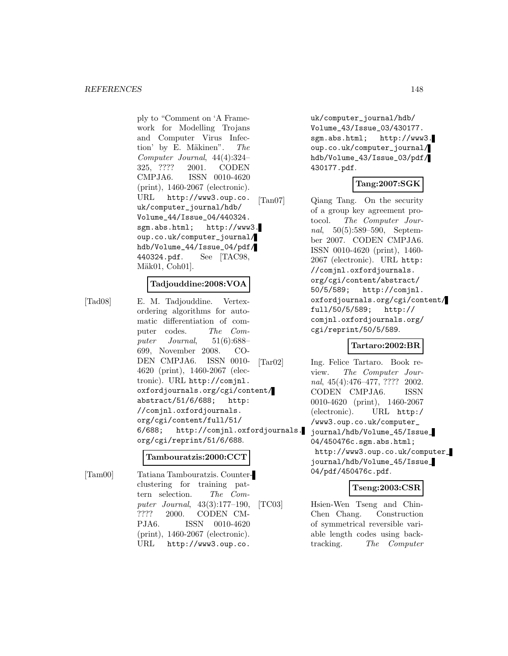ply to "Comment on 'A Framework for Modelling Trojans and Computer Virus Infection' by E. Mäkinen".  $The$ Computer Journal, 44(4):324– 325, ???? 2001. CODEN CMPJA6. ISSN 0010-4620 (print), 1460-2067 (electronic). URL http://www3.oup.co. uk/computer\_journal/hdb/ Volume\_44/Issue\_04/440324. sgm.abs.html; http://www3. oup.co.uk/computer\_journal/ hdb/Volume\_44/Issue\_04/pdf/ 440324.pdf. See [TAC98, Mäk01, Coh01].

### **Tadjouddine:2008:VOA**

[Tad08] E. M. Tadjouddine. Vertexordering algorithms for automatic differentiation of computer codes. The Computer Journal,  $51(6):688-$ 699, November 2008. CO-DEN CMPJA6. ISSN 0010- 4620 (print), 1460-2067 (electronic). URL http://comjnl. oxfordjournals.org/cgi/content/ abstract/51/6/688; http: //comjnl.oxfordjournals. org/cgi/content/full/51/ 6/688; http://comjnl.oxfordjournals. org/cgi/reprint/51/6/688.

#### **Tambouratzis:2000:CCT**

[Tam00] Tatiana Tambouratzis. Counterclustering for training pattern selection. The Computer Journal, 43(3):177–190, ???? 2000. CODEN CM-PJA6. ISSN 0010-4620 (print), 1460-2067 (electronic). URL http://www3.oup.co.

uk/computer\_journal/hdb/ Volume\_43/Issue\_03/430177. sgm.abs.html; http://www3. oup.co.uk/computer\_journal/ hdb/Volume\_43/Issue\_03/pdf/ 430177.pdf.

### **Tang:2007:SGK**

[Tan07] Qiang Tang. On the security of a group key agreement protocol. The Computer Journal, 50(5):589–590, September 2007. CODEN CMPJA6. ISSN 0010-4620 (print), 1460- 2067 (electronic). URL http: //comjnl.oxfordjournals. org/cgi/content/abstract/ 50/5/589; http://comjnl. oxfordjournals.org/cgi/content/ full/50/5/589; http:// comjnl.oxfordjournals.org/ cgi/reprint/50/5/589.

#### **Tartaro:2002:BR**

[Tar02] Ing. Felice Tartaro. Book review. The Computer Journal, 45(4):476–477, ???? 2002. CODEN CMPJA6. ISSN 0010-4620 (print), 1460-2067 (electronic). URL http:/ /www3.oup.co.uk/computer\_ journal/hdb/Volume\_45/Issue\_ 04/450476c.sgm.abs.html; http://www3.oup.co.uk/computer\_ journal/hdb/Volume\_45/Issue\_ 04/pdf/450476c.pdf.

### **Tseng:2003:CSR**

[TC03] Hsien-Wen Tseng and Chin-Chen Chang. Construction of symmetrical reversible variable length codes using backtracking. The Computer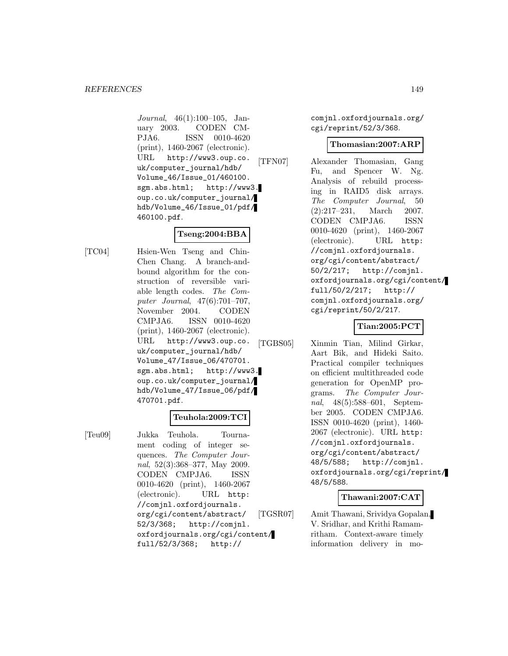Journal, 46(1):100–105, January 2003. CODEN CM-PJA6. ISSN 0010-4620 (print), 1460-2067 (electronic). URL http://www3.oup.co. uk/computer\_journal/hdb/ Volume\_46/Issue\_01/460100. sgm.abs.html; http://www3. oup.co.uk/computer\_journal/ hdb/Volume\_46/Issue\_01/pdf/ 460100.pdf.

# **Tseng:2004:BBA**

[TC04] Hsien-Wen Tseng and Chin-Chen Chang. A branch-andbound algorithm for the construction of reversible variable length codes. The Computer Journal, 47(6):701–707, November 2004. CODEN CMPJA6. ISSN 0010-4620 (print), 1460-2067 (electronic). URL http://www3.oup.co. uk/computer\_journal/hdb/ Volume\_47/Issue\_06/470701. sgm.abs.html; http://www3. oup.co.uk/computer\_journal/ hdb/Volume\_47/Issue\_06/pdf/ 470701.pdf.

# **Teuhola:2009:TCI**

[Teu09] Jukka Teuhola. Tournament coding of integer sequences. The Computer Journal, 52(3):368–377, May 2009. CODEN CMPJA6. ISSN 0010-4620 (print), 1460-2067 (electronic). URL http: //comjnl.oxfordjournals. org/cgi/content/abstract/ 52/3/368; http://comjnl. oxfordjournals.org/cgi/content/ full/52/3/368; http://

comjnl.oxfordjournals.org/ cgi/reprint/52/3/368.

### **Thomasian:2007:ARP**

[TFN07] Alexander Thomasian, Gang Fu, and Spencer W. Ng. Analysis of rebuild processing in RAID5 disk arrays. The Computer Journal, 50 (2):217–231, March 2007. CODEN CMPJA6. ISSN 0010-4620 (print), 1460-2067 (electronic). URL http: //comjnl.oxfordjournals. org/cgi/content/abstract/ 50/2/217; http://comjnl. oxfordjournals.org/cgi/content/ full/50/2/217; http:// comjnl.oxfordjournals.org/ cgi/reprint/50/2/217.

# **Tian:2005:PCT**

[TGBS05] Xinmin Tian, Milind Girkar, Aart Bik, and Hideki Saito. Practical compiler techniques on efficient multithreaded code generation for OpenMP programs. The Computer Journal, 48(5):588–601, September 2005. CODEN CMPJA6. ISSN 0010-4620 (print), 1460- 2067 (electronic). URL http: //comjnl.oxfordjournals. org/cgi/content/abstract/ 48/5/588; http://comjnl. oxfordjournals.org/cgi/reprint/ 48/5/588.

### **Thawani:2007:CAT**

[TGSR07] Amit Thawani, Srividya Gopalan, V. Sridhar, and Krithi Ramamritham. Context-aware timely information delivery in mo-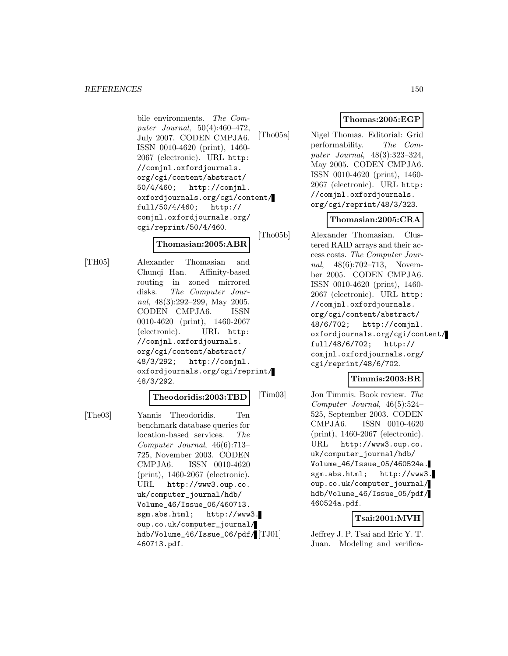#### *REFERENCES* 150

bile environments. The Computer Journal, 50(4):460–472, July 2007. CODEN CMPJA6. ISSN 0010-4620 (print), 1460- 2067 (electronic). URL http: //comjnl.oxfordjournals. org/cgi/content/abstract/ 50/4/460; http://comjnl. oxfordjournals.org/cgi/content/ full/50/4/460; http:// comjnl.oxfordjournals.org/ cgi/reprint/50/4/460.

### **Thomasian:2005:ABR**

[TH05] Alexander Thomasian and Chunqi Han. Affinity-based routing in zoned mirrored disks. The Computer Journal, 48(3):292–299, May 2005. CODEN CMPJA6. ISSN 0010-4620 (print), 1460-2067 (electronic). URL http: //comjnl.oxfordjournals. org/cgi/content/abstract/ 48/3/292; http://comjnl. oxfordjournals.org/cgi/reprint/ 48/3/292.

#### **Theodoridis:2003:TBD**

[The03] Yannis Theodoridis. Ten benchmark database queries for location-based services. The Computer Journal, 46(6):713– 725, November 2003. CODEN CMPJA6. ISSN 0010-4620 (print), 1460-2067 (electronic). URL http://www3.oup.co. uk/computer\_journal/hdb/ Volume\_46/Issue\_06/460713. sgm.abs.html; http://www3. oup.co.uk/computer\_journal/ hdb/Volume\_46/Issue\_06/pdf/ 460713.pdf.

# **Thomas:2005:EGP**

[Tho05a] Nigel Thomas. Editorial: Grid performability. The Computer Journal, 48(3):323–324, May 2005. CODEN CMPJA6. ISSN 0010-4620 (print), 1460- 2067 (electronic). URL http: //comjnl.oxfordjournals. org/cgi/reprint/48/3/323.

## **Thomasian:2005:CRA**

[Tho05b] Alexander Thomasian. Clustered RAID arrays and their access costs. The Computer Journal, 48(6):702–713, November 2005. CODEN CMPJA6. ISSN 0010-4620 (print), 1460- 2067 (electronic). URL http: //comjnl.oxfordjournals. org/cgi/content/abstract/ 48/6/702; http://comjnl. oxfordjournals.org/cgi/content/ full/48/6/702; http:// comjnl.oxfordjournals.org/ cgi/reprint/48/6/702.

### **Timmis:2003:BR**

[Tim03] Jon Timmis. Book review. The Computer Journal, 46(5):524– 525, September 2003. CODEN CMPJA6. ISSN 0010-4620 (print), 1460-2067 (electronic). URL http://www3.oup.co. uk/computer\_journal/hdb/ Volume\_46/Issue\_05/460524a. sgm.abs.html; http://www3. oup.co.uk/computer\_journal/ hdb/Volume\_46/Issue\_05/pdf/ 460524a.pdf.

## **Tsai:2001:MVH**

Jeffrey J. P. Tsai and Eric Y. T. Juan. Modeling and verifica-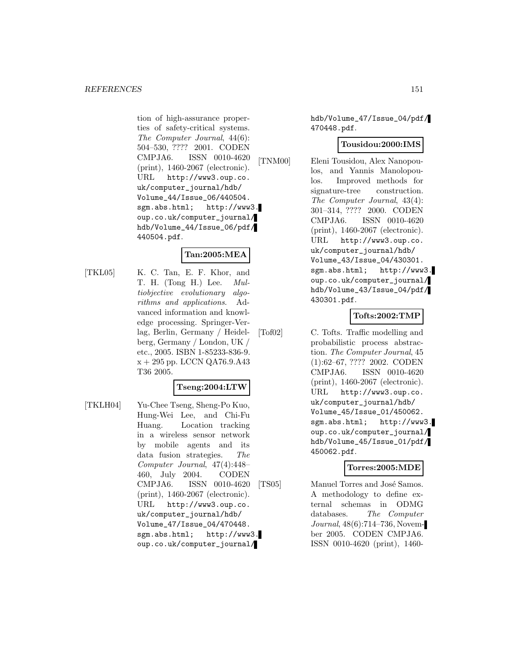tion of high-assurance properties of safety-critical systems. The Computer Journal, 44(6): 504–530, ???? 2001. CODEN CMPJA6. ISSN 0010-4620 (print), 1460-2067 (electronic). URL http://www3.oup.co. uk/computer\_journal/hdb/ Volume\_44/Issue\_06/440504. sgm.abs.html; http://www3. oup.co.uk/computer\_journal/ hdb/Volume\_44/Issue\_06/pdf/ 440504.pdf.

### **Tan:2005:MEA**

[TKL05] K. C. Tan, E. F. Khor, and T. H. (Tong H.) Lee. Multiobjective evolutionary algorithms and applications. Advanced information and knowledge processing. Springer-Verlag, Berlin, Germany / Heidelberg, Germany / London, UK / etc., 2005. ISBN 1-85233-836-9.  $x + 295$  pp. LCCN QA76.9.A43 T36 2005.

#### **Tseng:2004:LTW**

[TKLH04] Yu-Chee Tseng, Sheng-Po Kuo, Hung-Wei Lee, and Chi-Fu Huang. Location tracking in a wireless sensor network by mobile agents and its data fusion strategies. The Computer Journal, 47(4):448– 460, July 2004. CODEN CMPJA6. ISSN 0010-4620 (print), 1460-2067 (electronic). URL http://www3.oup.co. uk/computer\_journal/hdb/ Volume\_47/Issue\_04/470448. sgm.abs.html; http://www3. oup.co.uk/computer\_journal/

hdb/Volume\_47/Issue\_04/pdf/ 470448.pdf.

#### **Tousidou:2000:IMS**

[TNM00] Eleni Tousidou, Alex Nanopoulos, and Yannis Manolopoulos. Improved methods for signature-tree construction. The Computer Journal, 43(4): 301–314, ???? 2000. CODEN CMPJA6. ISSN 0010-4620 (print), 1460-2067 (electronic). URL http://www3.oup.co. uk/computer\_journal/hdb/ Volume\_43/Issue\_04/430301. sgm.abs.html; http://www3. oup.co.uk/computer\_journal/ hdb/Volume\_43/Issue\_04/pdf/ 430301.pdf.

### **Tofts:2002:TMP**

[Tof02] C. Tofts. Traffic modelling and probabilistic process abstraction. The Computer Journal, 45 (1):62–67, ???? 2002. CODEN CMPJA6. ISSN 0010-4620 (print), 1460-2067 (electronic). URL http://www3.oup.co. uk/computer\_journal/hdb/ Volume\_45/Issue\_01/450062. sgm.abs.html; http://www3. oup.co.uk/computer\_journal/ hdb/Volume\_45/Issue\_01/pdf/ 450062.pdf.

#### **Torres:2005:MDE**

[TS05] Manuel Torres and José Samos. A methodology to define external schemas in ODMG databases. The Computer Journal, 48(6):714–736, November 2005. CODEN CMPJA6. ISSN 0010-4620 (print), 1460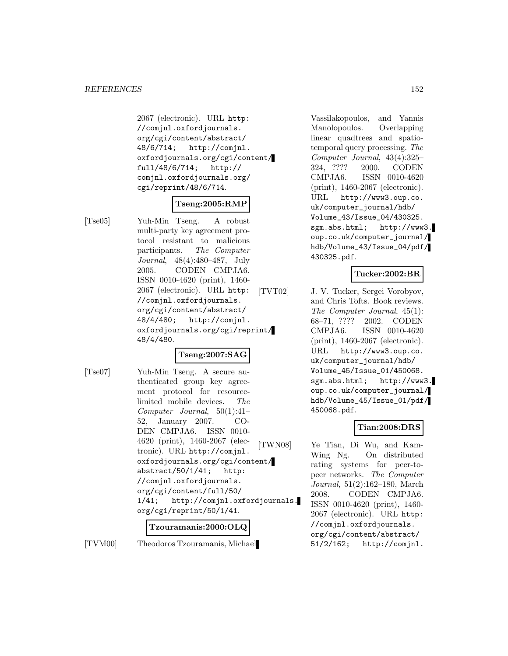2067 (electronic). URL http: //comjnl.oxfordjournals. org/cgi/content/abstract/ 48/6/714; http://comjnl. oxfordjournals.org/cgi/content/ full/48/6/714; http:// comjnl.oxfordjournals.org/ cgi/reprint/48/6/714.

### **Tseng:2005:RMP**

[Tse05] Yuh-Min Tseng. A robust multi-party key agreement protocol resistant to malicious participants. The Computer Journal, 48(4):480–487, July 2005. CODEN CMPJA6. ISSN 0010-4620 (print), 1460- 2067 (electronic). URL http: //comjnl.oxfordjournals. org/cgi/content/abstract/ 48/4/480; http://comjnl. oxfordjournals.org/cgi/reprint/ 48/4/480.

### **Tseng:2007:SAG**

[Tse07] Yuh-Min Tseng. A secure authenticated group key agreement protocol for resourcelimited mobile devices. The Computer Journal, 50(1):41– 52, January 2007. CO-DEN CMPJA6. ISSN 0010- 4620 (print), 1460-2067 (electronic). URL http://comjnl. oxfordjournals.org/cgi/content/ abstract/50/1/41; http: //comjnl.oxfordjournals. org/cgi/content/full/50/ 1/41; http://comjnl.oxfordjournals. org/cgi/reprint/50/1/41.

#### **Tzouramanis:2000:OLQ**

[TVM00] Theodoros Tzouramanis, Michael

Vassilakopoulos, and Yannis Manolopoulos. Overlapping linear quadtrees and spatiotemporal query processing. The Computer Journal, 43(4):325– 324, ???? 2000. CODEN CMPJA6. ISSN 0010-4620 (print), 1460-2067 (electronic). URL http://www3.oup.co. uk/computer\_journal/hdb/ Volume\_43/Issue\_04/430325. sgm.abs.html; http://www3. oup.co.uk/computer\_journal/ hdb/Volume\_43/Issue\_04/pdf/ 430325.pdf.

## **Tucker:2002:BR**

[TVT02] J. V. Tucker, Sergei Vorobyov, and Chris Tofts. Book reviews. The Computer Journal, 45(1): 68–71, ???? 2002. CODEN CMPJA6. ISSN 0010-4620 (print), 1460-2067 (electronic). URL http://www3.oup.co. uk/computer\_journal/hdb/ Volume\_45/Issue\_01/450068. sgm.abs.html; http://www3. oup.co.uk/computer\_journal/ hdb/Volume\_45/Issue\_01/pdf/ 450068.pdf.

### **Tian:2008:DRS**

[TWN08] Ye Tian, Di Wu, and Kam-Wing Ng. On distributed rating systems for peer-topeer networks. The Computer Journal, 51(2):162–180, March 2008. CODEN CMPJA6. ISSN 0010-4620 (print), 1460- 2067 (electronic). URL http: //comjnl.oxfordjournals. org/cgi/content/abstract/ 51/2/162; http://comjnl.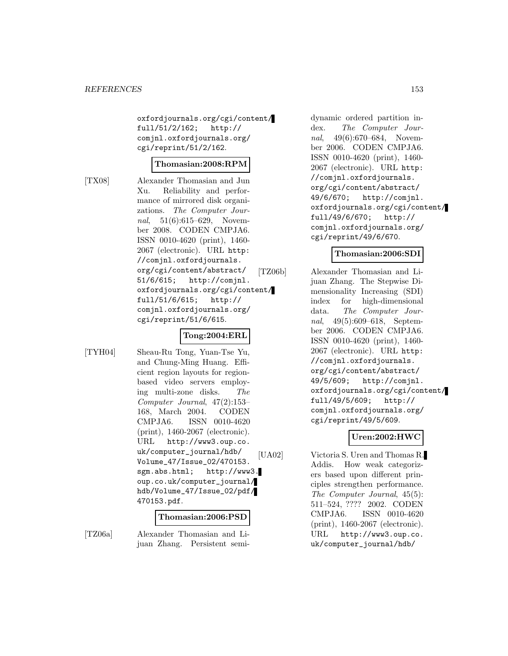oxfordjournals.org/cgi/content/ full/51/2/162; http:// comjnl.oxfordjournals.org/ cgi/reprint/51/2/162.

### **Thomasian:2008:RPM**

[TX08] Alexander Thomasian and Jun Xu. Reliability and performance of mirrored disk organizations. The Computer Journal, 51(6):615–629, November 2008. CODEN CMPJA6. ISSN 0010-4620 (print), 1460- 2067 (electronic). URL http: //comjnl.oxfordjournals. org/cgi/content/abstract/ 51/6/615; http://comjnl. oxfordjournals.org/cgi/content/ full/51/6/615; http:// comjnl.oxfordjournals.org/ cgi/reprint/51/6/615.

# **Tong:2004:ERL**

[TYH04] Sheau-Ru Tong, Yuan-Tse Yu, and Chung-Ming Huang. Efficient region layouts for regionbased video servers employing multi-zone disks. The Computer Journal, 47(2):153– 168, March 2004. CODEN CMPJA6. ISSN 0010-4620 (print), 1460-2067 (electronic). URL http://www3.oup.co. uk/computer\_journal/hdb/ Volume\_47/Issue\_02/470153. sgm.abs.html; http://www3. oup.co.uk/computer\_journal/ hdb/Volume\_47/Issue\_02/pdf/ 470153.pdf.

### **Thomasian:2006:PSD**

[TZ06a] Alexander Thomasian and Lijuan Zhang. Persistent semi-

dynamic ordered partition index. The Computer Journal, 49(6):670–684, November 2006. CODEN CMPJA6. ISSN 0010-4620 (print), 1460- 2067 (electronic). URL http: //comjnl.oxfordjournals. org/cgi/content/abstract/ 49/6/670; http://comjnl. oxfordjournals.org/cgi/content/ full/49/6/670; http:// comjnl.oxfordjournals.org/ cgi/reprint/49/6/670.

## **Thomasian:2006:SDI**

[TZ06b] Alexander Thomasian and Lijuan Zhang. The Stepwise Dimensionality Increasing (SDI) index for high-dimensional data. The Computer Journal, 49(5):609–618, September 2006. CODEN CMPJA6. ISSN 0010-4620 (print), 1460- 2067 (electronic). URL http: //comjnl.oxfordjournals. org/cgi/content/abstract/ 49/5/609; http://comjnl. oxfordjournals.org/cgi/content/ full/49/5/609; http:// comjnl.oxfordjournals.org/ cgi/reprint/49/5/609.

# **Uren:2002:HWC**

[UA02] Victoria S. Uren and Thomas R. Addis. How weak categorizers based upon different principles strengthen performance. The Computer Journal, 45(5): 511–524, ???? 2002. CODEN CMPJA6. ISSN 0010-4620 (print), 1460-2067 (electronic). URL http://www3.oup.co. uk/computer\_journal/hdb/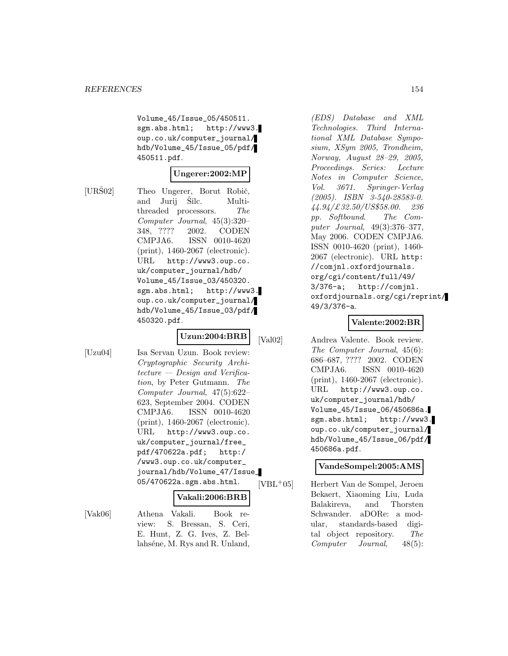Volume\_45/Issue\_05/450511. sgm.abs.html; http://www3. oup.co.uk/computer\_journal/ hdb/Volume\_45/Issue\_05/pdf/ 450511.pdf.

### **Ungerer:2002:MP**

[URŠ02] Theo Ungerer, Borut Robič, and Jurij Šilc. Multithreaded processors. The Computer Journal, 45(3):320– 348, ???? 2002. CODEN CMPJA6. ISSN 0010-4620 (print), 1460-2067 (electronic). URL http://www3.oup.co. uk/computer\_journal/hdb/ Volume\_45/Issue\_03/450320. sgm.abs.html; http://www3. oup.co.uk/computer\_journal/ hdb/Volume\_45/Issue\_03/pdf/ 450320.pdf.

# **Uzun:2004:BRB**

[Uzu04] Isa Servan Uzun. Book review: Cryptographic Security Architecture — Design and Verification, by Peter Gutmann. The Computer Journal, 47(5):622– 623, September 2004. CODEN CMPJA6. ISSN 0010-4620 (print), 1460-2067 (electronic). URL http://www3.oup.co. uk/computer\_journal/free\_ pdf/470622a.pdf; http:/ /www3.oup.co.uk/computer\_ journal/hdb/Volume\_47/Issue\_ 05/470622a.sgm.abs.html.

### **Vakali:2006:BRB**

[Vak06] Athena Vakali. Book review: S. Bressan, S. Ceri, E. Hunt, Z. G. Ives, Z. Bellahséne, M. Rys and R. Unland,

(EDS) Database and XML Technologies. Third International XML Database Symposium, XSym 2005, Trondheim, Norway, August 28–29, 2005, Proceedings. Series: Lecture Notes in Computer Science, Vol. 3671. Springer-Verlag (2005). ISBN 3-540-28583-0. 44.94/£32.50/US\$58.00. 236 pp. Softbound. The Computer Journal, 49(3):376–377, May 2006. CODEN CMPJA6. ISSN 0010-4620 (print), 1460- 2067 (electronic). URL http: //comjnl.oxfordjournals. org/cgi/content/full/49/ 3/376-a; http://comjnl. oxfordjournals.org/cgi/reprint/ 49/3/376-a.

### **Valente:2002:BR**

[Val02] Andrea Valente. Book review. The Computer Journal, 45(6): 686–687, ???? 2002. CODEN CMPJA6. ISSN 0010-4620 (print), 1460-2067 (electronic). URL http://www3.oup.co. uk/computer\_journal/hdb/ Volume\_45/Issue\_06/450686a. sgm.abs.html; http://www3. oup.co.uk/computer\_journal/ hdb/Volume\_45/Issue\_06/pdf/ 450686a.pdf.

### **VandeSompel:2005:AMS**

[VBL<sup>+</sup>05] Herbert Van de Sompel, Jeroen Bekaert, Xiaoming Liu, Luda Balakireva, and Thorsten Schwander. aDORe: a modular, standards-based digital object repository. The Computer Journal, 48(5):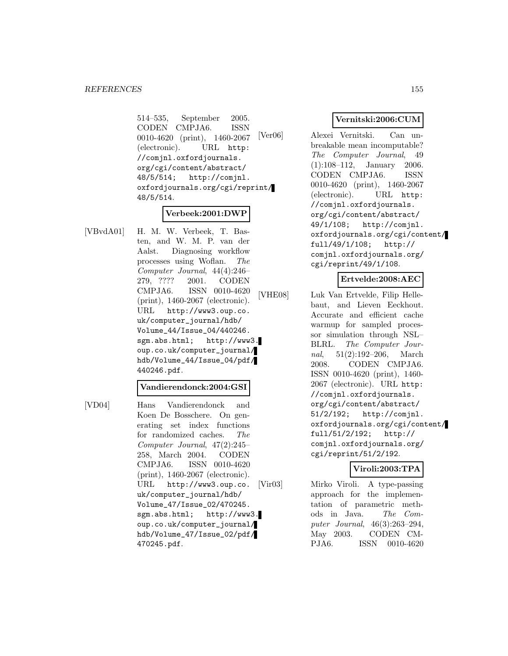514–535, September 2005. CODEN CMPJA6. 0010-4620 (print), 1460-2067 (electronic). URL http: //comjnl.oxfordjournals. org/cgi/content/abstract/ 48/5/514; http://comjnl. oxfordjournals.org/cgi/reprint/ 48/5/514.

# **Verbeek:2001:DWP**

[VBvdA01] H. M. W. Verbeek, T. Basten, and W. M. P. van der Aalst. Diagnosing workflow processes using Woflan. The Computer Journal, 44(4):246– 279, ???? 2001. CODEN CMPJA6. ISSN 0010-4620 (print), 1460-2067 (electronic). URL http://www3.oup.co. uk/computer\_journal/hdb/ Volume\_44/Issue\_04/440246. sgm.abs.html; http://www3. oup.co.uk/computer\_journal/ hdb/Volume\_44/Issue\_04/pdf/ 440246.pdf.

#### **Vandierendonck:2004:GSI**

[VD04] Hans Vandierendonck and Koen De Bosschere. On generating set index functions for randomized caches. The Computer Journal, 47(2):245– 258, March 2004. CODEN CMPJA6. ISSN 0010-4620 (print), 1460-2067 (electronic). URL http://www3.oup.co. uk/computer\_journal/hdb/ Volume\_47/Issue\_02/470245. sgm.abs.html; http://www3. oup.co.uk/computer\_journal/ hdb/Volume\_47/Issue\_02/pdf/ 470245.pdf.

### **Vernitski:2006:CUM**

[Ver06] Alexei Vernitski. Can unbreakable mean incomputable? The Computer Journal, 49 (1):108–112, January 2006. CODEN CMPJA6. ISSN 0010-4620 (print), 1460-2067 (electronic). URL http: //comjnl.oxfordjournals. org/cgi/content/abstract/ 49/1/108; http://comjnl. oxfordjournals.org/cgi/content/ full/49/1/108; http:// comjnl.oxfordjournals.org/ cgi/reprint/49/1/108.

#### **Ertvelde:2008:AEC**

[VHE08] Luk Van Ertvelde, Filip Hellebaut, and Lieven Eeckhout. Accurate and efficient cache warmup for sampled processor simulation through NSL– BLRL. The Computer Journal, 51(2):192–206, March 2008. CODEN CMPJA6. ISSN 0010-4620 (print), 1460- 2067 (electronic). URL http: //comjnl.oxfordjournals. org/cgi/content/abstract/ 51/2/192; http://comjnl. oxfordjournals.org/cgi/content/ full/51/2/192; http:// comjnl.oxfordjournals.org/ cgi/reprint/51/2/192.

### **Viroli:2003:TPA**

[Vir03] Mirko Viroli. A type-passing approach for the implementation of parametric methods in Java. The Computer Journal, 46(3):263–294, May 2003. CODEN CM-PJA6. ISSN 0010-4620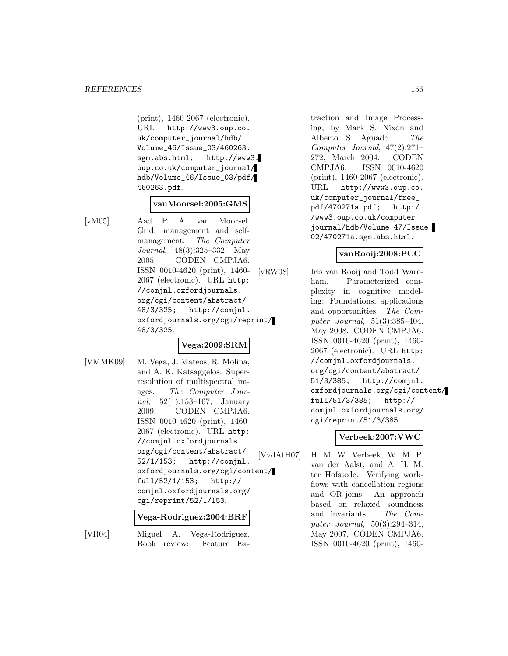(print), 1460-2067 (electronic). URL http://www3.oup.co. uk/computer\_journal/hdb/ Volume\_46/Issue\_03/460263. sgm.abs.html; http://www3. oup.co.uk/computer\_journal/ hdb/Volume\_46/Issue\_03/pdf/ 460263.pdf.

#### **vanMoorsel:2005:GMS**

[vM05] Aad P. A. van Moorsel. Grid, management and selfmanagement. The Computer Journal, 48(3):325–332, May 2005. CODEN CMPJA6. ISSN 0010-4620 (print), 1460- 2067 (electronic). URL http: //comjnl.oxfordjournals. org/cgi/content/abstract/ 48/3/325; http://comjnl. oxfordjournals.org/cgi/reprint/ 48/3/325.

### **Vega:2009:SRM**

[VMMK09] M. Vega, J. Mateos, R. Molina, and A. K. Katsaggelos. Superresolution of multispectral images. The Computer Journal, 52(1):153–167, January 2009. CODEN CMPJA6. ISSN 0010-4620 (print), 1460- 2067 (electronic). URL http: //comjnl.oxfordjournals. org/cgi/content/abstract/ 52/1/153; http://comjnl. oxfordjournals.org/cgi/content/ full/52/1/153; http:// comjnl.oxfordjournals.org/ cgi/reprint/52/1/153.

#### **Vega-Rodriguez:2004:BRF**

[VR04] Miguel A. Vega-Rodriguez. Book review: Feature Ex-

traction and Image Processing, by Mark S. Nixon and Alberto S. Aguado. The Computer Journal, 47(2):271– 272, March 2004. CODEN CMPJA6. ISSN 0010-4620 (print), 1460-2067 (electronic). URL http://www3.oup.co. uk/computer\_journal/free\_ pdf/470271a.pdf; http:/ /www3.oup.co.uk/computer\_ journal/hdb/Volume\_47/Issue\_ 02/470271a.sgm.abs.html.

### **vanRooij:2008:PCC**

[vRW08] Iris van Rooij and Todd Wareham. Parameterized complexity in cognitive modeling: Foundations, applications and opportunities. The Computer Journal, 51(3):385–404, May 2008. CODEN CMPJA6. ISSN 0010-4620 (print), 1460- 2067 (electronic). URL http: //comjnl.oxfordjournals. org/cgi/content/abstract/ 51/3/385; http://comjnl. oxfordjournals.org/cgi/content/ full/51/3/385; http:// comjnl.oxfordjournals.org/ cgi/reprint/51/3/385.

# **Verbeek:2007:VWC**

[VvdAtH07] H. M. W. Verbeek, W. M. P. van der Aalst, and A. H. M. ter Hofstede. Verifying workflows with cancellation regions and OR-joins: An approach based on relaxed soundness and invariants. The Computer Journal, 50(3):294–314, May 2007. CODEN CMPJA6. ISSN 0010-4620 (print), 1460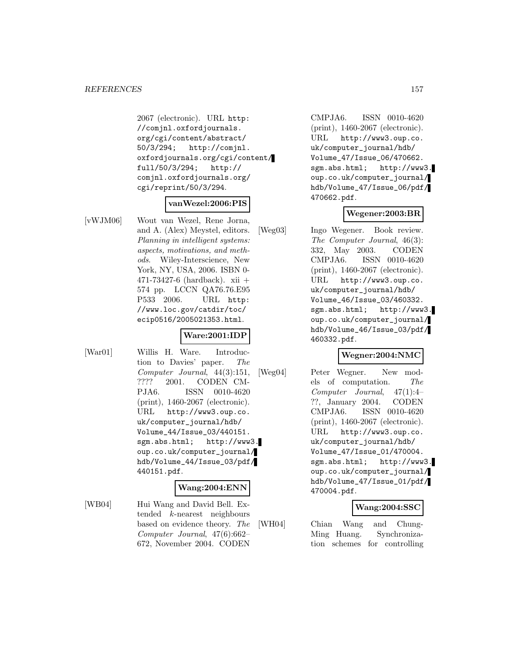2067 (electronic). URL http: //comjnl.oxfordjournals. org/cgi/content/abstract/ 50/3/294; http://comjnl. oxfordjournals.org/cgi/content/ full/50/3/294; http:// comjnl.oxfordjournals.org/ cgi/reprint/50/3/294.

### **vanWezel:2006:PIS**

[vWJM06] Wout van Wezel, Rene Jorna, and A. (Alex) Meystel, editors. Planning in intelligent systems: aspects, motivations, and methods. Wiley-Interscience, New York, NY, USA, 2006. ISBN 0- 471-73427-6 (hardback). xii + 574 pp. LCCN QA76.76.E95 P533 2006. URL http: //www.loc.gov/catdir/toc/ ecip0516/2005021353.html.

#### **Ware:2001:IDP**

[War01] Willis H. Ware. Introduction to Davies' paper. The Computer Journal, 44(3):151, ???? 2001. CODEN CM-PJA6. ISSN 0010-4620 (print), 1460-2067 (electronic). URL http://www3.oup.co. uk/computer\_journal/hdb/ Volume\_44/Issue\_03/440151. sgm.abs.html; http://www3. oup.co.uk/computer\_journal/ hdb/Volume\_44/Issue\_03/pdf/ 440151.pdf.

### **Wang:2004:ENN**

[WB04] Hui Wang and David Bell. Extended k-nearest neighbours based on evidence theory. The Computer Journal, 47(6):662– 672, November 2004. CODEN

CMPJA6. ISSN 0010-4620 (print), 1460-2067 (electronic). URL http://www3.oup.co. uk/computer\_journal/hdb/ Volume\_47/Issue\_06/470662. sgm.abs.html; http://www3. oup.co.uk/computer\_journal/ hdb/Volume\_47/Issue\_06/pdf/ 470662.pdf.

### **Wegener:2003:BR**

[Weg03] Ingo Wegener. Book review. The Computer Journal, 46(3): 332, May 2003. CODEN CMPJA6. ISSN 0010-4620 (print), 1460-2067 (electronic). URL http://www3.oup.co. uk/computer\_journal/hdb/ Volume\_46/Issue\_03/460332. sgm.abs.html; http://www3. oup.co.uk/computer\_journal/ hdb/Volume\_46/Issue\_03/pdf/ 460332.pdf.

### **Wegner:2004:NMC**

[Weg04] Peter Wegner. New models of computation. The Computer Journal, 47(1):4– ??, January 2004. CODEN CMPJA6. ISSN 0010-4620 (print), 1460-2067 (electronic). URL http://www3.oup.co. uk/computer\_journal/hdb/ Volume\_47/Issue\_01/470004. sgm.abs.html; http://www3. oup.co.uk/computer\_journal/ hdb/Volume\_47/Issue\_01/pdf/ 470004.pdf.

### **Wang:2004:SSC**

[WH04] Chian Wang and Chung-Ming Huang. Synchronization schemes for controlling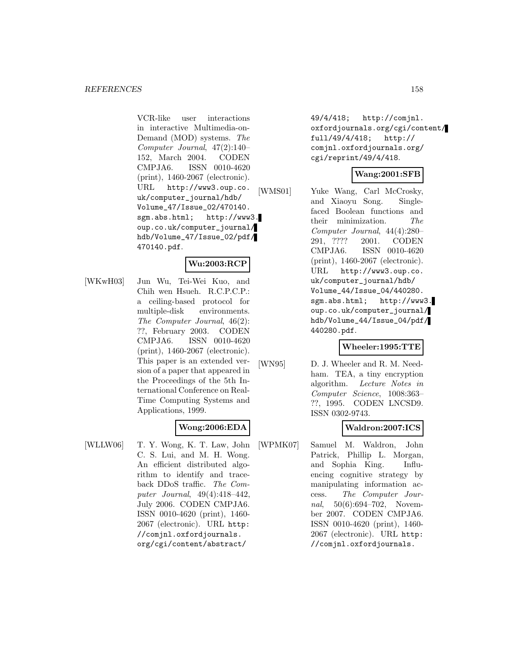VCR-like user interactions in interactive Multimedia-on-Demand (MOD) systems. The Computer Journal, 47(2):140– 152, March 2004. CODEN CMPJA6. ISSN 0010-4620 (print), 1460-2067 (electronic). URL http://www3.oup.co. uk/computer\_journal/hdb/ Volume\_47/Issue\_02/470140. sgm.abs.html; http://www3. oup.co.uk/computer\_journal/ hdb/Volume\_47/Issue\_02/pdf/ 470140.pdf.

### **Wu:2003:RCP**

[WKwH03] Jun Wu, Tei-Wei Kuo, and Chih wen Hsueh. R.C.P.C.P.: a ceiling-based protocol for multiple-disk environments. The Computer Journal, 46(2): ??, February 2003. CODEN CMPJA6. ISSN 0010-4620 (print), 1460-2067 (electronic). This paper is an extended version of a paper that appeared in the Proceedings of the 5th International Conference on Real-Time Computing Systems and Applications, 1999.

### **Wong:2006:EDA**

[WLLW06] T. Y. Wong, K. T. Law, John C. S. Lui, and M. H. Wong. An efficient distributed algorithm to identify and traceback DDoS traffic. The Computer Journal, 49(4):418–442, July 2006. CODEN CMPJA6. ISSN 0010-4620 (print), 1460- 2067 (electronic). URL http: //comjnl.oxfordjournals. org/cgi/content/abstract/

49/4/418; http://comjnl. oxfordjournals.org/cgi/content/ full/49/4/418; http:// comjnl.oxfordjournals.org/ cgi/reprint/49/4/418.

## **Wang:2001:SFB**

[WMS01] Yuke Wang, Carl McCrosky, and Xiaoyu Song. Singlefaced Boolean functions and their minimization. The Computer Journal, 44(4):280– 291, ???? 2001. CODEN CMPJA6. ISSN 0010-4620 (print), 1460-2067 (electronic). URL http://www3.oup.co. uk/computer\_journal/hdb/ Volume\_44/Issue\_04/440280. sgm.abs.html; http://www3. oup.co.uk/computer\_journal/ hdb/Volume\_44/Issue\_04/pdf/ 440280.pdf.

### **Wheeler:1995:TTE**

[WN95] D. J. Wheeler and R. M. Needham. TEA, a tiny encryption algorithm. Lecture Notes in Computer Science, 1008:363– ??, 1995. CODEN LNCSD9. ISSN 0302-9743.

### **Waldron:2007:ICS**

[WPMK07] Samuel M. Waldron, John Patrick, Phillip L. Morgan, and Sophia King. Influencing cognitive strategy by manipulating information access. The Computer Journal, 50(6):694–702, November 2007. CODEN CMPJA6. ISSN 0010-4620 (print), 1460- 2067 (electronic). URL http: //comjnl.oxfordjournals.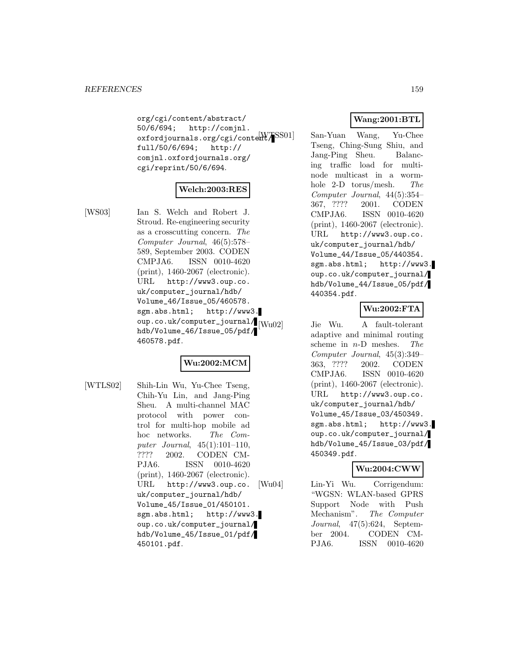org/cgi/content/abstract/ 50/6/694; http://comjnl. oxfordjournals.org/cgi/content/ [WTSS01] San-Yuan Wang, Yu-Chee full/50/6/694; http:// comjnl.oxfordjournals.org/ cgi/reprint/50/6/694.

## **Welch:2003:RES**

[WS03] Ian S. Welch and Robert J. Stroud. Re-engineering security as a crosscutting concern. The Computer Journal, 46(5):578– 589, September 2003. CODEN CMPJA6. ISSN 0010-4620 (print), 1460-2067 (electronic). URL http://www3.oup.co. uk/computer\_journal/hdb/ Volume\_46/Issue\_05/460578. sgm.abs.html; http://www3.  $\sup$ .co.uk/computer\_journal/ $\lim_{|W=102|}$ hdb/Volume\_46/Issue\_05/pdf/ 460578.pdf.

# **Wu:2002:MCM**

[WTLS02] Shih-Lin Wu, Yu-Chee Tseng, Chih-Yu Lin, and Jang-Ping Sheu. A multi-channel MAC protocol with power control for multi-hop mobile ad hoc networks. The Computer Journal, 45(1):101–110, ???? 2002. CODEN CM-PJA6. ISSN 0010-4620 (print), 1460-2067 (electronic). URL http://www3.oup.co. uk/computer\_journal/hdb/ Volume\_45/Issue\_01/450101. sgm.abs.html; http://www3. oup.co.uk/computer\_journal/ hdb/Volume\_45/Issue\_01/pdf/ 450101.pdf.

# **Wang:2001:BTL**

Tseng, Ching-Sung Shiu, and Jang-Ping Sheu. Balancing traffic load for multinode multicast in a wormhole 2-D torus/mesh. The Computer Journal, 44(5):354– 367, ???? 2001. CODEN CMPJA6. ISSN 0010-4620 (print), 1460-2067 (electronic). URL http://www3.oup.co. uk/computer\_journal/hdb/ Volume\_44/Issue\_05/440354. sgm.abs.html; http://www3. oup.co.uk/computer\_journal/ hdb/Volume\_44/Issue\_05/pdf/ 440354.pdf.

## **Wu:2002:FTA**

Jie Wu. A fault-tolerant adaptive and minimal routing scheme in  $n-D$  meshes. The Computer Journal, 45(3):349– 363, ???? 2002. CODEN CMPJA6. ISSN 0010-4620 (print), 1460-2067 (electronic). URL http://www3.oup.co. uk/computer\_journal/hdb/ Volume\_45/Issue\_03/450349. sgm.abs.html; http://www3. oup.co.uk/computer\_journal/ hdb/Volume\_45/Issue\_03/pdf/ 450349.pdf.

### **Wu:2004:CWW**

[Wu04] Lin-Yi Wu. Corrigendum: "WGSN: WLAN-based GPRS Support Node with Push Mechanism". The Computer Journal, 47(5):624, September 2004. CODEN CM-PJA6. ISSN 0010-4620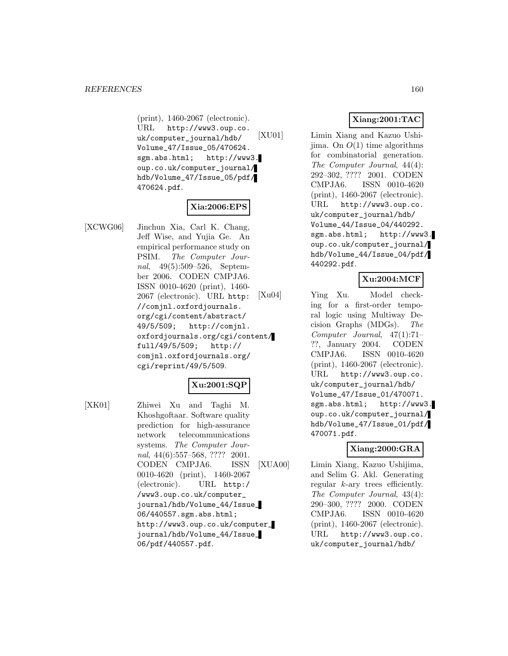(print), 1460-2067 (electronic). URL http://www3.oup.co. uk/computer\_journal/hdb/ Volume\_47/Issue\_05/470624. sgm.abs.html; http://www3. oup.co.uk/computer\_journal/ hdb/Volume\_47/Issue\_05/pdf/ 470624.pdf.

### **Xia:2006:EPS**

[XCWG06] Jinchun Xia, Carl K. Chang, Jeff Wise, and Yujia Ge. An empirical performance study on PSIM. The Computer Journal, 49(5):509–526, September 2006. CODEN CMPJA6. ISSN 0010-4620 (print), 1460- 2067 (electronic). URL http: //comjnl.oxfordjournals. org/cgi/content/abstract/ 49/5/509; http://comjnl. oxfordjournals.org/cgi/content/ full/49/5/509; http:// comjnl.oxfordjournals.org/ cgi/reprint/49/5/509.

# **Xu:2001:SQP**

[XK01] Zhiwei Xu and Taghi M. Khoshgoftaar. Software quality prediction for high-assurance network telecommunications systems. The Computer Journal, 44(6):557–568, ???? 2001. CODEN CMPJA6. ISSN 0010-4620 (print), 1460-2067 (electronic). URL http:/ /www3.oup.co.uk/computer\_ journal/hdb/Volume\_44/Issue\_ 06/440557.sgm.abs.html; http://www3.oup.co.uk/computer\_ journal/hdb/Volume\_44/Issue\_ 06/pdf/440557.pdf.

# **Xiang:2001:TAC**

[XU01] Limin Xiang and Kazuo Ushijima. On  $O(1)$  time algorithms for combinatorial generation. The Computer Journal, 44(4): 292–302, ???? 2001. CODEN CMPJA6. ISSN 0010-4620 (print), 1460-2067 (electronic). URL http://www3.oup.co. uk/computer\_journal/hdb/ Volume\_44/Issue\_04/440292. sgm.abs.html; http://www3. oup.co.uk/computer\_journal/ hdb/Volume\_44/Issue\_04/pdf/ 440292.pdf.

### **Xu:2004:MCF**

[Xu04] Ying Xu. Model checking for a first-order temporal logic using Multiway Decision Graphs (MDGs). The Computer Journal, 47(1):71– ??, January 2004. CODEN CMPJA6. ISSN 0010-4620 (print), 1460-2067 (electronic). URL http://www3.oup.co. uk/computer\_journal/hdb/ Volume\_47/Issue\_01/470071. sgm.abs.html; http://www3. oup.co.uk/computer\_journal/ hdb/Volume\_47/Issue\_01/pdf/ 470071.pdf.

### **Xiang:2000:GRA**

[XUA00] Limin Xiang, Kazuo Ushijima, and Selim G. Akl. Generating regular k-ary trees efficiently. The Computer Journal, 43(4): 290–300, ???? 2000. CODEN CMPJA6. ISSN 0010-4620 (print), 1460-2067 (electronic). URL http://www3.oup.co. uk/computer\_journal/hdb/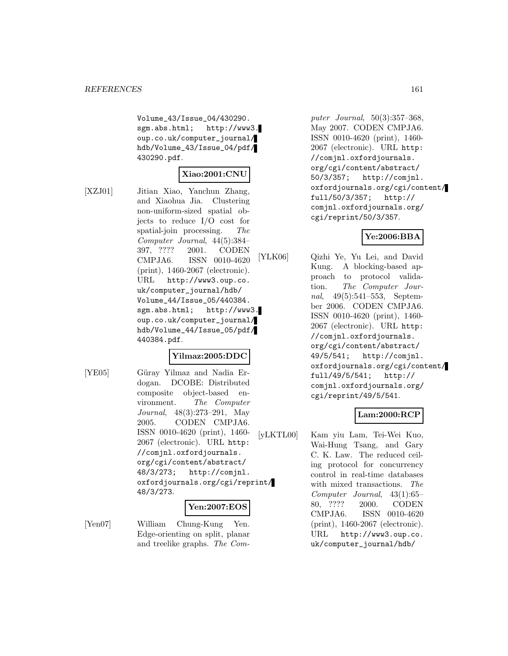Volume\_43/Issue\_04/430290. sgm.abs.html; http://www3. oup.co.uk/computer\_journal/ hdb/Volume\_43/Issue\_04/pdf/ 430290.pdf.

### **Xiao:2001:CNU**

[XZJ01] Jitian Xiao, Yanchun Zhang, and Xiaohua Jia. Clustering non-uniform-sized spatial objects to reduce I/O cost for spatial-join processing. The Computer Journal, 44(5):384– 397, ???? 2001. CODEN CMPJA6. ISSN 0010-4620 (print), 1460-2067 (electronic). URL http://www3.oup.co. uk/computer\_journal/hdb/ Volume\_44/Issue\_05/440384. sgm.abs.html; http://www3. oup.co.uk/computer\_journal/ hdb/Volume\_44/Issue\_05/pdf/ 440384.pdf.

#### **Yilmaz:2005:DDC**

[YE05] Güray Yilmaz and Nadia Erdogan. DCOBE: Distributed composite object-based environment. The Computer Journal, 48(3):273–291, May 2005. CODEN CMPJA6. ISSN 0010-4620 (print), 1460- 2067 (electronic). URL http: //comjnl.oxfordjournals. org/cgi/content/abstract/ 48/3/273; http://comjnl. oxfordjournals.org/cgi/reprint/ 48/3/273.

### **Yen:2007:EOS**

[Yen07] William Chung-Kung Yen. Edge-orienting on split, planar and treelike graphs. The Com-

puter Journal, 50(3):357–368, May 2007. CODEN CMPJA6. ISSN 0010-4620 (print), 1460- 2067 (electronic). URL http: //comjnl.oxfordjournals. org/cgi/content/abstract/ 50/3/357; http://comjnl. oxfordjournals.org/cgi/content/ full/50/3/357; http:// comjnl.oxfordjournals.org/ cgi/reprint/50/3/357.

# **Ye:2006:BBA**

[YLK06] Qizhi Ye, Yu Lei, and David Kung. A blocking-based approach to protocol validation. The Computer Journal, 49(5):541–553, September 2006. CODEN CMPJA6. ISSN 0010-4620 (print), 1460- 2067 (electronic). URL http: //comjnl.oxfordjournals. org/cgi/content/abstract/ 49/5/541; http://comjnl. oxfordjournals.org/cgi/content/ full/49/5/541; http:// comjnl.oxfordjournals.org/ cgi/reprint/49/5/541.

### **Lam:2000:RCP**

[yLKTL00] Kam yiu Lam, Tei-Wei Kuo, Wai-Hung Tsang, and Gary C. K. Law. The reduced ceiling protocol for concurrency control in real-time databases with mixed transactions. The Computer Journal, 43(1):65– 80, ???? 2000. CODEN CMPJA6. ISSN 0010-4620 (print), 1460-2067 (electronic). URL http://www3.oup.co. uk/computer\_journal/hdb/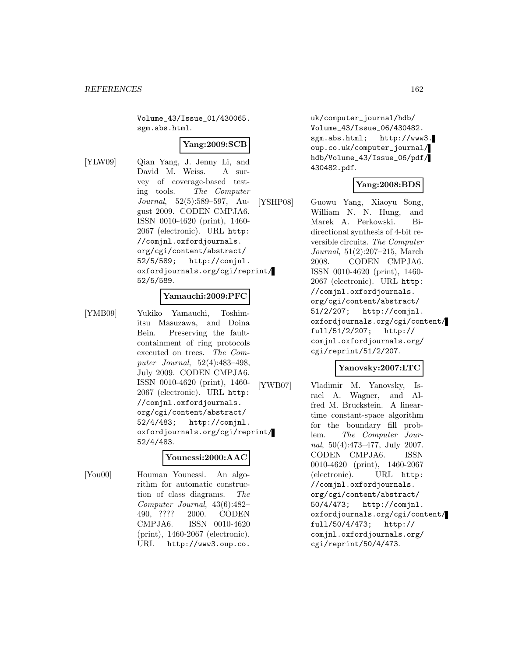Volume\_43/Issue\_01/430065. sgm.abs.html.

### **Yang:2009:SCB**

[YLW09] Qian Yang, J. Jenny Li, and David M. Weiss. A survey of coverage-based testing tools. The Computer Journal, 52(5):589–597, August 2009. CODEN CMPJA6. ISSN 0010-4620 (print), 1460- 2067 (electronic). URL http: //comjnl.oxfordjournals. org/cgi/content/abstract/ 52/5/589; http://comjnl. oxfordjournals.org/cgi/reprint/ 52/5/589.

### **Yamauchi:2009:PFC**

[YMB09] Yukiko Yamauchi, Toshimitsu Masuzawa, and Doina Bein. Preserving the faultcontainment of ring protocols executed on trees. The Computer Journal, 52(4):483–498, July 2009. CODEN CMPJA6. ISSN 0010-4620 (print), 1460- 2067 (electronic). URL http: //comjnl.oxfordjournals. org/cgi/content/abstract/ 52/4/483; http://comjnl. oxfordjournals.org/cgi/reprint/ 52/4/483.

#### **Younessi:2000:AAC**

[You00] Houman Younessi. An algorithm for automatic construction of class diagrams. The Computer Journal, 43(6):482– 490, ???? 2000. CODEN CMPJA6. ISSN 0010-4620 (print), 1460-2067 (electronic). URL http://www3.oup.co.

uk/computer\_journal/hdb/ Volume\_43/Issue\_06/430482. sgm.abs.html; http://www3. oup.co.uk/computer\_journal/ hdb/Volume\_43/Issue\_06/pdf/ 430482.pdf.

### **Yang:2008:BDS**

[YSHP08] Guowu Yang, Xiaoyu Song, William N. N. Hung, and Marek A. Perkowski. Bidirectional synthesis of 4-bit reversible circuits. The Computer Journal, 51(2):207–215, March 2008. CODEN CMPJA6. ISSN 0010-4620 (print), 1460- 2067 (electronic). URL http: //comjnl.oxfordjournals. org/cgi/content/abstract/ 51/2/207; http://comjnl. oxfordjournals.org/cgi/content/ full/51/2/207; http:// comjnl.oxfordjournals.org/ cgi/reprint/51/2/207.

### **Yanovsky:2007:LTC**

[YWB07] Vladimir M. Yanovsky, Israel A. Wagner, and Alfred M. Bruckstein. A lineartime constant-space algorithm for the boundary fill problem. The Computer Journal, 50(4):473–477, July 2007. CODEN CMPJA6. ISSN 0010-4620 (print), 1460-2067 (electronic). URL http: //comjnl.oxfordjournals. org/cgi/content/abstract/ 50/4/473; http://comjnl. oxfordjournals.org/cgi/content/ full/50/4/473; http:// comjnl.oxfordjournals.org/ cgi/reprint/50/4/473.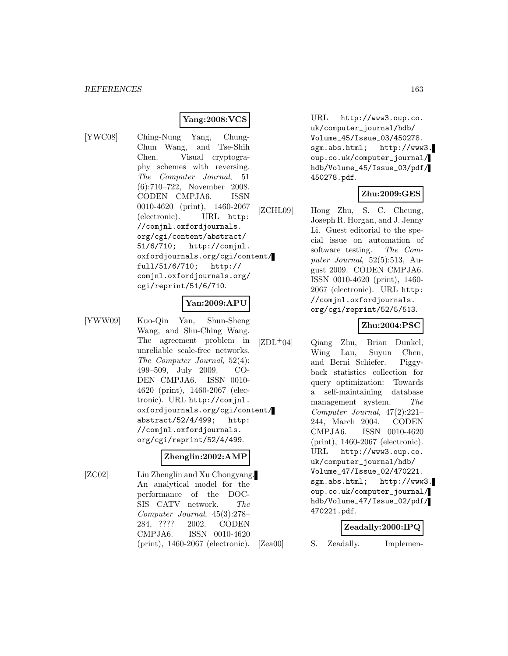## **Yang:2008:VCS**

[YWC08] Ching-Nung Yang, Chung-Chun Wang, and Tse-Shih Chen. Visual cryptography schemes with reversing. The Computer Journal, 51 (6):710–722, November 2008. CODEN CMPJA6. ISSN 0010-4620 (print), 1460-2067 (electronic). URL http: //comjnl.oxfordjournals. org/cgi/content/abstract/ 51/6/710; http://comjnl. oxfordjournals.org/cgi/content/ full/51/6/710; http:// comjnl.oxfordjournals.org/ cgi/reprint/51/6/710.

### **Yan:2009:APU**

[YWW09] Kuo-Qin Yan, Shun-Sheng Wang, and Shu-Ching Wang. The agreement problem in unreliable scale-free networks. The Computer Journal, 52(4): 499–509, July 2009. CO-DEN CMPJA6. ISSN 0010- 4620 (print), 1460-2067 (electronic). URL http://comjnl. oxfordjournals.org/cgi/content/ abstract/52/4/499; http: //comjnl.oxfordjournals. org/cgi/reprint/52/4/499.

#### **Zhenglin:2002:AMP**

[ZC02] Liu Zhenglin and Xu Chongyang. An analytical model for the performance of the DOC-SIS CATV network. The Computer Journal, 45(3):278– 284, ???? 2002. CODEN CMPJA6. ISSN 0010-4620 (print), 1460-2067 (electronic).

URL http://www3.oup.co. uk/computer\_journal/hdb/ Volume\_45/Issue\_03/450278. sgm.abs.html; http://www3. oup.co.uk/computer\_journal/ hdb/Volume\_45/Issue\_03/pdf/ 450278.pdf.

### **Zhu:2009:GES**

[ZCHL09] Hong Zhu, S. C. Cheung, Joseph R. Horgan, and J. Jenny Li. Guest editorial to the special issue on automation of software testing. The Computer Journal, 52(5):513, August 2009. CODEN CMPJA6. ISSN 0010-4620 (print), 1460- 2067 (electronic). URL http: //comjnl.oxfordjournals. org/cgi/reprint/52/5/513.

### **Zhu:2004:PSC**

[ZDL<sup>+</sup>04] Qiang Zhu, Brian Dunkel, Wing Lau, Suyun Chen, and Berni Schiefer. Piggyback statistics collection for query optimization: Towards a self-maintaining database management system. The Computer Journal, 47(2):221– 244, March 2004. CODEN CMPJA6. ISSN 0010-4620 (print), 1460-2067 (electronic). URL http://www3.oup.co. uk/computer\_journal/hdb/ Volume\_47/Issue\_02/470221. sgm.abs.html; http://www3. oup.co.uk/computer\_journal/ hdb/Volume\_47/Issue\_02/pdf/ 470221.pdf.

### **Zeadally:2000:IPQ**

[Zea00] S. Zeadally. Implemen-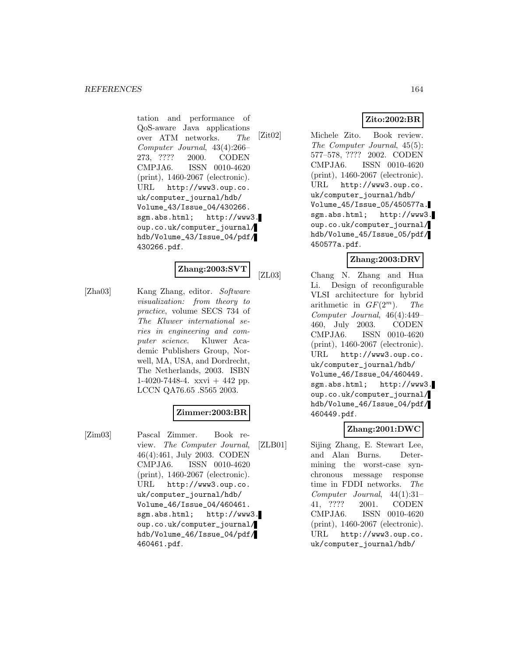tation and performance of QoS-aware Java applications over ATM networks. The Computer Journal, 43(4):266– 273, ???? 2000. CODEN CMPJA6. ISSN 0010-4620 (print), 1460-2067 (electronic). URL http://www3.oup.co. uk/computer\_journal/hdb/ Volume\_43/Issue\_04/430266. sgm.abs.html; http://www3. oup.co.uk/computer\_journal/ hdb/Volume\_43/Issue\_04/pdf/ 430266.pdf.

# **Zhang:2003:SVT**

[Zha03] Kang Zhang, editor. Software visualization: from theory to practice, volume SECS 734 of The Kluwer international series in engineering and computer science. Kluwer Academic Publishers Group, Norwell, MA, USA, and Dordrecht, The Netherlands, 2003. ISBN 1-4020-7448-4. xxvi + 442 pp. LCCN QA76.65 .S565 2003.

# **Zimmer:2003:BR**

[Zim03] Pascal Zimmer. Book review. The Computer Journal, 46(4):461, July 2003. CODEN CMPJA6. ISSN 0010-4620 (print), 1460-2067 (electronic). URL http://www3.oup.co. uk/computer\_journal/hdb/ Volume\_46/Issue\_04/460461. sgm.abs.html; http://www3. oup.co.uk/computer\_journal/ hdb/Volume\_46/Issue\_04/pdf/ 460461.pdf.

# **Zito:2002:BR**

[Zit02] Michele Zito. Book review. The Computer Journal, 45(5): 577–578, ???? 2002. CODEN CMPJA6. ISSN 0010-4620 (print), 1460-2067 (electronic). URL http://www3.oup.co. uk/computer\_journal/hdb/ Volume\_45/Issue\_05/450577a. sgm.abs.html; http://www3. oup.co.uk/computer\_journal/ hdb/Volume\_45/Issue\_05/pdf/ 450577a.pdf.

## **Zhang:2003:DRV**

[ZL03] Chang N. Zhang and Hua Li. Design of reconfigurable VLSI architecture for hybrid arithmetic in  $GF(2^m)$ . The Computer Journal, 46(4):449– 460, July 2003. CODEN CMPJA6. ISSN 0010-4620 (print), 1460-2067 (electronic). URL http://www3.oup.co. uk/computer\_journal/hdb/ Volume\_46/Issue\_04/460449. sgm.abs.html; http://www3. oup.co.uk/computer\_journal/ hdb/Volume\_46/Issue\_04/pdf/ 460449.pdf.

### **Zhang:2001:DWC**

[ZLB01] Sijing Zhang, E. Stewart Lee, and Alan Burns. Determining the worst-case synchronous message response time in FDDI networks. The Computer Journal, 44(1):31– 41, ???? 2001. CODEN CMPJA6. ISSN 0010-4620 (print), 1460-2067 (electronic). URL http://www3.oup.co. uk/computer\_journal/hdb/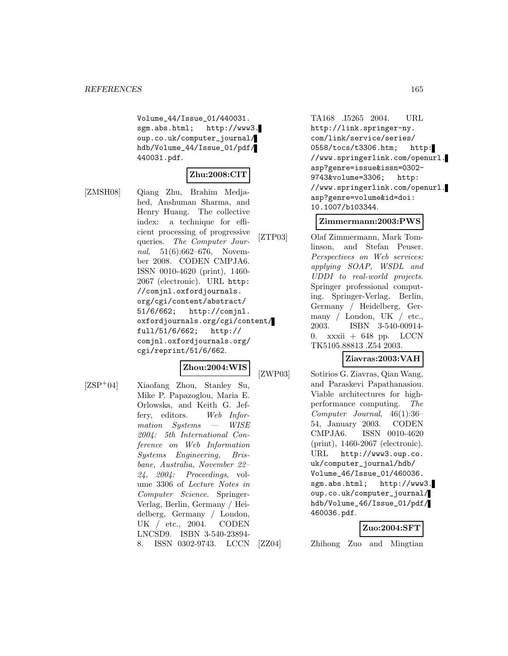Volume\_44/Issue\_01/440031. sgm.abs.html; http://www3. oup.co.uk/computer\_journal/ hdb/Volume\_44/Issue\_01/pdf/ 440031.pdf.

### **Zhu:2008:CIT**

[ZMSH08] Qiang Zhu, Brahim Medjahed, Anshuman Sharma, and Henry Huang. The collective index: a technique for efficient processing of progressive queries. The Computer Journal, 51(6):662–676, November 2008. CODEN CMPJA6. ISSN 0010-4620 (print), 1460- 2067 (electronic). URL http: //comjnl.oxfordjournals. org/cgi/content/abstract/ 51/6/662; http://comjnl. oxfordjournals.org/cgi/content/ full/51/6/662; http:// comjnl.oxfordjournals.org/ cgi/reprint/51/6/662.

### **Zhou:2004:WIS**

[ZSP<sup>+</sup>04] Xiaofang Zhou, Stanley Su, Mike P. Papazoglou, Maria E. Orlowska, and Keith G. Jeffery, editors. Web Information Systems — WISE 2004: 5th International Conference on Web Information Systems Engineering, Brisbane, Australia, November 22–  $24, 2004$ : Proceedings, volume 3306 of Lecture Notes in Computer Science. Springer-Verlag, Berlin, Germany / Heidelberg, Germany / London, UK / etc., 2004. CODEN LNCSD9. ISBN 3-540-23894- 8. ISSN 0302-9743. LCCN TA168 .I5265 2004. URL http://link.springer-ny. com/link/service/series/ 0558/tocs/t3306.htm; http: //www.springerlink.com/openurl. asp?genre=issue&issn=0302- 9743&volume=3306; http: //www.springerlink.com/openurl. asp?genre=volume&id=doi: 10.1007/b103344.

### **Zimmermann:2003:PWS**

[ZTP03] Olaf Zimmermann, Mark Tomlinson, and Stefan Peuser. Perspectives on Web services: applying SOAP, WSDL and UDDI to real-world projects. Springer professional computing. Springer-Verlag, Berlin, Germany / Heidelberg, Germany / London, UK / etc., 2003. ISBN 3-540-00914- 0. xxxii +  $648$  pp. LCCN TK5105.88813 .Z54 2003.

### **Ziavras:2003:VAH**

[ZWP03] Sotirios G. Ziavras, Qian Wang, and Paraskevi Papathanasiou. Viable architectures for highperformance computing. The Computer Journal, 46(1):36– 54, January 2003. CODEN CMPJA6. ISSN 0010-4620 (print), 1460-2067 (electronic). URL http://www3.oup.co. uk/computer\_journal/hdb/ Volume\_46/Issue\_01/460036. sgm.abs.html; http://www3. oup.co.uk/computer\_journal/ hdb/Volume\_46/Issue\_01/pdf/ 460036.pdf.

### **Zuo:2004:SFT**

[ZZ04] Zhihong Zuo and Mingtian